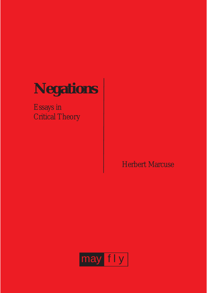Essays in Critical Theory

Herbert Marcuse

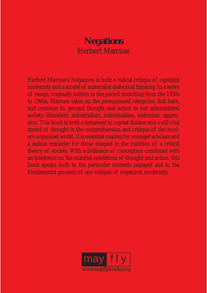# **Negations** Herbert Marcuse

Herbert Marcuse's Negations is both a radical critique of capitalist modernity and a model of materialist dialectical thinking. In a series of essays, originally written in the period stretching from the 1930s to 1960s, Marcuse takes up the presupposed categories that have, and continue to, ground thought and action in our administered society: liberalism, industrialism, individualism, hedonism, aggression. This book is both a testament to a great thinker and a still vital strand of thought in the comprehension and critique of the modern organized world. It is essential reading for younger scholars and a radical reminder for those steeped in the tradition of a critical theory of society. With a brilliance of conception combined with an insistence on the material conditions of thought and action, this book speaks both to the particular contents engaged and to the fundamental grounds of any critique of organized modernity.

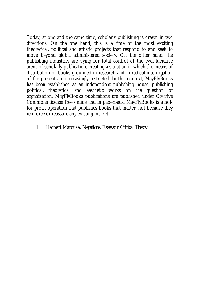Today, at one and the same time, scholarly publishing is drawn in two directions. On the one hand, this is a time of the most exciting theoretical, political and artistic projects that respond to and seek to move beyond global administered society. On the other hand, the publishing industries are vying for total control of the ever-lucrative arena of scholarly publication, creating a situation in which the means of distribution of books grounded in research and in radical interrogation of the present are increasingly restricted. In this context, MayFlyBooks has been established as an independent publishing house, publishing political, theoretical and aesthetic works on the question of organization. MayFlyBooks publications are published under Creative Commons license free online and in paperback. MayFlyBooks is a notfor-profit operation that publishes books that matter, not because they reinforce or reassure any existing market.

1. Herbert Marcuse, *Negations: Essays in Critical Theory*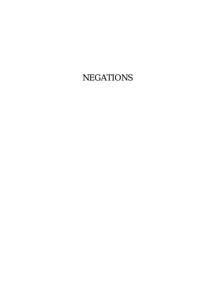# **NEGATIONS**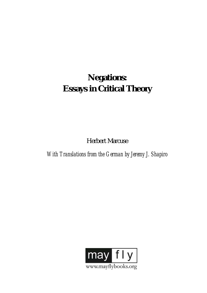# **Negations: Essays in Critical Theory**

Herbert Marcuse

*With Translations from the German by Jeremy J. Shapiro* 

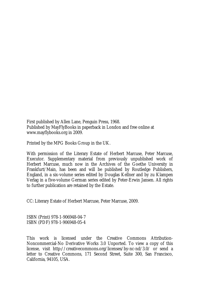First published by Allen Lane, Penguin Press, 1968. Published by MayFlyBooks in paperback in London and free online at www.mayflybooks.org in 2009.

Printed by the MPG Books Group in the UK.

With permission of the Literary Estate of Herbert Marcuse, Peter Marcuse, Executor. Supplementary material from previously unpublished work of Herbert Marcuse, much now in the Archives of the Goethe University in Frankfurt/Main, has been and will be published by Routledge Publishers, England, in a six-volume series edited by Douglas Kellner and by zu Klampen Verlag in a five-volume German series edited by Peter-Erwin Jansen. All rights to further publication are retained by the Estate.

CC: Literary Estate of Herbert Marcuse, Peter Marcuse, 2009.

ISBN (Print) 978-1-906948-04-7 ISBN (PDF) 978-1-906948-05-4

This work is licensed under the Creative Commons Attribution-Noncommercial-No Derivative Works 3.0 Unported. To view a copy of this license, visit http://creativecommons.org/licenses/by-nc-nd/3.0/ or send a letter to Creative Commons, 171 Second Street, Suite 300, San Francisco, California, 94105, USA.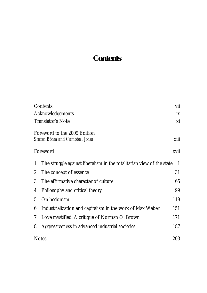# **Contents**

| Contents                                                        |                                                                       | vii         |
|-----------------------------------------------------------------|-----------------------------------------------------------------------|-------------|
| Acknowledgements                                                |                                                                       | İХ          |
| <b>Translator's Note</b>                                        |                                                                       | хi          |
| Foreword to the 2009 Edition<br>Steffen Böhm and Campbell Jones |                                                                       | xiii        |
| Foreword                                                        |                                                                       | xvii        |
| 1                                                               | The struggle against liberalism in the totalitarian view of the state | $\mathbf 1$ |
| 2                                                               | The concept of essence                                                | 31          |
| 3                                                               | The affirmative character of culture                                  | 65          |
| 4                                                               | Philosophy and critical theory                                        | 99          |
| 5                                                               | On hedonism                                                           | 119         |
| 6                                                               | Industrialization and capitalism in the work of Max Weber             | 151         |
| 7                                                               | Love mystified: A critique of Norman O. Brown                         | 171         |
| 8                                                               | Aggressiveness in advanced industrial societies                       | 187         |
| <b>Notes</b>                                                    |                                                                       | 203         |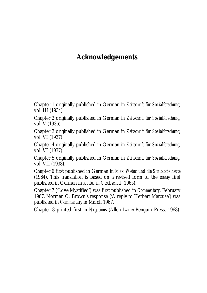# **Acknowledgements**

Chapter 1 originally published in German in *Zeitschrift für Sozialforschung*, vol. III (1934).

Chapter 2 originally published in German in *Zeitschrift für Sozialforschung*, vol. V (1936).

Chapter 3 originally published in German in *Zeitschrift für Sozialforschung*, vol. VI (1937).

Chapter 4 originally published in German in *Zeitschrift für Sozialforschung*, vol. VI (1937).

Chapter 5 originally published in German in *Zeitschrift für Sozialforschung*, vol. VII (1938).

Chapter 6 first published in German in *Max Weber und die Soziologie heute* (1964). This translation is based on a revised form of the essay first published in German in *Kultur in Gesellschaft* (1965).

Chapter 7 ('Love Mystified') was first published in *Commentary*, February 1967. Norman O. Brown's response ('A reply to Herbert Marcuse') was published in *Commentary* in March 1967.

Chapter 8 printed first in *Negations* (Allen Lane/Penguin Press, 1968).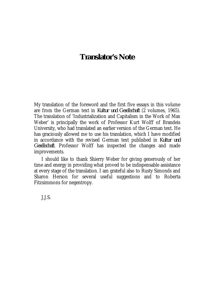## **Translator's Note**

My translation of the foreword and the first five essays in this volume are from the German text in *Kultur und Gesellschaft* (2 volumes, 1965). The translation of 'Industrialization and Capitalism in the Work of Max Weber' is principally the work of Professor Kurt Wolff of Brandeis University, who had translated an earlier version of the German text. He has graciously allowed me to use his translation, which I have modified in accordance with the revised German text published in *Kultur und Gesellschaft*. Professor Wolff has inspected the changes and made improvements.

I should like to thank Shierry Weber for giving generously of her time and energy in providing what proved to be indispensable assistance at every stage of the translation. I am grateful also to Rusty Simonds and Sharon Herson for several useful suggestions and to Roberta Fitzsimmons for negentropy.

J.J.S.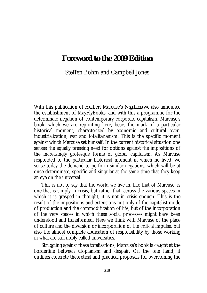### **Foreword to the 2009 Edition**

Steffen Böhm and Campbell Jones

With this publication of Herbert Marcuse's *Negations* we also announce the establishment of MayFlyBooks, and with this a programme for the determinate negation of contemporary corporate capitalism. Marcuse's book, which we are reprinting here, bears the mark of a particular historical moment, characterized by economic and cultural overindustrialization, war and totalitarianism. This is the specific moment against which Marcuse set himself. In the current historical situation one senses the equally pressing need for options against the impositions of the increasingly grotesque forms of global capitalism. As Marcuse responded to the particular historical moment in which he lived, we sense today the demand to perform similar negations, which will be at once determinate, specific and singular at the same time that they keep an eye on the universal.

This is not to say that the world we live in, like that of Marcuse, is one that is simply in crisis, but rather that, across the various spaces in which it is grasped in thought, it is not in crisis enough. This is the result of the impositions and extensions not only of the capitalist mode of production and the commodification of life, but of the incorporation of the very spaces in which these social processes might have been understood and transformed. Here we think with Marcuse of the place of culture and the diversion or incorporation of the critical impulse, but also the almost complete abdication of responsibility by those working in what are still nobly called universities.

Struggling against these totalisations, Marcuse's book is caught at the borderline between utopianism and despair. On the one hand, it outlines concrete theoretical and practical proposals for overcoming the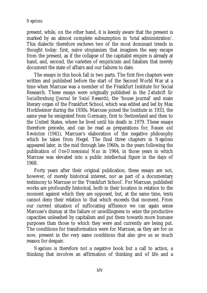present, while, on the other hand, it is keenly aware that the present is marked by an almost complete subsumption in 'total administration'. This dialectic therefore eschews two of the most dominant trends in thought today: first, naive utopianism that imagines the easy escape from the present, as if the collapse of the capitalist empire is already at hand, and, second, the varieties of empiricism and fatalism that merely document the state of affairs and our failures to date.

The essays in this book fall in two parts. The first five chapters were written and published before the start of the Second World War at a time when Marcuse was a member of the Frankfurt Institute for Social Research. These essays were originally published in the *Zeitschrift für Sozialforschung* (*Journal for Social Research*), the 'house journal' and main literary organ of the Frankfurt School, which was edited and led by Max Horkheimer during the 1930s. Marcuse joined the Institute in 1933, the same year he emigrated from Germany, first to Switzerland and then to the United States, where he lived until his death in 1979. These essays therefore precede, and can be read as preparations for, *Reason and Revolution* (1941), Marcuse's elaboration of the negative philosophy which he takes from Hegel. The final three chapters in *Negations* appeared later, in the mid through late 1960s, in the years following the publication of *One-Dimensional Man* in 1964, in those years in which Marcuse was elevated into a public intellectual figure in the days of 1968.

Forty years after their original publication, these essays are not, however, of merely historical interest, nor as part of a documentary testimony to Marcuse or the 'Frankfurt School'. For Marcuse, published works are profoundly historical, both in their location in relation to the moment against which they are opposed, but, at the same time, texts cannot deny their relation to that which exceeds that moment. From our current situation of suffocating affluence we can again sense Marcuse's dismay at the failure or unwillingness to seize the productive capacities unleashed by capitalism and put them towards more humane purposes than those to which they were and currently are being put. The conditions for transformation were for Marcuse, as they are for us now, present in the very same conditions that also give us so much reason for despair.

*Negations* is therefore not a negative book but a call to action, a thinking that involves an affirmation of thinking and of life and a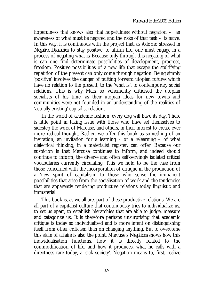hopefulness that knows also that hopefulness without negation – an awareness of what must be negated and the risks of that task – is naive. In this way, it is continuous with the project that, as Adorno stressed in *Negative Dialectics*, to stay positive, to affirm life, one must engage in a process of negating what *is*. Because only through this negating of what is can one find determinate possibilities of development, progress, freedom. Positive possibilities of a new life that escape the stultifying repetition of the present can only come through negation. Being simply 'positive' involves the danger of putting forward utopian futures which have no relation to the present, to the 'what is', to contemporary social relations. This is why Marx so vehemently criticised the utopian socialists of his time, as their utopian ideas for new towns and communities were not founded in an understanding of the realities of 'actually existing' capitalist relations.

In the world of academic fashion, every dog will have its day. There is little point in taking issue with those who have set themselves to sidestep the work of Marcuse, and others, in their interest to create ever more radical thought. Rather, we offer this book as something of an invitation, an invitation for a learning – or a relearning – of what dialectical thinking, in a materialist register, can offer. Because our suspicion is that Marcuse continues to inform, and indeed should continue to inform, the diverse and often self-servingly isolated critical vocabularies currently circulating. This we hold to be the case from those concerned with the incorporation of critique in the production of a 'new spirit of capitalism' to those who sense the immanent possibilities that arise from the socialisation of work and the tendencies that are apparently rendering productive relations today linguistic and immaterial.

This book is, as we all are, part of these productive relations. We are all part of a capitalist culture that continuously tries to individualize us, to set us apart, to establish hierarchies that are able to judge, measure and categorize us. It is therefore perhaps unsurprising that academic critique is today so individualised and is more intent on distinguishing itself from other criticism than on changing anything. But to overcome this state of affairs is also the point. Marcuse's *Negations* shows how this individualisation functions, how it is directly related to the commodification of life, and how it produces, what he calls with a directness rare today, a 'sick society'. Negation means to, first, realize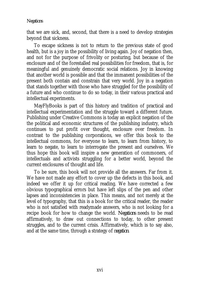that we are sick, and, second, that there is a need to develop strategies beyond that sickness.

To escape sickness is not to return to the previous state of good health, but is a joy in the possibility of living again. Joy of negation then, and not for the purpose of frivolity or posturing, but because of the enclosure and of the forestalled real possibilities for freedom, that is, for meaningful and genuinely democratic social relations. Joy in knowing that another world is possible and that the immanent possibilities of the present both contain and constrain that very world. Joy in a negation that stands together with those who have struggled for the possibility of a future and who continue to do so today, in their various practical and intellectual experiments.

MayFlyBooks is part of this history and tradition of practical and intellectual experimentation and the struggle toward a different future. Publishing under Creative Commons is today an explicit negation of the the political and economic structures of the publishing industry, which continues to put profit over thought, enclosure over freedom. In contrast to the publishing corporations, we offer this book to the intellectual commons, for everyone to learn, to learn from history, to learn to negate, to learn to interrogate the present and ourselves. We thus hope this book will inspire a new generation of commoners, of intellectuals and activists struggling for a better world, beyond the current enclosures of thought and life.

To be sure, this book will not provide all the answers. Far from it. We have not made any effort to cover up the defects in this book, and indeed we offer it up for critical reading. We have corrected a few obvious typographical errors but have left slips of the pen and other lapses and inconsistencies in place. This means, and not merely at the level of typography, that this is a book for the critical reader, the reader who is not satisfied with readymade answers, who is not looking for a recipe book for how to change the world. *Negations* needs to be read affirmatively, to draw out connections to today, to other present struggles, and to the current crisis. Affirmatively, which is to say also, and at the same time, through a strategy of *negation*.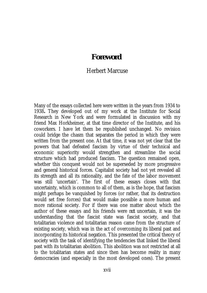### **Foreword**

#### Herbert Marcuse

Many of the essays collected here were written in the years from 1934 to 1938**.** They developed out of my work at the Institute for Social Research in New York and were formulated in discussion with my friend Max Horkheimer, at that time director of the Institute, and his coworkers. I have let them be republished unchanged. No revision could bridge the chasm that separates the period in which they were written from the present one. At that time, it was not yet clear that the powers that had defeated fascism by virtue of their technical and economic superiority would strengthen and streamline the social structure which had produced fascism. The question remained open, whether this conquest would not be superseded by more progressive and general historical forces. Capitalist society had not yet revealed all its strength and all its rationality, and the fate of the labor movement was still 'uncertain'. The first of these essays closes with that uncertainty, which is common to all of them, as is the hope, that fascism might perhaps be vanquished by forces (or rather, that its destruction would set free forces) that would make possible a more human and more rational society. For if there was one matter about which the author of these essays and his friends were *not* uncertain, it was the understanding that the fascist state was fascist society, and that totalitarian violence and totalitarian reason came from the structure of existing society, which was in the act of overcoming its liberal past and incorporating its historical negation. This presented the critical theory of society with the task of identifying the tendencies that linked the liberal past with its totalitarian abolition. This abolition was not restricted at all to the totalitarian states and since then has become reality in many democracies (and especially in the most developed ones). The present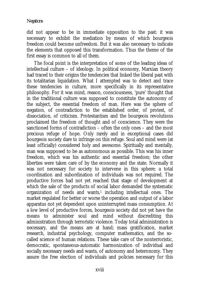did not appear to be in immediate opposition to the past: it was necessary to exhibit the mediation by means of which bourgeois freedom could become unfreedom. But it was also necessary to indicate the elements that opposed this transformation. Thus the theme of the first essay is common to all of them.

The focal point is the interpretation of some of the leading ideas of intellectual culture – of ideology. In political economy, Marxian theory had traced to their origins the tendencies that linked the liberal past with its totalitarian liquidation. What I attempted was to detect and trace these tendencies in culture, more specifically in its representative philosophy. For it was mind, reason, consciousness, 'pure' thought that in the traditional culture was supposed to constitute the autonomy of the subject, the essential freedom of man. Here was the sphere of negation, of contradiction to the established order, of protest, of dissociation, of criticism. Protestantism and the bourgeois revolutions proclaimed the freedom of thought and of conscience. They were the sanctioned forms of contradiction – often the only ones – and the most precious refuge of hope. Only rarely and in exceptional cases did bourgeois society dare to infringe on this refuge. Soul and mind were (at least officially) considered holy and awesome. Spiritually and mentally, man was supposed to be as autonomous as possible. This was his inner freedom, which was his authentic and essential freedom; the other liberties were taken care of by the economy and the state. Normally it was not necessary for society to intervene in this sphere; a total coordination and subordination of individuals was not required. The productive forces had not yet reached that stage of development at which the sale of the products of social labor demanded the systematic organization of needs and wants,<sup>1</sup> including intellectual ones. The market regulated for better or worse the operation and output of a labor apparatus not yet dependent upon uninterrupted mass consumption. At a low level of productive forces, bourgeois society did not yet have the means to administer soul and mind without discrediting this administration through terroristic violence. Today total administration is necessary, and the means are at hand; mass gratification, market research, industrial psychology, computer mathematics, and the socalled science of human relations. These take care of the nonterroristic, democratic, spontaneous-automatic harmonization of individual and socially necessary needs and wants, of autonomy and heteronomy. They assure the free election of individuals and policies necessary for this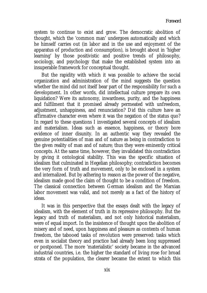system to continue to exist and grow. The democratic abolition of thought, which the 'common man' undergoes automatically and which he himself carries out (in labor and in the use and enjoyment of the apparatus of production and consumption), is brought about in 'higher learning' by those positivistic and positive trends of philosophy, sociology, and psychology that make the established system into an insuperable framework for conceptual thought.

But the rapidity with which it was possible to achieve the social organization and administration of the mind suggests the question whether the mind did not itself bear part of the responsibility for such a development. In other words, did intellectual culture prepare its own liquidation? Were its autonomy, inwardness, purity, and the happiness and fulfilment that it promised already permeated with unfreedom, adjustment, unhappiness, and renunciation? Did this culture have an affirmative character even where it was the negation of the status quo? In regard to these questions I investigated several concepts of idealism and materialism. Ideas such as essence, happiness, or theory bore evidence of inner disunity. In an authentic way they revealed the genuine potentialities of man and of nature as being in contradiction to the given reality of man and of nature; thus they were eminently critical concepts. At the same time, however, they invalidated this contradiction by giving it ontological stability. This was the specific situation of idealism that culminated in Hegelian philosophy; contradiction becomes the very form of truth and movement, only to be enclosed in a system and internalized. But by adhering to reason as the power of the negative, idealism made good the claim of thought to be a condition of freedom. The classical connection between German idealism and the Marxian labor movement was valid, and not merely as a fact of the history of ideas.

It was in this perspective that the essays dealt with the legacy of idealism, with the element of truth in its repressive philosophy. But the legacy and truth of materialism, and not only historical materialism, were of equal import. In the insistence of thought upon the abolition of misery and of need, upon happiness and pleasure as contents of human freedom, the tabooed tasks of revolution were preserved: tasks which even in socialist theory and practice had already been long suppressed or postponed. The more 'materialistic' society became in the advanced industrial countries, i.e. the higher the standard of living rose for broad strata of the population, the clearer became the extent to which this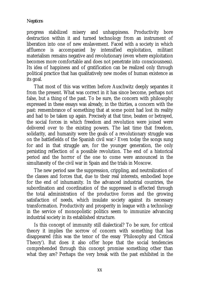progress stabilized misery and unhappiness. Productivity bore destruction within it and turned technology from an instrument of liberation into one of new enslavement. Faced with a society in which affluence is accompanied by intensified exploitation, militant materialism remains negative and revolutionary (even where exploitation becomes more comfortable and does not penetrate into consciousness). Its idea of happiness and of gratification can be realized only through political practice that has qualitatively new modes of human existence as its goal.

That most of this was written before Auschwitz deeply separates it from the present. What was correct in it has since become, perhaps not false, but a thing of the past. To be sure, the concern with philosophy expressed in these essays was already, in the thirties, a concern with the past: remembrance of something that at some point had lost its reality and had to be taken up again. Precisely at that time, beaten or betrayed, the social forces in which freedom and revolution were joined were delivered over to the existing powers. The last time that freedom, solidarity, and humanity were the goals of a revolutionary struggle was on the battlefields of the Spanish civil war.2 Even today the songs sung for and in that struggle are, for the younger generation, the only persisting reflection of a possible revolution. The end of a historical period and the horror of the one to come were announced in the simultaneity of the civil war in Spain and the trials in Moscow.

The new period saw the suppression, crippling, and neutralization of the classes and forces that, due to their real interests, embodied hope for the end of inhumanity. In the advanced industrial countries, the subordination and coordination of the suppressed is effected through the total administration of the productive forces and the growing satisfaction of needs, which insulate society against its necessary transformation. Productivity and prosperity in league with a technology in the service of monopolistic politics seem to immunize advancing industrial society in its established structure.

Is this concept of immunity still dialectical? To be sure, for critical theory it implies the sorrow of concern with something that has disappeared (this was the tenor of the essay 'Philosophy and Critical Theory'). But does it also offer hope that the social tendencies comprehended through this concept promise something other than what they are? Perhaps the very break with the past exhibited in the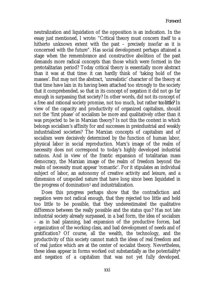neutralization and liquidation of the opposition is an indication. In the essay just mentioned, I wrote: "Critical theory must concern itself to a hitherto unknown extent with the past – precisely insofar as it is concerned with the future". Has social development perhaps attained a stage when the remembrance and constructive abolition of the past demands more radical concepts than those which were formed in the pretotalitarian period? Today critical theory is essentially more abstract than it was at that time: it can hardly think of 'taking hold of the masses'. But may not the abstract, 'unrealistic' character of the theory at that time have lain in its having been attached too strongly to the society that it comprehended, so that in its concept of negation it did not go far enough in surpassing that society? In other words, did not its concept of a free and rational society promise, not too much, but rather *too little?* In view of the capacity and productivity of organized capitalism, should not the 'first phase' of socialism be more and qualitatively other than it was projected to be in Marxian theory? Is not this the context in which belongs socialism's affinity for and successes in preindustrial and weakly industrialized societies? The Marxian concepts of capitalism and of socialism were decisively determined by the function of human labor, physical labor in social reproduction. Marx's image of the realm of necessity does not correspond to today's highly developed industrial nations. And in view of the frantic expansion of totalitarian mass democracy, the Marxian image of the realm of freedom beyond the realm of necessity must appear 'romantic'. For it stipulates an individual subject of labor, an autonomy of creative activity and leisure, and a dimension of unspoiled nature that have long since been liquidated in the progress of domination3 and industrialization.

Does this progress perhaps show that the contradiction and negation were not radical enough, that they rejected too little and held too little to be possible, that they underestimated the qualitative difference between the really possible and the status quo? Has not late industrial society already surpassed, in a bad form, the idea of socialism – as in bad planning, bad expansion of the productive forces, bad organization of the working class, and bad development of needs and of gratification? Of course, all the wealth, the technology, and the productivity of this society cannot match the ideas of real freedom and of real justice which are at the center of socialist theory. Nevertheless, these ideas appear in forms worked out substantially as the potentiality4 and negation of a capitalism that was not yet fully developed.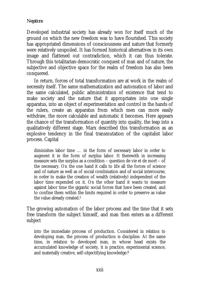Developed industrial society has already won for itself much of the ground on which the new freedom was to have flourished. This society has appropriated dimensions of consciousness and nature that formerly were relatively unspoiled. It has formed historical alternatives in its own image and flattened out contradiction, which it can thus tolerate. Through this totalitarian-democratic conquest of man and of nature, the subjective and objective space for the realm of freedom has also been conquered.

In return, forces of total transformation are at work in the realm of necessity itself. The same mathematization and automation of labor and the same calculated, public administration of existence that tend to make society and the nature that it appropriates into one single apparatus, into an object of experimentation and control in the hands of the rulers, create an apparatus from which men can more easily withdraw, the more calculable and automatic it becomes. Here appears the chance of the transformation of quantity into quality, the leap into a qualitatively different stage. Marx described this transformation as an explosive tendency in the final transmutation of the capitalist labor process. Capital

diminishes labor time … in the form of necessary labor in order to augment it in the form of surplus labor. It therewith in increasing measure sets the surplus as a condition – question de vie et de mort – of the necessary. On the one hand it calls to life all the forces of science and of nature as well as of social combination and of social intercourse, in order to make the creation of wealth (relatively) independent of the labor time expended on it. On the other hand it wants to measure against labor time the gigantic social forces that have been created, and to confine them within the limits required in order to preserve as value the value already created.5

The growing automation of the labor process and the time that it sets free transform the subject himself, and man then enters as a different subject

into the immediate process of production. Considered in relation to developing man, the process of production is discipline. At the same time, in relation to developed man, in whose head exists the accumulated knowledge of society, it is practice, experimental science, and materially creative, self-objectifying knowledge.<sup>6</sup>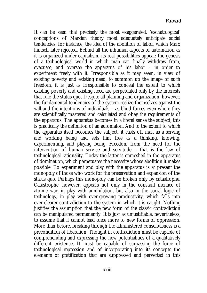It can be seen that precisely the most exaggerated, 'eschatological' conceptions of Marxian theory most adequately anticipate social tendencies: for instance, the idea of the abolition of labor, which Marx himself later rejected. Behind all the inhuman aspects of automation as it is organized under capitalism, its real possibilities appear: the genesis of a technological world in which man can finally withdraw from, evacuate, and oversee the apparatus of his labor – in order to experiment freely with it. Irresponsible as it may seem, in view of existing poverty and existing need, to summon up the image of such freedom, it is just as irresponsible to conceal the extent to which existing poverty and existing need are perpetuated only by the interests that rule the status quo. Despite all planning and organization, however, the fundamental tendencies of the system realize themselves against the will and the intentions of individuals – as blind forces even where they are scientifically mastered and calculated and obey the requirements of the apparatus. The apparatus becomes in a literal sense the subject; this is practically the definition of an automaton. And to the extent to which the apparatus itself becomes the subject, it casts off man as a serving and working being and sets him free as a thinking, knowing, experimenting, and playing being. Freedom from the need for the intervention of human service and servitude – that is the law of technological rationality. Today the latter is enmeshed in the apparatus of domination, which perpetuates the necessity whose abolition it makes possible. To experiment and play with the apparatus is at present the monopoly of those who work for the preservation and expansion of the status quo. Perhaps this monopoly can be broken only by catastrophe. Catastrophe, however, appears not only in the constant menace of atomic war, in play with annihilation, but also in the social logic of technology, in play with ever-growing productivity, which falls into ever-clearer contradiction to the system in which it is caught. Nothing justifies the assumption that the new form of the classic contradiction can be manipulated permanently. It is just as unjustifiable, nevertheless, to assume that it cannot lead once more to new forms of oppression. More than before, breaking through the administered consciousness is a precondition of liberation. Thought in contradiction must be capable of comprehending and expressing the new potentialities of a qualitatively different existence. It must be capable of surpassing the force of technological repression and of incorporating into its concepts the elements of gratification that are suppressed and perverted in this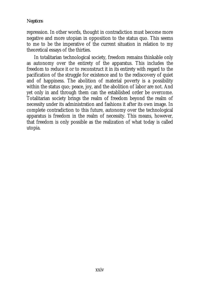repression. In other words, thought in contradiction must become more negative and more utopian in opposition to the status quo. This seems to me to be the imperative of the current situation in relation to my theoretical essays of the thirties.

In totalitarian technological society, freedom remains thinkable only as autonomy over the entirety of the apparatus. This includes the freedom to reduce it or to reconstruct it in its entirety with regard to the pacification of the struggle for existence and to the rediscovery of quiet and of happiness. The abolition of material poverty is a possibility within the status quo; peace, joy, and the abolition of labor are not. And yet only in and through them can the established order be overcome. Totalitarian society brings the realm of freedom beyond the realm of necessity under its administration and fashions it after its own image. In complete contradiction to this future, autonomy over the technological apparatus is freedom in the realm of necessity. This means, however, that freedom is only possible as the realization of what today is called utopia.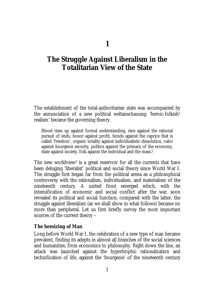**1** 

### **The Struggle Against Liberalism in the Totalitarian View of the State**

The establishment of the total-authoritarian state was accompanied by the annunciation of a new political weltanschauung: 'heroic-folkish1 realism' became the governing theory.

Blood rises up against formal understanding, race against the rational pursuit of ends, honor against profit, bonds against the caprice that is called 'freedom', organic totality against individualistic dissolution, valor against bourgeois security, politics against the primacy of the economy, state against society, folk against the individual and the mass.2

The new worldview<sup>3</sup> is a great reservoir for all the currents that have been deluging 'liberalist' political and social theory since World War I. The struggle first began far from the political arena as a philosophical controversy with the rationalism, individualism, and materialism of the nineteenth century. A united front emerged which, with the intensification of economic and social conflict after the war, soon revealed its political and social function; compared with the latter, the struggle against liberalism (as we shall show in what follows) became no more than peripheral. Let us first briefly survey the most important sources of the current theory –

#### **The heroizing of Man**

Long before World War I, the celebration of a new type of man became prevalent, finding its adepts in almost all branches of the social sciences and humanities, from economics to philosophy. Right down the line, an attack was launched against the hypertrophic rationalization and technification of life, against the 'bourgeois' of the nineteenth century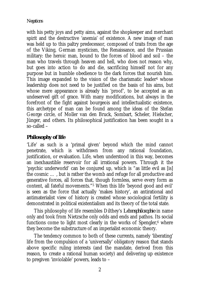with his petty joys and petty aims, against the shopkeeper and merchant spirit and the destructive 'anemia' of existence. A new image of man was held up to this paltry predecessor, composed of traits from the age of the Viking, German mysticism, the Renaissance, and the Prussian military: the heroic man, bound to the forces of blood and soil – the man who travels through heaven and hell, who does not reason why, but goes into action to do and die, sacrificing himself not for any purpose but in humble obedience to the dark forces that nourish him. This image expanded to the vision of the charismatic leader<sup>4</sup> whose leadership does not need to be justified on the basis of his aims, but whose mere appearance is already his 'proof', to be accepted as an undeserved gift of grace. With many modifications, but always in the forefront of the fight against bourgeois and intellectualistic existence, this archetype of man can be found among the ideas of the Stefan George circle, of Moller van den Bruck, Sombart, Scheler, Hielscher, Jünger, and others. Its philosophical justification has been sought in a so-called –

#### **Philosophy of life**

'Life' as such is a 'primal given' beyond which the mind cannot penetrate, which is withdrawn from any rational foundation, justification, or evaluation. Life, when understood in this way, becomes an inexhaustible reservoir for all irrational powers. Through it the 'psychic underworld' can be conjured up, which is "as little evil as [is] the cosmic … , but is rather the womb and refuge for all productive and generative forces, all forces that, though formless, serve every form as content, all fateful movements."5 When this life 'beyond good and evil' is seen as the force that actually 'makes history', an antirational and antimaterialist view of history is created whose sociological fertility is demonstrated in political existentialism and its theory of the total state.

This philosophy of life resembles Dilthey's *Lebensphilosophie*in name only and took from Nietzsche only odds and ends and pathos. Its social functions come to light most clearly in the works of Spengler,<sup>6</sup> where they become the substructure of an imperialist economic theory.

The tendency common to both of these currents, namely 'liberating' life from the compulsion of a 'universally' obligatory reason that stands above specific ruling interests (and the mandate, derived from this reason, to create a rational human society) and delivering up existence to pregiven 'inviolable' powers, leads to –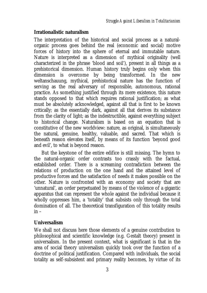#### **Irrationalistic naturalism**

The interpretation of the historical and social process as a naturalorganic process goes behind the real (economic and social) motive forces of history into the sphere of eternal and immutable nature. Nature is interpreted as a dimension of mythical originality (well characterized in the phrase 'blood and soil'), present in all things as a prehistorical dimension. Human history truly begins only when this dimension is overcome by being transformed. In the new weltanschauung, mythical, prehistorical nature has the function of serving as the real adversary of responsible, autonomous, rational practice. As something justified through its mere existence, this nature stands opposed to that which requires rational justification; as what must be absolutely acknowledged, against all that is first to be known critically; as the essentially dark, against all that derives its substance from the clarity of light; as the indestructible, against everything subject to historical change. Naturalism is based on an equation that is constitutive of the new worldview: nature, as original, is simultaneously the natural, genuine, healthy, valuable, and sacred. That which is beneath reason elevates itself, by means of its function 'beyond good and evil', to what is beyond reason.

But the keystone of the entire edifice is still missing. The hymn to the natural-organic order contrasts too crassly with the factual, established order. There is a screaming contradiction between the relations of production on the one hand and the attained level of productive forces and the satisfaction of needs it makes possible on the other. Nature is confronted with an economy and society that are 'unnatural', an order perpetuated by means of the violence of a gigantic apparatus that can represent the whole against the individual because it wholly oppresses him, a 'totality' that subsists only through the total domination of all. The theoretical transfiguration of this totality results  $in -$ 

#### **Universalism**

We shall not discuss here those elements of a genuine contribution to philosophical and scientific knowledge (e.g. Gestalt theory) present in universalism. In the present context, what is significant is that in the area of social theory universalism quickly took over the function of a doctrine of political justification. Compared with individuals, the social totality as self-subsistent and primary reality becomes, by virtue of its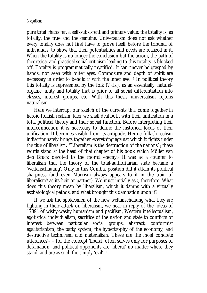pure total character, a self-subsistent and primary value: the totality is, as totality, the true and the genuine. Universalism does not ask whether every totality does not first have to prove itself before the tribunal of individuals, to show that their potentialities and needs are realized in it. When the totality is no longer the conclusion but the axiom, the path of theoretical and practical social criticism leading to this totality is blocked off. Totality is programmatically mystified. It can "never be grasped by hands, nor seen with outer eyes. Composure and depth of spirit are necessary in order to behold it with the inner eye."7 In political theory this totality is represented by the folk (*Volk*),as an essentially 'naturalorganic' unity and totality that is prior to all social differentiation into classes, interest groups, etc. With this thesis universalism rejoins naturalism.

Here we interrupt our sketch of the currents that come together in heroic-folkish realism; later we shall deal both with their unification in a total political theory and their social function. Before interpreting their interconnection it is necessary to define the historical locus of their unification. It becomes visible from its antipode. Heroic-folkish realism indiscriminately brings together everything against which it fights under the title of *liberalism***.**"Liberalism is the destruction of the nations"; these words stand at the head of that chapter of his book which Möller van den Bruck devoted to the mortal enemy.8 It was as a counter to liberalism that the theory of the total-authoritarian state became a 'weltanschauung'. Only in this Combat position did it attain its political sharpness (and even Marxism always appears to it in the train of liberalism9 as its heir or partner). We must initially ask, therefore: What does this theory mean by liberalism, which it damns with a virtually eschatological pathos, and what brought this damnation upon it?

If we ask the spokesmen of the new weltanschauung what they are fighting in their attack on liberalism, we hear in reply of the 'ideas of 1789', of wishy-washy humanism and pacifism, Western intellectualism, egotistical individualism, sacrifice of the nation and state to conflicts of interest between particular social groups, abstract, conformist egalitarianism, the party system, the hypertrophy of the economy, and destructive technicism and materialism. These are the most concrete utterances10 – for the concept 'liberal' often serves only for purposes of defamation, and political opponents are 'liberal' no matter where they stand, and are as such the simply 'evil'.<sup>11</sup>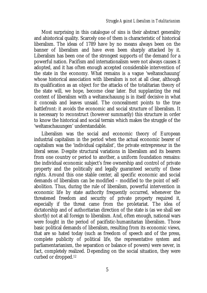Most surprising in this catalogue of sins is their abstract generality and ahistorical quality. Scarcely one of them is characteristic of historical liberalism. The ideas of 1789 have by no means always been on the banner of liberalism and have even been sharply attacked by it. Liberalism has been one of the strongest supports of the demand for a powerful nation. Pacifism and internationalism were not always causes it adopted, and it has often enough accepted considerable intervention of the state in the economy. What remains is a vague 'weltanschauung' whose historical association with liberalism is not at all clear, although its qualification as an object for the attacks of the totalitarian theory of the state will, we hope, become clear later. But supplanting the real content of liberalism with a weltanschauung is in itself decisive in what it conceals and leaves unsaid. The concealment points to the true battlefront: it avoids the economic and social structure of liberalism. It is necessary to reconstruct (however summarily) this structure in order to know the historical and social terrain which makes the struggle of the 'weltanschauungen' understandable.

Liberalism was the social and economic theory of European industrial capitalism in the period when the actual economic bearer of capitalism was the 'individual capitalist', the private entrepreneur in the literal sense. Despite structural variations in liberalism and its bearers from one country or period to another, a uniform foundation remains: the individual economic subject's free ownership and control of private property and the politically and legally guaranteed security of these rights. Around this one stable center, all specific economic and social demands of liberalism can be modified – modified to the point of selfabolition. Thus, during the rule of liberalism, powerful intervention in economic life by state authority frequently occurred, whenever the threatened freedom and security of private property required it, especially if the threat came from the proletariat. The idea of dictatorship and of authoritarian direction of the state is (as we shall see shortly) not at all foreign to liberalism. And, often enough, national wars were fought in the period of pacifistic-humanitarian liberalism. Those basic political demands of liberalism, resulting from its economic views, that are so hated today (such as freedom of speech and of the press, complete publicity of political life, the representative system and parliamentarianism, the separation or balance of powers) were never, in fact, completely realized. Depending on the social situation, they were curbed or dropped.12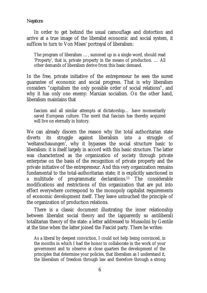In order to get behind the usual camouflage and distortion and arrive at a true image of the liberalist economic and social system, it suffices to turn to Von Mises' portrayal of liberalism:

The program of liberalism …, summed up in a single word, should read 'Property', that is, private property in the means of production. … All other demands of liberalism derive from this basic demand.

In the free, private initiative of the entrepreneur he sees the surest guarantee of economic and social progress. That is why liberalism considers "capitalism the only possible order of social relations", and why it has only one enemy: Marxian socialism. On the other hand, liberalism maintains that

fascism and all similar attempts at dictatorship… have momentarily saved European culture. The merit that fascism has thereby acquired will live on eternally in history.

We can already discern the reason why the total authoritarian state diverts its struggle against liberalism into a struggle of 'weltanschauungen', why it bypasses the social structure basic to liberalism: it is itself largely in accord with this basic structure. The latter was characterized as the organization of society through private enterprise on the basis of the recognition of private property and the private initiative of the entrepreneur. And this very organization remains fundamental to the total-authoritarian state; it is explicitly sanctioned in a multitude of programmatic declarations.13 The considerable modifications and restrictions of this organization that are put into effect everywhere correspond to the monopoly capitalist requirements of economic development itself. They leave untouched the principle of the organization of production relations.

There is a classic document illustrating the inner relationship between liberalist social theory and the (apparently so antiliberal) totalitarian theory of the state: a letter addressed to Mussolini by Gentile at the time when the latter joined the Fascist party. There he writes:

As a liberal by deepest conviction, I could not help being convinced, in the months in which I had the honor to collaborate in the work of your government and to observe at close quarters the development of the principles that determine your policies, that liberalism as I understand it, the liberalism of freedom through law and therefore through a strong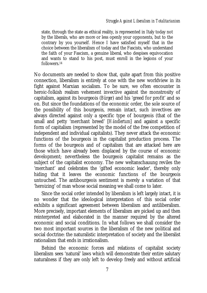state, through the state as ethical reality, is represented in Italy today not by the liberals, who are more or less openly your opponents, but to the contrary by you yourself. Hence I have satisfied myself that in the choice between the liberalism of today and the Fascists, who understand the faith of your Fascism, a genuine liberal, who despises equivocation and wants to stand to his post, must enroll in the legions of your followers.14

No documents are needed to show that, quite apart from this positive connection, liberalism is entirely at one with the new worldview in its fight against Marxian socialism. To be sure, we often encounter in heroic-folkish realism vehement invective against the monstrosity of capitalism, against its bourgeois (*Bürger*) and his 'greed for profit' and so on. But since the foundations of the economic order, the sole source of the possibility of this bourgeois, remain intact, such invectives are always directed against only a specific type of bourgeois (that of the small and petty 'merchant breed' [*Händlertum*] and against a specific form of capitalism (represented by the model of the free competition of independent and individual capitalists). They never attack the economic functions of the bourgeois in the capitalist production process. The forms of the bourgeois and of capitalism that are attacked here are those which have already been displaced by the course of economic development; nevertheless the bourgeois capitalist remains as the subject of the capitalist economy. The new weltanschauung reviles the 'merchant' and celebrates the 'gifted economic leader', thereby only hiding that it leaves the economic functions of the bourgeois untouched. The antibourgeois sentiment is merely a variation of that 'heroizing' of man whose social meaning we shall come to later.

Since the social order intended by liberalism is left largely intact, it is no wonder that the ideological interpretation of this social order exhibits a significant agreement between liberalism and antiliberalism. More precisely, important elements of liberalism are picked up and then reinterpreted and elaborated in the manner required by the altered economic and social conditions. In what follows we shall consider the two most important sources in the liberalism of the new political and social doctrine: the naturalistic interpretation of society and the liberalist rationalism that ends in irrationalism.

Behind the economic forces and relations of capitalist society liberalism sees 'natural' laws which will demonstrate their entire salutary naturalness if they are only left to develop freely and without artificial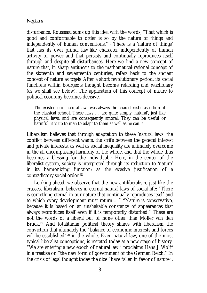disturbance. Rousseau sums up this idea with the words, "That which is good and conformable to order is so by the nature of things and independently of human conventions."15 There is a 'nature of things' that has its own primal law-like character independently of human activity or power and that persists and continually reproduces itself through and despite all disturbances. Here we find a new concept of nature that, in sharp antithesis to the mathematical-rational concept of the sixteenth and seventeenth centuries, refers back to the ancient concept of nature as *physis*. After a short revolutionary period, its social functions within bourgeois thought become retarding and reactionary (as we shall see below). The application of this concept of nature to political economy becomes decisive.

The existence of natural laws was always the characteristic assertion of the classical school. These laws … are quite simply 'natural', just like physical laws, and are consequently amoral. They can be useful or harmful: it is up to man to adapt to them as well as he can.<sup>16</sup>

Liberalism believes that through adaptation to these 'natural laws' the conflict between different wants, the strife between the general interest and private interests, as well as social inequality are ultimately overcome in the all-encompassing harmony of the whole, and that the whole thus becomes a blessing for the individual.17 Here, in the center of the liberalist system, society is interpreted through its reduction to 'nature' in its harmonizing function: as the evasive justification of a contradictory social order.<sup>18</sup>

Looking ahead, we observe that the new antiliberalism, just like the crassest liberalism, believes in eternal natural laws of social life: "There is something eternal in our nature that continually reproduces itself and to which every development must return…." "Nature is conservative, because it is based on an unshakable constancy of appearances that always reproduces itself even if it is temporarily disturbed." These are not the words of a liberal but of none other than Möller van den Bruck.19 And totalitarian political theory shares with liberalism the conviction that ultimately the "balance of economic interests and forces will be established<sup>"20</sup> in the whole. Even natural law, one of the most typical liberalist conceptions, is restated today at a new stage of history. "We are entering a new epoch of natural law!" proclaims Hans J. Wolff in a treatise on "the new form of government of the German Reich." In the crisis of legal thought today the dice "have fallen in favor of nature".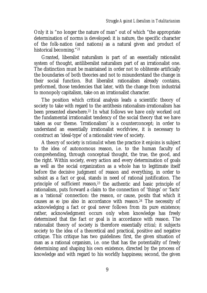Only it is "no longer the nature of man" out of which "the appropriate determination of norms is developed: it is nature, the specific character of the folk-nation (and nations) as a natural given and product of historical becoming."21

Granted, liberalist naturalism is part of an essentially rationalist system of thought, antiliberalist naturalism part of an irrationalist one. The distinction must be maintained in order not to obliterate artificially the boundaries of both theories and not to misunderstand the change in their social function. But liberalist rationalism already contains, preformed, those tendencies that later, with the change from industrial to monopoly capitalism, take on an irrationalist character.

The position which critical analysis leads a scientific theory of society to take with regard to the antithesis rationalism-irrationalism has been presented elsewhere.22 In what follows we have only worked out the fundamental irrationalist tendency of the social theory that we have taken as our theme. 'Irrationalism' is a counterconcept; in order to understand an essentially irrationalist worldview, it is necessary to construct an 'ideal-type' of a rationalist view of society.

A theory of society is *rationalist* when the practice it enjoins is subject to the idea of autonomous reason, i.e. to the human faculty of comprehending, through conceptual thought, the true, the good, and the right. Within society, every action and every determination of goals as well as the social organization as a whole has to legitimate itself before the decisive judgment of reason and everything, in order to subsist as a fact or goal, stands in need of rational justification. The principle of sufficient reason,23 the authentic and basic principle of rationalism, puts forward a claim to the connection of 'things' or 'facts' as a 'rational' connection: the reason, or cause, posits that which it causes as *eo ipso* also in accordance with reason.24 The necessity of acknowledging a fact or goal never follows from its pure existence; rather, acknowledgment occurs only when knowledge has freely determined that the fact or goal is in accordance with reason. The rationalist theory of society is therefore essentially *critical;* it subjects society to the idea of a theoretical and practical, positive and negative critique. This critique has two guidelines: first, the given situation of man as a rational organism, i.e. one that has the potentiality of freely determining and shaping his own existence, directed by the process of knowledge and with regard to his worldly happiness; second, the given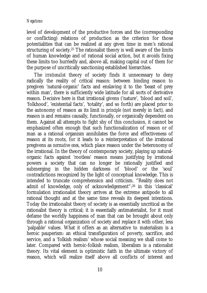level of development of the productive forces and the (corresponding or conflicting) relations of production as the criterion for those potentialities that can be realized at any given time in men's rational structuring of society.<sup>25</sup> The rationalist theory is well aware of the limits of human knowledge and of rational social action, but it avoids fixing these limits too hurriedly and, above all, making capital out of them for the purpose of uncritically sanctioning established hierarchies.

The *irrationalist* theory of society finds it unnecessary to deny radically the reality of critical reason: between binding reason to pregiven 'natural-organic' facts and enslaving it to the 'beast of prey within man', there is sufficiently wide latitude for all sorts of derivative reason. Decisive here is that irrational givens ('nature', 'blood and soil', 'folkhood', 'existential facts', 'totality', and so forth) are placed prior to the autonomy of reason as its limit *in principle* (not merely in fact), and reason is and remains causally, functionally, or organically dependent on them. Against all attempts to fight shy of this conclusion, it cannot be emphasized often enough that such functionalization of reason or of man as a rational organism annihilates the force and effectiveness of reason at its roots, for it leads to a reinterpretation of the irrational pregivens as *normative ones*, which place reason under the heteronomy of the irrational. In the theory of contemporary society, playing up naturalorganic facts against 'rootless' reason means justifying by irrational powers a society that can no longer be rationally justified and submerging in the hidden darkness of 'blood' or the 'soul' contradictions recognized by the light of conceptual knowledge. This is intended to truncate comprehension and criticism. "Reality does not admit of knowledge, only of acknowledgement":26 in this 'classical' formulation irrationalist theory arrives at the extreme antipode to all rational thought and at the same time reveals its deepest intentions. Today the irrationalist theory of society is as essentially uncritical as the rationalist theory is critical; it is essentially antimaterialist, for it must defame the worldly happiness of man that can be brought about only through a rational organization of society and replace it with other, less 'palpable' values. What it offers as an alternative to materialism is a heroic pauperism: an ethical transfiguration of poverty, sacrifice, and service, and a 'folkish realism' whose social meaning we shall come to later. Compared with heroic-folkish realism, liberalism is a rationalist theory. Its vital element is optimistic faith in the ultimate victory of reason, which will realize itself above all conflicts of interest and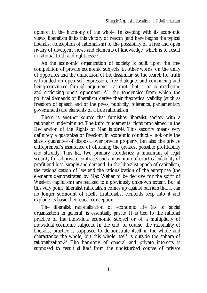opinion in the harmony of the whole. In keeping with its economic views, liberalism links this victory of reason (and here begins the typical liberalist conception of rationalism) to the possibility of a free and open rivalry of divergent views and elements of knowledge, which is to result in rational truth and rightness.27

As the economic organization of society is built upon the free competition of private economic subjects, in other words, on the unity of opposites and the unification of the dissimilar, so the search for truth is founded on open self-expression, free dialogue, and convincing and being convinced through argument – at root, that is, on contradicting and criticizing one's opponent. All the tendencies from which the political demands of liberalism derive their theoretical validity (such as freedom of speech and of the press, publicity, tolerance, parliamentary government) are elements of a true rationalism.

There is another source that furnishes liberalist society with a rationalist underpinning. The third fundamental right proclaimed in the Declaration of the Rights of Man is *sûreté.* This security means very definitely a guarantee of freedom in economic conduct – not only the state's guarantee of disposal over private property, but also the private entrepreneur's assurance of obtaining the greatest possible profitability and stability. This has two primary corollaries: a maximum of legal security for all private contracts and a maximum of exact calculability of profit and loss, supply and demand. In the liberalist epoch of capitalism, the rationalization of law and the rationalization of the enterprise (the elements demonstrated by Max Weber to be decisive for the spirit of Western capitalism) are realized to a previously unknown extent. But at this very point, liberalist rationalism comes up against barriers that it can no longer surmount of itself. Irrationalist elements seep into it and explode its basic theoretical conception.

The liberalist rationalization of economic life (as of social organization in general) is essentially *private.* It is tied to the rational practice of the individual economic subject or of a multiplicity of individual economic subjects. In the end, of course, the rationality of liberalist practice is supposed to demonstrate itself in the whole and characterize the whole, but this whole itself is outside the sphere of rationalization.28 The harmony of general and private interests is supposed to result *of itself* from the undisturbed course of private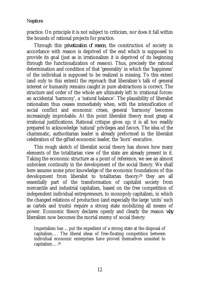practice. On principle it is not subject to criticism, nor does it fall within the bounds of rational projects for practice.

Through this *privatization of reason*, the construction of society in accordance with reason is deprived of the end which is supposed to provide its goal (just as in irrationalism it is deprived of its beginning through the functionalization of reason). Thus, precisely the rational determination and condition of that 'generality' in which the 'happiness' of the individual is supposed to be realized is missing. To this extent (and only to this extent) the reproach that liberalism's talk of general interest or humanity remains caught in pure abstractions is correct. The structure and order of the whole are ultimately left to irrational forces: an accidental 'harmony', a 'natural balance'. The plausibility of liberalist rationalism thus ceases immediately when, with the intensification of social conflict and economic crises, general 'harmony' becomes increasingly improbable. At this point liberalist theory must grasp at irrational justifications. Rational critique gives up; it is all too readily prepared to acknowledge 'natural' privileges and favors. The idea of the charismatic, authoritarian leader is already preformed in the liberalist celebration of the gifted economic leader, the 'born' executive.

This rough sketch of liberalist social theory has shown how many elements of the totalitarian view of the state are already present in it. Taking the economic structure as a point of reference, we see an almost unbroken continuity in the development of the social theory. We shall here assume some prior knowledge of the economic foundations of this development from liberalist to totalitarian theory:29 they are all essentially part of the transformation of capitalist society from mercantile and industrial capitalism, based on the free competition of independent individual entrepreneurs, to monopoly capitalism, in which the changed relations of production (and especially the large 'units' such as cartels and trusts) require a strong state mobilizing all means of power. Economic theory declares openly and clearly the reason *why* liberalism now becomes the mortal enemy of social theory:

Imperialism has ... put the expedient of a strong state at the disposal of capitalism…. The liberal ideas of free-floating competition between individual economic enterprises have proved themselves unsuited to capitalism….30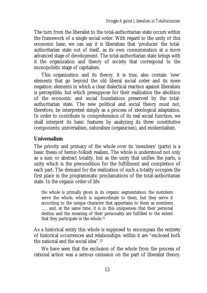The turn from the liberalist to the total-authoritarian state occurs within the framework of a single social order. With regard to the unity of this economic base, we can say it is liberalism that 'produces' the totalauthoritarian state out of itself, as its own consummation at a more advanced stage of development. The total-authoritarian state brings with it the organization and theory of society that correspond to the monopolistic stage of capitalism.

This organization and its theory, it is true, also contain 'new' elements that go beyond the old liberal social order and its mere negation: elements in which a clear dialectical reaction against liberalism is perceptible, but which presuppose for their realization the abolition of the economic and social foundations preserved by the totalauthoritarian state. The new political and social theory must not, therefore, be interpreted simply as a process of ideological adaptation. In order to contribute to comprehension of its real social function, we shall interpret its basic features by analyzing its three constitutive components: universalism, naturalism (organicism), and existentialism.

# **Universalism**

The priority and primacy of the whole over its 'members' (parts) is a basic thesis of heroic-folkish realism. The whole is understood not only as a sum or abstract totality, but as the unity that unifies the parts, a unity which is the precondition for the fulfillment and completion of each part. The demand for the realization of such a totality occupies the first place in the programmatic proclamations of the total-authoritarian state. In the organic order of life

the whole is primally given in its organic segmentation: the members serve the whole, which is superordinate to them, but they serve it according to the unique character that appertains to them as members …, and, at the same time, it is in this uniqueness that their personal destiny and the meaning of their personality are fulfilled to the extent that they participate in the whole.31

As a historical entity this whole is supposed to encompass the entirety of historical occurrences and relationships: within it are "enclosed both the national and the social idea".32

We have seen that the exclusion of the whole from the process of rational action was a serious omission on the part of liberalist theory.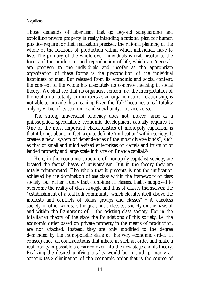Those demands of liberalism that go beyond safeguarding and exploiting private property in really intending a rational plan for human practice require for their realization precisely the rational planning of the whole of the relations of production within which individuals have to live. The primacy of the whole over individuals is real, insofar as the forms of the production and reproduction of life, which are 'general', are pregiven to the individuals and insofar as the appropriate organization of these forms is the precondition of the individual happiness of men. But released from its economic and social content, the concept of the whole has absolutely no concrete meaning in social theory. We shall see that its organicist version, i.e. the interpretation of the relation of totality to members as an organic-natural relationship, is not able to provide this meaning. Even the 'folk' becomes a real totality only by virtue of its economic and social unity, not vice versa.

The strong universalist tendency does not, indeed, arise as a philosophical speculation; economic development actually requires it. One of the most important characteristics of monopoly capitalism is that it brings about, in fact, a quite definite 'unification' within society. It creates a new "system of dependencies of the most diverse kinds", such as that of small and middle-sized enterprises on cartels and trusts or of landed property and large-scale industry on finance capital.<sup>33</sup>

Here, in the economic structure of monopoly capitalist society, are located the factual bases of universalism. But in the theory they are totally reinterpreted. The whole that it presents is not the unification achieved by the domination of *one*class within the framework of class society, but rather a unity that combines *all* classes, that is supposed to overcome the reality of class struggle and thus of classes themselves: the "establishment of a real folk community, which elevates itself above the interests and conflicts of status groups and classes".34 A classless society, in other words, is the goal, but a classless society on the basis of and within the framework of – the existing class society. For in the totalitarian theory of the state the foundations of this society, i.e. the economic order based on private property in the means of production, are not attacked. Instead, they are only modified to the degree demanded by the monopolistic stage of this very economic order. In consequence, all contradictions that inhere in such an order and make a real totality impossible are carried over into the new stage and its theory. Realizing the desired unifying totality would be in truth primarily an *economic* task: elimination of the economic order that is the source of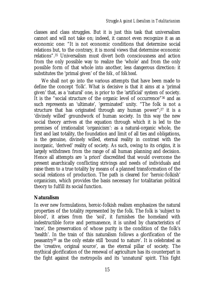classes and class struggles. But it is just this task that universalism cannot and will not take on; indeed, it cannot even recognize it as an economic one: "It is not economic conditions that determine social relations but, to the contrary, it is moral views that determine economic relations".35 Universalism must divert both consciousness and action from the only possible way to realize the 'whole' and from the only possible form of that whole into another, less dangerous direction: it substitutes the 'primal given' of the *folk*, of *folkhood*.

We shall not go into the various attempts that have been made to define the concept 'folk'. What is decisive is that it aims at a 'primal given' that, as a 'natural' one, is prior to the 'artificial' system of society. It is the "social structure of the organic level of occurrence"<sup>36</sup> and as such represents an 'ultimate', 'germinated' unity. "The folk is not a structure that has originated through any human power" $2^3$  it is a 'divinely willed' groundwork of human society. In this way the new social theory arrives at the equation through which it is led to the premises of irrationalist 'organicism': as a natural-organic whole, the first and last totality, the foundation and limit of all ties and obligations, is the genuine, divinely willed, eternal reality in contrast with the inorganic, 'derived' reality of society. As such, owing to its origins, it is largely withdrawn from the range of all human planning and decision. Hence all attempts are 'a priori' discredited that would overcome the present anarchically conflicting strivings and needs of individuals and raise them to a true totality by means of a planned transformation of the social relations of production. The path is cleared for 'heroic-folkish' organicism, which provides the basis necessary for totalitarian political theory to fulfill its social function.

# **Naturalism**

In ever new formulations, heroic-folkish realism emphasizes the natural properties of the totality represented by the folk. The folk is 'subject to blood', it arises from the 'soil', it furnishes the homeland with indestructible force and permanence, it is united by characteristics of 'race', the preservation of whose purity is the condition of the folk's 'health'. In the train of this naturalism follows a glorification of the peasantry38 as the only estate still 'bound to nature'. It is celebrated as the 'creative, original source', as the eternal pillar of society. The mythical glorification of the renewal of agriculture has its counterpart in the fight against the metropolis and its 'unnatural' spirit. This fight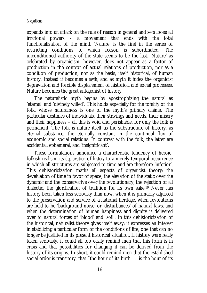expands into an attack on the rule of reason in general and sets loose all irrational powers – a movement that ends with the total functionalization of the mind. 'Nature' is the first in the series of restricting conditions to which reason is subordinated. The unconditioned authority of the state seems to be the last. 'Nature' as celebrated by organicism, however, does not appear as a factor of production in the context of actual relations of production, nor as a condition of production, nor as the basis, itself historical, of human history. Instead it becomes a *myth,* and as myth it hides the organicist depravation and forcible displacement of historical and social processes. Nature becomes the great antagonist of history.

The naturalistic myth begins by apostrophizing the natural as 'eternal' and 'divinely willed'. This holds especially for the totality of the folk, whose naturalness is one of the myth's primary claims. The particular destinies of individuals, their strivings and needs, their misery and their happiness – all this is void and perishable, for only the folk is permanent. The folk is nature itself as the substructure of history, as eternal substance, the eternally constant in the continual flux of economic and social relations. In contrast with the folk, the latter are accidental, ephemeral, and 'insignificant'.

These formulations announce a characteristic tendency of heroicfolkish realism: its *depravation* of *history* to a merely temporal occurrence in which all structures are subjected to time and are therefore 'inferior'. This dehistoricization marks all aspects of organicist theory: the devaluation of time in favor of space, the elevation of the static over the dynamic and the conservative over the revolutionary, the rejection of all dialectic, the glorification of tradition for its own sake.39 Never has history been taken less seriously than now, when it is primarily adjusted to the preservation and service of a national heritage, when revolutions are held to be 'background noise' or 'disturbances' of natural laws, and when the determination of human happiness and dignity is delivered over to natural forces of 'blood' and 'soil'. In this dehistoricization of the historical, naturalist theory gives itself away; it expresses an interest in stabilizing a particular form of the conditions of life, one that can no longer be justified in its present historical situation. If history were really taken seriously, it could all too easily remind men that this form is in crisis and that possibilities for changing it can be derived from the history of its origins. In short, it could remind men that the established social order is transitory, that "the hour of its birth … is the hour of its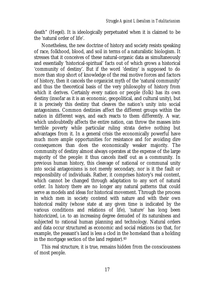death" (Hegel). It is ideologically perpetuated when it is claimed to be the 'natural order of life'.

Nonetheless, the new doctrine of history and society resists speaking of race, folkhood, blood, and soil in terms of a naturalistic biologism. It stresses that it conceives of these natural-organic data as simultaneously and essentially 'historical-spiritual' facts out of which grows a historical 'community of destiny'. But if the word 'destiny' is supposed to do more than stop short of knowledge of the real motive forces and factors of history, then it cancels the organicist myth of the 'natural community' and thus the theoretical basis of the very philosophy of history from which it derives. Certainly every nation or people (folk) has its own destiny (insofar as it is an economic, geopolitical, and cultural unity), but it is precisely this destiny that cleaves the nation's unity into social antagonisms. Common destinies affect the different groups within the nation in different ways, and each reacts to them differently. A war, which undoubtedly affects the entire nation, can throw the masses into terrible poverty while particular ruling strata derive nothing but advantages from it. In a general crisis the economically powerful have much more ample opportunities for resistance and for avoiding dire consequences than does the economically weaker majority. The community of destiny almost always operates at the expense of the large majority of the people: it thus cancels itself out as a community. In previous human history, this cleavage of national or communal unity into social antagonisms is not merely secondary, nor is it the fault or responsibility of individuals. Rather, it comprises history's real content, which cannot be changed through adaptation to any sort of natural order. In history there are no longer any natural patterns that could serve as models and ideas for historical movement. Through the process in which men in society contend with nature and with their own historical reality (whose state at any given time is indicated by the various conditions and relations of life), 'nature' has long been historicized, i.e. to an increasing degree denuded of its naturalness and subjected to rational human planning and technology. Natural orders and data occur structured as economic and social relations (so that, for example, the peasant's land is less a clod in the homeland than a holding in the mortgage section of the land register).40

This real structure, it is true, remains hidden from the consciousness of most people.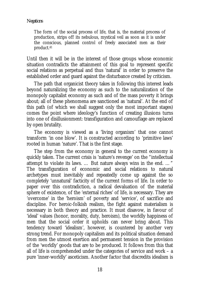The form of the social process of life, that is, the material process of production, strips off its nebulous, mystical veil as soon as it is under the conscious, planned control of freely associated men as their product.41

Until then it will be in the interest of those groups whose economic situation contradicts the attainment of this goal to represent specific social relations as perpetual and thus 'natural' in order to preserve the established order and guard against the disturbance created by criticism.

The path that organicist theory takes in following this interest leads beyond naturalizing the economy as such to the naturalization of the monopoly capitalist economy as such and of the mass poverty it brings about; all of these phenomena are sanctioned as 'natural'. At the end of this path (of which we shall suggest only the most important stages) comes the point where ideology's function of creating illusions turns into one of disillusionment: transfiguration and camouflage are replaced by open brutality.

The economy is viewed as a 'living organism' that one cannot transform 'in one blow'. It is constructed according to 'primitive laws' rooted in human 'nature'. That is the first stage.

The step from the economy in general to the current economy is quickly taken. The current crisis is 'nature's revenge' on the "intellectual attempt to violate its laws. … But nature always wins in the end. …" The transfiguration of economic and social relations to natural archetypes must inevitably and repeatedly come up against the so completely 'unnatural' facticity of the current forms of life. In order to paper over this contradiction, a radical devaluation of the material sphere of existence, of the 'external riches' of life, is necessary. They are 'overcome' in the 'heroism' of poverty and 'service', of sacrifice and discipline. For heroic-folkish realism, the fight against materialism is necessary in both theory and practice. It must disavow, in favour of 'ideal' values (honor, morality, duty, heroism), the worldly happiness of men that the social order it upholds can never bring about. This tendency toward 'idealism', however, is countered by another very strong trend. For monopoly capitalism and its political situation demand from men the utmost exertion and permanent tension in the provision of the 'worldly' goods that are to be produced. It follows from this that all of life is comprehended under the categories of service and work – a pure 'inner-worldly' asceticism. Another factor that discredits idealism is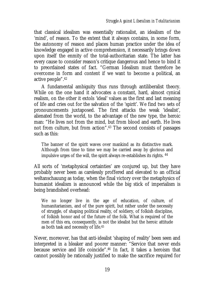that classical idealism was essentially rationalist, an idealism of the 'mind', of reason. To the extent that it always contains, in some form, the autonomy of reason and places human practice under the idea of knowledge engaged in active comprehension, it necessarily brings down upon itself the enmity of the total-authoritarian state. The latter has every cause to consider reason's critique dangerous and hence to bind it to preordained states of fact. "German Idealism must therefore be overcome in form and content if we want to become a political, an active people".42

A fundamental ambiguity thus runs through antiliberalist theory. While on the one hand it advocates a constant, hard, almost cynical realism, on the other it extols 'ideal' values as the first and last meaning of life and cries out for the salvation of the 'spirit'. We find two sets of pronouncements juxtaposed. The first attacks the weak 'idealist', alienated from the world, to the advantage of the new type, the heroic man: "He lives not from the mind, but from blood and earth. He lives not from culture, but from action".43 The second consists of passages such as this:

The banner of the spirit waves over mankind as its distinctive mark. Although from time to time we may be carried away by glorious and impulsive urges of the will, the spirit always re-establishes its rights. <sup>44</sup>

All sorts of 'metaphysical certainties' are conjured up, but they have probably never been as carelessly proffered and elevated to an official weltanschauung as today, when the final victory over the metaphysics of humanist idealism is announced while the big stick of imperialism is being brandished overhead:

We no longer live in the age of education, of culture, of humanitarianism, and of the pure spirit, but rather under the necessity of struggle, of shaping political reality, of soldiery, of folkish discipline, of folkish honor and of the future of the folk. What is required of the men of this era, consequently, is not the idealist but the heroic attitude as both task and necessity of life.45

Never, moreover, has that anti-idealist 'shaping of reality' been seen and interpreted in a bleaker and poorer manner: "Service that never ends because service and life coincide".46 In fact, it takes a heroism that cannot possibly be rationally justified to make the sacrifice required for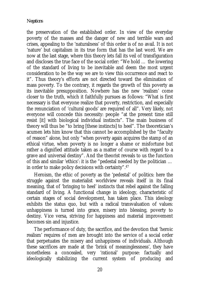the preservation of the established order. In view of the everyday poverty of the masses and the danger of new and terrible wars and crises, appealing to the 'naturalness' of this order is of no avail. It is not 'nature' but capitalism in its true form that has the last word. We are now at the last stage, where this theory lets fall its veil of transfiguration and discloses the true face of the social order: "We hold … the lowering of the standard of living to be inevitable and deem the most urgent consideration to be the way we are to view this occurrence and react to it". Thus theory's efforts are not directed toward the elimination of mass poverty. To the contrary, it regards the growth of this poverty as its inevitable presupposition. Nowhere has the new 'realism' come closer to the truth, which it faithfully pursues as follows: "What is first necessary is that everyone realize that poverty, restriction, and especially the renunciation of 'cultural goods' are required of all". Very likely, not everyone will concede this necessity: people "at the present time still resist [it] with biological individual instincts". The main business of theory will thus be "to bring [these instincts] to heel". The theoretician's acumen lets him know that this cannot be accomplished by the "faculty of reason" alone, but only "when poverty again acquires the stamp of an ethical virtue, when poverty is no longer a shame or misfortune but rather a dignified attitude taken as a matter of course with regard to a grave and universal destiny". And the theorist reveals to us the function of this and similar 'ethics': it is the "pedestal needed by the politician … in order to make policy decisions with certainty".47

Heroism, the ethic of poverty as the 'pedestal' of politics: here the struggle against the materialist worldview reveals itself in its final meaning, that of 'bringing to heel' instincts that rebel against the falling standard of living. A functional change in ideology, characteristic of certain stages of social development, has taken place. This ideology exhibits the status quo, but with a radical transvaluation of values: unhappiness is turned into grace, misery into blessing, poverty to destiny. Vice versa, striving for happiness and material improvement becomes sin and injustice.

The performance of duty, the sacrifice, and the devotion that 'heroic realism' requires of men are brought into the service of a social order that perpetuates the misery and unhappiness of individuals. Although these sacrifices are made at the 'brink of meaninglessness', they have nonetheless a concealed, very 'rational' purpose: factually and ideologically stabilizing the current system of producing and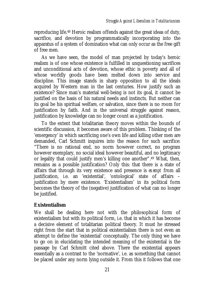reproducing life.48 Heroic realism offends against the great ideas of duty, sacrifice, and devotion by programmatically incorporating into the apparatus of a system of domination what can only occur as the free gift of free men.

As we have seen, the model of man projected by today's heroic realism is of one whose existence is fulfilled in unquestioning sacrifices and unconditional acts of devotion, whose ethic is poverty and all of whose worldly goods have been melted down into service and discipline. This image stands in sharp opposition to all the ideals acquired by Western man in the last centuries. How justify such an existence? Since man's material well-being is not its goal, it cannot be justified on the basis of his natural needs and instincts. But neither can its goal be his spiritual welfare, or salvation, since there is no room for justification by faith. And in the universal struggle against reason, justification by knowledge can no longer count as a justification.

To the extent that totalitarian theory moves within the bounds of scientific discussion, it becomes aware of this problem. Thinking of the 'emergency' in which sacrificing one's own life and killing other men are demanded, Carl Schmitt inquires into the reason for such sacrifice: "There is no rational end, no norm however correct, no program however exemplary, no social ideal however beautiful, and no legitimacy or legality that could justify men's killing one another".49 What, then, remains as a possible justification? Only this: that there is a state of affairs that through its very existence and presence is *exempt* from all justification, i.e. an 'existential', 'ontological' state of affairs – justification by mere existence. 'Existentialism' in its political form becomes the theory of the (negative) justification of what can no longer be justified.

# **Existentialism**

We shall be dealing here not with the philosophical form of existentialism but with its political form, i.e. that in which it has become a decisive element of totalitarian political theory. It must he stressed right from the start that in political existentialism there is not even an attempt to define the 'existential' conceptually. The only thing we have to go on in elucidating the intended meaning of the existential is the passage by Carl Schmitt cited above. There the existential appears essentially as a contrast to the 'normative', i.e. as something that cannot be placed under any norm lying outside it. From this it follows that one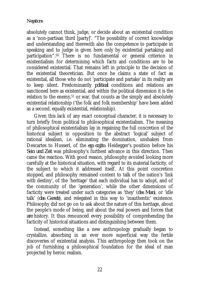absolutely cannot think, judge, or decide about an existential condition as a 'non-partisan third [party]'. "The possibility of correct knowledge and understanding and therewith also the competence to participate in speaking and to judge is given here only by existential partaking and participation".50 There is no fundamental or general criterion in existentialism for determining which facts and conditions are to be considered existential. That remains left in principle to the decision of the existential theoretician. But once he claims a state of fact as existential, all those who do not 'participate and partake' in its reality are to keep silent. Predominantly *political* conditions and relations are sanctioned here as existential, and within the political dimension it is the relation to the enemy,<sup>51</sup> or war, that counts as the simply and absolutely existential relationship ('the folk and folk membership' have been added as a second, equally existential, relationship).

Given this lack of any exact conceptual character, it is necessary to turn briefly from political to philosophical existentialism. The meaning of philosophical existentialism lay in regaining the full concretion of the historical subject in opposition to the abstract 'logical' subject of rational idealism, i.e. eliminating the domination, unshaken from Descartes to Husserl, of the *ego cogito.* Heidegger's position before his *Sein und Zeit* was philosophy's furthest advance in this direction. Then came the reaction. With good reason, philosophy avoided looking more carefully at the historical situation, with regard to its material facticity, of the subject to which it addressed itself. At this point concretion stopped, and philosophy remained content to talk of the nation's 'link with destiny', of the 'heritage' that each individual has to adopt, and of the community of the 'generation', while the other dimensions of facticity were treated under such categories as 'they' (*das Man*), or 'idle talk' (*das Gerede*), and relegated in this way to 'inauthentic' existence. Philosophy did not go on to ask about the nature of this heritage, about the people's mode of being, and about the real powers and forces that *are* history. It thus renounced every possibility of comprehending the facticity of historical situations and distinguishing between them.

Instead, something like a new anthropology gradually began to crystallize, absorbing in an ever more superficial way the fertile discoveries of existential analysis. This anthropology then took on the job of furnishing a philosophical foundation for the ideal of man projected by heroic realism.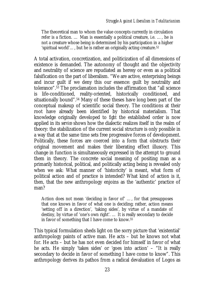The theoretical man to whom the value concepts currently in circulation refer is a fiction. … Man is essentially a political creature, i.e. …, he is not a creature whose being is determined by his participation in a higher 'spiritual world'…, but he is rather an originally acting creature.52

A total activation, concretization, and politicization of all dimensions of existence is demanded. The autonomy of thought and the objectivity and neutrality of science are repudiated as heresy or even as a political falsification on the part of liberalism. "We are active, enterprising beings and incur guilt if we deny this our essence: guilt by neutrality and tolerance".53 The proclamation includes the affirmation that "all science is life-conditioned, reality-oriented, historically conditioned, and situationally bound".54 Many of these theses have long been part of the conceptual makeup of scientific social theory. The conditions at their root have already been identified by historical materialism. That knowledge originally developed to *fight* the established order is now applied in its *service* shows how the dialectic realizes itself in the realm of theory: the stabilization of the current social structure is only possible in a way that at the same time sets free progressive forces of development. Politically, these forces are coerced into a form that obstructs their original movement and makes their liberating effect illusory. This change in function is simultaneously expressed in the attempt to ground them in theory. The concrete social meaning of positing man as a primarily historical, political, and politically acting being is revealed only when we ask: What manner of 'historicity' is meant, what form of political action and of practice is intended? What kind of action is it, then, that the new anthropology enjoins as the 'authentic' practice of man?

Action does not mean 'deciding in favor of' …, for that presupposes that one knows in favor of what one is deciding; rather, action means 'setting off in a direction', 'taking sides', by virtue of a mandate of destiny, by virtue of 'one's own right'. … It is really secondary to decide in favor of something that I have come to know.  $55$ 

This typical formulation sheds light on the sorry picture that 'existential' anthropology paints of active man. He acts – but he knows not what for. He acts – but he has not even decided for himself in favor of what he acts. He simply 'takes sides' or 'goes into action' – "It is really secondary to decide in favor of something I have come to know". This anthropology derives its pathos from a radical devaluation of Logos as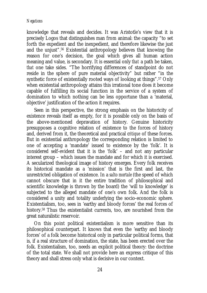knowledge that reveals and decides. It was Aristotle's view that it is precisely Logos that distinguishes man from animal: the capacity "to set forth the expedient and the inexpedient, and therefore likewise the just and the unjust".56 Existential anthropology believes that knowing the reason for one's decision, the goal which gives all human action meaning and value, is secondary. It is essential only *that*a path be taken, *that* one take sides. "The horrifying differences of standpoint do not reside in the sphere of pure material objectivity" but rather "in the synthetic force of existentially rooted ways of looking at things".57 Only when existential anthropology attains this irrational tone does it become capable of fulfilling its social function in the service of a system of domination to which nothing can be less opportune than a 'material, objective' justification of the action it requires.

Seen in this perspective, the strong emphasis on the historicity of existence reveals itself as empty, for it is possible only on the basis of the above-mentioned depravation of history. Genuine historicity presupposes a cognitive relation of existence to the forces of history and, derived from it, the theoretical and practical *critique* of these forces. But in existential anthropology the corresponding relation is limited to one of accepting a 'mandate' issued to existence by the 'folk'. It is considered self-evident that it is the 'folk' – and not any particular interest group – which issues the mandate and for which it is exercised. A secularized theological image of history emerges. Every folk receives its historical mandate as a 'mission' that is the first and last, the unrestricted obligation of existence. In a *salto mortale* (the speed of which cannot obscure that in it the entire tradition of philosophical and scientific knowledge is thrown by the board) the 'will to knowledge' is subjected to the alleged mandate of one's own folk. And the folk is considered a unity and totality underlying the socio-economic sphere. Existentialism, too, sees in 'earthy and bloody forces' the real forces of history.58 Thus the existentialist currents, too, are nourished from the great naturalistic reservoir.

On this point political existentialism is more sensitive than its philosophical counterpart. It knows that even the 'earthy and bloody forces' of a folk become historical only in particular political forms, that is, if a real structure of domination, the state, has been erected over the folk. Existentialism, too, needs an explicit political theory: the doctrine of the total state. We shall not provide here an express critique of this theory and shall stress only what is decisive in our context.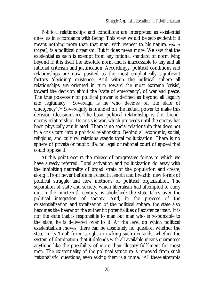Political relationships and conditions are interpreted as existential ones, as in accordance with Being. This view would be self-evident if it meant nothing more than that man, with respect to his nature,  $\omega \delta \sigma \epsilon \iota$ (*physei*), is a political organism. But it does mean more. We saw that the existential as such is exempt from any rational standard or norm lying beyond it; it is itself the absolute norm and is inaccessible to any and all rational criticism and justification. Accordingly, political conditions and relationships are now posited as the most emphatically significant factors 'deciding' existence. And within the political sphere all relationships are oriented in turn toward the most extreme 'crisis', toward the decision about the 'state of emergency', of war and peace. The true possessor of political power is defined as beyond all legality and legitimacy: "Sovereign is he who decides on the state of emergency".59 Sovereignty is founded on the factual power to make this decision (decisionism). The basic political relationship is the 'friendenemy relationship'. Its crisis is war, which proceeds until the enemy has been physically annihilated. There is no social relationship that does not in a crisis turn into a political relationship. Behind all economic, social, religious, and cultural relations stands total politicization. There is no sphere of private or public life, no legal or rational court of appeal that could oppose it.

At this point occurs the release of progressive forces to which we have already referred. Total activation and politicization do away with the inhibiting neutrality of broad strata of the population and create, along a front never before matched in length and breadth, new forms of political struggle and new methods of political organization. The separation of state and society, which liberalism had attempted to carry out in the nineteenth century, is abolished: the state takes over the political integration of society. And, in the process of the existentialization and totalization of the political sphere, the state also becomes the bearer of the authentic potentialities of existence itself. It is not the state that is responsible to man but man who is responsible to the state; he is delivered over to it. At the level on which political existentialism moves, there can be absolutely no question whether the state in its 'total' form is right in making such demands, whether the system of domination that it defends with all available means guarantees anything like the possibility of more than illusory fulfilment for most men. The existentiality of the political structure is removed from such 'rationalistic' questions; even asking them is a crime: "All these attempts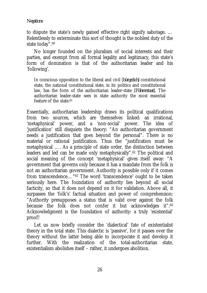to dispute the state's newly gained effective right signify sabotage. … Relentlessly to exterminate this sort of thought is the noblest duty of the state today".<sup>60</sup>

No longer founded on the pluralism of social interests and their parties, and exempt from all formal legality and legitimacy, this state's form of domination is that of the authoritarian leader and his 'following'.

In conscious opposition to the liberal and civil [*bürgerlich*] constitutional state, the national constitutional state, in itspolitics and constitutional law, has the form of the authoritarianleader-state [*Führerstaat*]. The authoritarian leader-statesees in state authority the most essential feature of thestate.61

Essentially, authoritarian leadership draws its political qualifications from two sources, which are themselves linked: an irrational, 'metaphysical' power, and a 'non-social' power. The idea of 'justification' still disquiets the theory: "An authoritarian government needs a justification that goes beyond the personal". There is no material or rational justification. Thus the "justification must be metaphysical …. As a principle of state order, the distinction between leaders and led can be made only metaphysically".62 The political and social meaning of the concept 'metaphysical' gives itself away: "A government that governs only because it has a mandate from the folk is not an authoritarian government. Authority is possible only if it comes from transcendence…"63 The word 'transcendence' ought to be taken seriously here. The foundation of authority lies beyond all social facticity, so that it does not depend on it for validation. Above all, it surpasses the 'folk's' factual situation and power of comprehension: "Authority presupposes a status that is valid over against the folk because the folk does not confer it but acknowledges it".64 Acknowledgment is the foundation of authority: a truly 'existential' proof!

Let us now briefly consider the 'dialectical' fate of existentialist theory in the total state. This dialectic is 'passive', for it passes over the theory without the latter being able to incorporate it and develop it further. With the realization of the total-authoritarian state, existentialism abolishes itself – rather, it undergoes abolition.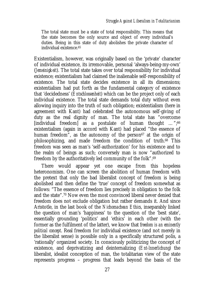The total state must be a state of total responsibility. This means that the state becomes the only source and object of every individual's duties. Being in this state of duty abolishes the private character of individual existence.65

Existentialism, however, was originally based on the 'private' character of individual existence, its irremovable, personal 'always-being-my-own' (*Jemeinigkeit*). The total state takes over total responsibility for individual existence; existentialism had claimed the inalienable self-responsibility of existence. The total state decides existence in all its dimensions; existentialism had put forth as the fundamental category of existence that 'decidedness' (*Entschlossenheit*) which can be the project only of each individual existence. The total state demands total duty without even allowing inquiry into the truth of such obligation; existentialism (here in agreement with Kant) had celebrated the autonomous self-giving of duty as the real dignity of man. The total state has "overcome [individual freedom] as a postulate of human thought  $\ldots$ ";<sup>66</sup> existentialism (again in accord with Kant) had placed "the essence of human freedom", as the autonomy of the person<sup>67</sup> at the origin of philosophizing, and made freedom the condition of truth.68 This freedom was seen as man's 'self-authorization' for his existence and to the realm of beings as such; conversely man is now "authorized to freedom by the authoritatively led community of the folk".69

There would appear yet one escape from this hopeless heteronomism. One can screen the abolition of human freedom with the pretext that only the bad liberalist concept of freedom is being abolished and then define the 'true' concept of freedom somewhat as follows: "The essence of freedom lies precisely in obligation to the folk and the state".70 Now even the most convinced liberal never denied that freedom does not exclude obligation but rather demands it. And since Aristotle, in the last book of the *Nichomachean Ethics*, inseparably linked the question of man's 'happiness' to the question of the 'best state', essentially grounding 'politics' and 'ethics' in each other (with the former as the fulfilment of the latter), we know that *freedom is an eminently political concept*. Real freedom for individual existence (and not merely in the liberalist sense) is possible only in a specifically structured polis, a 'rationally' organized society. In consciously politicizing the concept of existence, and deprivatizing and deinternalizing (*Ent-lnnerlichung*) the liberalist, idealist conception of man, the totalitarian view of the state represents progress – progress that leads beyond the basis of the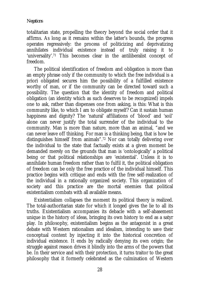totalitarian state, propelling the theory beyond the social order that it affirms. As long as it remains within the latter's bounds, the progress operates regressively: the process of politicizing and deprivatizing annihilates individual existence instead of truly raising it to 'universality'.71 This becomes clear in the antiliberalist concept of freedom.

The political identification of freedom and obligation is more than an empty phrase only if the community to which the free individual is a priori obligated secures him the possibility of a fulfilled existence worthy of man, or if the community can be directed toward such a possibility. The question that the identity of freedom and political obligation (an identity which as such deserves to be recognized) impels one to ask, rather than dispenses one from asking, is this: What is this community like, to which I am to obligate myself? Can it sustain human happiness and dignity? The 'natural' affiliations of 'blood' and 'soil' alone can never justify the total surrender of the individual to the community. Man is more than nature, more than an animal, "and we can never leave off thinking. For man is a thinking being, that is how be distinguishes himself from animals".72 Nor can totally delivering over the individual to the state that factually exists at a given moment be demanded merely on the grounds that man is 'ontologically' a political being or that political relationships are 'existential'. Unless it is to annihilate human freedom rather than to fulfil it, the political obligation of freedom can be only the free practice of the individual himself. This practice begins with critique and ends with the free self-realization of the individual in a rationally organized society. This organization of society and this practice are the mortal enemies that political existentialism combats with all available means.

Existentialism collapses the moment its political theory is realized. The total-authoritarian state for which it longed gives the lie to all its truths. Existentialism accompanies its debacle with a self-abasement unique in the history of ideas, bringing its own history to end as a satyr play. In philosophy, existentialism begins as the antagonist in a great debate with Western rationalism and idealism, intending to save their conceptual content by injecting it into the historical concretion of individual existence. It ends by radically denying its own origin; the struggle against reason drives it blindly into the arms of the powers that be. In their service and with their protection, it turns traitor to the great philosophy that it formerly celebrated as the culmination of Western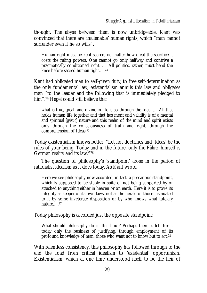thought. The abyss between them is now unbridgeable. Kant was convinced that there are 'inalienable' human rights, which "man cannot surrender even if he so wills".

Human right must be kept sacred, no matter how great the sacrifice it costs the ruling powers. One cannot go only halfway and contrive a pragmatically conditioned right. … All politics, rather, must bend the knee before sacred human right….73

Kant had obligated man to self-given duty, to free self-determination as the only fundamental law; existentialism annuls this law and obligates man "to the leader and the following that is immediately pledged to him".74 Hegel could still believe that

what is true, great, and divine in life is so through the Idea. … All that holds human life together and that has merit and validity is of a mental and spiritual [*geistig*] nature and this realm of the mind and spirit exists only through the consciousness of truth and right, through the comprehension of Ideas.75

Today existentialism knows better: "Let not doctrines and 'Ideas' be the rules of your being. Today and in the future, only the *Führer* himself is German reality and its law."76

The question of philosophy's 'standpoint' arose in the period of rationalist idealism as it does today. As Kant wrote,

Here we see philosophy now accorded, in fact, a precarious standpoint, which is supposed to be stable in spite of not being supported by or attached to anything either in heaven or on earth. Here it is to prove its integrity as keeper of its own laws, not as the herald of those insinuated to it by some inveterate disposition or by who knows what tutelary nature….77

Today philosophy is accorded just the opposite standpoint:

What should philosophy do in this hour? Perhaps there is left for it today only the business of justifying, through employment of its profound knowledge of man, those who want not to know but to act.<sup>78</sup>

With relentless consistency, this philosophy has followed through to the end the road from critical idealism to 'existential' opportunism. Existentialism, which at one time understood itself to be the heir of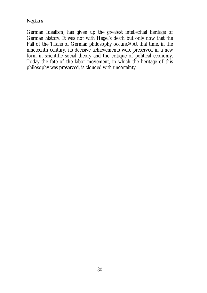German Idealism, has given up the greatest intellectual heritage of German history. It was not with Hegel's death but only now that the Fall of the Titans of German philosophy occurs.79 At that time, in the nineteenth century, its decisive achievements were preserved in a new form in scientific social theory and the critique of political economy. Today the fate of the labor movement, in which the heritage of this philosophy was preserved, is clouded with uncertainty.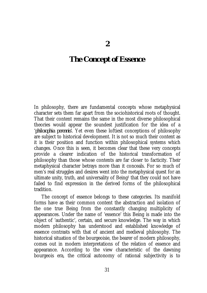# **The Concept of Essence**

In philosophy, there are fundamental concepts whose metaphysical character sets them far apart from the sociohistorical roots of thought. That their content remains the same in the most diverse philosophical theories would appear the soundest justification for the idea of a '*philosophia perennis*'. Yet even these loftiest conceptions of philosophy are subject to historical development. It is not so much their content as it is their position and function within philosophical systems which changes. Once this is seen, it becomes clear that these very concepts provide a clearer indication of the historical transformation of philosophy than those whose contents are far closer to facticity. Their metaphysical character betrays more than it conceals. For so much of men's real struggles and desires went into the metaphysical quest for an ultimate unity, truth, and universality of Being<sup>1</sup> that they could not have failed to find expression in the derived forms of the philosophical tradition.

The concept of essence belongs to these categories. Its manifold forms have as their common content the abstraction and isolation of the one true Being from the constantly changing multiplicity of appearances. Under the name of 'essence' this Being is made into the object of 'authentic', certain, and secure knowledge. The way in which modern philosophy has understood and established knowledge of essence contrasts with that of ancient and medieval philosophy. The historical situation of the bourgeoisie, the bearer of modern philosophy, comes out in modern interpretations of the relation of essence and appearance. According to the view characteristic of the dawning bourgeois era, the critical autonomy of rational subjectivity is to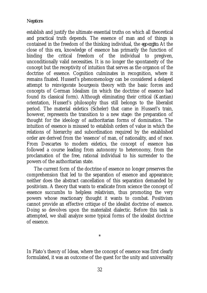establish and justify the ultimate essential truths on which all theoretical and practical truth depends. The essence of man and of things is contained in the freedom of the thinking individual, the *ego cogito.* At the close of this era, knowledge of essence has primarily the function of binding the critical freedom of the individual to pregiven, unconditionally valid necessities. It is no longer the spontaneity of the concept but the receptivity of intuition that serves as the organon of the doctrine of essence. Cognition culminates in recognition, where it remains fixated. Husserl's phenomenology can be considered a delayed attempt to reinvigorate bourgeois theory with the basic forces and concepts of German Idealism (in which the doctrine of essence had found its classical form). Although eliminating their critical (Kantian) orientation, Husserl's philosophy thus still belongs to the liberalist period. The material eidetics (Scheler) that came in Husserl's train, however, represents the transition to a new stage: the preparation of thought for the ideology of authoritarian forms of domination. The intuition of essence is misused to establish orders of value in which the relations of hierarchy and subordination required by the established order are derived from the 'essence' of man, of nationality, and of race. From Descartes to modern eidetics, the concept of essence has followed a course leading from autonomy to heteronomy, from the proclamation of the free, rational individual to his surrender to the powers of the authoritarian state.

The current form of the doctrine of essence no longer preserves the comprehension that led to the separation of essence and appearance; neither does the abstract cancellation of this separation demanded by positivism. A theory that wants to eradicate from science the concept of essence succumbs to helpless relativism, thus promoting the very powers whose reactionary thought it wants to combat. Positivism cannot provide an effective critique of the idealist doctrine of essence. Doing so devolves upon the materialist dialectic. Before this task is attempted, we shall analyze some typical forms of the idealist doctrine of essence.

In Plato's theory of Ideas, where the concept of essence was first clearly formulated, it was an outcome of the quest for the unity and universality

\*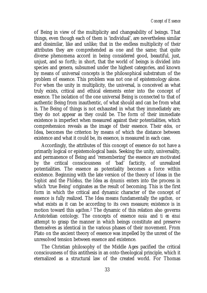of Being in view of the multiplicity and changeability of beings. That things, even though each of them is 'individual', are nevertheless similar and dissimilar, like and unlike; that in the endless multiplicity of their attributes they are comprehended as one and the same; that quite diverse phenomena accord in being considered good, beautiful, just, unjust, and so forth; in short, that the world of beings is divided into species and genera, subsumed under the highest categories, and known by means of universal concepts is the philosophical substratum of the problem of essence. This problem was not one of epistemology alone. For when the unity in multiplicity, the universal, is conceived as what truly exists, critical and ethical elements enter into the concept of essence. The isolation of the one universal Being is connected to that of authentic Being from inauthentic, of what should and can be from what is. The Being of things is not exhausted in what they immediately are; they do not appear as they could be. The form of their immediate existence is imperfect when measured against their potentialities, which comprehension reveals as the image of their essence. Their *eidos,*or Idea, becomes the criterion by means of which the distance between existence and what it could be, its essence, is measured in each case.

Accordingly, the attributes of this concept of essence do not have a primarily logical or epistemological basis. Seeking the unity, universality, and permanence of Being and 'remembering' the essence are motivated by the critical consciousness of 'bad' facticity, of unrealized potentialities. The essence as potentiality becomes a force within existence. Beginning with the late version of the theory of Ideas in the *Sophist*and the *Philebus,* the Idea as *dynamis*enters into the process in which 'true Being' originates as the result of becoming. This is the first form in which the critical and dynamic character of the concept of essence is fully realized. The Idea means fundamentally the *agathon,*or what exists as it can be according to its own measure; existence is in motion toward this *agathon*. <sup>2</sup> The dynamic of this relation also governs Aristotelian ontology. The concepts of essence *ousia*and *ti en einai* attempt to grasp the manner in which beings constitute and preserve themselves as identical in the various phases of their movement. From Plato on the ancient theory of essence was impelled by the unrest of the unresolved tension between essence and existence.

The Christian philosophy of the Middle Ages pacified the critical consciousness of this antithesis in an onto-theological principle, which it eternalized as a structural law of the created world. For Thomas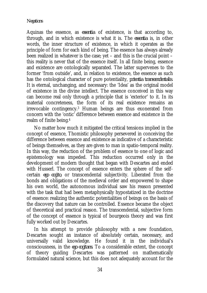Aquinas the essence, as *essentia*of existence, is that according to, through, and in which existence is what it is. The *essentia*is, in other words, the inner structure of existence, in which it operates as the principle of form for each kind of being. The essence has always already been realized in whatever is the case; yet – and this is the crucial point – this reality is never that of the essence itself. In all finite being, essence and existence are ontologically separated. The latter supervenes to the former 'from outside', and, in relation to existence, the essence as such has the ontological character of pure potentiality, *potentia transcendentalis*. It is eternal, unchanging, and necessary: the 'Idea' as the original model of existence in the divine intellect. The essence conceived in this way can become real only through a principle that is 'exterior' to it. In its material concreteness, the form of its real existence remains an irrevocable contingency.3 Human beings are thus exonerated from concern with the 'ontic' difference between essence and existence in the realm of finite being.4

No matter how much it mitigated the critical tensions implied in the concept of essence, Thomistic philosophy persevered in conceiving the difference between essence and existence as indicative of a characteristic of beings themselves, as they are given to man in spatio-temporal reality. In this way, the reduction of the problem of essence to one of logic and epistemology was impeded. This reduction occurred only in the development of modern thought that began with Descartes and ended with Husserl. The concept of essence enters the sphere of the selfcertain *ego cogito*, or transcendental subjectivity. Liberated from the bonds and obligations of the medieval order and empowered to shape his own world, the autonomous individual saw his reason presented with the task that had been metaphysically hypostatized in the doctrine of essence: realizing the authentic potentialities of beings on the basis of the discovery that nature can be controlled. Essence became the object of theoretical and practical reason. The transcendental, subjective form of the concept of essence is typical of bourgeois theory and was first fully worked out by Descartes.

In his attempt to provide philosophy with a new foundation, Descartes sought an instance of absolutely certain, necessary, and universally valid knowledge. He found it in the individual's consciousness, in the *ego cogitans*. To a considerable extent, the concept of theory guiding Descartes was patterned on mathematically formulated natural science, but this does not adequately account for the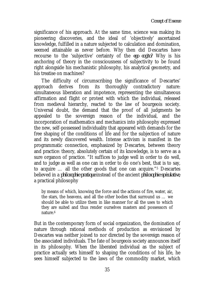significance of his approach. At the same time, science was making its pioneering discoveries, and the ideal of 'objectively' ascertained knowledge, fulfilled in a nature subjected to calculation and domination, seemed attainable as never before. Why then did Descartes have recourse to the 'subjective' certainty of the *ego cogito*? Why is his anchoring of theory in the consciousness of subjectivity to be found right alongside his mechanistic philosophy, his analytical geometry, and his treatise on machines?

The difficulty of circumscribing the significance of Descartes' approach derives from its thoroughly contradictory nature: simultaneous liberation and impotence, representing the simultaneous affirmation and flight or protest with which the individual, released from medieval hierarchy, reacted to the law of bourgeois society. Universal doubt, the demand that the proof of all judgments be appealed to the sovereign reason of the individual, and the incorporation of mathematics and mechanics into philosophy expressed the new, self-possessed individuality that appeared with demands for the free shaping of the conditions of life and for the subjection of nature and its newly discovered wealth. Intense activism is manifest in the programmatic connection, emphasized by Descartes, between theory and practice: theory, absolutely certain of its knowledge, is to serve as a sure organon of practice. "It suffices to judge well in order to do well, and to judge as well as one can in order to do one's best, that is to say, to acquire … all the other goods that one can acquire."5 Descartes believed in a *philosophie pratique* instead of the ancient *philosophie spéculative*, a practical philosophy

by means of which, knowing the force and the actions of fire, water, air, the stars, the heavens, and all the other bodies that surround us … we should be able to utilize them in like manner for all the uses to which they are suited and thus render ourselves masters and possessors of nature.6

But in the contemporary form of social organization, the domination of nature through rational methods of production as envisioned by Descartes was neither joined to nor directed by the sovereign reason of the associated individuals. The fate of bourgeois society announces itself in its philosophy. When the liberated individual as the subject of practice actually sets himself to shaping the conditions of his life, he sees himself subjected to the laws of the commodity market, which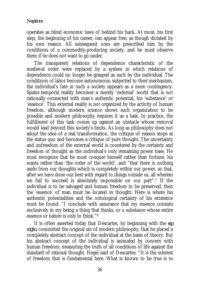operates as blind economic laws of behind his back. At most, his first step, the beginning of his career, can appear free, as though dictated by his own reason. All subsequent ones are prescribed him by the conditions of a commodity-producing society, and he must observe them if he does not want to go under.

The transparent relations of dependence characteristic of the medieval order were replaced by a system in which relations of dependence could no longer be grasped as such by the individual. The conditions of labor become autonomous; subjected to their mechanism, the individual's fate in such a society appears as a mere contingency. Spatio-temporal reality becomes a merely 'external' world that is not rationally connected with man's authentic potential, his 'substance' or 'essence'. This external reality is not organized by the activity of human freedom, although modern science shows such organization to be possible and modern philosophy requires it as a task. In practice, the fulfillment of this task comes up against an obstacle whose removal would lead beyond this society's limits. As long as philosophy does not adopt the idea of a real transformation, the critique of reason stops at the status quo and becomes a critique of pure thought. The uncertainty and unfreedom of the external world is countered by the certainty and freedom of thought as the individual's only remaining power base. He must recognize that he must conquer himself rather than fortune, his wants rather than 'the order of the world', and "that there is nothing aside from our thoughts which is completely within our power, so that, after we have done our best with regard to things outside us, all wherein we fail to succeed is absolutely impossible on our part".7 If the individual is to be salvaged and human freedom to be preserved, then the 'essence' of man must be located in thought. Here is where his authentic potentialities and the ontological certainty of his existence must be found: "I conclude with assurance that my essence consists exclusively in my being a thing that thinks, or a substance whose entire essence or nature is only to think."8

It is often asserted today that Descartes, by beginning with the *ego cogito*, committed the original sin of modern philosophy, that he placed a completely abstract concept of the individual at the basis of theory. But his abstract concept of the individual is animated by concern with human freedom: measuring the truth of all conditions of life against the standard of rational thought. Hegel said of Descartes: "It is the interest of freedom that is fundamental here. What is known to be true is to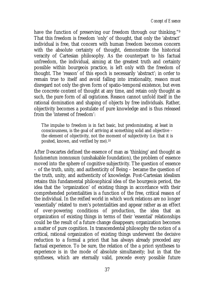have the function of preserving our freedom through our thinking."9 That this freedom is freedom 'only' of thought, that only the 'abstract' individual is free, that concern with human freedom becomes concern with the absolute certainty of thought, demonstrate the historical veracity of Cartesian philosophy. As the counterpart to his factual unfreedom, the individual, aiming at the greatest truth and certainty possible within bourgeois practice, is left only with the freedom of thought. The 'reason' of this epoch is necessarily 'abstract'; in order to remain true to itself and avoid falling into irrationality, reason must disregard not only the given form of spatio-temporal existence, but even the concrete content of thought at any time, and retain only thought as such, the pure form of all *cogitationes*. Reason cannot unfold itself in the rational domination and shaping of objects by free individuals. Rather, objectivity becomes a postulate of pure knowledge and is thus released from the 'interest of freedom':

The impulse to freedom is in fact basic, but predominating, at least in consciousness, is the goal of arriving at something solid and objective – the element of objectivity, not the moment of subjectivity (i.e. that it is posited, known, and verified by me).10

After Descartes defined the essence of man as 'thinking' and thought as *fundamentum inconcussum* (unshakable foundation), the problem of essence moved into the sphere of cognitive subjectivity. The question of essence – of the truth, unity, and authenticity of Being – became the question of the truth, unity, and authenticity of knowledge. Post-Cartesian idealism retains this fundamental philosophical idea of the bourgeois period, the idea that the 'organization' of existing things in accordance with their comprehended potentialities is a function of the free, critical reason of the individual. In the reified world in which work relations are no longer 'essentially' related to men's potentialities and appear rather as an effect of over-powering conditions of production, the idea that an organization of existing things in terms of their 'essential' relationships could be the result of a future change disappears; organization becomes a matter of pure cognition. In transcendental philosophy the notion of a critical, rational organization of existing things underwent the decisive reduction to a formal a priori that has always already preceded any factual experience. To be sure, the relation of the a priori syntheses to experience is in the mode of absolute simultaneity; but in that the syntheses, which are eternally valid, precede every possible future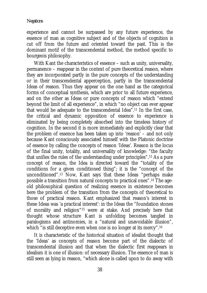experience and cannot be surpassed by any future experience, the essence of man as cognitive subject and of the objects of cognition is cut off from the future and oriented toward the past. This is the dominant motif of the transcendental method, the method specific to bourgeois philosophy.

With Kant the characteristics of essence – such as unity, universality, permanence – reappear in the context of pure theoretical reason, where they are incorporated partly in the pure concepts of the understanding or in their transcendental apperception, partly in the transcendental Ideas of reason. Thus they appear on the one hand as the categorical forms of conceptual synthesis, which are prior to all future experience, and on the other as Ideas or pure concepts of reason which "extend beyond the limit of all experience", in which "no object can ever appear that would be adequate to the transcendental Idea".11 In the first case, the critical and dynamic opposition of essence to experience is eliminated by being completely absorbed into the timeless history of cognition. In the second it is more immediately and explicitly clear that the problem of essence has been taken up into 'reason' – and not only because Kant consciously associated himself with the Platonic doctrine of essence by calling the concepts of reason 'Ideas'. Reason is the locus of the final unity, totality, and universality of knowledge: "the faculty that unifies the rules of the understanding under principles".12 As a pure concept of reason, the Idea is directed toward the "totality of the conditions for a given conditioned thing"; it is the "concept of the unconditioned".<sup>13</sup> Now, Kant says that these Ideas "perhaps make possible a transition from natural concepts to practical ones".14 The ageold philosophical question of realizing essence in existence becomes here the problem of the transition from the concepts of theoretical to those of practical reason. Kant emphasized that reason's interest in these Ideas was 'a practical interest': in the Ideas the "foundation stones of morality and religion"15 were at stake. And precisely here that thought whose structure Kant is unfolding becomes tangled in paralogisms and antinomies, in a "natural and unavoidable illusion", which "is still deceptive even when one is no longer at its mercy".<sup>16</sup>

It is characteristic of the historical situation of idealist thought that the 'Ideas' as concepts of reason become part of the dialectic of transcendental illusion and that when the dialectic first reappears in idealism it is one of illusion: of necessary illusion. The essence of man is still seen as lying in reason, "which alone is called upon to do away with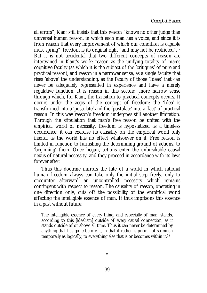all errors"; Kant still insists that this reason "knows no other judge than universal human reason, in which each man has a voice; and since it is from reason that every improvement of which our condition is capable must spring", freedom is its original right "and may not be restricted".17 But it is not accidental that two different concepts of reason are intertwined in Kant's work: reason as the unifying totality of man's cognitive faculty (as which it is the subject of the 'critiques' of pure and practical reason), and reason in a narrower sense, as a single faculty that rises 'above' the understanding, as the faculty of those 'Ideas' that can never be adequately represented in experience and have a merely regulative function. It is reason in this second, more narrow sense through which, for Kant, the transition to practical concepts occurs. It occurs under the aegis of the concept of freedom: the 'Idea' is transformed into a 'postulate' and the 'postulate' into a 'fact' of practical reason. In this way reason's freedom undergoes still another limitation. Through the stipulation that man's free reason be united with the empirical world of necessity, freedom is hypostatized as a timeless occurrence: it can exercise its causality on the empirical world only insofar as the world has no effect whatsoever on it. Free reason is limited in function to furnishing the determining ground of actions, to 'beginning' them. Once begun, actions enter the unbreakable causal nexus of natural necessity, and they proceed in accordance with its laws forever after.

Thus this doctrine mirrors the fate of a world in which rational human freedom always can take only the initial step freely, only to encounter afterward an uncontrolled necessity which remains contingent with respect to reason. The causality of reason, operating in one direction only, cuts off the possibility of the empirical world affecting the intelligible essence of man. It thus imprisons this essence in a past without future:

The intelligible essence of every thing, and especially of man, stands, according to this [idealism] outside of every causal connection, as it stands outside of or above all time. Thus it can never be determined by anything that has gone before it, in that it rather is prior, not so much temporally as logically, to everything else that is or becomes within it.<sup>18</sup>

\*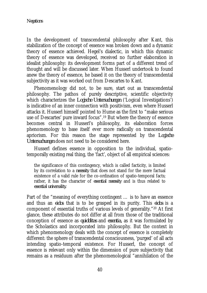In the development of transcendental philosophy after Kant, this stabilization of the concept of essence was broken down and a dynamic theory of essence achieved. Hegel's dialectic, in which this dynamic theory of essence was developed, received no further elaboration in idealist philosophy: its development forms part of a different trend of thought and will be discussed later. When Husserl undertook to found anew the theory of essence, he based it on the theory of transcendental subjectivity as it was worked out from Descartes to Kant.

Phenomenology did not, to be sure, start out as transcendental philosophy. The pathos of purely descriptive, scientific objectivity which characterizes the *Logische Untersuchungen* ('Logical Investigations') is indicative of an inner connection with positivism, even where Husserl attacks it. Husserl himself pointed to Hume as the first to "make serious use of Descartes' pure inward focus".19 But where the theory of essence becomes central in Husserl's philosophy, its elaboration forces phenomenology to base itself ever more radically on transcendental apriorism. For this reason the stage represented by the *Logische Untersuchungen* does not need to be considered here.

Husserl defines essence in opposition to the individual, spatiotemporally existing real thing, the 'fact', object of all empirical sciences:

the significance of this contingency, which is called facticity, is limited by its correlation to a *necessity*that does not stand for the mere factual existence of a valid rule for the co-ordination of spatio-temporal facts; rather, it has the character of *essential necessity*and is thus related to *essential universality*.

Part of the "meaning of everything contingent … is to have an essence and thus an *eidos*that is to be grasped in its purity. This *eidos* is a component of essential truths of various levels of generality."20 At first glance, these attributes do not differ at all from those of the traditional conception of essence as *quidditas* and *essentia,* as it was formulated by the Scholastics and incorporated into philosophy. But the context in which phenomenology deals with the concept of essence is completely different: the sphere of transcendental consciousness, 'purged' of all acts intending spatio-temporal existence. For Husserl, the concept of essence is relevant only within the dimension of pure subjectivity that remains as a residuum after the phenomenological "annihilation of the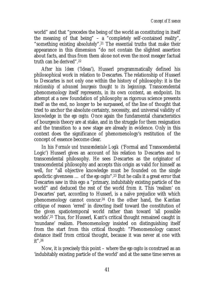world" and that "precedes the being of the world as constituting in itself the meaning of that being" – a "completely self-contained reality", "something existing absolutely".21 The essential truths that make their appearance in this dimension "do not contain the slightest assertion about facts, and thus from them alone not even the most meager factual truth can be derived".22

After his *Ideen* ('Ideas'), Husserl programmatically defined his philosophical work in relation to Descartes. The relationship of Husserl to Descartes is not only one within the history of philosophy: it is the *relationship of advanced bourgeois thought to its beginnings.* Transcendental phenomenology itself represents, in its own content, an endpoint. Its attempt at a new foundation of philosophy as rigorous science presents itself as the end, no longer to be surpassed, of the line of thought that tried to anchor the absolute certainty, necessity, and universal validity of knowledge in the *ego cogito.* Once again the fundamental characteristics of bourgeois theory are at stake, and in the struggle for them resignation and the transition to a new stage are already in evidence. Only in this context does the significance of phenomenology's restitution of the concept of essence become clear.

In his *Formale und transzendentale Logik* ('Formal and Transcendental Logic') Husserl gives an account of his relation to Descartes and to transcendental philosophy. He sees Descartes as the originator of transcendental philosophy and accepts this origin as valid for himself as well, for "all objective knowledge must be founded on the single apodictic givenness … of the *ego cogito*".23 But he calls it a great error that Descartes saw in this ego a "primary, indubitably existing particle of the world" and deduced the rest of the world from it. This 'realism' on Descartes' part, according to Husserl, is a naïve prejudice with which phenomenology cannot concur.24 On the other hand, the Kantian critique of reason 'erred' in directing itself toward the constitution of the given spatiotemporal world rather than toward 'all possible worlds'.25 Thus, for Husserl, Kant's critical thought remained caught in 'mundane' realism. Phenomenology insisted on distinguishing itself from the start from this critical thought: "Phenomenology cannot distance itself from critical thought, because it was never at one with it".26

Now, it is precisely this point – where the *ego cogito* is construed as an 'indubitably existing particle of the world' and at the same time serves as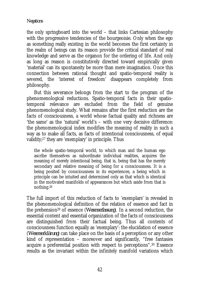the only springboard into the world – that links Cartesian philosophy with the progressive tendencies of the bourgeoisie. Only when the ego as something really existing in the world becomes the first certainty in the realm of beings can its reason provide the critical standard of real knowledge and serve as the organon for the ordering of life. And only as long as reason is constitutively directed toward empirically given 'material' can its spontaneity be more than mere imagination. Once this connection between rational thought and spatio-temporal reality is severed, the 'interest of freedom' disappears completely from philosophy.

But this severance belongs from the start to the program of the phenomenological reductions. Spatio-temporal facts in their spatiotemporal relevance are excluded from the field of genuine phenomenological study. What remains after the first reduction are the facts of consciousness, a world whose factual quality and richness are 'the same' as the 'natural' world's – with one very decisive difference: the phenomenological index modifies the meaning of reality in such a way as to make all facts, as facts of intentional consciousness, of equal validity;27 they are 'exemplary' in principle. Thus

the whole spatio-temporal world, to which man and the human ego ascribe themselves as subordinate individual realities, acquires the meaning of merely intentional being, that is, being that has the merely secondary and relative meaning of being for a consciousness. It is a being posited by consciousness in its experiences, a being which in principle can be intuited and determined only as that which is identical in the motivated manifolds of appearances but which aside from that is nothing.28

The full import of this reduction of facts to 'exemplars' is revealed in the phenomenological definition of the relation of essence and fact in the prehension29 of essence (*Wesenserfassung*).In a second reduction, the essential content and essential organization of the facts of consciousness are distinguished from their factual being. Thus all contents of consciousness function equally as 'exemplary': the elucidation of essence (*Wesenserklärung*) can take place on the basis of a perception or any other kind of representation – moreover and significantly, "free fantasies acquire a preferential position with respect to perceptions".30 Essence results as the invariant within the infinitely manifold variations which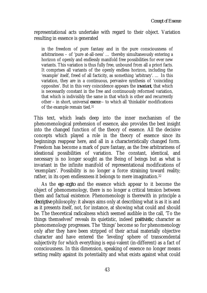representational acts undertake with regard to their object. Variation resulting in essence is generated

in the freedom of pure fantasy and in the pure consciousness of arbitrariness – of 'pure at-all-ness' … thereby simultaneously entering a horizon of openly and endlessly manifold free possibilities for ever new variants. This variation is thus fully free, unbound from all a priori facts. It comprises all variants of the openly endless horizon, including the 'example' itself, freed of all facticity, as something 'arbitrary'. … In this variation, they are in a continuous, pervasive synthesis of 'coinciding opposites'. But in this very coincidence appears the *invariant,* that which is necessarily constant in the free and continuously reformed variation, that which is indivisibly the same in that which is other and recurrently other – in short, universal *essence*– to which all 'thinkable' modifications of the example remain tied.31

This text, which leads deep into the inner mechanism of the phenomenological prehension of essence, also provides the best insight into the changed function of the theory of essence. All the decisive concepts which played a role in the theory of essence since its beginnings reappear here, and all in a characteristically changed form. Freedom has become a mark of pure fantasy, as the free arbitrariness of ideational possibilities of variation. The constant, identical, and necessary is no longer sought as the Being of beings but as what is invariant in the infinite manifold of representational modifications of 'exemplars'. Possibility is no longer a force straining toward reality; rather, in its open endlessness it belongs to mere imagination.32

As the *ego cogito* and the essence which appear to it become the object of phenomenology, there is no longer a critical tension between them and factual existence. Phenomenology is therewith in principle a *descriptive* philosophy: it always aims only at describing what is as it is and as it presents itself, not, for instance, at showing what could and should be. The theoretical radicalness which seemed audible in the call, 'To the things themselves!' reveals its quietistic, indeed *positivistic*, character as phenomenology progresses. The 'things' become so for phenomenology only after they have been stripped of their actual materially objective character and have entered the 'leveling' sphere of transcendental subjectivity for which everything is equi-valent (in-different) as a fact of consciousness. In this dimension, speaking of essence no longer means setting reality against its potentiality and what exists against what could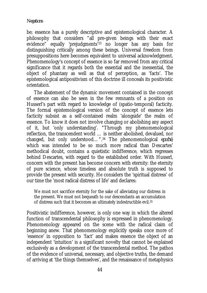be; essence has a purely descriptive and epistemological character. A philosophy that considers "all pre-given beings with their exact evidence" equally 'prejudgments'33 no longer has any basis for distinguishing critically among these beings. Universal freedom from presuppositions here becomes equivalent to universal acknowledgment. Phenomenology's concept of essence is so far removed from any critical significance that it regards both the essential and the inessential, the object of phantasy as well as that of perception, as 'facts'. The epistemological antipositivism of this doctrine ill conceals its positivistic orientation.

The abatement of the dynamic movement contained in the concept of essence can also be seen in the few remnants of a position on Husserl's part with regard to knowledge of (spatio-temporal) facticity. The formal epistemological version of the concept of essence lets facticity subsist as a self-contained realm 'alongside' the realm of essence. To know it does not involve changing or abolishing any aspect of it, but 'only understanding'. "Through my phenomenological reflection, the transcendent world … is neither abolished, devalued, nor changed, but only understood…".34 The phenomenological *epoché*, which was intended to be so much more radical than Descartes' methodical doubt, contains a quietistic indifference, which regresses behind Descartes, with regard to the established order. With Husserl, concern with the present has become concern with eternity: the eternity of pure science, whose timeless and absolute truth is supposed to provide the present with security. He considers the 'spiritual distress' of our time the 'most radical distress of life' and declares:

We must not sacrifice eternity for the sake of alleviating our distress in the present. We must not bequeath to our descendants an accumulation of distress such that it becomes an ultimately indestructible evil.35

Positivistic indifference, however, is only one way in which the altered function of transcendental philosophy is expressed in phenomenology. Phenomenology appeared on the scene with the radical claim of beginning anew. That phenomenology explicitly speaks once more of 'essence' in opposition to 'fact' and makes essence the object of an independent 'intuition' is a significant novelty that cannot be explained exclusively as a development of the transcendental method. The pathos of the evidence of universal, necessary, and objective truths, the demand of arriving at 'the things themselves', and the renaissance of metaphysics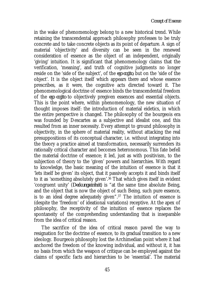in the wake of phenomenology belong to a new historical trend. While retaining the transcendental approach philosophy professes to be truly concrete and to take concrete objects as its point of departure. A sign of material 'objectivity' and diversity can be seen in the renewed consideration of essence as the object of an independent, originally 'giving' intuition. It is significant that phenomenology claims that the verification, 'meaning', and truth of cognitive judgments no longer reside on the 'side of the subject', of the *ego cogito*, but on the 'side of the object'. It is the object itself which appears there and whose essence prescribes, as it were, the cognitive acts directed toward it. The phenomenological doctrine of essence binds the transcendental freedom of the *ego cogito* to objectively pregiven essences and essential objects. This is the point where, within phenomenology, the new situation of thought imposes itself: the introduction of material eidetics, in which the entire perspective is changed. The philosophy of the bourgeois era was founded by Descartes as a subjective and idealist one, and this resulted from an inner necessity. Every attempt to ground philosophy in objectivity, in the sphere of material reality, without attacking the real presuppositions of its conceptual character, i.e. without integrating into the theory a practice aimed at transformation, necessarily surrenders its rationally critical character and becomes heteronomous. This fate befell the material doctrine of essence; it led, just as with positivism, to the subjection of theory to the 'given' powers and hierarchies. With regard to knowledge, the basic meaning of the intuition of essence is that it 'lets itself be given' its object, that it passively accepts it and binds itself to it as 'something absolutely given'.36 That which gives itself in evident 'congruent unity' (*Deckungseinheit*) is "at the same time absolute Being, and the object that is now the object of such Being, such pure essence, is to an ideal degree adequately given".37 The intuition of essence is (despite the 'freedom' of ideational variations) receptive. At the apex of philosophy, the receptivity of the intuition of essence replaces the spontaneity of the comprehending understanding that is inseparable from the idea of critical reason.

The sacrifice of the idea of critical reason paved the way to resignation for the doctrine of essence, to its gradual transition to a new ideology. Bourgeois philosophy lost the Archimedian point where it had anchored the freedom of the knowing individual, and without it, it has no basis from which the weapon of critique can be employed against the claims of specific facts and hierarchies to be 'essential'. The material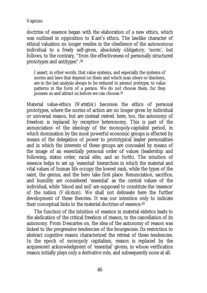doctrine of essence began with the elaboration of a new ethics, which was outlined in opposition to Kant's ethics. The lawlike character of ethical valuation no longer resides in the obedience of the autonomous individual to a freely self-given, absolutely obligatory, 'norm', but follows, to the contrary, "from the effectiveness of personally structured prototypes and antitypes".38

I assert, in other words, that value systems, and especially the systems of norms and laws that depend on them and which man obeys or disobeys, are in the last analysis always to be reduced to *personal prototypes,* to value patterns in the form of a person. We do not choose them, for they possess us and attract us before we can choose.39

Material value-ethics (*Wertethik*) becomes the ethics of personal prototypes, where the norms of action are no longer given by individual or universal reason, but are instead *received;* here, too, the autonomy of freedom is replaced by receptive heteronomy. This is part of the annunciation of the ideology of the monopoly-capitalist period, in which domination by the most powerful economic groups is effected by means of the delegation of power to prototypical leader personalities and in which the interests of these groups are concealed by means of the image of an essentially personal order of values (leadership and following, status order, racial elite, and so forth). The intuition of essence helps to set up 'essential' hierarchies in which the material and vital values of human life occupy the lowest rank, while the types of the saint, the genius, and the hero take first place. Renunciation, sacrifice, and humility are considered 'essential' as the central values of the individual, while 'blood and soil' are supposed to constitute the 'essence' of the nation (*Volkstum*).We shall not delineate here the further development of these theories. It was our intention only to indicate their conceptual links to the material doctrine of essence.40

The function of the intuition of essence in material eidetics leads to the abdication of the critical freedom of reason, to the cancellation of its autonomy. From Descartes on, the idea of the autonomy of reason was linked to the progressive tendencies of the bourgeoisie. Its restriction to abstract cognitive reason characterized the retreat of these tendencies. In the epoch of monopoly capitalism, reason is replaced by the acquiescent acknowledgment of 'essential' givens, in whose verification reason initially plays only a derivative role, and subsequently none at all.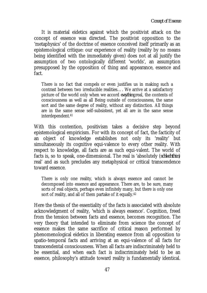*Concept of Essence* 

It is material eidetics against which the positivist attack on the concept of essence was directed. The positivist opposition to the 'metaphysics' of the doctrine of essence conceived itself primarily as an epistemological critique: our experience of reality (reality by no means being identified with the immediately given) does not at all justify the assumption of two ontologically different 'worlds', an assumption presupposed by the opposition of thing and appearance, essence and fact.

There is no fact that compels or even justifies us in making such a contrast between two irreducible realities…. We arrive at a satisfactory picture of the world only when we accord *eveything* real, the contents of consciousness as well as all Being outside of consciousness, the same sort and the same degree of reality, without any distinction. All things are in the same sense self-subsistent, yet all are in the same sense interdependent.41

With this contention, positivism takes a decisive step beyond epistemological empiricism. For with its concept of fact, the facticity of an object of knowledge establishes not only its 'reality' but simultaneously its cognitive equi-valence to every other reality. With respect to knowledge, all facts are as such equi-valent. The world of facts is, so to speak, one-dimensional. The real is 'absolutely (*schlechthin*) real' and as such precludes any metaphysical or critical transcendence toward essence.

There is only one reality, which is always essence and cannot be decomposed into essence and appearance. There are, to be sure, many sorts of real objects, perhaps even infinitely many, but there is only one sort of reality, and all of them partake of it equally.<sup>42</sup>

Here the thesis of the essentiality of the facts is associated with absolute acknowledgment of reality, 'which is always essence'. Cognition, freed from the tension between facts and essence, becomes recognition. The very theory that intended to eliminate from science the concept of essence makes the same sacrifice of critical reason performed by phenomenological eidetics in liberating essence from all opposition to spatio-temporal facts and arriving at an equi-valence of all facts for transcendental consciousness. When all facts are indiscriminately held to be essential, and when each fact is indiscriminately held to be an essence, philosophy's attitude toward reality is fundamentally identical.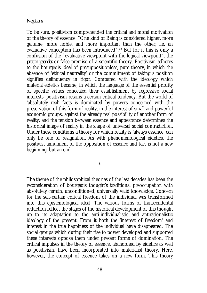To be sure, positivism comprehended the critical and moral motivation of the theory of essence: "One kind of Being is considered higher, more genuine, more noble, and more important than the other, i.e. an evaluative conception has been introduced".<sup>43</sup> But for it this is only a confusion of the "evaluative viewpoint with the logical viewpoint", the *proton pseudos* or false premise of a scientific theory. Positivism adheres to the bourgeois ideal of presuppositionless, pure theory, in which the absence of 'ethical neutrality' or the commitment of taking a position signifies delinquency in rigor. Compared with the ideology which material eidetics became, in which the language of the essential priority of specific values concealed their establishment by regressive social interests, positivism retains a certain critical tendency. But the world of 'absolutely real' facts is dominated by powers concerned with the preservation of this form of reality, in the interest of small and powerful economic groups, against the already real possibility of another form of reality; and the tension between essence and appearance determines the historical image of reality in the shape of universal social contradiction. Under these conditions a theory for which reality is 'always essence' can only be one of resignation. As with phenomenological eidetics, the positivist annulment of the opposition of essence and fact is not a new beginning, but an end.

The theme of the philosophical theories of the last decades has been the reconsideration of bourgeois thought's traditional preoccupation with absolutely certain, unconditioned, universally valid knowledge. Concern for the self-certain critical freedom of the individual was transformed into this epistemological ideal. The various forms of transcendental reduction reflect the stages of the historical development of this thought up to its adaptation to the anti-individualistic and antirationalistic ideology of the present. From it both the 'interest of freedom' and interest in the true happiness of the individual have disappeared. The social groups which during their rise to power developed and supported these interests oppose them under present forms of domination. The critical impulses in the theory of essence, abandoned by eidetics as well as positivism, have been incorporated into materialist theory. Here, however, the concept of essence takes on a new form. This theory

\*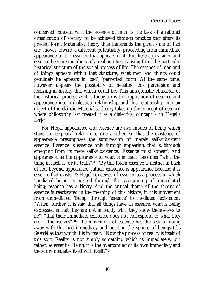conceived concern with the essence of man as the task of a rational organization of society, to be achieved through practice that alters its present form. Materialist theory thus transcends the given state of fact and moves toward a different potentiality, proceeding from immediate appearance to the essence that appears in it. But here appearance and essence become members of a real antithesis arising from the particular historical structure of the social process of life. The essence of man and of things appears within that structure; what men and things could genuinely be appears in 'bad', 'perverted' form. At the same time, however, appears the possibility of negating this perversion and realizing in history that which could be. This antagonistic character of the historical process as it is today turns the opposition of essence and appearance into a dialectical relationship and this relationship into an object of the *dialectic*. Materialist theory takes up the concept of essence where philosophy last treated it as a dialectical concept – in Hegel's *Logic*.

For Hegel appearance and essence are two modes of being which stand in reciprocal relation to one another, so that the existence of appearance presupposes the suppression of merely self-subsistent essence. Essence is essence only through appearing, that is, through emerging from its mere self-subsistence: 'Essence must appear'. And appearance, as the appearance of what is in itself, becomes "what the thing in itself is, or its truth".<sup>44</sup> "By this token essence is neither in back of nor beyond appearance; rather, existence is appearance because it is essence that exists."45 Hegel conceives of essence as a process in which 'mediated being' is posited through the overcoming of unmediated being; essence has a *history*.And the critical theme of the theory of essence is reactivated in the meaning of this history, in this movement from unmediated 'Being' through 'essence' to mediated 'existence'. "When, further, it is said that all things have an essence, what is being expressed is that they are not in reality what they show themselves to be", "that their immediate existence does not correspond to what they are in themselves".<sup>46</sup> The movement of essence has the task of doing away with this bad immediacy and positing the sphere of beings (*das Seiende*) as that which it is in itself: "Now the process of reality is itself of this sort. Reality is not simply something which *is* immediately, but rather, as essential Being, it is the overcoming of its own immediacy and therefore mediates itself with itself."47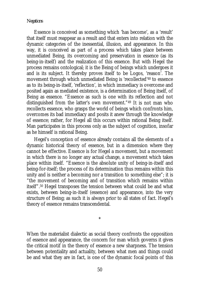Essence is conceived as something which 'has become', as a 'result' that itself must reappear as a result and that enters into relation with the dynamic categories of the inessential, illusion, and appearance. In this way, it is conceived as part of a process which takes place between unmediated Being, its overcoming and preservation in essence (as its being-in-itself) and the realization of this essence. But with Hegel the process remains ontological; it is the Being of beings which undergoes it and is its subject. It thereby proves itself to be Logos, 'reason'. The movement through which unmediated Being is 'recollected'48 to essence as to its being-in-itself, 'reflection', in which immediacy is overcome and posited again as mediated existence, is a determination of Being itself, of Being as essence. "Essence as such is one with its reflection and not distinguished from the latter's own movement."49 It is not man who recollects essence, who grasps the world of beings which confronts him, overcomes its bad immediacy and posits it anew through the knowledge of essence; rather, for Hegel all this occurs within rational Being itself. Man participates in this process only as the subject of cognition, insofar as he himself is rational Being.

Hegel's conception of essence already contains all the elements of a dynamic historical theory of essence, but in a dimension where they cannot be effective. Essence is for Hegel a movement, but a movement in which there is no longer any actual change, a movement which takes place within itself. "Essence is the absolute unity of being-in-itself and being-for-itself; the process of its determination thus remains within this unity and is neither a becoming nor a transition to something else"; it is "the movement of becoming and of transition which remains within itself".50 Hegel transposes the tension between what could be and what exists, between being-in-itself (essence) and appearance, into the very structure of Being; as such it is always prior to all states of fact. Hegel's theory of essence remains transcendental.

When the materialist dialectic as social theory confronts the opposition of essence and appearance, the concern for man which governs it gives the critical motif in the theory of essence a new sharpness. The tension between potentiality and actuality, between what men and things could be and what they are in fact, is one of the dynamic focal points of this

\*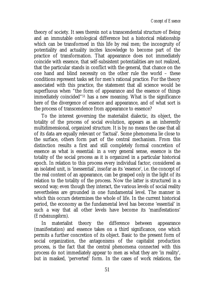theory of society. It sees therein not a transcendental structure of Being and an immutable ontological difference but a historical relationship which can be transformed in this life by real men; the incongruity of potentiality and actuality incites knowledge to become part of the practice of transformation. That appearance does not immediately coincide with essence, that self-subsistent potentialities are not realized, that the particular stands in conflict with the general, that chance on the one hand and blind necessity on the other rule the world – these conditions represent tasks set for men's rational practice. For the theory associated with this practice, the statement that all science would be superfluous when "the form of appearance and the essence of things immediately coincided"51 has a new meaning. What is the significance here of the divergence of essence and appearance, and of what sort is the process of transcendence from appearance to essence?

To the interest governing the materialist dialectic, its object, the totality of the process of social evolution, appears as an inherently multidimensional, organized structure. It is by no means the case that all of its data are equally relevant or 'factual'. Some phenomena lie close to the surface, others form part of the central mechanism. From this distinction results a first and still completely formal concretion of essence as what is essential: in a very general sense, essence is the totality of the social process as it is organized in a particular historical epoch. In relation to this process every individual factor, considered as an isolated unit, is 'inessential', insofar as its 'essence', i.e. the concept of the real content of an appearance, can be grasped only in the light of its relation to the totality of the process. Now the latter is structured in a second way; even though they interact, the various levels of social reality nevertheless are grounded in one fundamental level. The manner in which this occurs determines the whole of life. In the current historical period, the economy as the fundamental level has become 'essential' in such a way that all other levels have become its 'manifestations' (*Erscheinungsform*).

In materialist theory the difference between appearance (manifestation) and essence takes on a third significance, one which permits a further concretion of its object. Basic to the present form of social organization, the antagonisms of the capitalist production process, is the fact that the central phenomena connected with this process do not immediately appear to men as what they are 'in reality', but in masked, 'perverted' form. In the cases of work relations, the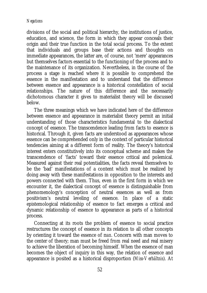## *Negations*

divisions of the social and political hierarchy, the institutions of justice, education, and science, the form in which they appear conceals their origin and their true function in the total social process. To the extent that individuals and groups base their actions and thoughts on immediate appearances, the latter are, of course, not 'mere' appearances but themselves factors essential to the functioning of the process and to the maintenance of its organization. Nevertheless, in the course of the process a stage is reached where it is possible to comprehend the essence in the manifestation and to understand that the difference between essence and appearance is a historical constellation of social relationships. The nature of this difference and the necessarily dichotomous character it gives to materialist theory will be discussed below.

The three meanings which we have indicated here of the difference between essence and appearance in materialist theory permit an initial understanding of those characteristics fundamental to the dialectical concept of essence. The transcendence leading from facts to essence is historical. Through it, given facts are understood as appearances whose essence can be comprehended only in the context of particular historical tendencies aiming at a different form of reality. The theory's historical interest enters constitutively into its conceptual scheme and makes the transcendence of 'facts' toward their essence critical and polemical. Measured against their real potentialities, the facts reveal themselves to be the 'bad' manifestations of a content which must be realized by doing away with these manifestations in opposition to the interests and powers connected with them. Thus, even in the first form in which we encounter it, the dialectical concept of essence is distinguishable from phenomenology's conception of neutral essences as well as from positivism's neutral leveling of essence. In place of a static epistemological relationship of essence to fact emerges a critical and dynamic relationship of essence to appearance as parts of a historical process.

Connecting at its roots the problem of essence to social practice restructures the concept of essence in its relation to all other concepts by orienting it toward the essence of *man*. Concern with man moves to the center of theory; man must be freed from real need and real misery to achieve the liberation of becoming himself. When the essence of man becomes the object of inquiry in this way, the relation of essence and appearance is posited as a historical disproportion (*Miss-Verhältnis*). At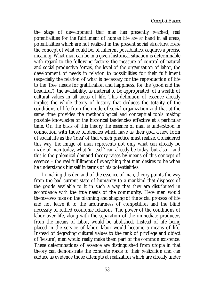the stage of development that man has presently reached, real potentialities for the fulfillment of human life are at hand in all areas, potentialities which are not realized in the present social structure. Here the concept of what could be, of inherent possibilities, acquires a precise meaning. What man can be in a given historical situation is determinable with regard to the following factors: the measure of control of natural and social productive forces, the level of the organization of labor, the development of needs in relation to possibilities for their fulfillment (especially the relation of what is necessary for the reproduction of life to the 'free' needs for gratification and happiness, for the 'good and the beautiful'), the availability, as material to be appropriated, of a wealth of cultural values in all areas of life. This definition of essence already implies the whole theory of history that deduces the totality of the conditions of life from the mode of social organization and that at the same time provides the methodological and conceptual tools making possible knowledge of the historical tendencies effective at a particular time. On the basis of this theory the essence of man is understood in connection with those tendencies which have as their goal a new form of social life as the 'Idea' of that which practice must realize. Considered this way, the image of man represents not only what can already be made of man today, what 'in itself' can already be today, but also – and this is the polemical demand theory raises by means of this concept of essence – the real fulfillment of everything that man desires to be when he understands himself in terms of his potentialities.

In making this demand of the essence of man, theory points the way from the bad current state of humanity to a mankind that disposes of the goods available to it in such a way that they are distributed in accordance with the true needs of the community. Here men would themselves take on the planning and shaping of the social process of life and not leave it to the arbitrariness of competition and the blind necessity of reified economic relations. The power of the conditions of labor over life, along with the separation of the immediate producers from the means of labor, would be abolished. Instead of life being placed in the service of labor, labor would become a means of life. Instead of degrading cultural values to the rank of privilege and object of 'leisure', men would really make them part of the common existence. These determinations of essence are distinguished from utopia in that theory can demonstrate the concrete roads to their realization and can adduce as evidence those attempts at realization which are already under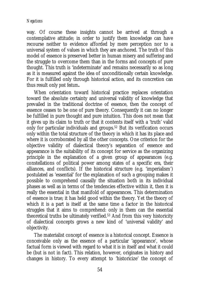way. Of course these insights cannot be arrived at through a contemplative attitude; in order to justify them knowledge can have recourse neither to evidence afforded by mere perception nor to a universal system of values in which they are anchored. The truth of this model of essence is preserved better in human misery and suffering and the struggle to overcome them than in the forms and concepts of pure thought. This truth is 'indeterminate' and remains necessarily so as long as it is measured against the idea of unconditionally certain knowledge. For it is fulfilled only through historical action, and its concretion can thus result only *post festum***.** 

When orientation toward historical practice replaces orientation toward the absolute certainty and universal validity of knowledge that prevailed in the traditional doctrine of essence, then the concept of essence ceases to be one of pure theory. Consequently it can no longer be fulfilled in pure thought and pure intuition. This does not mean that it gives up its claim to truth or that it contents itself with a 'truth' valid only for particular individuals and groups.52 But its verification occurs only within the total structure of the theory in which it has its place and where it is corroborated by all the other concepts. One criterion for the objective validity of dialectical theory's separation of essence and appearance is the suitability of its concept for service as the organizing principle in the explanation of a given group of appearances (e.g. constellations of political power among states of a specific era, their alliances, and conflicts). If the historical structure (e.g. 'imperialism') postulated as 'essential' for the explanation of such a grouping makes it possible to comprehend causally the situation both in its individual phases as well as in terms of the tendencies effective within it, then it is really the essential in that manifold of appearances. This determination of essence is true; it has held good within the theory. Yet the theory of which it is a part is itself at the same time a factor in the historical struggles that it aims to comprehend: only in them can the essential theoretical truths be ultimately verified.53 And from this very historicity of dialectical concepts grows a new kind of 'universal validity' and objectivity.

The materialist concept of essence is a historical concept. Essence is conceivable only as the essence of a particular 'appearance', whose factual form is viewed with regard to what it is in itself and what it could be (but is not in fact). This relation, however, originates in history and changes in history. To every attempt to 'historicize' the concept of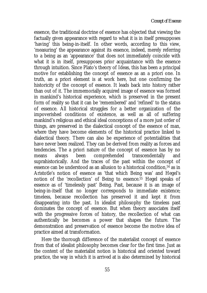essence, the traditional doctrine of essence has objected that viewing the factually given appearance with regard to what it is in itself presupposes 'having' this being-in-itself. In other words, according to this view, 'measuring' the appearance against its essence, indeed, merely referring to a being as an 'appearance' that does not immediately coincide with what it is in itself, presupposes prior acquaintance with the essence through intuition. Since Plato's theory of Ideas, this has been a principal motive for establishing the concept of essence as an a priori one. In truth, an a priori element is at work here, but one confirming the historicity of the concept of essence. It leads back into history rather than out of it. The immemorially acquired image of essence was formed in mankind's historical experience, which is preserved in the present form of reality so that it can be 'remembered' and 'refined' to the status of essence. All historical struggles for a better organization of the impoverished conditions of existence, as well as all of suffering mankind's religious and ethical ideal conceptions of a more just order of things, are preserved in the dialectical concept of the essence of man, where they have become elements of the historical practice linked to dialectical theory. There can also be experience of potentialities that have never been realized. They can be derived from reality as forces and tendencies. The a priori nature of the concept of essence has by no<br>means always been comprehended transcendentally and means always been comprehended transcendentally and suprahistorically. And the traces of the past within the concept of essence can be understood as an allusion to a historical condition,<sup>54</sup> as in Aristotle's notion of essence as 'that which Being was' and Hegel's notion of the 'recollection' of Being to essence.<sup>55</sup> Hegel speaks of essence as of 'timelessly past' Being. Past, because it is an image of being-in-itself that no longer corresponds to immediate existence; timeless, because recollection has preserved it and kept it from disappearing into the past. In idealist philosophy the timeless past dominates the concept of essence. But when theory associates itself with the progressive forces of history, the recollection of what can authentically be becomes a power that shapes the future. The demonstration and preservation of essence become the motive idea of practice aimed at transformation.

Here the thorough difference of the materialist concept of essence from that of idealist philosophy becomes clear for the first time. Just as the content of the materialist notion is historical and oriented toward practice, the way in which it is arrived at is also determined by historical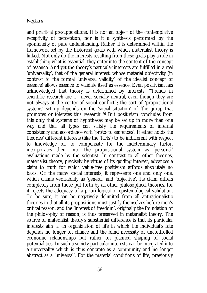and practical presuppositions. It is not an object of the contemplative receptivity of perception, nor is it a synthesis performed by the spontaneity of pure understanding. Rather, it is determined within the framework set by the historical goals with which materialist theory is linked. Not only do the interests resulting from these goals play a role in establishing what is essential, they enter into the content of the concept of essence. And yet the theory's particular interests are fulfilled in a real 'universality', that of the general interest, whose material objectivity (in contrast to the formal 'universal validity' of the idealist concept of essence) allows essence to validate itself as essence. Even positivism has acknowledged that theory is determined by interests: "Trends in scientific research are … never socially neutral, even though they are not always at the center of social conflict"; the sort of 'propositional systems' set up depends on the 'social situation' of 'the group that promotes or tolerates this research'.56 But positivism concludes from this only that systems of hypotheses may be set up in more than one way and that all types can satisfy the requirements of internal consistency and accordance with 'protocol sentences'. It either holds the theories' different interests (like the 'facts') to be indifferent with respect to knowledge or, to compensate for the indeterminacy factor, incorporates them into the propositional system as 'personal' evaluations made by the scientist. In contrast to all other theories, materialist theory, precisely by virtue of its guiding interest, advances a claim to truth for which value-free positivism affords absolutely no basis. Of the many social interests, it represents one and only one, which claims verifiability as 'general' and 'objective'. Its claim differs completely from those put forth by all other philosophical theories, for it rejects the adequacy of a priori logical or epistemological validation. To be sure, it can be negatively delimited from all antirationalistic theories in that all its propositions must justify themselves before men's critical reason, and the 'interest of freedom', originally the foundation of the philosophy of reason, is thus preserved in materialist theory. The source of materialist theory's substantial difference is that its particular interests aim at an organization of life in which the individual's fate depends no longer on chance and the blind necessity of uncontrolled economic relationships but rather on planned shaping of social potentialities. In such a society particular interests can be integrated into a universality which is thus concrete as a community and no longer abstract as a 'universal'. For the material conditions of life, previously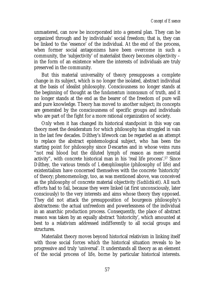unmastered, can now be incorporated into a general plan. They can be organized through and by individuals' social freedom; that is, they can be linked to the 'essence' of the individual. At the end of the process, when former social antagonisms have been overcome in such a community, the 'subjectivity' of materialist theory becomes objectivity – in the form of an existence where the interests of individuals are truly preserved in the community.

But this material universality of theory presupposes a complete change in its subject, which is no longer the isolated, abstract individual at the basis of idealist philosophy. Consciousness no longer stands at the beginning of thought as the *fundamentum inconcussum* of truth, and it no longer stands at the end as the bearer of the freedom of pure will and pure knowledge. Theory has moved to another subject; its concepts are generated by the consciousness of specific groups and individuals who are part of the fight for a more rational organization of society.

Only when it has changed its historical standpoint in this way can theory meet the desideratum for which philosophy has struggled in vain in the last few decades. Dilthey's lifework can be regarded as an attempt to replace the abstract epistemological subject, who has been the starting point for philosophy since Descartes and in whose veins runs "not real blood but the diluted lymph of reason as mere mental activity", with concrete historical man in his 'real life process'.57 Since Dilthey, the various trends of *Lebensphilosophie* (philosophy of life) and existentialism have concerned themselves with the concrete 'historicity' of theory; phenomenology, too, as was mentioned above, was conceived as the philosophy of concrete material objectivity (*Sachlichkeit*). All such efforts had to fail, because they were linked (at first unconsciously, later consciously) to the very interests and aims whose theory they opposed. They did not attack the presupposition of bourgeois philosophy's abstractness: the actual unfreedom and powerlessness of the individual in an anarchic production process. Consequently, the place of abstract reason was taken by an equally abstract 'historicity', which amounted at best to a relativism addressed indifferently to all social groups and structures.

Materialist theory moves beyond historical relativism in linking itself with those social forces which the historical situation reveals to be progressive and truly 'universal'. It understands all theory as an element of the social process of life, borne by particular historical interests.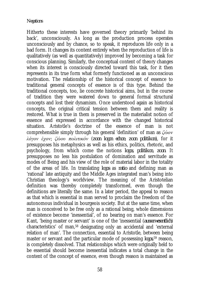## *Negations*

Hitherto these interests have governed theory primarily 'behind its back', unconsciously. As long as the production process operates unconsciously and by chance, so to speak, it reproduces life only in a bad form. It changes its content entirely when the reproduction of life is qualitatively (as well as quantitatively) improved by becoming a task for conscious planning. Similarly, the conceptual content of theory changes when its interest is consciously directed toward this task, for it then represents in its true form what formerly functioned as an unconscious motivation. The relationship of the historical concept of essence to traditional general concepts of essence is of this type. Behind the traditional concepts, too, lie concrete historical aims, but in the course of tradition they were watered down to general formal structural concepts and lost their dynamism. Once understood again as historical concepts, the original critical tension between them and reality is restored. What is true in them is preserved in the materialist notion of essence and expressed in accordance with the changed historical situation. Aristotle's doctrine of the essence of man is not comprehensible simply through his general 'definition' of man as  $\zeta \omega o v$ ;  (*zoon logon echon*; *zoon politikon*), for it presupposes his metaphysics as well as his ethics, politics, rhetoric, and psychology, from which come the notions *logos*, *politikon*, *zoon*. It presupposes no less his postulation of domination and servitude as modes of Being and his view of the role of material labor in the totality of the areas of life. In translating *logos* as *ratio* and defining man as 'rational' late antiquity and the Middle Ages integrated man's being into Christian theology's worldview. The meaning of the Aristotelian definition was thereby completely transformed, even though the definitions are literally the same. In a later period, the appeal to reason as that which is essential in man served to proclaim the freedom of the autonomous individual in bourgeois society. But at the same time, when man is conceived to be free only as a rational being, whole dimensions of existence become 'inessential', of no bearing on man's essence. For Kant, 'being master or servant' is one of the 'inessential (*ausserwesentlich*) characteristics' of man,58 designating only an accidental and 'external relation of man'. The connection, essential to Aristotle, between being master or servant and the particular mode of possessing *logos*, 59 reason, is completely dissolved. That relationships which were originally held to be essential should become inessential indicates a total change in the content of the concept of essence, even though reason is maintained as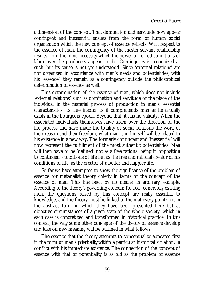a dimension of the concept. That domination and servitude now appear contingent and inessential ensues from the form of human social organization which the new concept of essence reflects. With respect to the essence of man, the contingency of the master-servant relationship results from the blind necessity which the power of reified conditions of labor over the producers appears to be. Contingency is recognized as such, but its cause is not yet understood. Since 'external relations' are not organized in accordance with man's needs and potentialities, with his 'essence', they remain as a contingency outside the philosophical determination of essence as well.

This determination of the essence of man, which does not include 'external relations' such as domination and servitude or the place of the individual in the material process of production in man's 'essential characteristics', is true insofar as it comprehends man as he actually exists in the bourgeois epoch. Beyond that, it has no validity. When the associated individuals themselves have taken over the direction of the life process and have made the totality of social relations the work of their reason and their freedom, what man is in himself will be related to his existence in a new way. The formerly contingent and 'inessential' will now represent the fulfillment of the most authentic potentialities. Man will then have to be 'defined' not as a free rational being in opposition to contingent conditions of life but as the free and rational creator of his conditions of life, as the creator of a better and happier life.

So far we have attempted to show the significance of the problem of essence for materialist theory chiefly in terms of the concept of the essence of man. This has been by no means an arbitrary example. According to the theory's governing concern for real, concretely existing men, the questions raised by this concept are really essential to knowledge, and the theory must be linked to them at every point: not in the abstract form in which they have been presented here but as objective circumstances of a given state of the whole society, which in each case is concretized and transformed in historical practice. In this context, the way some other concepts of the theory of essence develop and take on new meaning will be outlined in what follows.

The essence that the theory attempts to conceptualize appeared first in the form of man's *potentiality* within a particular historical situation, in conflict with his immediate existence. The connection of the concept of essence with that of potentiality is as old as the problem of essence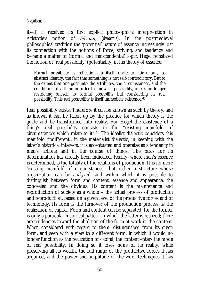itself; it received its first explicit philosophical interpretation in Aristotle's notion of *δύναμις (dynamis*). In the postmedieval philosophical tradition the 'potential' nature of essence increasingly lost its connection with the notions of force, striving, and tendency and became a matter of (formal and transcendental) logic. Hegel reinstated the notion of 'real possibility' (potentiality) in his theory of essence:

Formal possibility is reflection-into-itself (*Reflexion-in-sich*)only as abstract identity, the fact that something is not self-contradictory. But to the extent that one goes into the attributes, the circumstances, and the conditions of a thing in order to know its possibility, one is no longer restricting oneself to formal possibility but considering its real possibility. This real possibility is itself immediate existence.60

Real possibility exists. Therefore it can be known as such by theory, and as known it can be taken up by the practice for which theory is the guide and be transformed into reality. For Hegel the existence of a thing's real possibility consists in the "existing manifold of circumstances which relate to it".61 The idealist dialectic considers this manifold 'indifferent'; in the materialist dialectic, in keeping with the latter's historical interests, it is accentuated and operates as a tendency in men's actions and in the course of things. The basis for its determination has already been indicated. Reality, where man's essence is determined, is the totality of the relations of production. It is no mere 'existing manifold of circumstances', but rather a structure whose organization can be analyzed, and within which it is possible to distinguish between form and content, essence and appearance, the concealed and the obvious. Its content is the maintenance and reproduction of society as a whole – the actual process of production and reproduction, based on a given level of the productive forces and of technology. Its form is the turnover of the production process as the realization of capital. Form and content can be separated, for the former is only a particular historical pattern in which the latter is realized; there are tendencies toward the abolition of the form at work in the content. When considered with regard to them, distinguished from its given form, and seen with a view to a different form, in which it would no longer function as the realization of capital, the content enters the mode of real possibility. In doing so it loses none of its reality, while preserving all its wealth, the full range of the productive forces it has acquired, and the power and amplitude of the work techniques it has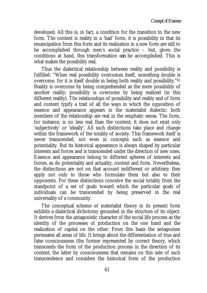developed. All this is, in fact, a condition for the transition to the new form. The content is reality in a 'bad' form; it is possibility in that its emancipation from this form and its realization in a new form are still to be accomplished through men's social practice – but, given the conditions at hand, this transformation *can* be accomplished. This is what makes the possibility real.

Thus the dialectical relationship between reality and possibility is fulfilled: "When real possibility overcomes itself, something double is overcome, for it is itself double in being both reality and possibility."62 Reality is overcome by being comprehended as the mere possibility of another reality; possibility is overcome by being realized (in this different reality). The relationships of possibility and reality and of form and content typify a trait of all the ways in which the opposition of essence and appearance appears in the materialist dialectic: both members of the relationship are real in the emphatic sense. The form, for instance, is no less real than the content; it does not exist only 'subjectively' or 'ideally'. All such distinctions take place and change within the framework of the totality of society. This framework itself is never transcended, not even in concepts such as essence and potentiality. But its historical appearance is always shaped by particular interests and forces and is transcended under the direction of new ones. Essence and appearance belong to different spheres of interests and forces, as do potentiality and actuality, content and form. Nevertheless, the distinctions are not on that account indifferent or arbitrary; they apply not only to those who formulate them but also to their opponents. For these distinctions conceive the social totality from the standpoint of a set of goals toward which the particular goals of individuals can be transcended by being preserved in the real universality of a community.

The conceptual scheme of materialist theory in its present form exhibits a dialectical dichotomy grounded in the structure of its object. It derives from the antagonistic character of the social life process as the identity of the processes of production on the one hand and the realization of capital on the other. From this basis the antagonism permeates all areas of life. It brings about the differentiation of true and false consciousness (the former represented by correct theory, which transcends the form of the production process in the direction of its content, the latter by consciousness that remains on this side of such transcendence and considers the historical form of the production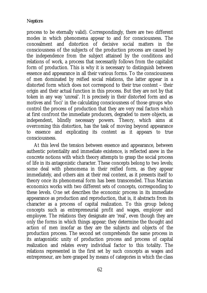## *Negations*

process to be eternally valid). Correspondingly, there are two different modes in which phenomena appear to and for consciousness. The concealment and distortion of decisive social matters in the consciousness of the subjects of the production process are caused by the independence from the subject attained by the conditions and relations of work, a process that necessarily follows from the capitalist form of production. This is why it is necessary to distinguish between essence and appearance in all their various forms. To the consciousness of men dominated by reified social relations, the latter appear in a distorted form which does not correspond to their true content – their origin and their actual function in this process. But they are not by that token in any way 'unreal'. It is precisely in their distorted form and as motives and 'foci' in the calculating consciousness of those groups who control the process of production that they are very real factors which at first confront the immediate producers, degraded to mere objects, as independent, blindly necessary powers. Theory, which aims at overcoming this distortion, has the task of moving beyond appearance to essence and explicating its content as it appears to true consciousness.

At this level the tension between essence and appearance, between authentic potentiality and immediate existence, is reflected anew in the concrete notions with which theory attempts to grasp the social process of life in its antagonistic character. These concepts belong to two levels; some deal with phenomena in their reified form, as they appear immediately, and others aim at their real content, as it presents itself to theory once its phenomenal form has been transcended. Thus Marxian economics works with two different sets of concepts, corresponding to these levels. One set describes the economic process in its immediate appearance as production and reproduction, that is, it abstracts from its character as a process of capital realization. To this group belong concepts such as entrepreneurial profit and wages, employer and employee. The relations they designate are 'real', even though they are only the forms in which things appear; they determine the thought and action of men insofar as they are the subjects and objects of the production process. The second set comprehends the same process in its antagonistic unity of production process and process of capital realization and relates every individual factor to this totality. The relations represented in the first set by such concepts as wages and entrepreneur, are here grasped by means of categories in which the class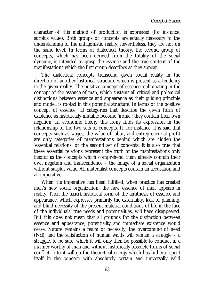character of this method of production is expressed (for instance, surplus value). Both groups of concepts are equally necessary to the understanding of the antagonistic reality; nevertheless, they are not on the same level. In terms of dialectical theory, the second group of concepts, which has been derived from the totality of the social dynamic, is intended to grasp the essence and the true content of the manifestations which the first group describes as they appear.

The dialectical concepts transcend given social reality in the direction of another historical structure which is present as a tendency in the given reality. The positive concept of essence, culminating in the concept of the essence of man, which sustains all critical and polemical distinctions between essence and appearance as their guiding principle and model, is rooted in this potential structure. In terms of the positive concept of essence, all categories that describe the given form of existence as historically mutable become 'ironic': they contain their own negation. In economic theory this irony finds its expression in the relationship of the two sets of concepts. If, for instance, it is said that concepts such as wages, the value of labor, and entrepreneurial profit are only categories of manifestations behind which are hidden the 'essential relations' of the second set of concepts, it is also true that these essential relations represent the truth of the manifestations only insofar as the concepts which comprehend them already contain their own negation and transcendence – the image of a social organization without surplus value. All materialist concepts contain an accusation and an imperative.

When the imperative has been fulfilled, when practice has created men's new social organization, the new essence of man appears in reality. Then the *current* historical form of the antithesis of essence and appearance, which expresses primarily the externality, lack of planning, and blind necessity of the present material conditions of life in the face of the individuals' true needs and potentialities, will have disappeared. But this does not mean that all grounds for the distinction between essence and appearance, potentiality and immediate existence would cease. Nature remains a realm of necessity; the overcoming of need (*Not*), and the satisfaction of human wants will remain a struggle – a struggle, to be sure, which it will only then be possible to conduct in a manner worthy of man and without historically obsolete forms of social conflict. Into it will go the theoretical energy which has hitherto spent itself in the concern with absolutely certain and universally valid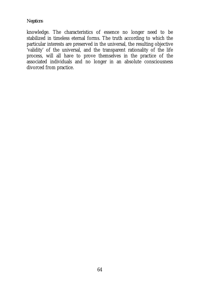### *Negations*

knowledge. The characteristics of essence no longer need to be stabilized in timeless eternal forms. The truth according to which the particular interests are preserved in the universal, the resulting objective 'validity' of the universal, and the transparent rationality of the life process, will all have to prove themselves in the practice of the associated individuals and no longer in an absolute consciousness divorced from practice.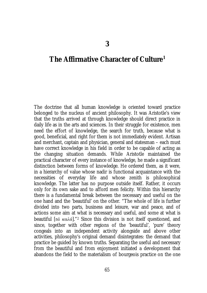# **The Affirmative Character of Culture1**

The doctrine that all human knowledge is oriented toward practice belonged to the nucleus of ancient philosophy. It was Aristotle's view that the truths arrived at through knowledge should direct practice in daily life as in the arts and sciences. In their struggle for existence, men need the effort of knowledge, the search for truth, because what is good, beneficial, and right for them is not immediately evident. Artisan and merchant, captain and physician, general and statesman – each must have correct knowledge in his field in order to be capable of acting as the changing situation demands. While Aristotle maintained the practical character of every instance of knowledge, he made a significant distinction between forms of knowledge. He ordered them, as it were, in a hierarchy of value whose nadir is functional acquaintance with the necessities of everyday life and whose zenith is philosophical knowledge. The latter has no purpose outside itself. Rather, it occurs only for its own sake and to afford men felicity. Within this hierarchy there is a fundamental break between the necessary and useful on the one hand and the 'beautiful' on the other. "The whole of life is further divided into two parts, business and leisure, war and peace, and of actions some aim at what is necessary and useful, and some at what is beautiful [τά καλά]."<sup>2</sup> Since this division is not itself questioned, and since, together with other regions of the 'beautiful', 'pure' theory congeals into an independent activity alongside and above other activities, philosophy's original demand disintegrates: the demand that practice be guided by known truths. Separating the useful and necessary from the beautiful and from enjoyment initiated a development that abandons the field to the materialism of bourgeois practice on the one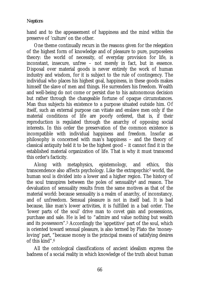hand and to the appeasement of happiness and the mind within the preserve of 'culture' on the other.

One theme continually recurs in the reasons given for the relegation of the highest form of knowledge and of pleasure to pure, purposeless theory: the world of necessity, of everyday provision for life, is inconstant, insecure, unfree – not merely in fact, but in essence. Disposal over material goods is never entirely the work of human industry and wisdom, for it is subject to the rule of contingency. The individual who places his highest goal, happiness, in these goods makes himself the slave of men and things. He surrenders his freedom. Wealth and well-being do not come or persist due to his autonomous decision but rather through the changeable fortune of opaque circumstances. Man thus subjects his existence to a purpose situated outside him. Of itself, such an external purpose can vitiate and enslave men only if the material conditions of life are poorly ordered, that is, if their reproduction is regulated through the anarchy of opposing social interests. In this order the preservation of the common existence is incompatible with individual happiness and freedom. Insofar as philosophy is concerned with man's happiness – and the theory of classical antiquity held it to be the highest good – it cannot find it in the established material organization of life. That is why it must transcend this order's facticity.

Along with metaphysics, epistemology, and ethics, this transcendence also affects psychology. Like the extrapsychic3 world, the human soul is divided into a lower and a higher region. The history of the soul transpires between the poles of sensuality4 and reason. The devaluation of sensuality results from the same motives as that of the material world: because sensuality is a realm of anarchy, of inconstancy, and of unfreedom. Sensual pleasure is not in itself bad. It is bad because, like man's lower activities, it is fulfilled in a bad order. The 'lower parts of the soul' drive man to covet gain and possessions, purchase and sale. He is led to "admire and value nothing but wealth and its possessors".5 Accordingly the 'appetitive' part of the soul, which is oriented toward sensual pleasure, is also termed by Plato the 'moneyloving' part, "because money is the principal means of satisfying desires of this kind".6

All the ontological classifications of ancient idealism express the badness of a social reality in which knowledge of the truth about human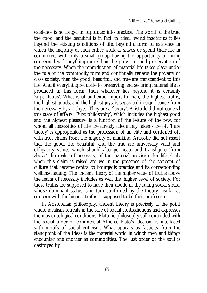existence is no longer incorporated into practice. The world of the true, the good, and the beautiful is in fact an 'ideal' world insofar as it lies beyond the existing conditions of life, beyond a form of existence in which the majority of men either work as slaves or spend their life in commerce, with only a small group having the opportunity of being concerned with anything more than the provision and preservation of the necessary. When the reproduction of material life takes place under the rule of the commodity form and continually renews the poverty of class society, then the good, beautiful, and true are transcendent to this life. And if everything requisite to preserving and securing material life is produced in this form, then whatever lies beyond it is certainly 'superfluous'. What is of authentic import to man, the highest truths, the highest goods, and the highest joys, is separated in significance from the necessary by an abyss. They are a 'luxury'. Aristotle did not conceal this state of affairs. 'First philosophy', which includes the highest good and the highest pleasure, is a function of the leisure of the few, for whom all necessities of life are already adequately taken care of. 'Pure theory' is appropriated as the profession of an elite and cordoned off with iron chains from the majority of mankind. Aristotle did not assert that the good, the beautiful, and the true are universally valid and obligatory values which should also permeate and transfigure 'from above' the realm of necessity, of the material provision for life. Only when this claim is raised are we in the presence of the concept of culture that became central to bourgeois practice and its corresponding weltanschauung. The ancient theory of the higher value of truths above the realm of necessity includes as well the 'higher' level of society. For these truths are supposed to have their abode in the ruling social strata, whose dominant status is in turn confirmed by the theory insofar as concern with the highest truths is supposed to be their profession.

In Aristotelian philosophy, ancient theory is precisely at the point where idealism retreats in the face of social contradictions and expresses them as ontological conditions. Platonic philosophy still contended with the social order of commercial Athens. Plato's idealism is interlaced with motifs of social criticism. What appears as facticity from the standpoint of the Ideas is the material world in which men and things encounter one another as commodities. The just order of the soul is destroyed by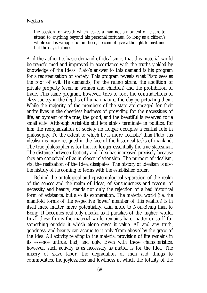### *Negations*

the passion for wealth which leaves a man not a moment of leisure to attend to anything beyond his personal fortunes. So long as a citizen's whole soul is wrapped up in these, he cannot give a thought to anything but the day's takings.7

And the authentic, basic demand of idealism is that this material world be transformed and improved in accordance with the truths yielded by knowledge of the Ideas. Plato's answer to this demand is his program for a reorganization of society. This program reveals what Plato sees as the root of evil. He demands, for the ruling strata, the abolition of private property (even in women and children) and the prohibition of trade. This same program, however, tries to root the contradictions of class society in the depths of human nature, thereby perpetuating them. While the majority of the members of the state are engaged for their entire lives in the cheerless business of providing for the necessities of life, enjoyment of the true, the good, and the beautiful is reserved for a small elite. Although Aristotle still lets ethics terminate in politics, for him the reorganization of society no longer occupies a central role in philosophy. To the extent to which he is more 'realistic' than Plato, his idealism is more resigned in the face of the historical tasks of mankind. The true philosopher is for him no longer essentially the true statesman. The distance between facticity and Idea has increased precisely because they are conceived of as in closer relationship. The purport of idealism, viz. the realization of the Idea, dissipates. The history of idealism is also the history of its coming to terms with the established order.

Behind the ontological and epistemological separation of the realm of the senses and the realm of Ideas, of sensuousness and reason, of necessity and beauty, stands not only the rejection of a bad historical form of existence, but also its exoneration. The material world (i.e. the manifold forms of the respective 'lower' member of this relation) is in itself mere matter, mere potentiality, akin more to Non-Being than to Being. It becomes real only insofar as it partakes of the 'higher' world. In all these forms the material world remains bare matter or stuff for something outside it which alone gives it value. All and any truth, goodness, and beauty can accrue to it only 'from above' by the grace of the Idea. All activity relating to the material provision of life remains in its essence untrue, bad, and ugly. Even with these characteristics, however, such activity is as necessary as matter is for the Idea. The misery of slave labor, the degradation of men and things to commodities, the joylessness and lowliness in which the totality of the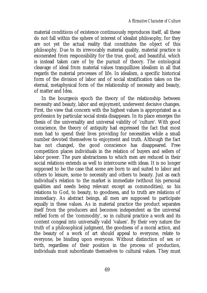material conditions of existence continuously reproduces itself, all these do not fall within the sphere of interest of idealist philosophy, for they are not yet the actual reality that constitutes the object of this philosophy. Due to its irrevocably material quality, material practice is exonerated from responsibility for the true, good, and beautiful, which is instead taken care of by the pursuit of theory. The ontological cleavage of ideal from material values tranquillizes idealism in all that regards the material processes of life. In idealism, a specific historical form of the division of labor and of social stratification takes on the eternal, metaphysical form of the relationship of necessity and beauty, of matter and Idea.

In the bourgeois epoch the theory of the relationship between necessity and beauty, labor and enjoyment, underwent decisive changes. First, the view that concern with the highest values is appropriated as a profession by particular social strata disappears. In its place emerges the thesis of the universality and universal validity of 'culture'. With good conscience, the theory of antiquity had expressed the fact that most men had to spend their lives providing for necessities while a small number devoted themselves to enjoyment and truth. Although the fact has not changed, the good conscience has disappeared. Free competition places individuals in the relation of buyers and sellers of labor power. The pure abstractness to which men are reduced in their social relations extends as well to intercourse with ideas. It is no longer supposed to be the case that some are born to and suited to labor and others to leisure, some to necessity and others to beauty. Just as each individual's relation to the market is immediate (without his personal qualities and needs being relevant except as commodities), so his relations to God, to beauty, to goodness, and to truth are relations of immediacy. As abstract beings, all men are supposed to participate equally in these values. As in material practice the product separates itself from the producers and becomes independent as the universal reified form of the 'commodity', so in cultural practice a work and its content congeal into universally valid 'values'. By their very nature the truth of a philosophical judgment, the goodness of a moral action, and the beauty of a work of art should appeal to everyone, relate to everyone, be binding upon everyone. Without distinction of sex or birth, regardless of their position in the process of production, individuals must subordinate themselves to cultural values. They must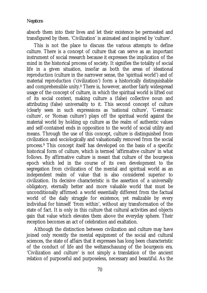absorb them into their lives and let their existence be permeated and transfigured by them. 'Civilization' is animated and inspired by 'culture'.

This is not the place to discuss the various attempts to define culture. There is a concept of culture that can serve as an important instrument of social research because it expresses the implication of the mind in the historical process of society. It signifies the totality of social life in a given situation, insofar as both the areas of ideational reproduction (culture in the narrower sense, the 'spiritual world') and of material reproduction ('civilization') form a historically distinguishable and comprehensible unity.8 There is, however, another fairly widespread usage of the concept of culture, in which the spiritual world is lifted out of its social context, making culture a (false) collective noun and attributing (false) universality to it. This second concept of culture (clearly seen in such expressions as 'national culture', 'Germanic culture', or 'Roman culture') plays off the spiritual world against the material world by holding up culture as the realm of authentic values and self-contained ends in opposition to the world of social utility and means. Through the use of this concept, culture is distinguished from civilization and sociologically and valuationally removed from the social process.9 This concept itself has developed on the basis of a specific historical form of culture, which is termed 'affirmative culture' in what follows. By affirmative culture is meant that culture of the bourgeois epoch which led in the course of its own development to the segregation from civilization of the mental and spiritual world as an independent realm of value that is also considered superior to civilization. Its decisive characteristic is the assertion of a universally obligatory, eternally better and more valuable world that must be unconditionally affirmed: a world essentially different from the factual world of the daily struggle for existence, yet realizable by every individual for himself 'from within', without any transformation of the state of fact. It is only in this culture that cultural activities and objects gain that value which elevates them above the everyday sphere. Their reception becomes an act of celebration and exaltation.

Although the distinction between civilization and culture may have joined only recently the mental equipment of the social and cultural sciences, the state of affairs that it expresses has long been characteristic of the conduct of life and the weltanschauung of the bourgeois era. 'Civilization and culture' is not simply a translation of the ancient relation of purposeful and purposeless, necessary and beautiful. As the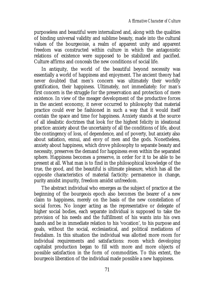purposeless and beautiful were internalized and, along with the qualities of binding universal validity and sublime beauty, made into the cultural values of the bourgeoisie, a realm of apparent unity and apparent freedom was constructed within culture in which the antagonistic relations of existence were supposed to be stabilized and pacified. Culture affirms and conceals the new conditions of social life.

In antiquity, the world of the beautiful beyond necessity was essentially a world of happiness and enjoyment. The ancient theory had never doubted that men's concern was ultimately their worldly gratification, their happiness. Ultimately, not immediately: for man's first concern is the struggle for the preservation and protection of mere existence. In view of the meager development of the productive forces in the ancient economy, it never occurred to philosophy that material practice could ever be fashioned in such a way that it would itself contain the space and time for happiness. Anxiety stands at the source of all idealistic doctrines that look for the highest felicity in ideational practice: anxiety about the uncertainty of all the conditions of life, about the contingency of loss, of dependence, and of poverty, but anxiety also about satiation, ennui, and envy of men and the gods. Nonetheless, anxiety about happiness, which drove philosophy to separate beauty and necessity, preserves the demand for happiness even within the separated sphere. Happiness becomes a preserve, in order for it to be able to be present at all. What man is to find in the philosophical knowledge of the true, the good, and the beautiful is ultimate pleasure, which has all the opposite characteristics of material facticity: permanence in change, purity amidst impurity, freedom amidst unfreedom.

The abstract individual who emerges as the subject of practice at the beginning of the bourgeois epoch also becomes the bearer of a new claim to happiness, merely on the basis of the new constellation of social forces. No longer acting as the representative or delegate of higher social bodies, each separate individual is supposed to take the provision of his needs and the fulfillment of his wants into his own hands and be in immediate relation to his 'vocation', to his purpose and goals, without the social, ecclesiastical, and political mediations of feudalism. In this situation the individual was allotted more room for individual requirements and satisfactions: room which developing capitalist production began to fill with more and more objects of possible satisfaction in the form of commodities. To this extent, the bourgeois liberation of the individual made possible a new happiness.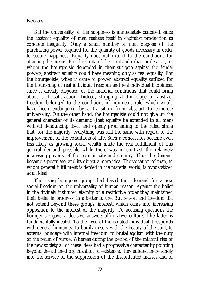But the universality of this happiness is immediately canceled, since the abstract equality of men realizes itself in capitalist production as concrete inequality. Only a small number of men dispose of the purchasing power required for the quantity of goods necessary in order to secure happiness. Equality does not extend to the conditions for attaining the means. For the strata of the rural and urban proletariat, on whom the bourgeoisie depended in their struggle against the feudal powers, abstract equality could have meaning only as real equality. For the bourgeoisie, when it came to power, abstract equality sufficed for the flourishing of real individual freedom and real individual happiness, since it already disposed of the material conditions that could bring about such satisfaction. Indeed, stopping at the stage of abstract freedom belonged to the conditions of bourgeois rule, which would have been endangered by a transition from abstract to concrete universality. On the other hand, the bourgeoisie could not give up the general character of its demand (that equality be extended to all men) without denouncing itself and openly proclaiming to the ruled strata that, for the majority, everything was still the same with regard to the improvement of the conditions of life. Such a concession became even less likely as growing social wealth made the real fulfillment of this general demand possible while there was in contrast the relatively increasing poverty of the poor in city and country. Thus the demand became a postulate, and its object a mere idea. The vocation of man, to whom general fulfillment is denied in the material world, is hypostatized as an ideal.

The rising bourgeois groups had based their demand for a new social freedom on the universality of human reason. Against the belief in the divinely instituted eternity of a restrictive order they maintained their belief in progress, in a better future. But reason and freedom did not extend beyond these groups' interest, which came into increasing opposition to the interest of the majority. To accusing questions the bourgeoisie gave a decisive answer: affirmative culture. The latter is fundamentally idealist. To the need of the isolated individual it responds with general humanity, to bodily misery with the beauty of the soul, to external bondage with internal freedom, to brutal egoism with the duty of the realm of virtue. Whereas during the period of the militant rise of the new society all of these ideas had a progressive character by pointing beyond the attained organization of existence, they entered increasingly into the service of the suppression of the discontented masses and of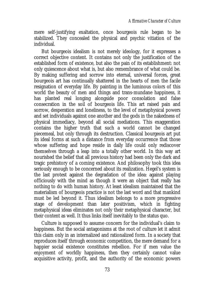mere self-justifying exaltation, once bourgeois rule began to be stabilized. They concealed the physical and psychic vitiation of the individual.

But bourgeois idealism is not merely ideology, for it expresses a correct objective content. It contains not only the justification of the established form of existence, but also the pain of its establishment: not only quiescence about what is, but also remembrance of what could be. By making suffering and sorrow into eternal, universal forces, great bourgeois art has continually shattered in the hearts of men the facile resignation of everyday life. By painting in the luminous colors of this world the beauty of men and things and trans-mundane happiness, it has planted real longing alongside poor consolation and false consecration in the soil of bourgeois life. This art raised pain and sorrow, desperation and loneliness, to the level of metaphysical powers and set individuals against one another and the gods in the nakedness of physical immediacy, beyond all social mediations. This exaggeration contains the higher truth that such a world cannot be changed piecemeal, but only through its destruction. Classical bourgeois art put its ideal forms at such a distance from everyday occurrence that those whose suffering and hope reside in daily life could only rediscover themselves through a leap into a totally other world. In this way art nourished the belief that all previous history had been only the dark and tragic prehistory of a coming existence. And philosophy took this idea seriously enough to be concerned about its realization. Hegel's system is the last protest against the degradation of the idea: against playing officiously with the mind as though it were an object that really has nothing to do with human history. At least idealism maintained that the materialism of bourgeois practice is not the last word and that mankind must be led beyond it. Thus idealism belongs to a more progressive stage of development than later positivism, which in fighting metaphysical ideas eliminates not only their metaphysical character, but their content as well. It thus links itself inevitably to the status quo.

Culture is supposed to assume concern for the individual's claim to happiness. But the social antagonisms at the root of culture let it admit this claim only in an internalized and rationalized form. In a society that reproduces itself through economic competition, the mere demand for a happier social existence constitutes rebellion. For if men value the enjoyment of worldly happiness, then they certainly cannot value acquisitive activity, profit, and the authority of the economic powers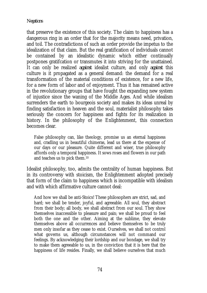# *Negations*

that preserve the existence of this society. The claim to happiness has a dangerous ring in an order that for the majority means need, privation, and toil. The contradictions of such an order provide the impetus to the idealization of that claim. But the real gratification of individuals cannot be contained by an idealistic dynamic which either continually postpones gratifcation or transmutes it into striving for the unattained. It can only be realized *against*idealist culture, and only *against*this culture is it propagated as a general demand: the demand for a real transformation of the material conditions of existence, for a new life, for a new form of labor and of enjoyment. Thus it has remained active in the revolutionary groups that have fought the expanding new system of injustice since the waning of the Middle Ages. And while idealism surrenders the earth to bourgeois society and makes its ideas unreal by finding satisfaction in heaven and the soul, materialist philosophy takes seriously the concern for happiness and fights for its realization in history. In the philosophy of the Enlightenment, this connection becomes clear.

False philosophy can, like theology, promise us an eternal happiness and, cradling us in beautiful chimeras, lead us there at the expense of our days or our pleasure. Quite different and wiser, true philosophy affords only a temporal happiness. It sows roses and flowers in our path and teaches us to pick them.10

Idealist philosophy, too, admits the centrality of human happiness. But in its controversy with stoicism, the Enlightenment adopted precisely that form of the claim to happiness which is incompatible with idealism and with which affirmative culture cannot deal:

And how we shall be anti-Stoics! These philosophers are strict, sad, and hard; we shall be tender, joyful, and agreeable. All soul, they abstract from their body; all body, we shall abstract from our soul. They show themselves inaccessible to pleasure and pain; we shall be proud to feel both the one and the other. Aiming at the sublime, they elevate themselves above all occurrences and believe themselves to be truly men only insofar as they cease to exist. Ourselves, we shall not control what governs us, although circumstances will not command our feelings. By acknowledging their lordship and our bondage, we shall try to make them agreeable to us, in the conviction that it is here that the happiness of life resides. Finally, we shall believe ourselves that much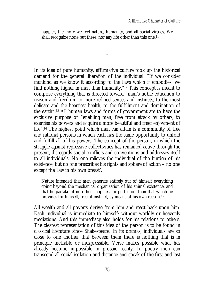happier, the more we feel nature, humanity, and all social virtues. We shall recognize none but these, nor any life other than this one.11

\*

In its idea of pure humanity, affirmative culture took up the historical demand for the general liberation of the individual. "If we consider mankind as we know it according to the laws which it embodies, we find nothing higher in man than humanity."12 This concept is meant to comprise everything that is directed toward "man's noble education to reason and freedom, to more refined senses and instincts, to the most delicate and the heartiest health, to the fulfillment and domination of the earth".13 All human laws and forms of government are to have the exclusive purpose of "enabling man, free from attack by others, to exercise his powers and acquire a more beautiful and freer enjoyment of life".14 The highest point which man can attain is a community of free and rational persons in which each has the same opportunity to unfold and fulfill all of his powers. The concept of the person, in which the struggle against repressive collectivities has remained active through the present, disregards social conflicts and conventions and addresses itself to all individuals. No one relieves the individual of the burden of his existence, but no one prescribes his rights and sphere of action – no one except the 'law in his own breast'.

Nature intended that man generate entirely out of himself everything going beyond the mechanical organization of his animal existence, and that he partake of no other happiness or perfection than that which he provides for himself, free of instinct, by means of his own reason.15

All wealth and all poverty derive from him and react back upon him. Each individual is immediate to himself: without worldly or heavenly mediations. And this immediacy also holds for his relations to others. The clearest representation of this idea of the person is to be found in classical literature since Shakespeare. In its dramas, individuals are so close to one another that between them there is nothing that is in principle ineffable or inexpressible. Verse makes possible what has already become impossible in prosaic reality. In poetry men can transcend all social isolation and distance and speak of the first and last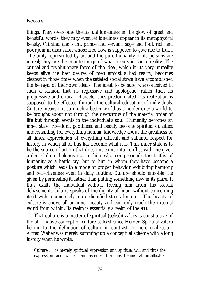things. They overcome the factual loneliness in the glow of great and beautiful words; they may even let loneliness appear in its metaphysical beauty. Criminal and saint, prince and servant, sage and fool, rich and poor join in discussion whose free flow is supposed to give rise to truth. The unity represented by art and the pure humanity of its persons are unreal; they are the counterimage of what occurs in social reality. The critical and revolutionary force of the ideal, which in its very unreality keeps alive the best desires of men amidst a bad reality, becomes clearest in those times when the satiated social strata have accomplished the betrayal of their own ideals. The ideal, to be sure, was conceived in such a fashion that its regressive and apologetic, rather than its progressive and critical, characteristics predominated. Its realization is supposed to be effected through the cultural education of individuals. Culture means not so much a better world as a nobler one: a world to be brought about not through the overthrow of the material order of life but through events in the individual's soul. Humanity becomes an inner state. Freedom, goodness, and beauty become spiritual qualities: understanding for everything human, knowledge about the greatness of all times, appreciation of everything difficult and sublime, respect for history in which all of this has become what it is. This inner state is to be the source of action that does not come into conflict with the given order. Culture belongs not to him who comprehends the truths of humanity as a battle cry, but to him in whom they have become a posture which leads to a mode of proper behavior: exhibiting harmony and reflectiveness even in daily routine. Culture should ennoble the given by permeating it, rather than putting something new in its place. It thus exalts the individual without freeing him from his factual debasement. Culture speaks of the dignity of 'man' without concerning itself with a concretely more dignified status for men. The beauty of culture is above all an inner beauty and can only reach the external world from within. Its realm is essentially a realm of the *soul*.

That culture is a matter of spiritual (*seelisch*) values is constitutive of the affirmative concept of culture at least since Herder. Spiritual values belong to the definition of culture in contrast to mere civilization. Alfred Weber was merely summing up a conceptual scheme with a long history when he wrote:

Culture … is merely spiritual expression and spiritual will and thus the expression and will of an 'essence' that lies behind all intellectual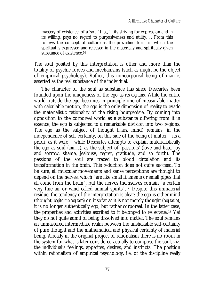mastery of existence, of a 'soul' that, in its striving for expression and in its willing, pays no regard to purposiveness and utility…. From this follows the concept of culture as the prevailing form in which the spiritual is expressed and released in the materially and spiritually given substance of existence.16

The soul posited by this interpretation is other and more than the totality of psychic forces and mechanisms (such as might be the object of empirical psychology). Rather, this noncorporeal being of man is asserted as the real substance of the individual.

The character of the soul as substance has since Descartes been founded upon the uniqueness of the ego as *res cogitans*. While the entire world outside the ego becomes in principle one of measurable matter with calculable motion, the ego is the only dimension of reality to evade the materialistic rationality of the rising bourgeoisie. By coming into opposition to the corporeal world as a substance differing from it in essence, the ego is subjected to a remarkable division into two regions. The ego as the subject of thought (*mens*, mind) remains, in the independence of self-certainty, on this side of the being of matter – its a priori, as it were – while Descartes attempts to explain materialistically the ego as soul (*anima*), as the subject of 'passions' (love and hate, joy and sorrow, shame, jealousy, regret, gratitude, and so forth). The passions of the soul are traced to blood circulation and its transformation in the brain. This reduction does not quite succeed. To be sure, all muscular movements and sense perceptions are thought to depend on the nerves, which "are like small filaments or small pipes that all come from the brain", but the nerves themselves contain "a certain very fine air or wind called animal spirits".17 Despite this immaterial residue, the tendency of the interpretation is clear: the ego is either mind (thought, *cogito me cogitare*) or, insofar as it is not merely thought (*cogitatio*), it is no longer authentically ego, but rather corporeal. In the latter case, the properties and activities ascribed to it belonged to *res extensa*. 18 Yet they do not quite admit of being dissolved into matter. The soul remains an unmastered intermediate realm between the unshakable self-certainty of pure thought and the mathematical and physical certainty of material being. Already in the original project of rationalism there is no room in the system for what is later considered actually to compose the soul, viz. the individual's feelings, appetites, desires, and instincts. The position within rationalism of empirical psychology, i.e. of the discipline really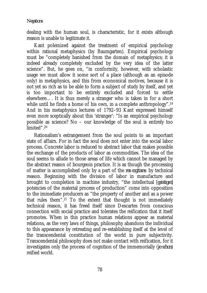dealing with the human soul, is characteristic, for it exists although reason is unable to legitimate it.

Kant polemized against the treatment of empirical psychology within rational metaphysics (by Baumgarten). Empirical psychology must be "completely banished from the domain of metaphysics; it is indeed already completely excluded by the very idea of the latter science". But, he goes on, "in conformity, however, with scholastic usage we must allow it some sort of a place (although as an episode only) in metaphysics, and this from economical motives, because it is not yet so rich as to be able to form a subject of study by itself, and yet is too important to be entirely excluded and forced to settle elsewhere…. It is thus merely a stranger who is taken in for a short while until he finds a home of his own, in a complete anthropology".<sup>19</sup> And in his metaphysics lectures of 1792–93 Kant expressed himself even more sceptically about this 'stranger': "Is an empirical psychology possible as science? No – our knowledge of the soul is entirely too limited".20

Rationalism's estrangement from the soul points to an important state of affairs. For in fact the soul does not enter into the social labor process. Concrete labor is reduced to abstract labor that makes possible the exchange of the products of labor as commodities. The idea of the soul seems to allude to those areas of life which cannot be managed by the abstract reason of bourgeois practice. It is as though the processing of matter is accomplished only by a part of the *res cogitans*:by technical reason. Beginning with the division of labor in manufacture and brought to completion in machine industry, "the intellectual [*geistigen*] potencies of the material process of production" come into opposition to the immediate producers as "the property of another and as a power that rules them".21 To the extent that thought is not immediately technical reason, it has freed itself since Descartes from conscious connection with social practice and tolerates the reification that it itself promotes. When in this practice human relations appear as material relations, as the very laws of things, philosophy abandons the individual to this appearance by retreating and re-establishing itself at the level of the transcendental constitution of the world in pure subjectivity. Transcendental philosophy does not make contact with reification, for it investigates only the process of cognition of the immemorially (*je schon*) reified world.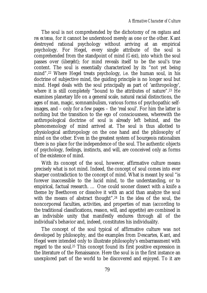The soul is not comprehended by the dichotomy of *res cogitans* and *res extensa,* for it cannot be understood merely as one or the other. Kant destroyed rational psychology without arriving at an empirical psychology. For Hegel, every single attribute of the soul is comprehended from the standpoint of mind (*Geist*), into which the soul passes over (*übergeht*); for mind reveals itself to be the soul's true content. The soul is essentially characterized by its "not yet being mind".22 Where Hegel treats psychology, i.e. the human soul, in his doctrine of subjective mind, the guiding principle is no longer soul but mind. Hegel deals with the soul principally as part of 'anthropology', where it is still completely "bound to the attributes of nature".23 He examines planetary life on a general scale, natural racial distinctions, the ages of man, magic, somnambulism, various forms of psychopathic selfimages, and – only for a few pages – the 'real soul'. For him the latter is nothing but the transition to the ego of consciousness, wherewith the anthropological doctrine of soul is already left behind, and the phenomenology of mind arrived at. The soul is thus allotted to physiological anthropology on the one hand and the philosophy of mind on the other. Even in the greatest system of bourgeois rationalism there is no place for the independence of the soul. The authentic objects of psychology, feelings, instincts, and will, are conceived only as forms of the existence of mind.

With its concept of the soul, however, affirmative culture means precisely what is not mind. Indeed, the concept of soul comes into ever sharper contradiction to the concept of mind. What is meant by soul "is forever inaccessible to the lucid mind, to the understanding, or to empirical, factual research. … One could sooner dissect with a knife a theme by Beethoven or dissolve it with an acid than analyze the soul with the means of abstract thought".<sup>24</sup> In the idea of the soul, the noncorporeal faculties, activities, and properties of man (according to the traditional classifications, reason, will, and appetite) are combined in an indivisible unity that manifestly endures through all of the individual's behavior and, indeed, constitutes his individuality.

The concept of the soul typical of affirmative culture was not developed by philosophy, and the examples from Descartes, Kant, and Hegel were intended only to illustrate philosophy's embarrassment with regard to the soul.25 This concept found its first positive expression in the literature of the Renaissance. Here the soul is in the first instance an unexplored part of the world to be discovered and enjoyed. To it are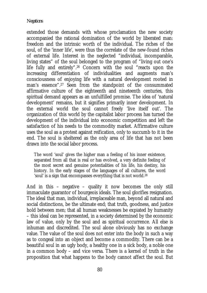# *Negations*

extended those demands with whose proclamation the new society accompanied the rational domination of the world by liberated man: freedom and the intrinsic worth of the individual. The riches of the soul, of the 'inner life', were thus the correlate of the new-found riches of external life. Interest in the neglected "individual, incomparable, living states" of the soul belonged to the program of "living out one's life fully and entirely".26 Concern with the soul "reacts upon the increasing differentiation of individualities and augments man's consciousness of enjoying life with a natural development rooted in man's essence".27 Seen from the standpoint of the consummated affirmative culture of the eighteenth and nineteenth centuries, this spiritual demand appears as an unfulfilled promise. The idea of 'natural development' remains, but it signifies primarily inner development. In the external world the soul cannot freely 'live itself out'. The organization of this world by the capitalist labor process has turned the development of the individual into economic competition and left the satisfaction of his needs to the commodity market. Affirmative culture uses the soul as a protest against reification, only to succumb to it in the end. The soul is sheltered as the only area of life that has not been drawn into the social labor process.

The word 'soul' gives the higher man a feeling of his inner existence, separated from all that is real or has evolved, a very definite feeling of the most secret and genuine potentialities of his life, his destiny, his history. In the early stages of the languages of all cultures, the word 'soul' is a sign that encompasses everything that is not world.28

And in this – negative – quality it now becomes the only still immaculate guarantor of bourgeois ideals. The soul glorifies resignation. The ideal that man, individual, irreplaceable man, beyond all natural and social distinctions, be the ultimate end; that truth, goodness, and justice hold between men; that all human weaknesses be expiated by humanity – this ideal can be represented, in a society determined by the economic law of value, only by the soul and as spiritual occurrence. All else is inhuman and discredited. The soul alone obviously has no exchange value. The value of the soul does not enter into the body in such a way as to congeal into an object and become a commodity. There can be a beautiful soul in an ugly body, a healthy one in a sick body, a noble one in a common body – and vice versa. There is a kernel of truth in the proposition that what happens to the body cannot affect the soul. But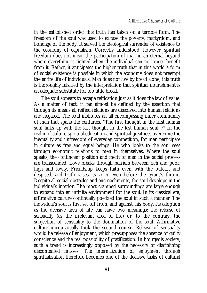in the established order this truth has taken on a terrible form. The freedom of the soul was used to excuse the poverty, martyrdom, and bondage of the body. It served the ideological surrender of existence to the economy of capitalism. Correctly understood, however, spiritual freedom does not mean the participation of man in an eternal beyond where everything is righted when the individual can no longer benefit from it. Rather, it anticipates the higher truth that in this world a form of social existence is possible in which the economy does not preempt the entire life of individuals. Man does not live by bread alone; this truth is thoroughly falsified by the interpretation that spiritual nourishment is an adequate substitute for too little bread.

The soul appears to escape reification just as it does the law of value. As a matter of fact, it can almost be defined by the assertion that through its means all reified relations are dissolved into human relations and negated. The soul institutes an all-encompassing inner community of men that spans the centuries. "The first thought in the first human soul links up with the last thought in the last human soul."<sup>29</sup> In the realm of culture spiritual education and spiritual greatness overcome the inequality and unfreedom of everyday competition, for men participate in culture as free and equal beings. He who looks to the soul sees through economic relations to men in themselves. Where the soul speaks, the contingent position and merit of men in the social process are transcended. Love breaks through barriers between rich and poor, high and lowly. Friendship keeps faith even with the outcast and despised, and truth raises its voice even before the tyrant's throne. Despite all social obstacles and encroachments, the soul develops in the individual's interior. The most cramped surroundings are large enough to expand into an infinite environment for the soul. In its classical era, affirmative culture continually poetized the soul in such a manner. The individual's soul is first set off from, and against, his body. Its adoption as the decisive area of life can have two meanings: the release of sensuality (as the irrelevant area of life) or, to the contrary, the subjection of sensuality to the domination of the soul. Affirmative culture unequivocally took the second course. Release of sensuality would be release of enjoyment, which presupposes the absence of guilty conscience and the real possibility of gratification. In bourgeois society, such a trend is increasingly opposed by the necessity of disciplining discontented masses. The internalization of enjoyment through spiritualization therefore becomes one of the decisive tasks of cultural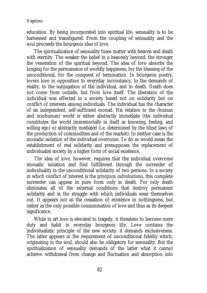education. By being incorporated into spiritual life, sensuality is to be harnessed and transfigured. From the coupling of sensuality and the soul proceeds the bourgeois idea of love.

The spiritualization of sensuality fuses matter with heaven and death with eternity. The weaker the belief in a heavenly beyond, the stronger the veneration of the spiritual beyond. The idea of love absorbs the longing for the permanence of worldly happiness, for the blessing of the unconditional, for the conquest of termination. In bourgeois poetry, lovers love in opposition to everyday inconstancy, to the demands of reality, to the subjugation of the individual, and to death. Death does not come from outside, but from love itself. The liberation of the individual was effected in a society based not on solidarity but on conflict of interests among individuals. The individual has the character of an independent, self-sufficient monad. His relation to the (human and nonhuman) world is either abstractly immediate (the individual constitutes the world immemorially in itself as knowing, feeling, and willing ego) or abstractly mediated (i.e. determined by the blind laws of the production of commodities and of the market). In neither case is the monadic isolation of the individual overcome. To do so would mean the establishment of real solidarity and presupposes the replacement of individualist society by a higher form of social existence.

The idea of love, however, requires that the individual overcome monadic isolation and find fulfillment through the surrender of individuality in the unconditional solidarity of two persons. In a society in which conflict of interest is the *principium individuationis*, this complete surrender can appear in pure form only in death. For only death eliminates all of the external conditions that destroy permanent solidarity and in the struggle with which individuals wear themselves out. It appears not as the cessation of existence in nothingness, but rather as the only possible consummation of love and thus as its deepest significance.

While in art love is elevated to tragedy, it threatens to become mere duty and habit in everyday bourgeois life. Love contains the individualistic principle of the new society: it demands exclusiveness. The latter appears in the requirement of unconditional fidelity which, originating in the soul, should also be obligatory for sensuality. But the spiritualization of sensuality demands of the latter what it cannot achieve: withdrawal from change and fluctuation and absorption into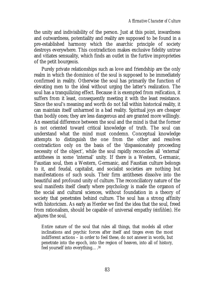the unity and indivisibility of the person. Just at this point, inwardness and outwardness, potentiality and reality are supposed to be found in a pre-established harmony which the anarchic principle of society destroys everywhere. This contradiction makes exclusive fidelity untrue and vitiates sensuality, which finds an outlet in the furtive improprieties of the petit bourgeois.

Purely private relationships such as love and friendship are the only realm in which the dominion of the soul is supposed to be immediately confirmed in reality. Otherwise the soul has primarily the function of elevating men to the ideal without urging the latter's realization. The soul has a tranquilizing effect. Because it is exempted from reification, it suffers from it least, consequently meeting it with the least resistance. Since the soul's meaning and worth do not fall within historical reality, it can maintain itself unharmed in a bad reality. Spiritual joys are cheaper than bodily ones; they are less dangerous and are granted more willingly. An essential difference between the soul and the mind is that the former is not oriented toward critical knowledge of truth. The soul can understand what the mind must condemn. Conceptual knowledge attempts to distinguish the one from the other and resolves contradiction only on the basis of the 'dispassionately proceeding necessity of the object', while the soul rapidly reconciles all 'external' antitheses in some 'internal' unity. If there is a Western, Germanic, Faustian soul, then a Western, Germanic, and Faustian culture belongs to it, and feudal, capitalist, and socialist societies are nothing but manifestations of such souls. Their firm antitheses dissolve into the beautiful and profound unity of culture. The reconciliatory nature of the soul manifests itself clearly where psychology is made the organon of the social and cultural sciences, without foundation in a theory of society that penetrates behind culture. The soul has a strong affinity with historicism. As early as Herder we find the idea that the soul, freed from rationalism, should be capable of universal empathy (*einfühlen*). He adjures the soul,

Entire nature of the soul that rules all things, that models all other inclinations and psychic forces after itself and tinges even the most indifferent actions – in order to feel these, do not answer in words, but penetrate into the epoch, into the region of heaven, into all of history, feel yourself into everything….30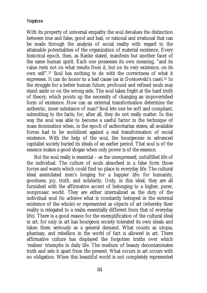With its property of universal empathy the soul devalues the distinction between true and false, good and bad, or rational and irrational that can be made through the analysis of social reality with regard to the attainable potentialities of the organization of material existence. Every historical epoch, then, as Ranke stated, manifests but another facet of the same human spirit. Each one possesses its own meaning, "and its value rests not on what results from it, but on its very existence, on its own self".31 Soul has nothing to do with the correctness of what it expresses. It can do honor to a bad cause (as in Dostoevski's case).32 In the struggle for a better human future, profound and refined souls may stand aside or on the wrong side. The soul takes fright at the hard truth of theory, which points up the necessity of changing an impoverished form of existence. How can an external transformation determine the authentic, inner substance of man? Soul lets one be soft and compliant, submitting to the facts; for, after all, they do not really matter. In this way the soul was able to become a useful factor in the technique of mass domination when, in the epoch of authoritarian states, all available forces had to be mobilized against a real transformation of social existence. With the help of the soul, the bourgeoisie in advanced capitalist society buried its ideals of an earlier period. That soul is of the essence makes a good slogan when only power is of the essence.

But the soul really is essential – as the unexpressed, unfulfilled life of the individual. The culture of souls absorbed in a false form those forces and wants which could find no place in everyday life. The cultural ideal assimilated men's longing for a happier life: for humanity, goodness, joy, truth, and solidarity. Only, in this ideal, they are all furnished with the affirmative accent of belonging to a higher, purer, nonprosaic world. They are either internalized as the duty of the individual soul (to achieve what is constantly betrayed in the external existence of the whole) or represented as objects of art (whereby their reality is relegated to a realm essentially different from that of everyday life). There is a good reason for the exemplification of the cultural ideal in art, for only in art has bourgeois society tolerated its own ideals and taken them seriously as a general demand. What counts as utopia, phantasy, and rebellion in the world of fact is allowed in art. There affirmative culture has displayed the forgotten truths over which 'realism' triumphs in daily life. The medium of beauty decontaminates truth and sets it apart from the present. What occurs in art occurs with no obligation. When this beautiful world is not completely represented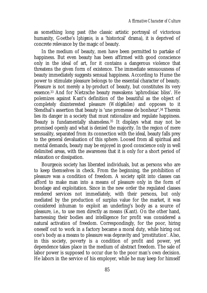as something long past (the classic artistic portrayal of victorious humanity, Goethe's *Iphigenie*, is a 'historical' drama), it is deprived of concrete relevance by the magic of beauty.

In the medium of beauty, men have been permitted to partake of happiness. But even beauty has been affirmed with good conscience only in the ideal of art, for it contains a dangerous violence that threatens the given form of existence. The immediate sensuousness of beauty immediately suggests sensual happiness. According to Hume the power to stimulate pleasure belongs to the essential character of beauty. Pleasure is not merely a by-product of beauty, but constitutes its very essence.33 And for Nietzsche beauty reawakens 'aphrodisiac bliss'. He polemizes against Kant's definition of the beautiful as the object of completely disinterested pleasure (*Wohlgefallen*) and opposes to it Stendhal's assertion that beauty is 'une promesse de bonheur'.<sup>34</sup> Therein lies its danger in a society that must rationalize and regulate happiness. Beauty is fundamentally shameless.35 It displays what may not be promised openly and what is denied the majority. In the region of mere sensuality, separated from its connection with the ideal, beauty falls prey to the general devaluation of this sphere. Loosed from all spiritual and mental demands, beauty may be enjoyed in good conscience only in well delimited areas, with the awareness that it is only for a short period of relaxation or dissipation.

Bourgeois society has liberated individuals, but as persons who are to keep themselves in check. From the beginning, the prohibition of pleasure was a condition of freedom. A society split into classes can afford to make man into a means of pleasure only in the form of bondage and exploitation. Since in the new order the regulated classes rendered services not immediately, with their persons, but only mediated by the production of surplus value for the market, it was considered inhuman to exploit an underling's body as a source of pleasure, i.e., to use men directly as means (Kant). On the other hand, harnessing their bodies and intelligence for profit was considered a natural activation of freedom. Correspondingly, for the poor, hiring oneself out to work in a factory became a moral duty, while hiring out one's body as a means to pleasure was depravity and 'prostitution'. Also, in this society, poverty is a condition of profit and power, yet dependence takes place in the medium of abstract freedom. The sale of labor power is supposed to occur due to the poor man's own decision. He labors in the service of his employer, while he may keep for himself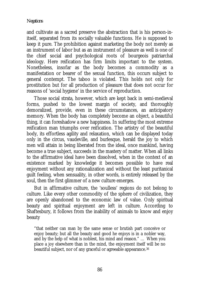and cultivate as a sacred preserve the abstraction that is his person-initself, separated from its socially valuable functions. He is supposed to keep it pure. The prohibition against marketing the body not merely as an instrument of labor but as an instrument of pleasure as well is one of the chief social and psychological roots of bourgeois patriarchal ideology. Here reification has firm limits important to the system. Nonetheless, insofar as the body becomes a commodity as a manifestation or bearer of the sexual function, this occurs subject to general contempt. The taboo is violated. This holds not only for prostitution but for all production of pleasure that does not occur for reasons of 'social hygiene' in the service of reproduction.

Those social strata, however, which are kept back in semi-medieval forms, pushed to the lowest margin of society, and thoroughly demoralized, provide, even in these circumstances, an anticipatory memory. When the body has completely become an object, a beautiful thing, it can foreshadow a new happiness. In suffering the most extreme reification man triumphs over reification. The artistry of the beautiful body, its effortless agility and relaxation, which can be displayed today only in the circus, vaudeville, and burlesque, herald the joy to which men will attain in being liberated from the ideal, once mankind, having become a true subject, succeeds in the mastery of matter. When all links to the affirmative ideal have been dissolved, when in the context of an existence marked by knowledge it becomes possible to have real enjoyment without any rationalization and without the least puritanical guilt feeling, when sensuality, in other words, is entirely released by the soul, then the first glimmer of a new culture emerges.

But in affirmative culture, the 'soulless' regions do not belong to culture. Like every other commodity of the sphere of civilization, they are openly abandoned to the economic law of value. Only spiritual beauty and spiritual enjoyment are left in culture. According to Shaftesbury, it follows from the inability of animals to know and enjoy beauty

"that neither can man by the same sense or brutish part conceive or enjoy beauty; but all the beauty and good he enjoys is in a nobler way, and by the help of what is noblest, his mind and reason." … When you place a joy elsewhere than in the mind, the enjoyment itself will be no beautiful subject, nor of any graceful or agreeable appearance.36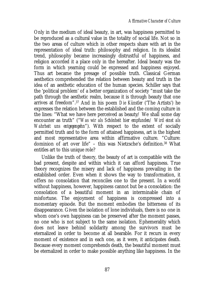Only in the medium of ideal beauty, in art, was happiness permitted to be reproduced as a cultural value in the totality of social life. Not so in the two areas of culture which in other respects share with art in the representation of ideal truth: philosophy and religion. In its idealist trend, philosophy became increasingly distrustful of happiness, and religion accorded it a place only in the hereafter. Ideal beauty was the form in which yearning could be expressed and happiness enjoyed. Thus art became the presage of possible truth. Classical German aesthetics comprehended the relation between beauty and truth in the idea of an aesthetic education of the human species. Schiller says that the 'political problem' of a better organization of society "must take the path through the aesthetic realm, because it is through beauty that one arrives at freedom".37 And in his poem *Die Künstler* ('The Artists') he expresses the relation between the established and the coming culture in the lines: "What we have here perceived as beauty/ We shall some day encounter as truth" ("*Was wir als Schönheit hier empfunden/ Wird einst als Wahrheit uns entgegengehn*"). With respect to the extent of socially permitted truth and to the form of attained happiness, art is the highest and most representative area within affirmative culture. "Culture: dominion of art over life" – this was Nietzsche's definition.38 What entitles art to this unique role?

Unlike the truth of theory, the beauty of art is compatible with the bad present, despite and within which it can afford happiness. True theory recognizes the misery and lack of happiness prevailing in the established order. Even when it shows the way to transformation, it offers no consolation that reconciles one to the present. In a world without happiness, however, happiness cannot but be a consolation: the consolation of a beautiful moment in an interminable chain of misfortune. The enjoyment of happiness is compressed into a momentary episode. But the moment embodies the bitterness of its disappearance. Given the isolation of lone individuals, there is no one in whom one's own happiness can be preserved after the moment passes, no one who is not subject to the same isolation. Ephemerality which does not leave behind solidarity among the survivors must be eternalized in order to become at all bearable. For it recurs in every moment of existence and in each one, as it were, it anticipates death. Because every moment comprehends death, the beautiful moment must be eternalized in order to make possible anything like happiness. In the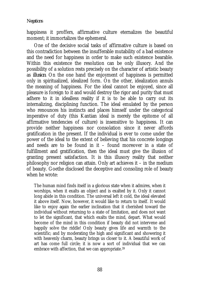happiness it proffers, affirmative culture eternalizes the beautiful moment; it immortalizes the ephemeral.

One of the decisive social tasks of affirmative culture is based on this contradiction between the insufferable mutability of a bad existence and the need for happiness in order to make such existence bearable. Within this existence the resolution can be only illusory. And the possibility of a solution rests precisely on the character of artistic beauty as *illusion*. On the one hand the enjoyment of happiness is permitted only in spiritualized, idealized form. On the other, idealization annuls the meaning of happiness. For the ideal cannot be enjoyed, since all pleasure is foreign to it and would destroy the rigor and purity that must adhere to it in idealless reality if it is to be able to carry out its internalizing, disciplining function. The ideal emulated by the person who renounces his instincts and places himself under the categorical imperative of duty (this Kantian ideal is merely the epitome of all affirmative tendencies of culture) is insensitive to happiness. It can provide neither happiness nor consolation since it never affords gratification in the present. If the individual is ever to come under the power of the ideal to the extent of believing that his concrete longings and needs are to be found in it – found moreover in a state of fulfillment and gratification, then the ideal must give the illusion of granting present satisfaction. It is this illusory reality that neither philosophy nor religion can attain. Only art achieves it – in the medium of beauty. Goethe disclosed the deceptive and consoling role of beauty when he wrote:

The human mind finds itself in a glorious state when it admires, when it worships, when it exalts an object and is exalted by it. Only it cannot long abide in this condition. The universal left it cold, the ideal elevated it above itself. Now, however, it would like to return to itself. It would like to enjoy again the earlier inclination that it cherished toward the individual without returning to a state of limitation, and does not want to let the significant, that which exalts the mind, depart. What would become of the mind in this condition if beauty did not intervene and happily solve the riddle! Only beauty gives life and warmth to the scientific; and by moderating the high and significant and showering it with heavenly charm, beauty brings us closer to it. A beautiful work of art has come full circle; it is now a sort of individual that we can embrace with affection, that we can appropriate.<sup>39</sup>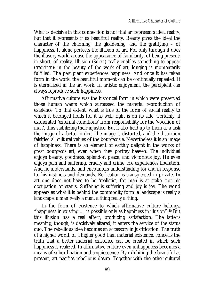What is decisive in this connection is not that art represents ideal reality, but that it represents it as beautiful reality. Beauty gives the ideal the character of the charming, the gladdening, and the gratifying – of happiness. It alone perfects the illusion of art. For only through it does the illusory world arouse the appearance of familiarity, of being present: in short, of reality. Illusion (*Schein*) really enables something to appear (*erscheinen*): in the beauty of the work of art, longing is momentarily fulfilled. The percipient experiences happiness. And once it has taken form in the work, the beautiful moment can be continually repeated. It is eternalized in the art work. In artistic enjoyment, the percipient can always reproduce such happiness.

Affirmative culture was the historical form in which were preserved those human wants which surpassed the material reproduction of existence. To that extent, what is true of the form of social reality to which it belonged holds for it as well: right is on its side. Certainly, it exonerated 'external conditions' from responsibility for the 'vocation of man', thus stabilizing their injustice. But it also held up to them as a task the image of a better order. The image is distorted, and the distortion falsified all cultural values of the bourgeoisie. Nevertheless it is an image of happiness. There is an element of earthly delight in the works of great bourgeois art, even when they portray heaven. The individual enjoys beauty, goodness, splendor, peace, and victorious joy. He even enjoys pain and suffering, cruelty and crime. He experiences liberation. And he understands, and encounters understanding for and in response to, his instincts and demands. Reification is transpierced in private. In art one does not have to be 'realistic', for man is at stake, not his occupation or status. Suffering is suffering and joy is joy. The world appears as what it is behind the commodity form: a landscape is really a landscape, a man really a man, a thing really a thing.

In the form of existence to which affirmative culture belongs, "happiness in existing … is possible only as happiness in illusion".40 But this illusion has a real effect, producing satisfaction. The latter's meaning, though, is decisively altered; it enters the service of the status quo. The rebellious idea becomes an accessory in justification. The truth of a higher world, of a higher good than material existence, conceals the truth that a better material existence can be created in which such happiness is realized. In affirmative culture even unhappiness becomes a means of subordination and acquiescence. By exhibiting the beautiful as present, art pacifies rebellious desire. Together with the other cultural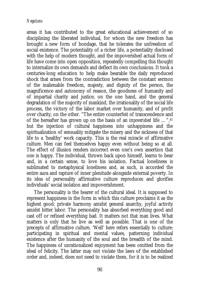areas it has contributed to the great educational achievement of so disciplining the liberated individual, for whom the new freedom has brought a new form of bondage, that he tolerates the unfreedom of social existence. The potentiality of a richer life, a potentiality disclosed with the help of modern thought, and the impoverished actual form of life have come into open opposition, repeatedly compelling this thought to internalize its own demands and deflect its own conclusions. It took a centuries-long education to help make bearable the daily reproduced shock that arises from the contradiction between the constant sermon of the inalienable freedom, majesty, and dignity of the person, the magnificence and autonomy of reason, the goodness of humanity and of impartial charity and justice, on the one hand, and the general degradation of the majority of mankind, the irrationality of the social life process, the victory of the labor market over humanity, and of profit over charity, on the other. "The entire counterfeit of transcendence and of the hereafter has grown up on the basis of an *impoverished*life …",41 but the injection of cultural happiness into unhappiness and the spiritualization of sensuality mitigate the misery and the sickness of that life to a 'healthy' work capacity. This is the real miracle of affirmative culture. Men can feel themselves happy even without being so at all. The effect of illusion renders incorrect even one's own assertion that one is happy. The individual, thrown back upon himself, learns to bear and, in a certain sense, to love his isolation. Factual loneliness is sublimated to metaphysical loneliness and, as such, is accorded the entire aura and rapture of inner plenitude alongside external poverty. In its idea of personality affirmative culture reproduces and glorifies individuals' social isolation and impoverishment.

The personality is the bearer of the cultural ideal. It is supposed to represent happiness in the form in which this culture proclaims it as the highest good: private harmony amidst general anarchy, joyful activity amidst bitter labor. The personality has absorbed everything good and cast off or refined everything bad. It matters not that man lives. What matters is only that he live as well as possible. That is one of the precepts of affirmative culture. 'Well' here refers essentially to culture: participating in spiritual and mental values, patterning individual existence after the humanity of the soul and the breadth of the mind. The happiness of unrationalized enjoyment has been omitted from the ideal of felicity. The latter may not violate the laws of the established order and, indeed, does not need to violate them, for it is to be realized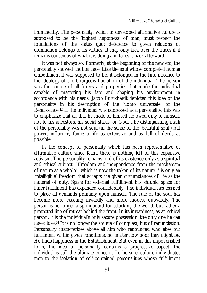immanently. The personality, which in developed affirmative culture is supposed to be the 'highest happiness' of man, must respect the foundations of the status quo: deference to given relations of domination belongs to its virtues. It may only kick over the traces if it remains conscious of what it is doing and takes it back afterward.

It was not always so. Formerly, at the beginning of the new era, the personality showed another face. Like the soul whose completed human embodiment it was supposed to be, it belonged in the first instance to the ideology of the bourgeois liberation of the individual. The person was the source of all forces and properties that made the individual capable of mastering his fate and shaping his environment in accordance with his needs. Jacob Burckhardt depicted this idea of the personality in his description of the 'uomo universale' of the Renaissance.42 If the individual was addressed as a personality, this was to emphasize that all that he made of himself he owed only to himself, not to his ancestors, his social status, or God. The distinguishing mark of the personality was not soul (in the sense of the 'beautiful soul') but power, influence, fame: a life as extensive and as full of deeds as possible.

In the concept of personality which has been representative of affirmative culture since Kant, there is nothing left of this expansive activism. The personality remains lord of its existence only as a spiritual and ethical subject. "Freedom and independence from the mechanism of nature as a whole", which is now the token of its nature,43 is only an 'intelligible' freedom that accepts the given circumstances of life as the material of duty. Space for external fulfillment has shrunk; space for inner fulfillment has expanded considerably. The individual has learned to place all demands primarily upon himself. The rule of the soul has become more exacting inwardly and more modest outwardly. The person is no longer a springboard for attacking the world, but rather a protected line of retreat behind the front. In its inwardness, as an ethical person, it is the individual's only secure possession, the only one he can never lose.44 It is no longer the source of conquest, but of renunciation. Personality characterizes above all him who renounces, who ekes out fulfillment within given conditions, no matter how poor they might be. He finds happiness in the Establishment. But even in this impoverished form, the idea of personality contains a progressive aspect: the individual is still the ultimate concern. To be sure, culture individuates men to the isolation of self-contained personalities whose fulfillment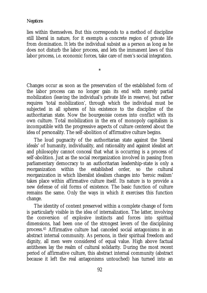lies within themselves. But this corresponds to a method of discipline still liberal in nature, for it exempts a concrete region of private life from domination. It lets the individual subsist as a person as long as he does not disturb the labor process, and lets the immanent laws of this labor process, i.e. economic forces, take care of men's social integration.

\*

Changes occur as soon as the preservation of the established form of the labor process can no longer gain its end with merely partial mobilization (leaving the individual's private life in reserve), but rather requires 'total mobilization', through which the individual must be subjected in all spheres of his existence to the discipline of the authoritarian state. Now the bourgeoisie comes into conflict with its own culture. Total mobilization in the era of monopoly capitalism is incompatible with the progressive aspects of culture centered about the idea of personality. The self-abolition of affirmative culture begins.

The loud pugnacity of the authoritarian state against the 'liberal ideals' of humanity, individuality, and rationality and against idealist art and philosophy cannot conceal that what is occurring is a process of self-abolition. Just as the social reorganization involved in passing from parliamentary democracy to an authoritarian leadership-state is only a reorganization within the established order, so the cultural reorganization in which liberalist idealism changes into 'heroic realism' takes place within affirmative culture itself. Its nature is to provide a new defense of old forms of existence. The basic function of culture remains the same. Only the ways in which it exercises this function change.

The identity of content preserved within a complete change of form is particularly visible in the idea of internalization. The latter, involving the conversion of explosive instincts and forces into spiritual dimensions, had been one of the strongest levers of the disciplining process.45 Affirmative culture had canceled social antagonisms in an abstract internal community. As persons, in their spiritual freedom and dignity, all men were considered of equal value. High above factual antitheses lay the realm of cultural solidarity. During the most recent period of affirmative culture, this abstract internal community (abstract because it left the real antagonisms untouched) has turned into an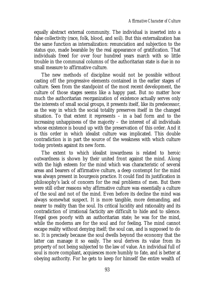equally abstract external community. The individual is inserted into a false collectivity (race, folk, blood, and soil). But this externalization has the same function as internalization: renunciation and subjection to the status quo, made bearable by the real appearance of gratification. That individuals freed for over four hundred years march with so little trouble in the communal columns of the authoritarian state is due in no small measure to affirmative culture.

The new methods of discipline would not be possible without casting off the progressive elements contained in the earlier stages of culture. Seen from the standpoint of the most recent development, the culture of those stages seems like a happy past. But no matter how much the authoritarian reorganization of existence actually serves only the interests of small social groups, it presents itself, like its predecessor, as the way in which the social totality preserves itself in the changed situation. To that extent it represents – in a bad form and to the increasing unhappiness of the majority – the interest of all individuals whose existence is bound up with the preservation of this order. And it is this order in which idealist culture was implicated. This double contradiction is in part the source of the weakness with which culture today protests against its new form.

The extent to which idealist inwardness is related to heroic outwardness is shown by their united front against the mind. Along with the high esteem for the mind which was characteristic of several areas and bearers of affirmative culture, a deep contempt for the mind was always present in bourgeois practice. It could find its justification in philosophy's lack of concern for the real problems of men. But there were still other reasons why affirmative culture was essentially a culture of the soul and not of the mind. Even before its decline the mind was always somewhat suspect. It is more tangible, more demanding, and nearer to reality than the soul. Its critical lucidity and rationality and its contradiction of irrational facticity are difficult to hide and to silence. Hegel goes poorly with an authoritarian state; he was for the mind, while the moderns are for the soul and for feeling. The mind cannot escape reality without denying itself; the soul can, and is supposed to do so. It is precisely because the soul dwells beyond the economy that the latter can manage it so easily. The soul derives its value from its property of not being subjected to the law of value. An individual full of soul is more compliant, acquiesces more humbly to fate, and is better at obeying authority. For he gets to keep for himself the entire wealth of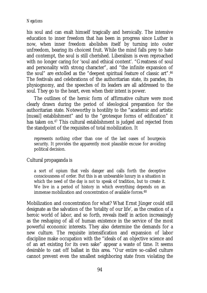his soul and can exalt himself tragically and heroically. The intensive education to inner freedom that has been in progress since Luther is now, when inner freedom abolishes itself by turning into outer unfreedom, bearing its choicest fruit. While the mind falls prey to hate and contempt, the soul is still cherished. Liberalism is even reproached with no longer caring for 'soul and ethical content'. "Greatness of soul and personality with strong character", and "the infinite expansion of the soul" are extolled as the "deepest spiritual feature of classic art".46 The festivals and celebrations of the authoritarian state, its parades, its physiognomy, and the speeches of its leaders are all addressed to the soul. They go to the heart, even when their intent is power.

The outlines of the heroic form of affirmative culture were most clearly drawn during the period of ideological preparation for the authoritarian state. Noteworthy is hostility to the "academic and artistic [*museal*] establishment" and to the "grotesque forms of edification" it has taken on.47 This cultural establishment is judged and rejected from the standpoint of the requisites of total mobilization. It

represents nothing other than one of the last oases of bourgeois security. It provides the apparently most plausible excuse for avoiding political decision.

# Cultural propaganda is

a sort of opium that veils danger and calls forth the deceptive consciousness of order. But this is an unbearable luxury in a situation in which the need of the day is not to speak of tradition, but to create it. We live in a period of history in which everything depends on an immense mobilization and concentration of available forces.<sup>48</sup>

Mobilization and concentration for what? What Ernst Jünger could still designate as the salvation of the 'totality of our life', as the creation of a heroic world of labor, and so forth, reveals itself in action increasingly as the reshaping of all of human existence in the service of the most powerful economic interests. They also determine the demands for a new culture. The requisite intensification and expansion of labor discipline make occupation with the "ideals of an objective science and of an art existing for its own sake" appear a waste of time. It seems desirable to cast off ballast in this area. "Our entire so-called culture cannot prevent even the smallest neighboring state from violating the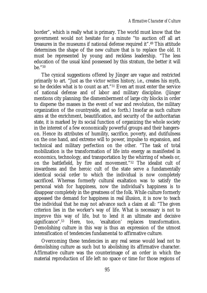border", which is really what is primary. The world must know that the government would not hesitate for a minute "to auction off all art treasures in the museums if national defense required it".49 This attitude determines the shape of the new culture that is to replace the old. It must be represented by young and reckless leadership. "The less education of the usual kind possessed by this stratum, the better it will be."50

The cynical suggestions offered by Jünger are vague and restricted primarily to art. "Just as the victor writes history, i.e., creates his myth, so he decides what is to count as art."51 Even art must enter the service of national defense and of labor and military discipline. (Jünger mentions city planning: the dismemberment of large city blocks in order to disperse the masses in the event of war and revolution, the military organization of the countryside, and so forth.) Insofar as such culture aims at the enrichment, beautification, and security of the authoritarian state, it is marked by its social function of organizing the whole society in the interest of a few economically powerful groups and their hangerson. Hence its attributes of humility, sacrifice, poverty, and dutifulness on the one hand, and extreme will to power, impulse to expansion, and technical and military perfection on the other. "The task of total mobilization is the transformation of life into energy as manifested in economics, technology, and transportation by the whirring of wheels or, on the battlefield, by fire and movement."52 The idealist cult of inwardness and the heroic cult of the state serve a fundamentally identical social order to which the individual is now completely sacrificed. Whereas formerly cultural exaltation was to satisfy the personal wish for happiness, now the individual's happiness is to disappear completely in the greatness of the folk. While culture formerly appeased the demand for happiness in real illusion, it is now to teach the individual that he may not advance such a claim at all: "The given criterion lies in the worker's way of life. What is necessary is not to improve this way of life, but to lend it an ultimate and decisive significance".53 Here, too, 'exaltation' replaces transformation. Demolishing culture in this way is thus an expression of the utmost intensification of tendencies fundamental to affirmative culture.

Overcoming these tendencies in any real sense would lead not to demolishing culture as such but to abolishing its affirmative character. Affirmative culture was the counterimage of an order in which the material reproduction of life left no space or time for those regions of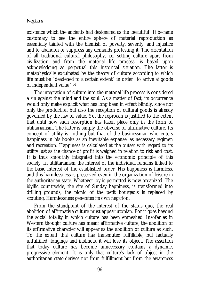existence which the ancients had designated as the 'beautiful'. It became customary to see the entire sphere of material reproduction as essentially tainted with the blemish of poverty, severity, and injustice and to abandon or suppress any demands protesting it. The orientation of all traditional cultural philosophy, i.e. setting culture apart from civilization and from the material life process, is based upon acknowledging as perpetual this historical situation. The latter is metaphysically exculpated by the theory of culture according to which life must be "deadened to a certain extent" in order "to arrive at goods of independent value".54

The integration of culture into the material life process is considered a sin against the mind and the soul. As a matter of fact, its occurrence would only make explicit what has long been in effect blindly, since not only the production but also the reception of cultural goods is already governed by the law of value. Yet the reproach is justified to the extent that until now such resorption has taken place only in the form of utilitarianism. The latter is simply the obverse of affirmative culture. Its concept of utility is nothing but that of the businessman who enters happiness in his books as an inevitable expense: as necessary regimen and recreation. Happiness is calculated at the outset with regard to its utility just as the chance of profit is weighed in relation to risk and cost. It is thus smoothly integrated into the economic principle of this society. In utilitarianism the interest of the individual remains linked to the basic interest of the established order. His happiness is harmless, and this harmlessness is preserved even in the organization of leisure in the authoritarian state. Whatever joy is permitted is now organized. The idyllic countryside, the site of Sunday happiness, is transformed into drilling grounds, the picnic of the petit bourgeois is replaced by scouting. Harmlessness generates its own negation.

From the standpoint of the interest of the status quo, the real abolition of affirmative culture must appear utopian. For it goes beyond the social totality in which culture has been enmeshed. Insofar as in Western thought culture has meant affirmative culture, the abolition of its affirmative character will appear as the abolition of culture as such. To the extent that culture has transmuted fulfillable, but factually unfulfilled, longings and instincts, it will lose its object. The assertion that today culture has become unnecessary contains a dynamic, progressive element. It is only that culture's lack of object in the authoritarian state derives not from fulfillment but from the awareness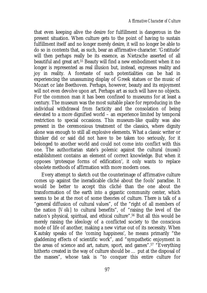that even keeping alive the desire for fulfillment is dangerous in the present situation. When culture gets to the point of having to sustain fulfillment itself and no longer merely desire, it will no longer be able to do so in contents that, as such, bear an affirmative character. 'Gratitude' will then perhaps really be its essence, as Nietzsche asserted of all beautiful and great art.55 Beauty will find a new embodiment when it no longer is represented as real illusion but, instead, expresses reality and joy in reality. A foretaste of such potentialities can be had in experiencing the unassuming display of Greek statues or the music of Mozart or late Beethoven. Perhaps, however, beauty and its enjoyment will not even devolve upon art. Perhaps art as such will have no objects. For the common man it has been confined to museums for at least a century. The museum was the most suitable place for reproducing in the individual withdrawal from facticity and the consolation of being elevated to a more dignified world – an experience limited by temporal restriction to special occasions. This museum-like quality was also present in the ceremonious treatment of the classics, where dignity alone was enough to still all explosive elements. What a classic writer or thinker did or said did not have to be taken too seriously, for it belonged to another world and could not come into conflict with this one. The authoritarian state's polemic against the cultural (*museal*) establishment contains an element of correct knowledge. But when it opposes 'grotesque forms of edification', it only wants to replace obsolete methods of affirmation with more modern ones.

Every attempt to sketch out the counterimage of affirmative culture comes up against the ineradicable cliché about the fools' paradise. It would be better to accept this cliché than the one about the transformation of the earth into a gigantic community center, which seems to be at the root of some theories of culture. There is talk of a "general diffusion of cultural values", of the "right of all members of the nation [*Volk*] to cultural benefits", of "raising the level of the nation's physical, spiritual, and ethical culture".56 But all this would be merely raising the ideology of a conflicted society to the conscious mode of life of another, making a new virtue out of its necessity. When Kautsky speaks of the 'coming happiness', he means primarily "the gladdening effects of scientific work", and "sympathetic enjoyment in the areas of science and art, nature, sport, and games".57 "Everything hitherto created in the way of culture should be ... put at the disposal of the masses", whose task is "to conquer this entire culture for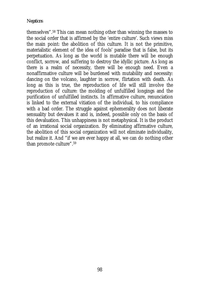themselves".58 This can mean nothing other than winning the masses to the social order that is affirmed by the 'entire culture'. Such views miss the main point: the abolition of this culture. It is not the primitive, materialistic element of the idea of fools' paradise that is false, but its perpetuation. As long as the world is mutable there will be enough conflict, sorrow, and suffering to destroy the idyllic picture. As long as there is a realm of necessity, there will be enough need. Even a nonaffirmative culture will be burdened with mutability and necessity: dancing on the volcano, laughter in sorrow, flirtation with death. As long as this is true, the reproduction of life will still involve the reproduction of culture: the molding of unfulfilled longings and the purification of unfulfilled instincts. In affirmative culture, renunciation is linked to the external vitiation of the individual, to his compliance with a bad order. The struggle against ephemerality does not liberate sensuality but devalues it and is, indeed, possible only on the basis of this devaluation. This unhappiness is not metaphysical. It is the product of an irrational social organization. By eliminating affirmative culture, the abolition of this social organization will not eliminate individuality, but realize it. And "if we are ever happy at all, we can do nothing other than promote culture".59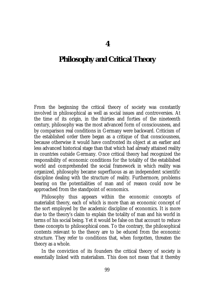# **Philosophy and Critical Theory**

From the beginning the critical theory of society was constantly involved in philosophical as well as social issues and controversies. At the time of its origin, in the thirties and forties of the nineteenth century, philosophy was the most advanced form of consciousness, and by comparison real conditions in Germany were backward. Criticism of the established order there began as a critique of that consciousness, because otherwise it would have confronted its object at an earlier and less advanced historical stage than that which had already attained reality in countries outside Germany. Once critical theory had recognized the responsibility of economic conditions for the totality of the established world and comprehended the social framework in which reality was organized, philosophy became superfluous as an independent scientific discipline dealing with the structure of reality. Furthermore, problems bearing on the potentialities of man and of reason could now be approached from the standpoint of economics.

Philosophy thus appears within the economic concepts of materialist theory, each of which is more than an economic concept of the sort employed by the academic discipline of economics. It is more due to the theory's claim to explain the totality of man and his world in terms of his social being. Yet it would be false on that account to reduce these concepts to philosophical ones. To the contrary, the philosophical contents relevant to the theory are to be educed from the economic structure. They refer to conditions that, when forgotten, threaten the theory as a whole.

In the conviction of its founders the critical theory of society is essentially linked with materialism. This does not mean that it thereby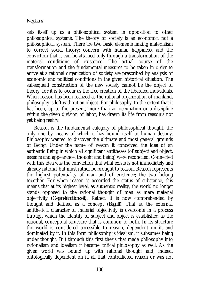sets itself up as a philosophical system in opposition to other philosophical systems. The theory of society is an economic, not a philosophical, system. There are two basic elements linking materialism to correct social theory: concern with human happiness, and the conviction that it can be attained only through a transformation of the material conditions of existence. The actual course of the transformation and the fundamental measures to be taken in order to arrive at a rational organization of society are prescribed by analysis of economic and political conditions in the given historical situation. The subsequent construction of the new society cannot be the object of theory, for it is to occur as the free creation of the liberated individuals. When reason has been realized as the rational organization of mankind, philosophy is left without an object. For philosophy, to the extent that it has been, up to the present, more than an occupation or a discipline within the given division of labor, has drawn its life from reason's not yet being reality.

Reason is the fundamental category of philosophical thought, the only one by means of which it has bound itself to human destiny. Philosophy wanted to discover the ultimate and most general grounds of Being. Under the name of reason it conceived the idea of an authentic Being in which all significant antitheses (of subject and object, essence and appearance, thought and being) were reconciled. Connected with this idea was the conviction that what exists is not immediately and already rational but must rather be brought to reason. Reason represents the highest potentiality of man and of existence; the two belong together. For when reason is accorded the status of substance, this means that at its highest level, as authentic reality, the world no longer stands opposed to the rational thought of men as mere material objectivity (*Gegenständlichkeit*).Rather, it is now comprehended by thought and defined as a concept (*Begriff*). That is, the external, antithetical character of material objectivity is overcome in a process through which the identity of subject and object is established as the rational, conceptual structure that is common to both. In its structure the world is considered accessible to reason, dependent on it, and dominated by it. In this form philosophy is idealism; it subsumes being under thought. But through this first thesis that made philosophy into rationalism and idealism it became critical philosophy as well. As the given world was bound up with rational thought and, indeed, ontologically dependent on it, all that contradicted reason or was not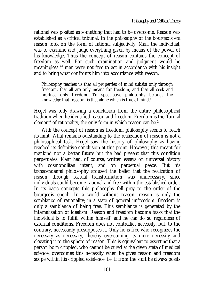rational was posited as something that had to be overcome. Reason was established as a critical tribunal. In the philosophy of the bourgeois era reason took on the form of rational subjectivity. Man, the individual, was to examine and judge everything given by means of the power of his knowledge. Thus the concept of reason contains the concept of freedom as well. For such examination and judgment would be meaningless if man were not free to act in accordance with his insight and to bring what confronts him into accordance with reason.

Philosophy teaches us that all properties of mind subsist only through freedom, that all are only means for freedom, and that all seek and produce only freedom. To speculative philosophy belongs the knowledge that freedom is that alone which is true of mind.1

Hegel was only drawing a conclusion from the entire philosophical tradition when he identified reason and freedom. Freedom is the 'formal element' of rationality, the only form in which reason can be.2

With the concept of reason as freedom, philosophy seems to reach its limit. What remains outstanding to the realization of reason is not a philosophical task. Hegel saw the history of philosophy as having reached its definitive conclusion at this point. However, this meant for mankind not a better future but the bad present that this condition perpetuates. Kant had, of course, written essays on universal history with cosmopolitan intent, and on perpetual peace. But his transcendental philosophy aroused the belief that the realization of reason through factual transformation was unnecessary, since individuals could become rational and free within the established order. In its basic concepts this philosophy fell prey to the order of the bourgeois epoch. In a world without reason, reason is only the semblance of rationality; in a state of general unfreedom, freedom is only a semblance of being free. This semblance is generated by the internalization of idealism. Reason and freedom become tasks that the individual is to fulfill within himself, and he can do so regardless of external conditions. Freedom does not contradict necessity, but, to the contrary, necessarily presupposes it. Only he is free who recognizes the necessary as necessary, thereby overcoming its mere necessity and elevating it to the sphere of reason. This is equivalent to asserting that a person born crippled, who cannot be cured at the given state of medical science, overcomes this necessity when he gives reason and freedom scope within his crippled existence, i.e. if from the start he always posits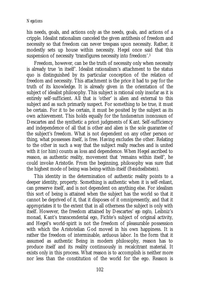his needs, goals, and actions only as the needs, goals, and actions of a cripple. Idealist rationalism canceled the given antithesis of freedom and necessity so that freedom can never trespass upon necessity. Rather, it modestly sets up house within necessity. Hegel once said that this suspension of necessity 'transfigures necessity into freedom'.3

Freedom, however, can be the truth of necessity only when necessity is already true 'in itself'. Idealist rationalism's attachment to the status quo is distinguished by its particular conception of the relation of freedom and necessity. This attachment is the price it had to pay for the truth of its knowledge. It is already given in the orientation of the subject of idealist philosophy. This subject is rational only insofar as it is entirely self-sufficient. All that is 'other' is alien and external to this subject and as such primarily suspect. For something to be true, it must be certain. For it to be certain, it must be posited by the subject as its own achievement. This holds equally for the *fundamentum inconcussum* of Descartes and the synthetic a priori judgments of Kant. Self-sufficiency and independence of all that is other and alien is the sole guarantee of the subject's freedom. What is not dependent on any other person or thing, what possesses itself, is free. Having excludes the other. Relating to the other in such a way that the subject really reaches and is united with it (or him) counts as loss and dependence. When Hegel ascribed to reason, as authentic reality, movement that 'remains within itself', he could invoke Aristotle. From the beginning, philosophy was sure that the highest mode of being was being-within-itself (*Beisichselbstsein*).

This identity in the determination of authentic reality points to a deeper identity, property. Something is authentic when it is self-reliant, can preserve itself, and is not dependent on anything else. For idealism this sort of being is attained when the subject has the world so that it cannot be deprived of it, that it disposes of it omnipresently, and that it appropriates it to the extent that in all otherness the subject is only with itself. However, the freedom attained by Descartes' *ego cogito*,Leibniz's monad, Kant's transcendental ego, Fichte's subject of original activity, and Hegel's world-spirit is not the freedom of pleasurable possession with which the Aristotelian God moved in his own happiness. It is rather the freedom of interminable, arduous labor. In the form that it assumed as authentic Being in modern philosophy, reason has to produce itself and its reality continuously in recalcitrant material. It exists only in this process. What reason is to accomplish is neither more nor less than the constitution of the world for the ego. Reason is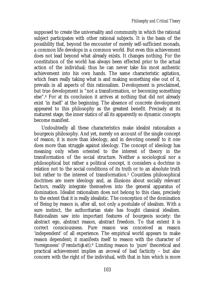supposed to create the universality and community in which the rational subject participates with other rational subjects. It is the basis of the possibility that, beyond the encounter of merely self-sufficient monads, a common life develops in a common world. But even this achievement does not lead beyond what already exists. It changes nothing. For the constitution of the world has always been effected prior to the actual action of the individual; thus he can never take his most authentic achievement into his own hands. The same characteristic agitation, which fears really taking what is and making something else out of it, prevails in all aspects of this rationalism. Development is proclaimed, but true development is "not a transformation, or becoming something else".4 For at its conclusion it arrives at nothing that did not already exist 'in itself' at the beginning. The absence of concrete development appeared to this philosophy as the greatest benefit. Precisely at its maturest stage, the inner statics of all its apparently so dynamic concepts become manifest.

Undoubtedly all these characteristics make idealist rationalism a bourgeois philosophy. And yet, merely on account of the single concept of reason, it is more than ideology, and in devoting oneself to it one does more than struggle against ideology. The concept of ideology has meaning only when oriented to the interest of theory in the transformation of the social structure. Neither a sociological nor a philosophical but rather a political concept, it considers a doctrine in relation not to the social conditions of its truth or to an absolute truth but rather to the interest of transformation.5 Countless philosophical doctrines are mere ideology and, as illusions about socially relevant factors, readily integrate themselves into the general apparatus of domination. Idealist rationalism does not belong to this class, precisely to the extent that it is really idealistic. The conception of the domination of Being by reason is, after all, not only a postulate of idealism. With a sure instinct, the authoritarian state has fought classical idealism. Rationalism saw into important features of bourgeois society: the abstract ego, abstract reason, abstract freedom. To that extent it is correct consciousness. Pure reason was conceived as reason 'independent' of all experience. The empirical world appears to make reason dependent; it manifests itself to reason with the character of 'foreignness' (*Fremdartigkeit*).6 Limiting reason to 'pure' theoretical and practical achievement implies an avowal of bad facticity – but also concern with the right of the individual, with that in him which is more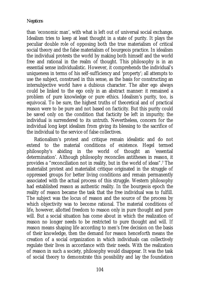than 'economic man', with what is left out of universal social exchange. Idealism tries to keep at least thought in a state of purity. It plays the peculiar double role of opposing both the true materialism of critical social theory and the false materialism of bourgeois practice. In idealism the individual protests the world by making both himself and the world free and rational in the realm of thought. This philosophy is in an essential sense individualistic. However, it comprehends the individual's uniqueness in terms of his self-sufficiency and 'property'; all attempts to use the subject, construed in this sense, as the basis for constructing an intersubjective world have a dubious character. The alter ego always could be linked to the ego only in an abstract manner: it remained a problem of pure knowledge or pure ethics. Idealism's purity, too, is equivocal. To be sure, the highest truths of theoretical and of practical reason were to be pure and not based on facticity. But this purity could be saved only on the condition that facticity be left in impurity; the individual is surrendered to its untruth. Nevertheless, concern for the individual long kept idealism from giving its blessing to the sacrifice of the individual to the service of false collectives.

Rationalism's protest and critique remain idealistic and do not extend to the material conditions of existence. Hegel termed philosophy's abiding in the world of thought an 'essential determination'. Although philosophy reconciles antitheses in reason, it provides a "reconciliation not in reality, but in the world of ideas".7 The materialist protest and materialist critique originated in the struggle of oppressed groups for better living conditions and remain permanently associated with the actual process of this struggle. Western philosophy had established reason as authentic reality. In the bourgeois epoch the reality of reason became the task that the free individual was to fulfill. The subject was the locus of reason and the source of the process by which objectivity was to become rational. The material conditions of life, however, allotted freedom to reason only in pure thought and pure will. But a social situation has come about in which the realization of reason no longer needs to be restricted to pure thought and will. If reason means shaping life according to men's free decision on the basis of their knowledge, then the demand for reason henceforth means the creation of a social organization in which individuals can collectively regulate their lives in accordance with their needs. With the realization of reason in such a society, philosophy would disappear. It was the task of social theory to demonstrate this possibility and lay the foundation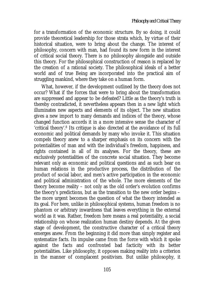for a transformation of the economic structure. By so doing, it could provide theoretical leadership for those strata which, by virtue of their historical situation, were to bring about the change. The interest of philosophy, concern with man, had found its new form in the interest of critical social theory. There is no philosophy alongside and outside this theory. For the philosophical construction of reason is replaced by the creation of a rational society. The philosophical ideals of a better world and of true Being are incorporated into the practical aim of struggling mankind, where they take on a human form.

What, however, if the development outlined by the theory does not occur? What if the forces that were to bring about the transformation are suppressed and appear to be defeated? Little as the theory's truth is thereby contradicted, it nevertheless appears then in a new light which illuminates new aspects and elements of its object. The new situation gives a new import to many demands and indices of the theory, whose changed function accords it in a more intensive sense the character of 'critical theory'.8 Its critique is also directed at the avoidance of its full economic and political demands by many who invoke it. This situation compels theory anew to a sharper emphasis on its concern with the potentialities of man and with the individual's freedom, happiness, and rights contained in all of its analyses. For the theory, these are exclusively potentialities of the concrete social situation. They become relevant only as economic and political questions and as such bear on human relations in the productive process, the distribution of the product of social labor, and men's active participation in the economic and political administration of the whole. The more elements of the theory become reality – not only as the old order's evolution confirms the theory's predictions, but as the transition to the new order begins – the more urgent becomes the question of what the theory intended as its goal. For here, unlike in philosophical systems, human freedom is no phantom or arbitrary inwardness that leaves everything in the external world as it was. Rather, freedom here means a real potentiality, a social relationship on whose realization human destiny depends. At the given stage of development, the constructive character of a critical theory emerges anew. From the beginning it did more than simply register and systematize facts. Its impulse came from the force with which it spoke against the facts and confronted bad facticity with its better potentialities. Like philosophy, it opposes making reality into a criterion in the manner of complacent positivism. But unlike philosophy, it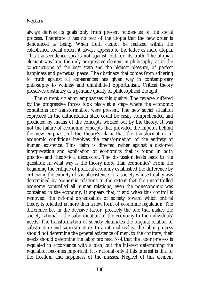always derives its goals only from present tendencies of the social process. Therefore it has no fear of the utopia that the new order is denounced as being. When truth cannot be realized within the established social order, it always appears to the latter as mere utopia. This transcendence speaks not against, but for, its truth. The utopian element was long the only progressive element in philosophy, as in the constructions of the best state and the highest pleasure, of perfect happiness and perpetual peace. The obstinacy that comes from adhering to truth against all appearances has given way in contemporary philosophy to whimsy and uninhibited opportunism. Critical theory preserves obstinacy as a genuine quality of philosophical thought.

The current situation emphasizes this quality. The reverse suffered by the progressive forces took place at a stage where the economic conditions for transformation were present. The new social situation expressed in the authoritarian state could be easily comprehended and predicted by means of the concepts worked out by the theory. It was not the failure of economic concepts that provided the impetus behind the new emphasis of the theory's claim that the transformation of economic conditions involves the transformation of the entirety of human existence. This claim is directed rather against a distorted interpretation and application of economics that is found in both practice and theoretical discussion. The discussion leads back to the question: In what way is the theory more than economics? From the beginning the critique of political economy established the difference by criticizing the entirety of social existence. In a society whose totality was determined by economic relations to the extent that the uncontrolled economy controlled all human relations, even the noneconomic was contained in the economy. It appears that, if and when this control is removed, the rational organization of society toward which critical theory is oriented is more than a new form of economic regulation. The difference lies in the decisive factor, precisely the one that makes the society rational – the subordination of the economy to the individuals' needs. The transformation of society eliminates the original relation of substructure and superstructure. In a rational reality, the labor process should not determine the general existence of men; to the contrary, their needs should determine the labor process. Not that the labor process is regulated in accordance with a plan, but the interest determining the regulation becomes important: it is rational only if this interest is that of the freedom and happiness of the masses. Neglect of this element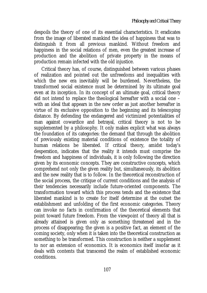despoils the theory of one of its essential characteristics. It eradicates from the image of liberated mankind the idea of happiness that was to distinguish it from all previous mankind. Without freedom and happiness in the social relations of men, even the greatest increase of production and the abolition of private property in the means of production remain infected with the old injustice.

Critical theory has, of course, distinguished between various phases of realization and pointed out the unfreedoms and inequalities with which the new era inevitably will be burdened. Nevertheless, the transformed social existence must be determined by its ultimate goal even at its inception. In its concept of an ultimate goal, critical theory did not intend to replace the theological hereafter with a social one – with an ideal that appears in the new order as just another hereafter in virtue of its exclusive opposition to the beginning and its telescoping distance. By defending the endangered and victimized potentialities of man against cowardice and betrayal, critical theory is not to be supplemented by a philosophy. It only makes explicit what was always the foundation of its categories: the demand that through the abolition of previously existing material conditions of existence the totality of human relations be liberated. If critical theory, amidst today's desperation, indicates that the reality it intends must comprise the freedom and happiness of individuals, it is only following the direction given by its economic concepts. They are constructive concepts, which comprehend not only the given reality but, simultaneously, its abolition and the new reality that is to follow. In the theoretical reconstruction of the social process, the critique of current conditions and the analysis of their tendencies necessarily include future-oriented components. The transformation toward which this process tends and the existence that liberated mankind is to create for itself determine at the outset the establishment and unfolding of the first economic categories. Theory can invoke no facts in confirmation of the theoretical elements that point toward future freedom. From the viewpoint of theory all that is already attained is given only as something threatened and in the process of disappearing; the given is a positive fact, an element of the coming society, only when it is taken into the theoretical construction as something to be transformed. This construction is neither a supplement to nor an extension of economics. It is economics itself insofar as it deals with contents that transcend the realm of established economic conditions.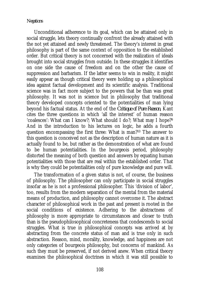Unconditional adherence to its goal, which can be attained only in social struggle, lets theory continually confront the already attained with the not yet attained and newly threatened. The theory's interest in great philosophy is part of the same context of opposition to the established order. But critical theory is not concerned with the realization of ideals brought into social struggles from outside. In these struggles it identifies on one side the cause of freedom and on the other the cause of suppression and barbarism. If the latter seems to win in reality, it might easily appear as though critical theory were holding up a philosophical idea against factual development and its scientific analysis. Traditional science was in fact more subject to the powers that be than was great philosophy. It was not in science but in philosophy that traditional theory developed concepts oriented to the potentialities of man lying beyond his factual status. At the end of the *Critique of Pure Reason*, Kant cites the three questions in which 'all the interest' of human reason 'coalesces': What can I know?; What should I do?; What may I hope?9 And in the introduction to his lectures on logic, he adds a fourth question encompassing the first three: What is man?10 The answer to this question is conceived not as the description of human nature as it is actually found to be, but rather as the demonstration of what are found to be human potentialities. In the bourgeois period, philosophy distorted the meaning of both question and answers by equating human potentialities with those that are real within the established order. That is why they could be potentialities only of pure knowledge and pure will.

The transformation of a given status is not, of course, the business of philosophy. The philosopher can only participate in social struggles insofar as he is not a professional philosopher. This 'division of labor', too, results from the modern separation of the mental from the material means of production, and philosophy cannot overcome it. The abstract character of philosophical work in the past and present is rooted in the social conditions of existence. Adhering to the abstractness of philosophy is more appropriate to circumstances and closer to truth than is the pseudophilosophical concreteness that condescends to social struggles. What is true in philosophical concepts was arrived at by abstracting from the concrete status of man and is true only in such abstraction. Reason, mind, morality, knowledge, and happiness are not only categories of bourgeois philosophy, but concerns of mankind. As such they must be preserved, if not derived anew. When critical theory examines the philosophical doctrines in which it was still possible to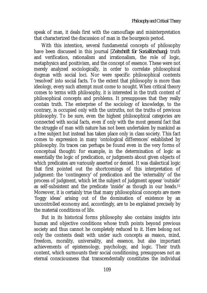speak of man, it deals first with the camouflage and misinterpretation that characterized the discussion of man in the bourgeois period.

With this intention, several fundamental concepts of philosophy have been discussed in this journal [*Zeitschrift für Sozialforschung*]: truth and verification, rationalism and irrationalism, the role of logic, metaphysics and positivism, and the concept of essence. These were not merely analyzed sociologically, in order to correlate philosophical dogmas with social loci. Nor were specific philosophical contents 'resolved' into social facts. To the extent that philosophy is more than ideology, every such attempt must come to nought. When critical theory comes to terms with philosophy, it is interested in the truth content of philosophical concepts and problems. It presupposes that they really contain truth. The enterprise of the sociology of knowledge, to the contrary, is occupied only with the untruths, not the truths of previous philosophy. To be sure, even the highest philosophical categories are connected with social facts, even if only with the most general fact that the struggle of man with nature has not been undertaken by mankind as a free subject but instead has taken place only in class society. This fact comes to expression in many 'ontological differences' established by philosophy. Its traces can perhaps be found even in the very forms of conceptual thought: for example, in the determination of logic as essentially the logic of predication, or judgments about given objects of which predicates are variously asserted or denied. It was dialectical logic that first pointed out the shortcomings of this interpretation of judgment: the 'contingency' of predication and the 'externality' of the process of judgment, which let the subject of judgment appear 'outside' as self-subsistent and the predicate 'inside' as though in our heads.11 Moreover, it is certainly true that many philosophical concepts are mere 'foggy ideas' arising out of the domination of existence by an uncontrolled economy and, accordingly, are to be explained precisely by the material conditions of life.

But in its historical forms philosophy also contains insights into human and objective conditions whose truth points beyond previous society and thus cannot he completely reduced to it. Here belong not only the contents dealt with under such concepts as reason, mind, freedom, morality, universality, and essence, but also important achievements of epistemology, psychology, and logic. Their truth content, which surmounts their social conditioning, presupposes not an eternal consciousness that transcendentally constitutes the individual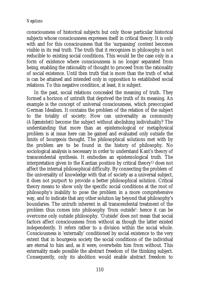consciousness of historical subjects but only those particular historical subjects whose consciousness expresses itself in critical theory. It is only with and for this consciousness that the 'surpassing' content becomes visible in its real truth. The truth that it recognizes in philosophy is not reducible to existing social conditions. This would be the case only in a form of existence where consciousness is no longer separated from being, enabling the rationality of thought to proceed from the rationality of social existence. Until then truth that is more than the truth of what is can be attained and intended only in opposition to established social relations. To this negative condition, at least, it is subject.

In the past, social relations concealed the meaning of truth. They formed a horizon of untruth that deprived the truth of its meaning. An example is the concept of universal consciousness, which preoccupied German Idealism. It contains the problem of the relation of the subject to the totality of society: How can universality as community (*Allgemeinheit*) become the subject without abolishing individuality? The understanding that more than an epistemological or metaphysical problem is at issue here can be gained and evaluated only outside the limits of bourgeois thought. The philosophical solutions met with by the problem are to be found in the history of philosophy. No sociological analysis is necessary in order to understand Kant's theory of transcendental synthesis. It embodies an epistemological truth. The interpretation given to the Kantian position by critical theory<sup>12</sup> does not affect the internal philosophical difficulty. By connecting the problem of the universality of knowledge with that of society as a universal subject, it does not purport to provide a better philosophical solution. Critical theory means to show only the specific social conditions at the root of philosophy's inability to pose the problem in a more comprehensive way, and to indicate that any other solution lay beyond that philosophy's boundaries. The untruth inherent in all transcendental treatment of the problem thus comes into philosophy 'from outside': hence it can be overcome only outside philosophy. 'Outside' does not mean that social factors affect consciousness from without as though the latter existed independently. It refers rather to a division within the social whole. Consciousness is 'externally' conditioned by social existence to the very extent that in bourgeois society the social conditions of the individual are eternal to him and, as it were, overwhelm him from without. This externality made possible the abstract freedom of the thinking subject. Consequently, only its abolition would enable abstract freedom to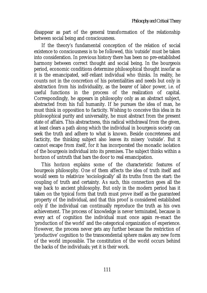disappear as part of the general transformation of the relationship between social being and consciousness.

If the theory's fundamental conception of the relation of social existence to consciousness is to be followed, this 'outside' must be taken into consideration. In previous history there has been no pre-established harmony between correct thought and social being. In the bourgeois period, economic conditions determine philosophical thought insofar as it is the emancipated, self-reliant individual who thinks. In reality, he counts not in the concretion of his potentialities and needs but only in abstraction from his individuality, as the bearer of labor power, i.e. of useful functions in the process of the realization of capital. Correspondingly, he appears in philosophy only as an abstract subject, abstracted from his full humanity. If he pursues the idea of man, he must think in opposition to facticity. Wishing to conceive this idea in its philosophical purity and universality, he must abstract from the present state of affairs. This abstractness, this radical withdrawal from the given, at least clears a path along which the individual in bourgeois society can seek the truth and adhere to what is known. Beside concreteness and facticity, the thinking subject also leaves its misery 'outside'. But it cannot escape from itself, for it has incorporated the monadic isolation of the bourgeois individual into its premises. The subject thinks within a horizon of untruth that bars the door to real emancipation.

This horizon explains some of the characteristic features of bourgeois philosophy. One of them affects the idea of truth itself and would seem to relativize 'sociologically' all its truths from the start: the coupling of truth and certainty. As such, this connection goes all the way back to ancient philosophy. But only in the modern period has it taken on the typical form that truth must prove itself as the guaranteed property of the individual, and that this proof is considered established only if the individual can continually reproduce the truth as his own achievement. The process of knowledge is never terminated, because in every act of cognition the individual must once again re-enact the 'production of the world' and the categorical organization of experience. However, the process never gets any further because the restriction of 'productive' cognition to the transcendental sphere makes any new form of the world impossible. The constitution of the world occurs behind the backs of the individuals; yet it is their work.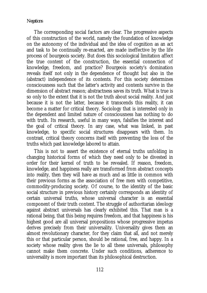The corresponding social factors are clear. The progressive aspects of this construction of the world, namely the foundation of knowledge on the autonomy of the individual and the idea of cognition as an act and task to be continually re-enacted, are made ineffective by the life process of bourgeois society. But does this sociological limitation affect the true content of the construction, the essential connection of knowledge, freedom, and practice? Bourgeois society's domination reveals itself not only in the dependence of thought but also in the (abstract) independence of its contents. For this society determines consciousness such that the latter's activity and contents survive in the dimension of abstract reason; abstractness saves its truth. What is true is so only to the extent that it is not the truth about social reality. And just because it is not the latter, because it transcends this reality, it can become a matter for critical theory. Sociology that is interested only in the dependent and limited nature of consciousness has nothing to do with truth. Its research, useful in many ways, falsifies the interest and the goal of critical theory. In any case, what was linked, in past knowledge, to specific social structures disappears with them. In contrast, critical theory concerns itself with preventing the loss of the truths which past knowledge labored to attain.

This is not to assert the existence of eternal truths unfolding in changing historical forms of which they need only to be divested in order for their kernel of truth to be revealed. If reason, freedom, knowledge, and happiness really are transformed from abstract concepts into reality, then they will have as much and as little in common with their previous forms as the association of free men with competitive, commodity-producing society. Of course, to the identity of the basic social structure in previous history certainly corresponds an identity of certain universal truths, whose universal character is an essential component of their truth content. The struggle of authoritarian ideology against abstract universals has clearly exhibited this. That man is a rational being, that this being requires freedom, and that happiness is his highest good are all universal propositions whose progressive impetus derives precisely from their universality. Universality gives them an almost revolutionary character, for they claim that all, and not merely this or that particular person, should be rational, free, and happy. In a society whose reality gives the lie to all these universals, philosophy cannot make them concrete. Under such conditions, adherence to universality is more important than its philosophical destruction.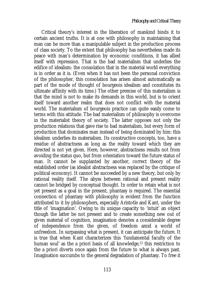Critical theory's interest in the liberation of mankind binds it to certain ancient truths. It is at one with philosophy in maintaining that man can be more than a manipulable subject in the production process of class society. To the extent that philosophy has nevertheless made its peace with man's determination by economic conditions, it has allied itself with repression. That is the bad materialism that underlies the edifice of idealism: the consolation that in the material world everything is in order as it is. (Even when it has not been the personal conviction of the philosopher, this consolation has arisen almost automatically as part of the mode of thought of bourgeois idealism and constitutes its ultimate affinity with its time.) The other premise of this materialism is that the mind is not to make its demands in this world, but is to orient itself toward another realm that does not conflict with the material world. The materialism of bourgeois practice can quite easily come to terms with this attitude. The bad materialism of philosophy is overcome in the materialist theory of society. The latter opposes not only the production relations that gave rise to bad materialism, but every form of production that dominates man instead of being dominated by him: this idealism underlies its materialism. Its constructive concepts, too, have a residue of abstractness as long as the reality toward which they are directed is not yet given. Here, however, abstractness results not from avoiding the status quo, but from orientation toward the future status of man. It cannot be supplanted by another, correct theory of the established order (as idealist abstractness was replaced by the critique of political economy). It cannot be succeeded by a new theory, but only by rational reality itself. The abyss between rational and present reality cannot be bridged by conceptual thought. In order to retain what is not yet present as a goal in the present, phantasy is required. The essential connection of phantasy with philosophy is evident from the function attributed to it by philosophers, especially Aristotle and Kant, under the title of 'imagination'. Owing to its unique capacity to 'intuit' an object though the latter be not present and to create something new out of given material of cognition, imagination denotes a considerable degree of independence from the given, of freedom amid a world of unfreedom. In surpassing what is present, it can anticipate the future. It is true that when Kant characterizes this 'fundamental faculty of the human soul' as the a priori basis of all knowledge,<sup>13</sup> this restriction to the a priori diverts once again from the future to what is always past. Imagination succumbs to the general degradation of phantasy. To free it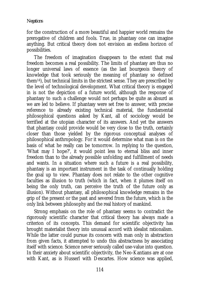for the construction of a more beautiful and happier world remains the prerogative of children and fools. True, in phantasy one can imagine anything. But critical theory does not envision an endless horizon of possibilities.

The freedom of imagination disappears to the extent that real freedom becomes a real possibility. The limits of phantasy are thus no longer universal laws of essence (as the last bourgeois theory of knowledge that took seriously the meaning of phantasy so defined them14), but technical limits in the strictest sense. They are prescribed by the level of technological development. What critical theory is engaged in is not the depiction of a future world, although the response of phantasy to such a challenge would not perhaps be quite as absurd as we are led to believe. If phantasy were set free to answer, with precise reference to already existing technical material, the fundamental philosophical questions asked by Kant, all of sociology would be terrified at the utopian character of its answers. And yet the answers that phantasy could provide would be very close to the truth, certainly closer than those yielded by the rigorous conceptual analyses of philosophical anthropology. For it would determine what man is on the basis of what he really can be tomorrow. In replying to the question, 'What may I hope?', it would point less to eternal bliss and inner freedom than to the already possible unfolding and fulfillment of needs and wants. In a situation where such a future is a real possibility, phantasy is an important instrument in the task of continually holding the goal up to view. Phantasy does not relate to the other cognitive faculties as illusion to truth (which in fact, when it plumes itself on being the only truth, can perceive the truth of the future only as illusion). Without phantasy, all philosophical knowledge remains in the grip of the present or the past and severed from the future, which is the only link between philosophy and the real history of mankind.

Strong emphasis on the role of phantasy seems to contradict the rigorously scientific character that critical theory has always made a criterion of its concepts. This demand for scientific objectivity has brought materialist theory into unusual accord with idealist rationalism. While the latter could pursue its concern with man only in abstraction from given facts, it attempted to undo this abstractness by associating itself with science. Science never seriously called use-value into question. In their anxiety about scientific objectivity, the Neo-Kantians are at one with Kant, as is Husserl with Descartes. How science was applied,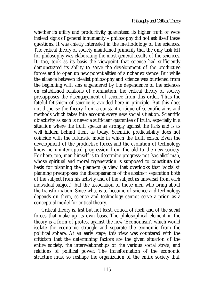whether its utility and productivity guaranteed its higher truth or were instead signs of general inhumanity – philosophy did not ask itself these questions. It was chiefly interested in the methodology of the sciences. The critical theory of society maintained primarily that the only task left for philosophy was elaborating the most general results of the sciences. It, too, took as its basis the viewpoint that science had sufficiently demonstrated its ability to serve the development of the productive forces and to open up new potentialities of a richer existence. But while the alliance between idealist philosophy and science was burdened from the beginning with sins engendered by the dependence of the sciences on established relations of domination, the critical theory of society presupposes the disengagement of science from this order. Thus the fateful fetishism of science is avoided here in principle. But this does not dispense the theory from a constant critique of scientific aims and methods which takes into account every new social situation. Scientific objectivity as such is never a sufficient guarantee of truth, especially in a situation where the truth speaks as strongly against the facts and is as well hidden behind them as today. Scientific predictability does not coincide with the futuristic mode in which the truth exists. Even the development of the productive forces and the evolution of technology know no uninterrupted progression from the old to the new society. For here, too, man himself is to determine progress: not 'socialist' man, whose spiritual and moral regeneration is supposed to constitute the basis for planning the planners (a view that overlooks that 'socialist' planning presupposes the disappearance of the abstract separation both of the subject from his activity and of the subject as universal from each individual subject), but the association of those men who bring about the transformation. Since what is to become of science and technology depends on them, science and technology cannot serve a priori as a conceptual model for critical theory.

Critical theory is, last but not least, critical of itself and of the social forces that make up its own basis. The philosophical element in the theory is a form of protest against the new 'Economism', which would isolate the economic struggle and separate the economic from the political sphere. At an early stage, this view was countered with the criticism that the determining factors are the given situation of the entire society, the interrelationships of the various social strata, and relations of political power. The transformation of the economic structure must so reshape the organization of the entire society that,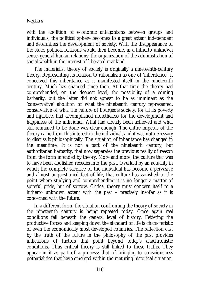with the abolition of economic antagonisms between groups and individuals, the political sphere becomes to a great extent independent and determines the development of society. With the disappearance of the state, political relations would then become, in a hitherto unknown sense, general human relations: the organization of the administration of social wealth in the interest of liberated mankind.

The materialist theory of society is originally a nineteenth-century theory. Representing its relation to rationalism as one of 'inheritance', it conceived this inheritance as it manifested itself in the nineteenth century. Much has changed since then. At that time the theory had comprehended, on the deepest level, the possibility of a coming barbarity, but the latter did not appear to be as imminent as the 'conservative' abolition of what the nineteenth century represented: conservative of what the culture of bourgeois society, for all its poverty and injustice, had accomplished nonetheless for the development and happiness of the individual. What had already been achieved and what still remained to be done was clear enough. The entire impetus of the theory came from this interest in the individual, and it was not necessary to discuss it philosophically. The situation of inheritance has changed in the meantime. It is not a part of the nineteenth century, but authoritarian barbarity, that now separates the previous reality of reason from the form intended by theory. More and more, the culture that was to have been abolished recedes into the past. Overlaid by an actuality in which the complete sacrifice of the individual has become a pervasive and almost unquestioned fact of life, that culture has vanished to the point where studying and comprehending it is no longer a matter of spiteful pride, but of sorrow. Critical theory must concern itself to a hitherto unknown extent with the past – precisely insofar as it is concerned with the future.

In a different form, the situation confronting the theory of society in the nineteenth century is being repeated today. Once again real conditions fall beneath the general level of history. Fettering the productive forces and keeping down the standard of life is characteristic of even the economically most developed countries. The reflection cast by the truth of the future in the philosophy of the past provides indications of factors that point beyond today's anachronistic conditions. Thus critical theory is still linked to these truths. They appear in it as part of a process: that of bringing to consciousness potentialities that have emerged within the maturing historical situation.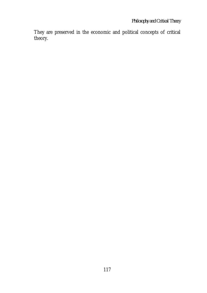They are preserved in the economic and political concepts of critical theory.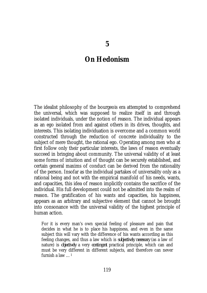# **On Hedonism**

The idealist philosophy of the bourgeois era attempted to comprehend the universal, which was supposed to realize itself in and through isolated individuals, under the notion of reason. The individual appears as an ego isolated from and against others in its drives, thoughts, and interests. This isolating individuation is overcome and a common world constructed through the reduction of concrete individuality to the subject of mere thought, the rational ego. Operating among men who at first follow only their particular interests, the laws of reason eventually succeed in bringing about community. The universal validity of at least some forms of intuition and of thought can be securely established, and certain general maxims of conduct can be derived from the rationality of the person. Insofar as the individual partakes of universality only as a rational being and not with the empirical manifold of his needs, wants, and capacities, this idea of reason implicitly contains the sacrifice of the individual. His full development could not be admitted into the realm of reason. The gratification of his wants and capacities, his happiness, appears as an arbitrary and subjective element that cannot be brought into consonance with the universal validity of the highest principle of human action.

For it is every man's own special feeling of pleasure and pain that decides in what he is to place his happiness, and even in the same subject this will vary with the difference of his wants according as this feeling changes, and thus a law which is *subjectively necessary* (as a law of nature) is *objectively* a very *contingent* practical principle, which can and must be very different in different subjects, and therefore can never furnish a law …1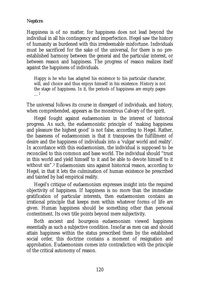Happiness is of no matter, for happiness does not lead beyond the individual in all his contingency and imperfection. Hegel saw the history of humanity as burdened with this irredeemable misfortune. Individuals must be sacrificed for the sake of the universal, for there is no preestablished harmony between the general and the particular interest, or between reason and happiness. The progress of reason realizes itself against the happiness of individuals.

Happy is he who has adapted his existence to his particular character, will, and choice and thus enjoys himself in his existence. History is not the stage of happiness. In it, the periods of happiness are empty pages …2

The universal follows its course in disregard of individuals, and history, when comprehended, appears as the monstrous Calvary of the spirit.

Hegel fought against eudaemonism in the interest of historical progress. As such, the eudaemonistic principle of 'making happiness and pleasure the highest good' is not false, according to Hegel. Rather, the baseness of eudaemonism is that it transposes the fulfillment of desire and the happiness of individuals into a 'vulgar world and reality'. In accordance with this eudaemonism, the individual is supposed to be reconciled to this common and base world. The individual should "trust in this world and yield himself to it and be able to devote himself to it without sin".3 Eudaemonism sins against historical reason, according to Hegel, in that it lets the culmination of human existence be prescribed and tainted by bad empirical reality.

Hegel's critique of eudaemonism expresses insight into the required objectivity of happiness. If happiness is no more than the immediate gratification of particular interests, then eudaemonism contains an irrational principle that keeps men within whatever forms of life are given. Human happiness should be something other than personal contentment. Its own title points beyond mere subjectivity.

Both ancient and bourgeois eudaemonism viewed happiness essentially as such a subjective condition. Insofar as men can and should attain happiness within the status prescribed them by the established social order, this doctrine contains a moment of resignation and approbation. Eudaemonism comes into contradiction with the principle of the critical autonomy of reason.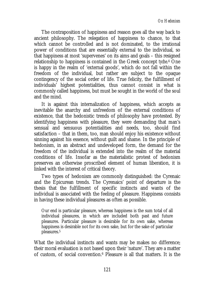The contraposition of happiness and reason goes all the way back to ancient philosophy. The relegation of happiness to chance, to that which cannot be controlled and is not dominated, to the irrational power of conditions that are essentially external to the individual, so that happiness at most 'supervenes' on its aims and goals – this resigned relationship to happiness is contained in the Greek concept *tyche*. 4 One is happy in the realm of 'external goods', which do not fall within the freedom of the individual, but rather are subject to the opaque contingency of the social order of life. True felicity, the fulfillment of individuals' highest potentialities, thus cannot consist in what is commonly called happiness, but must be sought in the world of the soul and the mind.

It is against this internalization of happiness, which accepts as inevitable the anarchy and unfreedom of the external conditions of existence, that the hedonistic trends of philosophy have protested. By identifying happiness with pleasure, they were demanding that man's sensual and sensuous potentialities and needs, too, should find satisfaction – that in them, too, man should enjoy his existence without sinning against his essence, without guilt and shame. In the principle of hedonism, in an abstract and undeveloped form, the demand for the freedom of the individual is extended into the realm of the material conditions of life. Insofar as the materialistic protest of hedonism preserves an otherwise proscribed element of human liberation, it is linked with the interest of critical theory.

Two types of hedonism are commonly distinguished: the Cyrenaic and the Epicurean trends. The Cyrenaics' point of departure is the thesis that the fulfillment of specific instincts and wants of the individual is associated with the feeling of pleasure. Happiness consists in having these individual pleasures as often as possible.

Our end is particular pleasure, whereas happiness is the sum total of all individual pleasures, in which are included both past and future pleasures. Particular pleasure is desirable for its own sake, whereas happiness is desirable not for its own sake, but for the sake of particular pleasures.5

What the individual instincts and wants may be makes no difference; their moral evaluation is not based upon their 'nature'. They are a matter of custom, of social convention.6 Pleasure is all that matters. It is the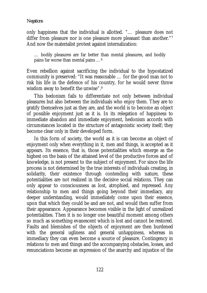only happiness that the individual is allotted. "… pleasure does not differ from pleasure nor is one pleasure more pleasant than another."<sup>7</sup> And now the materialist protest against internalization:

… bodily pleasures are far better than mental pleasures, and bodily pains far worse than mental pains …8

Even rebellion against sacrificing the individual to the hypostatized community is preserved: "It was reasonable … for the good man not to risk his life in the defence of his country, for he would never throw wisdom away to benefit the unwise".9

This hedonism fails to differentiate not only between individual pleasures but also between the individuals who enjoy them. They are to gratify themselves just as they are, and the world is to become an object of possible enjoyment just as it is. In its relegation of happiness to immediate abandon and immediate enjoyment, hedonism accords with circumstances located in the structure of antagonistic society itself; they become clear only in their developed form.

In this form of society, the world as it is can become an object of enjoyment only when everything in it, men and things, is accepted as it appears. Its essence, that is, those potentialities which emerge as the highest on the basis of the attained level of the productive forces and of knowledge, is not present to the subject of enjoyment. For since the life process is not determined by the true interests of individuals creating, in solidarity, their existence through contending with nature, these potentialities are not realized in the decisive social relations. They can only appear to consciousness as lost, atrophied, and repressed. Any relationship to men and things going beyond their immediacy, any deeper understanding, would immediately come upon their essence, upon that which they could be and are not, and would then suffer from their appearance. Appearance becomes visible in the light of unrealized potentialities. Then it is no longer one beautiful moment among others so much as something evanescent which is lost and cannot be restored. Faults and blemishes of the objects of enjoyment are then burdened with the general ugliness and general unhappiness, whereas in immediacy they can even become a source of pleasure. Contingency in relations to men and things and the accompanying obstacles, losses, and renunciations become an expression of the anarchy and injustice of the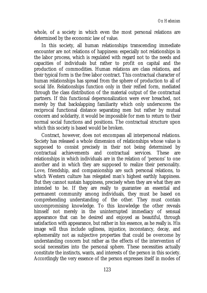whole, of a society in which even the most personal relations are determined by the economic law of value.

In this society, all human relationships transcending immediate encounter are not relations of happiness: especially not relationships in the labor process, which is regulated with regard not to the needs and capacities of individuals but rather to profit on capital and the production of commodities. Human relations are class relations, and their typical form is the free labor contract. This contractual character of human relationships has spread from the sphere of production to all of social life. Relationships function only in their reified form, mediated through the class distribution of the material output of the contractual partners. If this functional depersonalization were ever breached, not merely by that backslapping familiarity which only underscores the reciprocal functional distance separating men but rather by mutual concern and solidarity, it would be impossible for men to return to their normal social functions and positions. The contractual structure upon which this society is based would be broken.

Contract, however, does not encompass all interpersonal relations. Society has released a whole dimension of relationships whose value is supposed to consist precisely in their not being determined by contractual achievements and contractual services. These are relationships in which individuals are in the relation of 'persons' to one another and in which they are supposed to realize their personality. Love, friendship, and companionship are such personal relations, to which Western culture has relegated man's highest earthly happiness. But they cannot sustain happiness, precisely when they are what they are intended to be. If they are really to guarantee an essential and permanent community among individuals, they must be based on comprehending understanding of the other. They must contain uncompromising knowledge. To this knowledge the other reveals himself not merely in the uninterrupted immediacy of sensual appearance that can he desired and enjoyed as beautiful, through satisfaction with appearance, but rather in his essence, as he really is. His image will thus include ugliness, injustice, inconstancy, decay, and ephemerality not as subjective properties that could be overcome by understanding concern but rather as the effects of the intervention of social necessities into the personal sphere. These necessities actually constitute the instincts, wants, and interests of the person in this society. Accordingly the very essence of the person expresses itself in modes of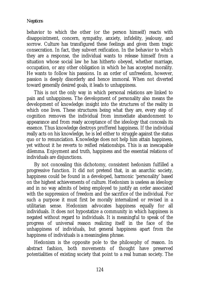behavior to which the other (or the person himself) reacts with disappointment, concern, sympathy, anxiety, infidelity, jealousy, and sorrow. Culture has transfigured these feelings and given them tragic consecration. In fact, they subvert reification. In the behavior to which they are a response, the individual wants to release himself from a situation whose social law he has hitherto obeyed, whether marriage, occupation, or any other obligation in which he has accepted morality. He wants to follow his passions. In an order of unfreedom, however, passion is deeply disorderly and hence immoral. When not diverted toward generally desired goals, it leads to unhappiness.

This is not the only way in which personal relations are linked to pain and unhappiness. The development of personality also means the development of knowledge: insight into the structures of the reality in which one lives. These structures being what they are, every step of cognition removes the individual from immediate abandonment to appearance and from ready acceptance of the ideology that conceals its essence. Thus knowledge destroys proffered happiness. If the individual really acts on his knowledge, he is led either to struggle against the status quo or to renunciation. Knowledge does not help him attain happiness, yet without it he reverts to reified relationships. This is an inescapable dilemma. Enjoyment and truth, happiness and the essential relations of individuals are disjunctions.

By not concealing this dichotomy, consistent hedonism fulfilled a progressive function. It did not pretend that, in an anarchic society, happiness could be found in a developed, harmonic 'personality' based on the highest achievements of culture. Hedonism is useless as ideology and in no way admits of being employed to justify an order associated with the suppression of freedom and the sacrifice of the individual. For such a purpose it must first be morally internalized or revised in a utilitarian sense. Hedonism advocates happiness equally for all individuals. It does not hypostatize a community in which happiness is negated without regard to individuals. It is meaningful to speak of the progress of universal reason realizing itself in the face of the unhappiness of individuals, but general happiness apart from the happiness of individuals is a meaningless phrase.

Hedonism is the opposite pole to the philosophy of reason. In abstract fashion, both movements of thought have preserved potentialities of existing society that point to a real human society. The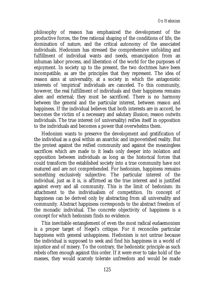philosophy of reason has emphasized the development of the productive forces, the free rational shaping of the conditions of life, the domination of nature, and the critical autonomy of the associated individuals. Hedonism has stressed the comprehensive unfolding and fulfillment of individual wants and needs, emancipation from an inhuman labor process, and liberation of the world for the purposes of enjoyment. In society up to the present, the two doctrines have been incompatible, as are the principles that they represent. The idea of reason aims at universality, at a society in which the antagonistic interests of 'empirical' individuals are canceled. To this community, however, the real fulfillment of individuals and their happiness remains alien and external; they must be sacrificed. There is no harmony between the general and the particular interest, between reason and happiness. If the individual believes that both interests are in accord, he becomes the victim of a necessary and salutary illusion; reason outwits individuals. The true interest (of universality) reifies itself in opposition to the individuals and becomes a power that overwhelms them.

Hedonism wants to preserve the development and gratification of the individual as a goal within an anarchic and impoverished reality. But the protest against the reified community and against the meaningless sacrifices which are made to it leads only deeper into isolation and opposition between individuals as long as the historical forces that could transform the established society into a true community have not matured and are not comprehended. For hedonism, happiness remains something exclusively subjective. The particular interest of the individual, just as it is, is affirmed as the true interest and is justified against every and all community. This is the limit of hedonism: its attachment to the individualism of competition. Its concept of happiness can be derived only by abstracting from all universality and community. Abstract happiness corresponds to the abstract freedom of the monadic individual. The concrete objectivity of happiness is a concept for which hedonism finds no evidence.

This inevitable entanglement of even the most radical eudaemonism is a proper target of Hegel's critique. For it reconciles particular happiness with general unhappiness. Hedonism is not untrue because the individual is supposed to seek and find his happiness in a world of injustice and of misery. To the contrary, the hedonistic principle as such rebels often enough against this order. If it were ever to take hold of the masses, they would scarcely tolerate unfreedom and would be made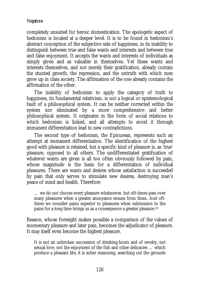completely unsuited for heroic domestication. The apologetic aspect of hedonism is located at a deeper level. It is to be found in hedonism's abstract conception of the subjective side of happiness, in its inability to distinguish between true and false wants and interests and between true and false enjoyment. It accepts the wants and interests of individuals as simply given and as valuable in themselves. Yet these wants and interests themselves, and not merely their gratification, already contain the stunted growth, the repression, and the untruth with which men grow up in class society. The affirmation of the one already contains the affirmation of the other.

The inability of hedonism to apply the category of truth to happiness, its fundamental relativism, is not a logical or epistemological fault of a philosophical system. It can be neither corrected within the system nor eliminated by a more comprehensive and better philosophical system. It originates in the form of social relations to which hedonism is linked, and all attempts to avoid it through immanent differentiation lead to new contradictions.

The second type of hedonism, the Epicurean, represents such an attempt at immanent differentiation. The identification of the highest good with pleasure is retained, but a specific kind of pleasure is, as 'true' pleasure, opposed to all others. The undifferentiated gratification of whatever wants are given is all too often obviously followed by pain, whose magnitude is the basis for a differentiation of individual pleasures. There are wants and desires whose satisfaction is succeeded by pain that only serves to stimulate new desires, destroying man's peace of mind and health. Therefore

… we do not choose every pleasure whatsoever, but oft-times pass over many pleasures when a greater annoyance ensues from them. And ofttimes we consider pains superior to pleasures when submission to the pains for a long time brings us as a consequence a greater pleasure.10

Reason, whose foresight makes possible a comparison of the values of momentary pleasure and later pain, becomes the adjudicator of pleasure. It may itself even become the highest pleasure.

It is not an unbroken succession of drinking-bouts and of revelry, not sexual love, not the enjoyment of the fish and other delicacies … which produce a pleasant life; it is sober reasoning, searching out the grounds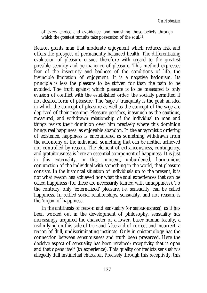of every choice and avoidance, and banishing those beliefs through which the greatest tumults take possession of the soul.<sup>11</sup>

Reason grants man that moderate enjoyment which reduces risk and offers the prospect of permanently balanced health. The differentiating evaluation of pleasure ensues therefore with regard to the greatest possible security and permanence of pleasure. This method expresses fear of the insecurity and badness of the conditions of life, the invincible limitation of enjoyment. It is a negative hedonism. Its principle is less the pleasure to be striven for than the pain to he avoided. The truth against which pleasure is to be measured is only evasion of conflict with the established order: the socially permitted if not desired form of pleasure. The 'sage's' tranquility is the goal: an idea in which the concept of pleasure as well as the concept of the sage are deprived of their meaning. Pleasure perishes, inasmuch as the cautious, measured, and withdrawn relationship of the individual to men and things resists their dominion over him precisely where this dominion brings real happiness: as enjoyable abandon. In the antagonistic ordering of existence, happiness is encountered as something withdrawn from the autonomy of the individual, something that can be neither achieved nor controlled by reason. The element of extraneousness, contingency, and gratuitousness is here an essential component of happiness. It is just in this externality, in this innocent, unburdened, harmonious conjunction of the individual with something in the world, that pleasure consists. In the historical situation of individuals up to the present, it is not what reason has achieved nor what the soul experiences that can be called happiness (for these are necessarily tainted with unhappiness). To the contrary, only 'externalized' pleasure, i.e. sensuality, can be called happiness. In reified social relationships, sensuality, and not reason, is the 'organ' of happiness.

In the antithesis of reason and sensuality (or sensuousness), as it has been worked out in the development of philosophy, sensuality has increasingly acquired the character of a lower, baser human faculty, a realm lying on this side of true and false and of correct and incorrect, a region of dull, undiscriminating instincts. Only in epistemology has the connection between sensuousness and truth been preserved. Here the decisive aspect of sensuality has been retained: receptivity that is open and that opens itself (to experience). This quality contradicts sensuality's allegedly dull instinctual character. Precisely through this receptivity, this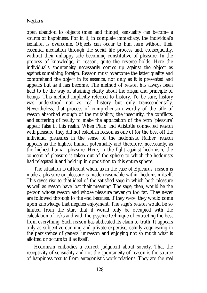open abandon to objects (men and things), sensuality can become a source of happiness. For in it, in complete immediacy, the individual's isolation is overcome. Objects can occur to him here without their essential mediation through the social life process and, consequently, without their unhappy side becoming constitutive of pleasure. In the process of knowledge, in reason, quite the reverse holds. Here the individual's spontaneity necessarily comes up against the object as against something foreign. Reason must overcome the latter quality and comprehend the object in its essence, not only as it is presented and appears but as it has become. The method of reason has always been held to be the way of attaining clarity about the origin and principle of beings. This method implicitly referred to history. To be sure, history was understood not as real history but only transcendentally. Nevertheless, that process of comprehension worthy of the title of reason absorbed enough of the mutability, the insecurity, the conflicts, and suffering of reality to make the application of the term 'pleasure' appear false in this realm. When Plato and Aristotle connected reason with pleasure, they did not establish reason as one of (or the best of) the individual pleasures in the sense of the hedonists. Rather, reason appears as the highest human potentiality and therefore, necessarily, as the highest human pleasure. Here, in the fight against hedonism, the concept of pleasure is taken out of the sphere to which the hedonists had relegated it and held up in opposition to this entire sphere.

The situation is different when, as in the case of Epicurus, reason is made a pleasure or pleasure is made reasonable within hedonism itself. This gives rise to that ideal of the satisfied sage in which both pleasure as well as reason have lost their meaning. The sage, then, would be the person whose reason and whose pleasure never go too far. They never are followed through to the end because, if they were, they would come upon knowledge that negates enjoyment. The sage's reason would be so limited from the start that it would only be occupied with the calculation of risks and with the psychic technique of extracting the best from everything. Such reason has abdicated its claim to truth. It appears only as subjective cunning and private expertise, calmly acquiescing in the persistence of general unreason and enjoying not so much what is allotted or occurs to it as itself.

Hedonism embodies a correct judgment about society. That the receptivity of sensuality and not the spontaneity of reason is the source of happiness results from antagonistic work relations. They are the real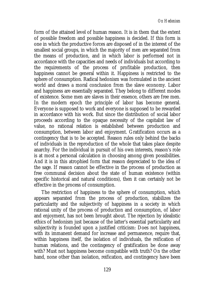form of the attained level of human reason. It is in them that the extent of possible freedom and possible happiness is decided. If this form is one in which the productive forces are disposed of in the interest of the smallest social groups, in which the majority of men are separated from the means of production, and in which labor is performed not in accordance with the capacities and needs of individuals but according to the requirements of the process of profitable production, then happiness cannot be general within it. Happiness is restricted to the sphere of consumption. Radical hedonism was formulated in the ancient world and draws a moral conclusion from the slave economy. Labor and happiness are essentially separated. They belong to different modes of existence. Some men are slaves in their essence, others are free men. In the modern epoch the principle of labor has become general. Everyone is supposed to work and everyone is supposed to be rewarded in accordance with his work. But since the distribution of social labor proceeds according to the opaque necessity of the capitalist law of value, no rational relation is established between production and consumption, between labor and enjoyment. Gratification occurs as a contingency that is to be accepted. Reason rules only behind the backs of individuals in the reproduction of the whole that takes place despite anarchy. For the individual in pursuit of his own interests, reason's role is at most a personal calculation in choosing among given possibilities. And it is in this atrophied form that reason depreciated to the idea of the sage. If reason cannot be effective in the process of production as free communal decision about the state of human existence (within specific historical and natural conditions), then it can certainly not be effective in the process of consumption.

The restriction of happiness to the sphere of consumption, which appears separated from the process of production, stabilizes the particularity and the subjectivity of happiness in a society in which rational unity of the process of production and consumption, of labor and enjoyment, has not been brought about. The rejection by idealistic ethics of hedonism just because of the latter's essential particularity and subjectivity is founded upon a justified criticism: Does not happiness, with its immanent demand for increase and permanence, require that, within happiness itself, the isolation of individuals, the reification of human relations, and the contingency of gratification be done away with? Must not happiness become compatible with truth? On the other hand, none other than isolation, reification, and contingency have been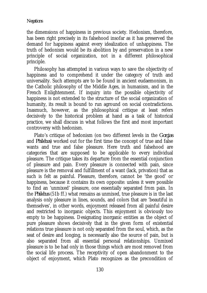the dimensions of happiness in previous society. Hedonism, therefore, has been right precisely in its falsehood insofar as it has preserved the demand for happiness against every idealization of unhappiness. The truth of hedonism would be its abolition by and preservation in a new principle of social organization, not in a different philosophical principle.

Philosophy has attempted in various ways to save the objectivity of happiness and to comprehend it under the category of truth and universality. Such attempts are to be found in ancient eudaemonism, in the Catholic philosophy of the Middle Ages, in humanism, and in the French Enlightenment. If inquiry into the possible objectivity of happiness is not extended to the structure of the social organization of humanity, its result is bound to run aground on social contradictions. Inasmuch, however, as the philosophical critique at least refers decisively to the historical problem at hand as a task of historical practice, we shall discuss in what follows the first and most important controversy with hedonism.

Plato's critique of hedonism (on two different levels in the *Gorgias* and *Philebus*) worked out for the first time the concept of true and false wants and true and false pleasure. Here truth and falsehood are categories that are supposed to be applicable to every individual pleasure. The critique takes its departure from the essential conjunction of pleasure and pain. Every pleasure is connected with pain, since pleasure is the removal and fulfillment of a want (lack, privation) that as such is felt as painful. Pleasure, therefore, cannot be 'the good' or happiness, because it contains its own opposite: unless it were possible to find an 'unmixed' pleasure, one essentially separated from pain. In the *Philebus* (51b ff.) what remains as unmixed, true pleasure is in the last analysis only pleasure in lines, sounds, and colors that are 'beautiful in themselves', in other words, enjoyment released from all painful desire and restricted to inorganic objects. This enjoyment is obviously too empty to be happiness. Designating inorganic entities as the object of pure pleasure shows decisively that in the given form of existential relations true pleasure is not only separated from the soul, which, as the seat of desire and longing, is necessarily also the source of pain, but is also separated from all essential personal relationships. Unmixed pleasure is to be had only in those things which are most removed from the social life process. The receptivity of open abandonment to the object of enjoyment, which Plato recognizes as the precondition of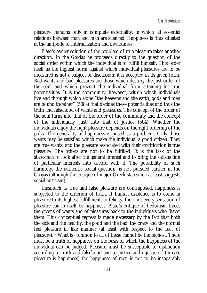pleasure, remains only in complete externality, in which all essential relations between man and man are silenced. Happiness is thus situated at the antipode of internalization and inwardness.

Plato's earlier solution of the problem of true pleasure takes another direction. In the *Gorgias* he proceeds directly to the question of the social order within which the individual is to fulfill himself. This order itself as the highest norm against which individual pleasures are to be measured is not a subject of discussion; it is accepted in its given form. Bad wants and bad pleasures are those which destroy the just order of the soul and which prevent the individual from attaining his true potentialities. It is the community, however, within which individuals live and through which alone "the heavens and the earth, gods and men are bound together" (508a) that decides these potentialities and thus the truth and falsehood of wants and pleasures. The concept of the order of the soul turns into that of the order of the community and the concept of the individually 'just' into that of justice (504). Whether the individuals enjoy the right pleasure depends on the right ordering of the polis. The generality of happiness is posed as a problem. Only those wants may be satisfied which make the individual a good citizen. They are true wants, and the pleasure associated with their gratification is true pleasure. The others are not to be fulfilled. It is the task of the statesman to look after the general interest and to bring the satisfaction of particular interests into accord with it. The possibility of such harmony, the authentic social question, is not pursued further in the *Gorgias* (although the critique of major Greek statesmen at least suggests social criticism).

Inasmuch as true and false pleasure are contraposed, happiness is subjected to the criterion of truth. If human existence is to come in pleasure to its highest fulfillment, to felicity, then not every sensation of pleasure can in itself be happiness. Plato's critique of hedonism traces the givens of wants and of pleasures back to the individuals who 'have' them. This conceptual regress is made necessary by the fact that both the sick and the healthy, the good and the bad, the crazy and the normal feel pleasure in like manner (at least with respect to the fact of pleasure).12 What is common to all of these cannot be the highest. There must be a truth of happiness on the basis of which the happiness of the individual can be judged. Pleasure must be susceptible to distinction according to truth and falsehood and to justice and injustice if (in case pleasure is happiness) the happiness of men is not to be inseparably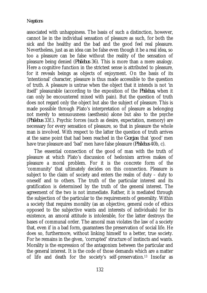associated with unhappiness. The basis of such a distinction, however, cannot lie in the individual sensation of pleasure as such, for both the sick and the healthy and the bad and the good feel real pleasure. Nevertheless, just as an idea can be false even though it be a real idea, so too a pleasure can be false without the reality of the sensation of pleasure being denied (*Philebus* 36). This is more than a mere analogy. Here a cognitive function in the strictest sense is attributed to pleasure, for it reveals beings as objects of enjoyment. On the basis of its 'intentional' character, pleasure is thus made accessible to the question of truth. A pleasure is untrue when the object that it intends is not 'in itself' pleasurable (according to the exposition of the *Philebus*, when it can only be encountered mixed with pain). But the question of truth does not regard only the object but also the subject of pleasure. This is made possible through Plato's interpretation of pleasure as belonging not merely to sensuousness (aesthesis) alone but also to the psyche (*Philebus* 33f.). Psychic forces (such as desire, expectation, memory) are necessary for every sensation of pleasure, so that in pleasure the whole man is involved. With respect to the latter the question of truth arrives at the same point that had been reached in the *Gorgias*: that 'good' men have true pleasure and 'bad' men have false pleasure (*Philebus* 40b, c).

The essential connection of the good of man with the truth of pleasure at which Plato's discussion of hedonism arrives makes of pleasure a moral problem. For it is the concrete form of the 'community' that ultimately decides on this connection. Pleasure is subject to the claim of society and enters the realm of duty – duty to oneself and to others. The truth of the particular interest and its gratification is determined by the truth of the general interest. The agreement of the two is not immediate. Rather, it is mediated through the subjection of the particular to the requirements of generality. Within a society that requires morality (as an objective, general code of ethics opposed to the subjective wants and interests of individuals) for its existence, an amoral attitude is intolerable, for the latter destroys the bases of communal order. The amoral man violates the law of a society that, even if in a bad form, guarantees the preservation of social life. He does so, furthermore, without linking himself to a better, true society. For he remains in the given, 'corrupted' structure of instincts and wants. Morality is the expression of the antagonism between the particular and the general interest. It is the code of those demands which are a matter of life and death for the society's self-preservation.13 Insofar as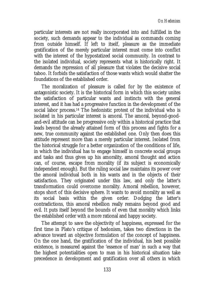particular interests are not really incorporated into and fulfilled in the society, such demands appear to the individual as commands coming from outside himself. If left to itself, pleasure as the immediate gratification of the merely particular interest must come into conflict with the interest of the hypostatized social community. In contrast to the isolated individual, society represents what is historically right. It demands the repression of all pleasure that violates the decisive social taboo. It forbids the satisfaction of those wants which would shatter the foundations of the established order.

The moralization of pleasure is called for by the existence of antagonistic society. It is the historical form in which this society unites the satisfaction of particular wants and instincts with the general interest, and it has had a progressive function in the development of the social labor process.<sup>14</sup> The hedonistic protest of the individual who is isolated in his particular interest is amoral. The amoral, beyond-goodand-evil attitude can be progressive only within a historical practice that leads beyond the already attained form of this process and fights for a new, true community against the established one. Only then does this attitude represent more than a merely particular interest. Isolated from the historical struggle for a better organization of the conditions of life, in which the individual has to engage himself in concrete social groups and tasks and thus gives up his amorality, amoral thought and action can, of course, escape from morality (if its subject is economically independent enough). But the ruling social law maintains its power over the amoral individual both in his wants and in the objects of their satisfaction. They originated under this law, and only the latter's transformation could overcome morality. Amoral rebellion, however, stops short of this decisive sphere. It wants to avoid morality as well as its social basis within the given order. Dodging the latter's contradictions, this amoral rebellion really remains beyond good and evil. It puts itself beyond the bounds of even that morality which links the established order with a more rational and happy society.

The attempt to save the objectivity of happiness, expressed for the first time in Plato's critique of hedonism, takes two directions in the advance toward an objective formulation of the concept of happiness. On the one hand, the gratification of the individual, his best possible existence, is measured against the 'essence of man' in such a way that the highest potentialities open to man in his historical situation take precedence in development and gratification over all others in which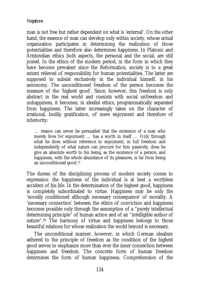man is not free but rather dependent on what is 'external'. On the other hand, the essence of man can develop only within society, whose actual organization participates in determining the realization of those potentialities and therefore also determines happiness. In Platonic and Aristotelian ethics both aspects, the personal and the social, are still joined. In the ethics of the modern period, in the form in which they have become prevalent since the Reformation, society is to a great extent relieved of responsibility for human potentialities. The latter are supposed to subsist exclusively in the individual himself, in his autonomy. The unconditioned freedom of the person becomes the measure of the 'highest good'. Since, however, this freedom is only abstract in the real world and coexists with social unfreedom and unhappiness, it becomes, in idealist ethics, programmatically separated from happiness. The latter increasingly takes on the character of irrational, bodily gratification, of mere enjoyment and therefore of inferiority:

… reason can never be persuaded that the existence of a man who merely lives for enjoyment … has a worth in itself … Only through what he does without reference to enjoyment, in full freedom and independently of what nature can procure for him passively, does he give an absolute worth to his being, as the existence of a person; and happiness, with the whole abundance of its pleasures, is far from being an unconditioned good.15

The duress of the disciplining process of modern society comes to expression: the happiness of the individual is at best a worthless accident of his life. In the determination of the highest good, happiness is completely subordinated to virtue. Happiness may be only the 'morally conditioned although necessary consequence' of morality. A 'necessary connection' between the ethics of conviction and happiness becomes possible only through the assumption of a "purely intellectual determining principle" of human action and of an "intelligible author of nature".16 The harmony of virtue and happiness belongs to those beautiful relations for whose realization the world beyond is necessary.

The unconditional manner, however, in which German idealism adhered to the principle of freedom as the condition of the highest good serves to emphasize more than ever the inner connection between happiness and freedom. The concrete form of human freedom determines the form of human happiness. Comprehension of the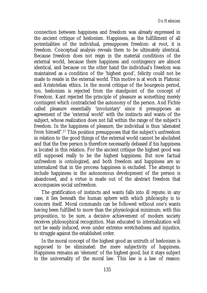connection between happiness and freedom was already expressed in the ancient critique of hedonism. Happiness, as the fulfillment of all potentialities of the individual, presupposes freedom: at root, it is freedom. Conceptual analysis reveals them to be ultimately identical. Because freedom does not reign in the material conditions of the external world, because there happiness and contingency are almost identical, and because on the other hand the individual's freedom was maintained as a condition of the 'highest good', felicity could not be made to reside in the external world. This motive is at work in Platonic and Aristotelian ethics. In the moral critique of the bourgeois period, too, hedonism is rejected from the standpoint of the concept of Freedom. Kant rejected the principle of pleasure as something merely contingent which contradicted the autonomy of the person. And Fichte called pleasure essentially 'involuntary' since it presupposes an agreement of the 'external world' with the instincts and wants of the subject, whose realization does not fall within the range of the subject's freedom. In the happiness of pleasure, the individual is thus 'alienated from himself'.17 This position presupposes that the subject's unfreedom in relation to the good things of the external world cannot be abolished and that the free person is therefore necessarily debased if his happiness is located in this relation. For the ancient critique the highest good was still supposed really to be the highest happiness. But now factual unfreedom is ontologized, and both freedom and happiness are so internalized that in the process happiness is excluded. The attempt to include happiness in the autonomous development of the person is abandoned, and a virtue is made out of the abstract freedom that accompanies social unfreedom.

The gratification of instincts and wants falls into ill repute; in any case, it lies beneath the human sphere with which philosophy is to concern itself. Moral commands can be followed without one's wants having been fulfilled to more than the physiological minimum; with this proposition, to be sure, a decisive achievement of modern society receives philosophical recognition. Man educated to internalization will not be easily induced, even under extreme wretchedness and injustice, to struggle against the established order.

In the moral concept of the highest good an untruth of hedonism is supposed to be eliminated: the mere subjectivity of happiness. Happiness remains an 'element' of the highest good, but it stays subject to the universality of the moral law. This law is a law of reason: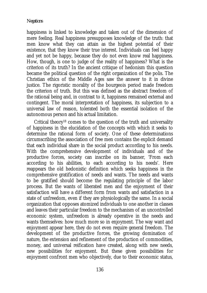happiness is linked to knowledge and taken out of the dimension of mere feeling. Real happiness presupposes knowledge of the truth: that men know what they can attain as the highest potential of their existence, that they know their true interest. Individuals can feel happy and yet not be happy, because they do not even know real happiness. How, though, is one to judge of the reality of happiness? What is the criterion of its truth? In the ancient critique of hedonism this question became the political question of the right organization of the polis. The Christian ethics of the Middle Ages saw the answer to it in divine justice. The rigoristic morality of the bourgeois period made freedom the criterion of truth. But this was defined as the abstract freedom of the rational being and, in contrast to it, happiness remained external and contingent. The moral interpretation of happiness, its subjection to a universal law of reason, tolerated both the essential isolation of the autonomous person and his actual limitation.

Critical theory<sup>18</sup> comes to the question of the truth and universality of happiness in the elucidation of the concepts with which it seeks to determine the rational form of society. One of these determinations circumscribing the association of free men contains the explicit demand that each individual share in the social product according to his needs. With the comprehensive development of individuals and of the productive forces, society can inscribe on its banner, 'From each according to his abilities, to each according to his needs'. Here reappears the old hedonistic definition which seeks happiness in the comprehensive gratification of needs and wants. The needs and wants to be gratified should become the regulating principle of the labor process. But the wants of liberated men and the enjoyment of their satisfaction will have a different form from wants and satisfaction in a state of unfreedom, even if they are physiologically the same. In a social organization that opposes atomized individuals to one another in classes and leaves their particular freedom to the mechanism of an uncontrolled economic system, unfreedom is already operative in the needs and wants themselves: how much more so in enjoyment. The way want and enjoyment appear here, they do not even require general freedom. The development of the productive forces, the growing domination of nature, the extension and refinement of the production of commodities, money, and universal reification have created, along with new needs, new possibilities for enjoyment. But these given possibilities for enjoyment confront men who objectively, due to their economic status,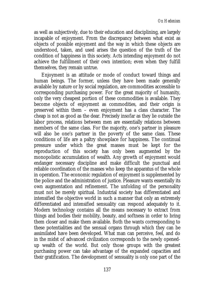as well as subjectively, due to their education and disciplining, are largely incapable of enjoyment. From the discrepancy between what exist as objects of possible enjoyment and the way in which these objects are understood, taken, and used arises the question of the truth of the condition of happiness in this society. Acts intending enjoyment do not achieve the fulfillment of their own intention; even when they fulfill themselves, they remain untrue.

Enjoyment is an attitude or mode of conduct toward things and human beings. The former, unless they have been made generally available by nature or by social regulation, are commodities accessible to corresponding purchasing power. For the great majority of humanity, only the very cheapest portion of these commodities is available. They become objects of enjoyment as commodities, and their origin is preserved within them – even enjoyment has a class character. The cheap is not as good as the dear. Precisely insofar as they lie outside the labor process, relations between men are essentially relations between members of the same class. For the majority, one's partner in pleasure will also be one's partner in the poverty of the same class. These conditions of life are a paltry showplace for happiness. The continual pressure under which the great masses must be kept for the reproduction of this society has only been augmented by the monopolistic accumulation of wealth. Any growth of enjoyment would endanger necessary discipline and make difficult the punctual and reliable coordination of the masses who keep the apparatus of the whole in operation. The economic regulation of enjoyment is supplemented by the police and the administration of justice. Pleasure wants essentially its own augmentation and refinement. The unfolding of the personality must not be merely spiritual. Industrial society has differentiated and intensified the objective world in such a manner that only an extremely differentiated and intensified sensuality can respond adequately to it. Modern technology contains all the means necessary to extract from things and bodies their mobility, beauty, and softness in order to bring them closer and make them available. Both the wants corresponding to these potentialities and the sensual organs through which they can be assimilated have been developed. What man can perceive, feel, and do in the midst of advanced civilization corresponds to the newly openedup wealth of the world. But only those groups with the greatest purchasing power can take advantage of the expanded capacities and their gratification. The development of sensuality is only one part of the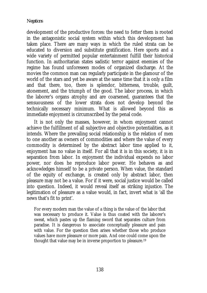development of the productive forces: the need to fetter them is rooted in the antagonistic social system within which this development has taken place. There are many ways in which the ruled strata can be educated to diversion and substitute gratification. Here sports and a wide variety of permitted popular entertainment fulfill their historical function. In authoritarian states sadistic terror against enemies of the regime has found unforeseen modes of organized discharge. At the movies the common man can regularly participate in the glamour of the world of the stars and yet be aware at the same time that it is only a film and that there, too, there is splendor, bitterness, trouble, guilt, atonement, and the triumph of the good. The labor process, in which the laborer's organs atrophy and are coarsened, guarantees that the sensuousness of the lower strata does not develop beyond the technically necessary minimum. What is allowed beyond this as immediate enjoyment is circumscribed by the penal code.

It is not only the masses, however, in whom enjoyment cannot achieve the fulfillment of all subjective and objective potentialities, as it intends. Where the prevailing social relationship is the relation of men to one another as owners of commodities and where the value of every commodity is determined by the abstract labor time applied to it, enjoyment has no value in itself. For all that it is in this society, it is in separation from labor. In enjoyment the individual expends no labor power, nor does he reproduce labor power. He behaves as and acknowledges himself to be a private person. When value, the standard of the equity of exchange, is created only by abstract labor, then pleasure may not be a value. For if it were, social justice would be called into question. Indeed, it would reveal itself as striking injustice. The legitimation of pleasure as a value would, in fact, invert what is 'all the news that's fit to print'.

For every modern man the value of a thing is the value of the labor that was necessary to produce it. Value is thus coated with the laborer's sweat, which pastes up the flaming sword that separates culture from paradise. It is dangerous to associate conceptually pleasure and pain with value. For the question then arises whether those who produce values have more pleasure or more pain. And one could come upon the thought that value may be in inverse proportion to pleasure.19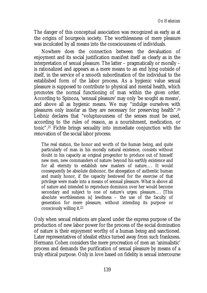The danger of this conceptual association was recognized as early as at the origins of bourgeois society. The worthlessness of mere pleasure was inculcated by all means into the consciousness of individuals.

Nowhere does the connection between the devaluation of enjoyment and its social justification manifest itself as clearly as in the interpretation of sexual pleasure. The latter – pragmatically or morally – is rationalized and appears as a mere means to an end lying outside of itself, in the service of a smooth subordination of the individual to the established form of the labor process. As a hygienic value sexual pleasure is supposed to contribute to physical and mental health, which promotes the normal functioning of man within the given order. According to Spinoza, 'sensual pleasure' may only 'be sought as means', and above all as hygienic means. We may "indulge ourselves with pleasures only insofar as they are necessary for preserving health".20 Leibniz declares that "voluptuousness of the senses must be used, according to the rules of reason, as a nourishment, medication, or tonic".21 Fichte brings sexuality into immediate conjunction with the renovation of the social labor process:

The real station, the honor and worth of the human being, and quite particularly of man in his morally natural existence, consists without doubt in his capacity as original progenitor to produce out of himself new men, new commanders of nature: beyond his earthly existence and for all eternity to establish new masters of nature…. It would consequently be absolute dishonor, the abnegation of authentic human and manly honor, if the capacity bestowed for the exercise of that privilege were made into a means of sensual pleasure. What is above all of nature and intended to reproduce dominion over her would become secondary and subject to one of nature's urges: pleasure…. [This absolute worthlessness is] lewdness – the use of the faculty of generation for mere pleasure, without intending its purpose or consciously willing it.22

Only when sexual relations are placed under the express purpose of the production of new labor power for the process of the social domination of nature is their enjoyment worthy of a human being and sanctioned. Later representatives of idealist ethics turned away from such frankness. Hermann Cohen considers the mere procreation of men an 'animalistic' process and demands the purification of sexual pleasure by means of a truly ethical purpose. Only in love based on fidelity is sexual intercourse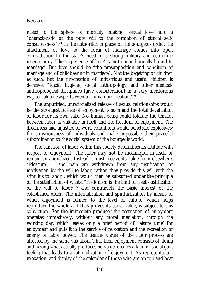raised to the sphere of morality, making 'sexual love' into a "characteristic of the pure will to the formation of ethical selfconsciousness".23 In the authoritarian phase of the bourgeois order, the attachment of love to the form of marriage comes into open contradiction to the state's need of a strong military and economic reserve army. The 'experience of love' is 'not unconditionally bound to marriage'. But love should be "the presupposition and condition of marriage and of childbearing in marriage". Not the begetting of children as such, but the procreation of industrious and useful children is decisive. "Racial hygiene, social anthropology, and other medicalanthropological disciplines [give consideration] in a very meritorious way to valuable aspects even of human procreation."<sup>24</sup>

The unpurified, unrationalized release of sexual relationships would be the strongest release of enjoyment as such and the total devaluation of labor for its own sake. No human being could tolerate the tension between labor as valuable in itself and the freedom of enjoyment. The dreariness and injustice of work conditions would penetrate explosively the consciousness of individuals and make impossible their peaceful subordination to the social system of the bourgeois world.

The function of labor within this society determines its attitude with respect to enjoyment. The latter may not be meaningful in itself or remain unrationalized. Instead it must receive its value from elsewhere. "Pleasure … and pain are withdrawn from any justification or motivation by the will to labor; rather, they provide this will with the stimulus to labor", which would then be subsumed under the principle of the satisfaction of wants. "Hedonism is the limit of a self-justification of the will to labor"25 and contradicts the basic interest of the established order. The internalization and spiritualization by means of which enjoyment is refined to the level of culture, which helps reproduce the whole and thus proves its social value, is subject to this conviction. For the immediate producer the restriction of enjoyment operates immediately, without any moral mediation, through the working day, which leaves only a brief period of 'leisure time' for enjoyment and puts it in the service of relaxation and the recreation of energy or labor power. The usufructuaries of the labor process are affected by the same valuation. That their enjoyment consists of doing and having what actually produces no value, creates a kind of social guilt feeling that leads to a rationalization of enjoyment. As representation, relaxation, and display of the splendor of those who are on top and bear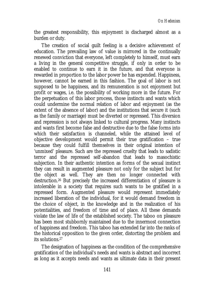the greatest responsibility, this enjoyment is discharged almost as a burden or duty.

The creation of social guilt feeling is a decisive achievement of education. The prevailing law of value is mirrored in the continually renewed conviction that everyone, left completely to himself, must earn a living in the general competitive struggle, if only in order to be enabled to continue to earn it in the future, and that everyone is rewarded in proportion to the labor power he has expended. Happiness, however, cannot be earned in this fashion. The goal of labor is not supposed to be happiness, and its remuneration is not enjoyment but profit or wages, i.e. the possibility of working more in the future. For the perpetuation of this labor process, those instincts and wants which could undermine the normal relation of labor and enjoyment (as the extent of the absence of labor) and the institutions that secure it (such as the family or marriage) must be diverted or repressed. This diversion and repression is not always linked to cultural progress. Many instincts and wants first become false and destructive due to the false forms into which their satisfaction is channeled, while the attained level of objective development would permit their true gratification – true because they could fulfill themselves in their original intention of 'unmixed' pleasure. Such are the repressed cruelty that leads to sadistic terror and the repressed self-abandon that leads to masochistic subjection. In their authentic intention as forms of the sexual instinct they can result in augmented pleasure not only for the subject but for the object as well. They are then no longer connected with destruction.26 But precisely the increased differentiation of pleasure is intolerable in a society that requires such wants to be gratified in a repressed form. Augmented pleasure would represent immediately increased liberation of the individual, for it would demand freedom in the choice of object, in the knowledge and in the realization of his potentialities, and freedom of time and of place. All these demands violate the law of life of the established society. The taboo on pleasure has been most stubbornly maintained due to the innermost connection of happiness and freedom. This taboo has extended far into the ranks of the historical opposition to the given order, distorting the problem and its solutions.27

The designation of happiness as the condition of the comprehensive gratification of the individual's needs and wants is abstract and incorrect as long as it accepts needs and wants as ultimate data in their present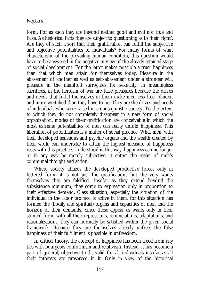form. For as such they are beyond neither good and evil nor true and false. As historical facts they are subject to questioning as to their 'right': Are they of such a sort that their gratification can fulfill the subjective and objective potentialities of individuals? For many forms of want characteristic of the prevailing human condition, this question would have to be answered in the negative in view of the already attained stage of social development. For the latter makes possible a truer happiness than that which men attain for themselves today. Pleasure in the abasement of another as well as self-abasement under a stronger will, pleasure in the manifold surrogates for sexuality, in meaningless sacrifices, in the heroism of war are false pleasures because the drives and needs that fulfill themselves in them make men less free, blinder, and more wretched than they have to be. They are the drives and needs of individuals who were raised in an antagonistic society. To the extent to which they do not completely disappear in a new form of social organization, modes of their gratification are conceivable in which the most extreme potentialities of men can really unfold happiness. This liberation of potentialities is a matter of social practice. What men, with their developed sensuous and psychic organs and the wealth created by their work, can undertake to attain the highest measure of happiness rests with this practice. Understood in this way, happiness can no longer or in any way be merely subjective: it enters the realm of men's communal thought and action.

Where society utilizes the developed productive forces only in fettered form, it is not just the gratifications but the very wants themselves that are falsified. Insofar as they extend beyond the subsistence minimum, they come to expression only in proportion to their effective demand. Class situation, especially the situation of the individual in the labor process, is active in them, for this situation has formed the (bodily and spiritual) organs and capacities of men and the horizon of their demands. Since these appear as wants only in their stunted form, with all their repressions, renunciations, adaptations, and rationalizations, they can normally be satisfied within the given social framework. Because they are themselves already unfree, the false happiness of their fulfillment is possible in unfreedom.

In critical theory, the concept of happiness has been freed from any ties with bourgeois conformism and relativism. Instead, it has become a part of general, objective truth, valid for all individuals insofar as all their interests are preserved in it. Only in view of the historical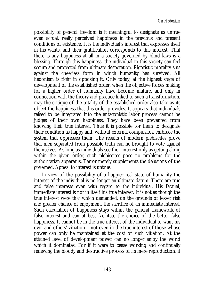possibility of general freedom is it meaningful to designate as untrue even actual, really perceived happiness in the previous and present conditions of existence. It is the individual's interest that expresses itself in his wants, and their gratification corresponds to this interest. That there is any happiness at all in a society governed by blind laws is a blessing. Through this happiness, the individual in this society can feel secure and protected from ultimate desperation. Rigoristic morality sins against the cheerless form in which humanity has survived. All hedonism is right in opposing it. Only today, at the highest stage of development of the established order, when the objective forces making for a higher order of humanity have become mature, and only in connection with the theory and practice linked to such a transformation, may the critique of the totality of the established order also take as its object the happiness that this order provides. It appears that individuals raised to be integrated into the antagonistic labor process cannot be judges of their own happiness. They have been prevented from knowing their true interest. Thus it is possible for them to designate their condition as happy and, without external compulsion, embrace the system that oppresses them. The results of modern plebiscites prove that men separated from possible truth can he brought to vote against themselves. As long as individuals see their interest only as getting along within the given order, such plebiscites pose no problems for the authoritarian apparatus. Terror merely supplements the delusions of the governed. Appeal to interest is untrue.

In view of the possibility of a happier real state of humanity the interest of the individual is no longer an ultimate datum. There are true and false interests even with regard to the individual. His factual, immediate interest is not in itself his true interest. It is not as though the true interest were that which demanded, on the grounds of lesser risk and greater chance of enjoyment, the sacrifice of an immediate interest. Such calculation of happiness stays within the general framework of false interest and can at best facilitate the choice of the better false happiness. It cannot be in the true interest of the individual to want his own and others' vitiation – not even in the true interest of those whose power can only be maintained at the cost of such vitiation. At the attained level of development power can no longer enjoy the world which it dominates. For if it were to cease working and continually renewing the bloody and destructive process of its mere reproduction, it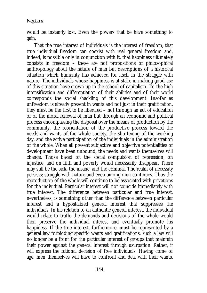would be instantly lost. Even the powers that be have something to gain.

That the true interest of individuals is the interest of freedom, that true individual freedom can coexist with real general freedom and, indeed, is possible only in conjunction with it, that happiness ultimately consists in freedom – these are not propositions of philosophical anthropology about the nature of man but descriptions of a historical situation which humanity has achieved for itself in the struggle with nature. The individuals whose happiness is at stake in making good use of this situation have grown up in the school of capitalism. To the high intensification and differentiation of their abilities and of their world corresponds the social shackling of this development. Insofar as unfreedom is already present in wants and not just in their gratification, they must be the first to be liberated – not through an act of education or of the moral renewal of man but through an economic and political process encompassing the disposal over the means of production by the community, the reorientation of the productive process toward the needs and wants of the whole society, the shortening of the working day, and the active participation of the individuals in the administration of the whole. When all present subjective and objective potentialities of development have been unbound, the needs and wants themselves will change. Those based on the social compulsion of repression, on injustice, and on filth and poverty would necessarily disappear. There may still be the sick, the insane, and the criminal. The realm of necessity persists; struggle with nature and even among men continues. Thus the reproduction of the whole will continue to be associated with privations for the individual. Particular interest will not coincide immediately with true interest. The difference between particular and true interest, nevertheless, is something other than the difference between particular interest and a hypostatized general interest that suppresses the individuals. In his relation to an authentic general interest, the individual would relate to truth; the demands and decisions of the whole would then preserve the individual interest and eventually promote his happiness. If the true interest, furthermore, must be represented by a general law forbidding specific wants and gratifications, such a law will no longer be a front for the particular interest of groups that maintain their power against the general interest through usurpation. Rather, it will express the rational decision of free individuals. Having come of age, men themselves will have to confront and deal with their wants.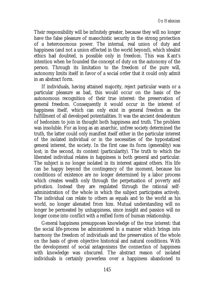Their responsibility will be infinitely greater, because they will no longer have the false pleasure of masochistic security in the strong protection of a heteronomous power. The internal, real union of duty and happiness (and not a union effected in the world beyond), which idealist ethics had doubted, is possible only in freedom. This was Kant's intention when he founded the concept of duty on the autonomy of the person. Through its limitation to the freedom of the pure will, autonomy limits itself in favor of a social order that it could only admit in an abstract form.

If individuals, having attained majority, reject particular wants or a particular pleasure as bad, this would occur on the basis of the autonomous recognition of their true interest: the preservation of general freedom. Consequently it would occur in the interest of happiness itself, which can only exist in general freedom as the fulfillment of all developed potentialities. It was the ancient desideratum of hedonism to join in thought both happiness and truth. The problem was insoluble. For as long as an anarchic, unfree society determined the truth, the latter could only manifest itself either in the particular interest of the isolated individual or in the necessities of the hypostatized general interest, the society. In the first case its form (generality) was lost; in the second, its content (particularity). The truth to which the liberated individual relates in happiness is both general and particular. The subject is no longer isolated in its interest against others. His life can be happy beyond the contingency of the moment, because his conditions of existence are no longer determined by a labor process which creates wealth only through the perpetuation of poverty and privation. Instead they are regulated through the rational selfadministration of the whole in which the subject participates actively. The individual can relate to others as equals and to the world as his world, no longer alienated from him. Mutual understanding will no longer be permeated by unhappiness, since insight and passion will no longer come into conflict with a reified form of human relationship.

General happiness presupposes knowledge of the true interest: that the social life-process be administered in a manner which brings into harmony the freedom of individuals and the preservation of the whole on the basis of given objective historical and natural conditions. With the development of social antagonisms the connection of happiness with knowledge was obscured. The abstract reason of isolated individuals is certainly powerless over a happiness abandoned to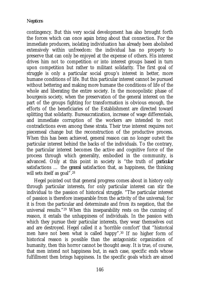contingency. But this very social development has also brought forth the forces which can once again bring about that connection. For the immediate producers, isolating individuation has already been abolished extensively within unfreedom: the individual has no property to preserve that can only be enjoyed at the expense of others. His interest drives him not to competition or into interest groups based in turn upon competition but rather to militant solidarity. The first goal of struggle is only a particular social group's interest in better, more humane conditions of life. But this particular interest cannot be pursued without bettering and making more humane the conditions of life of the whole and liberating the entire society. In the monopolistic phase of bourgeois society, when the preservation of the general interest on the part of the groups fighting for transformation is obvious enough, the efforts of the beneficiaries of the Establishment are directed toward splitting that solidarity. Bureaucratization, increase of wage differentials, and immediate corruption of the workers are intended to root contradictions even among these strata. Their true interest requires not piecemeal change but the reconstruction of the productive process. When this has been achieved, general reason can no longer outwit the particular interest behind the backs of the individuals. To the contrary, the particular interest becomes the active and cognitive force of the process through which generality, embodied in the community, is advanced. Only at this point in society is "the truth of *particular* satisfactions … the *general* satisfaction that, as happiness, the thinking will sets itself as goal".<sup>28</sup>

Hegel pointed out that general progress comes about in history only through particular interests, for only particular interest can stir the individual to the passion of historical struggle. "The particular interest of passion is therefore inseparable from the activity of the universal; for it is from the particular and determinate and from its negation, that the universal results."29 When this inseparability rests on the cunning of reason, it entails the unhappiness of individuals. In the passion with which they pursue their particular interests, they wear themselves out and are destroyed. Hegel called it a 'horrible comfort' that "historical men have not been what is called happy".30 If no higher form of historical reason is possible than the antagonistic organization of humanity, then this horror cannot be thought away. It is true, of course, that men intend not happiness but, in each case, specific ends whose fulfillment then brings happiness. In the specific goals which are aimed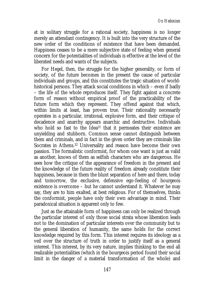at in solitary struggle for a rational society, happiness is no longer merely an attendant contingency. It is built into the very structure of the new order of the conditions of existence that have been demanded. Happiness ceases to be a mere subjective state of feeling when general concern for the potentialities of individuals is effective at the level of the liberated needs and wants of the subjects.

For Hegel, then, the struggle for the higher generality, or form of society, of the future becomes in the present the cause of particular individuals and groups, and this constitutes the tragic situation of worldhistorical persons. They attack social conditions in which – even if badly – the life of the whole reproduces itself. They fight against a concrete form of reason without empirical proof of the practicability of the future form which they represent. They offend against that which, within limits at least, has proven true. Their rationality necessarily operates in a particular, irrational, explosive form, and their critique of decadence and anarchy appears anarchic and destructive. Individuals who hold so fast to the Idea<sup>31</sup> that it permeates their existence are unyielding and stubborn. Common sense cannot distinguish between them and criminals, and in fact in the given order they are criminals like Socrates in Athens.<sup>32</sup> Universality and reason have become their own passion. The formalistic conformist, for whom one want is just as valid as another, knows of them as selfish characters who are dangerous. He sees how the critique of the appearance of freedom in the present and the knowledge of the future reality of freedom already constitute their happiness, because in them the blunt separation of here and there, today and tomorrow, the exclusive, defensive ego-feeling of bourgeois existence is overcome – but he cannot understand it. Whatever he may say, they are to him exalted, at best religious. For of themselves, thinks the conformist, people have only their own advantage in mind. Their paradoxical situation is apparent only to few.

Just as the attainable form of happiness can only be realized through the particular interest of only those social strata whose liberation leads not to the domination of particular interests over the community but to the general liberation of humanity, the same holds for the correct knowledge required by this form. This interest requires its ideology as a veil over the structure of truth in order to justify itself as a general interest. This interest, by its very nature, implies thinking to the end all realizable potentialities (which in the bourgeois period found their social limit in the danger of a material transformation of the whole) and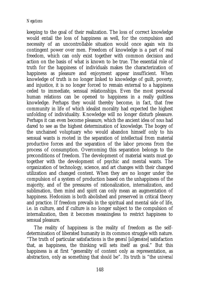keeping to the goal of their realization. The loss of correct knowledge would entail the loss of happiness as well, for the compulsion and necessity of an uncontrollable situation would once again win its contingent power over men. Freedom of knowledge is a part of real freedom, which can only exist together with common decision and action on the basis of what is known to be true. The essential role of truth for the happiness of individuals makes the characterization of happiness as pleasure and enjoyment appear insufficient. When knowledge of truth is no longer linked to knowledge of guilt, poverty, and injustice, it is no longer forced to remain external to a happiness ceded to immediate, sensual relationships. Even the most personal human relations can be opened to happiness in a really guiltless knowledge. Perhaps they would thereby become, in fact, that free community in life of which idealist morality had expected the highest unfolding of individuality. Knowledge will no longer disturb pleasure. Perhaps it can even become pleasure, which the ancient idea of *nous* had dared to see as the highest determination of knowledge. The bogey of the unchained voluptuary who would abandon himself only to his sensual wants is rooted in the separation of intellectual from material productive forces and the separation of the labor process from the process of consumption. Overcoming this separation belongs to the preconditions of freedom. The development of material wants must go together with the development of psychic and mental wants. The organization of technology, science, and art changes with their changed utilization and changed content. When they are no longer under the compulsion of a system of production based on the unhappiness of the majority, and of the pressures of rationalization, internalization, and sublimation, then mind and spirit can only mean an augmentation of happiness. Hedonism is both abolished and preserved in critical theory and practice. If freedom prevails in the spiritual and mental side of life, i.e. in culture, and if culture is no longer subject to the compulsion of internalization, then it becomes meaningless to restrict happiness to sensual pleasure.

The reality of happiness is the reality of freedom as the selfdetermination of liberated humanity in its common struggle with nature. "The truth of particular satisfactions is the *general* [*allgemeine*] satisfaction that, as happiness, the thinking will sets itself as goal." But this happiness is at first "generality of content only as representation, as abstraction, only as something that *should* be". Its truth is "the *universal*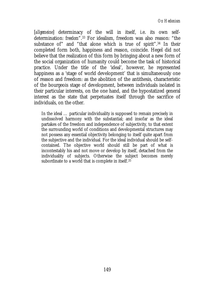[allgemeine] determinacy of the will in itself, i.e. its own selfdetermination: *freedom*".33 For idealism, freedom was also reason: "the substance of" and "that alone which is true of spirit".<sup>34</sup> In their completed form both, happiness and reason, coincide. Hegel did not believe that the realization of this form by bringing about a new form of the social organization of humanity could become the task of historical practice. Under the title of the 'ideal', however, he represented happiness as a 'stage of world development' that is simultaneously one of reason and freedom: as the abolition of the antithesis, characteristic of the bourgeois stage of development, between individuals isolated in their particular interests, on the one hand, and the hypostatized general interest as the state that perpetuates itself through the sacrifice of individuals, on the other.

In the ideal … particular individuality is supposed to remain precisely in undissolved harmony with the substantial; and insofar as the ideal partakes of the freedom and independence of subjectivity, to that extent the surrounding world of conditions and developmental structures may not possess any essential objectivity belonging to itself quite apart from the subjective and the individual. For the ideal individual should be selfcontained. The objective world should still be part of what is incontestably his and not move or develop by itself, detached from the individuality of subjects. Otherwise the subject becomes merely subordinate to a world that is complete in itself.<sup>35</sup>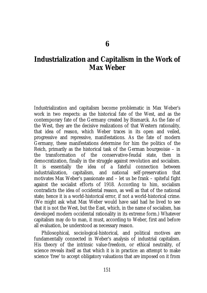# **Industrialization and Capitalism in the Work of Max Weber**

Industrialization and capitalism become problematic in Max Weber's work in two respects: as the historical fate of the West, and as the contemporary fate of the Germany created by Bismarck. As the fate of the West, they are the decisive realizations of that Western rationality, that idea of reason, which Weber traces in its open and veiled, progressive and repressive, manifestations. As the fate of modern Germany, these manifestations determine for him the politics of the Reich, primarily as the historical task of the German bourgeoisie – in the transformation of the conservative-feudal state, then in democratization, finally in the struggle against revolution and socialism. It is essentially the idea of a fateful connection between industrialization, capitalism, and national self-preservation that motivates Max Weber's passionate and – let us be frank – spiteful fight against the socialist efforts of 1918. According to him, socialism contradicts the idea of occidental reason, as well as that of the national state; hence it is a world-historical error, if not a world-historical crime. (We might ask what Max Weber would have said had he lived to see that it is not the West, but the East, which, in the name of socialism, has developed modern occidental rationality in its extreme form.) Whatever capitalism may do to man, it must, according to Weber, first and before all evaluation, be understood as necessary reason.

Philosophical, sociological-historical, and political motives are fundamentally connected in Weber's analysis of industrial capitalism. His theory of the intrinsic value-freedom, or ethical neutrality, of science reveals itself as that which it is in practice: an attempt to make science 'free' to accept obligatory valuations that are imposed on it from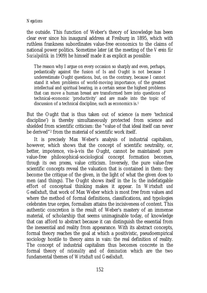the outside. This function of Weber's theory of knowledge has been clear ever since his inaugural address at Freiburg in 1895, which with ruthless frankness subordinates value-free economics to the claims of national power politics. Sometime later (at the meeting of the *Verein für Sozialpolitik* in 1909) he himself made it as explicit as possible:

The reason why I argue on every occasion so sharply and even, perhaps, pedantically against the fusion of Is and Ought is not because I underestimate Ought questions, but, on the contrary, because I cannot stand it when problems of world-moving importance, of the greatest intellectual and spiritual bearing, in a certain sense the highest problems that can move a human breast are transformed here into questions of technical-economic 'productivity' and are made into the topic of discussion of a technical discipline, such as economics is.1

But the Ought that is thus taken out of science (a mere 'technical discipline') is thereby simultaneously protected from science and shielded from scientific criticism: the "value of that ideal itself can never be derived"2 from the material of scientific work itself.

It is precisely Max Weber's analysis of industrial capitalism, however, which shows that the concept of scientific neutrality, or, better, impotence, vis-à-vis the Ought, cannot be maintained: pure value-free philosophical-sociological concept formation becomes, *through its own process*, value criticism. Inversely, the pure value-free scientific concepts reveal the valuation that is contained in them: they become the critique of the given, in the light of what the given does to men (and things). The Ought shows itself in the Is: the indefatigable effort of conceptual thinking makes it appear. In *Wirtschaft und Gesellschaft*, that work of Max Weber which is most free from values and where the method of formal definitions, classifications, and typologies celebrates true orgies, formalism attains the incisiveness of content. This authentic concretion is the result of Weber's mastery of an immense material, of scholarship that seems unimaginable today, of knowledge that can afford to abstract because it can distinguish the essential from the inessential and reality from appearance. With its abstract concepts, formal theory reaches the goal at which a positivistic, pseudoempirical sociology hostile to theory aims in vain: the real definition of reality. The concept of industrial capitalism thus becomes concrete in the formal theory of *rationality*and of *domination*which are the two fundamental themes of *Wirtschaft und Gesellschaft*.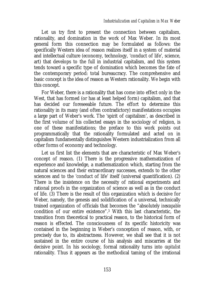Let us try first to present the connection between capitalism, rationality, and domination in the work of Max Weber. In its most general form this connection may be formulated as follows: the specifically Western idea of reason realizes itself in a system of material and intellectual culture (economy, technology, 'conduct of life', science, art) that develops to the full in industrial capitalism, and this system tends toward a specific type of domination which becomes the fate of the contemporary period: total bureaucracy. The comprehensive and basic concept is the idea of reason as Western rationality. We begin with this concept.

For Weber, there is a rationality that has come into effect only in the West, that has formed (or has at least helped form) capitalism, and that has decided our foreseeable future. The effort to determine this rationality in its many (and often contradictory) manifestations occupies a large part of Weber's work. The 'spirit of capitalism', as described in the first volume of his collected essays in the sociology of religion, is one of these manifestations; the preface to this work points out programmatically that the rationality formulated and acted on in capitalism fundamentally distinguishes Western industrialization from all other forms of economy and technology.

Let us first list the elements that are characteristic of Max Weber's concept of reason. (1) There is the progressive mathematization of experience and knowledge, a mathematization which, starting from the natural sciences and their extraordinary successes, extends to the other sciences and to the 'conduct of life' itself (universal quantification). (2) There is the insistence on the necessity of rational experiments and rational proofs in the organization of science as well as in the conduct of life. (3) There is the result of this organization which is decisive for Weber, namely, the genesis and solidification of a universal, technically trained organization of officials that becomes the "absolutely *inescapable*  condition of our entire existence".3 With this last characteristic, the transition from theoretical to practical reason, to the historical form of reason is effected. The consciousness of its specific historicity was contained in the beginning in Weber's conception of reason, with, or precisely due to, its abstractness. However, we shall see that it is not sustained in the entire course of his analysis and miscarries at the decisive point. In his sociology, formal rationality turns into *capitalist*  rationality. Thus it appears as the methodical taming of the irrational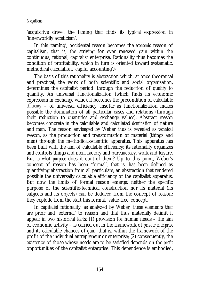'acquisitive drive', the taming that finds its typical expression in 'innerworldly asceticism'.

In this 'taming', occidental reason becomes the *economic* reason of capitalism, that is, the striving for ever renewed gain within the continuous, rational, capitalist enterprise. Rationality thus becomes the condition of profitability, which in turn is oriented toward systematic, methodical calculation, 'capital accounting'.4

The basis of this rationality is abstraction which, at once theoretical and practical, the work of both scientific and social organization, determines the capitalist period: through the reduction of quality to quantity. As universal functionalization (which finds its economic expression in exchange value), it becomes the precondition of calculable *efficiency*– of universal efficiency, insofar as functionalization makes possible the domination of all particular cases and relations (through their reduction to quantities and exchange values). Abstract reason becomes concrete in the calculable and calculated *domination*of nature and man. The reason envisaged by Weber thus is revealed as *technical* reason, as the production and transformation of material (things and men) through the methodical-scientific apparatus. This apparatus has been built with the aim of calculable efficiency; its rationality organizes and controls things and men, factory and bureaucracy, work and leisure. But *to what purpose* does it control them? Up to this point, Weber's concept of reason has been 'formal', that is, has been defined as quantifying abstraction from all particulars, an abstraction that rendered possible the universally calculable efficiency of the capitalist apparatus. But now the limits of formal reason emerge: neither the specific purpose of the scientific-technical construction nor its material (its subjects and its objects) can be deduced from the concept of reason; they explode from the start this formal, 'value-free' concept.

In capitalist rationality, as analyzed by Weber, these elements that are prior and 'external' to reason and that thus materially delimit it appear in two historical facts: (1) provision for human needs – the aim of economic activity – is carried out in the framework of *private enterprise* and its calculable chances of gain, that is, within the framework of the profit of the individual entrepreneur or enterprise; (2) consequently, the existence of those whose needs are to be satisfied depends on the *profit* opportunities of the capitalist enterprise. This dependence is embodied,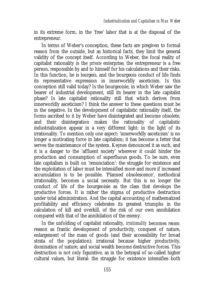in its extreme form, in the 'free' labor that is at the disposal of the entrepreneur.

In terms of Weber's conception, these facts are pregiven to formal reason from the outside, but as historical facts, they limit the general validity of the concept itself. According to Weber, the focal reality of capitalist rationality is the *private* enterprise; the entrepreneur is a free person, responsible by and to himself for his calculations and their risks. In this function, he is *bourgeois*, and the bourgeois conduct of life finds its representative expression in innerworldly asceticism. Is this conception still valid today? Is the bourgeoisie, in which Weber saw the bearer of industrial development, still its bearer in the late capitalist phase? Is late capitalist rationality still that which derives from innerworldly asceticism? I think the answer to these questions must be in the negative. In the development of capitalistic rationality itself, the forms ascribed to it by Weber have disintegrated and become obsolete, and their disintegration makes the rationality of capitalistic industrialization appear in a very different light: in the light of its irrationality. To mention only one aspect: 'innerworldly asceticism' is no longer a motivating force in late capitalism; it has become a fetter that serves the maintenance of the system. Keynes denounced it as such, and it is a danger to the 'affluent society' wherever it could hinder the production and consumption of superfluous goods. To be sure, even late capitalism is built on 'renunciation': the struggle for existence and the exploitation of labor must be intensified more and more if increased accumulation is to be possible. 'Planned obsolescence', methodical irrationality, becomes a social necessity. But this is no longer the conduct of life of the bourgeoisie as the class that develops the productive forces. It is rather the stigma of productive destruction under total administration. And the capital accounting of mathematized profitability and efficiency celebrates its greatest triumphs in the calculation of kill and overkill, of the risk of our own annihilation compared with that of the annihilation of the enemy.

In the unfolding of capitalist rationality, *irrationality* becomes *reason*: reason as frantic development of productivity, conquest of nature, enlargement of the mass of goods (and their accessibility for broad strata of the population); irrational because higher productivity, domination of nature, and social wealth become destructive forces. This destruction is not only figurative, as in the betrayal of so-called higher cultural values, but literal: the struggle for existence intensifies both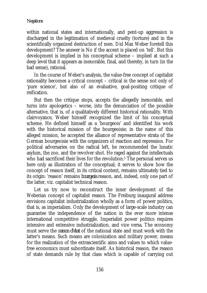within national states and internationally, and pent-up aggression is discharged in the legitimation of medieval cruelty (torture) and in the scientifically organized destruction of men. Did Max Weber foretell this development? The answer is No if the accent is placed on 'tell'. But this development is implied in his conceptual scheme – implied at such a deep level that it appears as inexorable, final, and thereby, in turn (in the bad sense), rational.

In the course of Weber's analysis, the value-free concept of capitalist rationality becomes a critical concept – critical in the sense not only of 'pure science', but also of an evaluative, goal-positing critique of reification.

But then the critique stops, accepts the allegedly inexorable, and turns into apologetics – worse, into the denunciation of the possible alternative, that is, of a qualitatively different historical rationality. With clairvoyance, Weber himself recognized the limit of his conceptual scheme. He defined himself as a 'bourgeois' and identified his work with the historical mission of the bourgeoisie; in the name of this alleged mission, he accepted the alliance of representative strata of the German bourgeoisie with the organizers of reaction and repression. For political adversaries on the radical left, he recommended the lunatic asylum, the zoo, and the revolver shot. He raged against the intellectuals who had sacrificed their lives for the revolution.<sup>5</sup> The personal serves us here only as illustration of the conceptual; it serves to show how the concept of reason itself, in its critical content, remains ultimately tied to its origin: 'reason' remains *bourgeois* reason, and, indeed, only one part of the latter, viz. capitalist technical reason.

Let us try now to reconstruct the inner development of the Weberian concept of capitalist reason. The Freiburg inaugural address envisions capitalist industrialization wholly as a form of power politics, that is, as imperialism. Only the development of large-scale industry can guarantee the independence of the nation in the ever more intense international competitive struggle. Imperialist power politics requires intensive and extensive industrialization, and vice versa. The economy must serve the *raison d'état* of the national state and must work with the latter's means. Such means are colonization and military power, means for the realization of the extrascientific aims and values to which valuefree economics must subordinate itself. As historical reason, the reason of state demands rule by that class which is capable of carrying out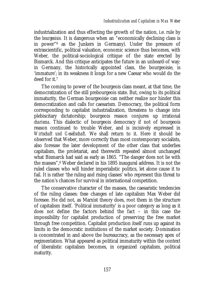industrialization and thus effecting the growth of the nation, i.e. rule by the *bourgeoisie*.It is dangerous when an "economically declining class is in power"<sup>6</sup> as the Junkers in Germany). Under the pressure of extrascientific, political valuation, economic science thus becomes, with Weber, the political-sociological critique of the state erected by Bismarck. And this critique anticipates the future in an unheard-of way: in Germany, the historically appointed class, the bourgeoisie, is 'immature'; in its weakness it longs for a new Caesar who would do the deed for it.7

The coming to power of the bourgeois class meant, at that time, the democratization of the still prebourgeois state. But, owing to its political immaturity, the German bourgeoisie can neither realize nor hinder this democratization and calls for caesarism. Democracy, the political form corresponding to capitalist industrialization, threatens to change into plebiscitary dictatorship; bourgeois reason conjures up irrational *charisma*. This dialectic of bourgeois democracy if not of bourgeois reason continued to trouble Weber, and is incisively expressed in *Wirtschaft und Gesellschaft*.We shall return to it. Here it should be observed that Weber, more correctly than most contemporary socialists, also foresaw the later development of the other class that underlies capitalism, the proletariat, and therewith repeated almost unchanged what Bismarck had said as early as 1865. "The danger does not lie with the masses",8 Weber declared in his 1895 inaugural address. It is not the ruled classes who will hinder imperialistic politics, let alone cause it to fail. It is rather 'the ruling and rising classes' who represent this threat to the nation's chances for survival in international competition.

The conservative character of the masses, the caesaristic tendencies of the ruling classes: *these*changes of late capitalism Max Weber did foresee. He did not, as Marxist theory does, root them in the structure of capitalism itself. 'Political immaturity' is a poor category as long as it does not define the factors behind the fact – in this case the impossibility for capitalist production of preserving the free market through free competition. Capitalist production itself runs up against its limits in the democratic institutions of the market society. Domination is concentrated in and above the bureaucracy, as the necessary apex of regimentation. What appeared as political immaturity within the context of liberalistic capitalism becomes, in organized capitalism, political maturity.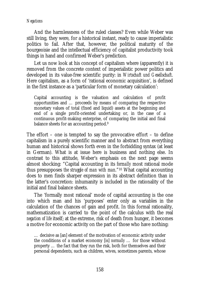And the harmlessness of the ruled classes? Even while Weber was still living, they were, for a historical instant, ready to cause imperialistic politics to fail. After that, however, the political maturity of the bourgeoisie and the intellectual efficiency of capitalist productivity took things in hand and confirmed Weber's prediction.

Let us now look at his concept of capitalism where (apparently) it is removed from the concrete context of imperialistic power politics and developed in its value-free scientific purity: in *Wirtschaft und Gesellschaft*. Here capitalism, as a form of 'rational economic acquisition', is defined in the first instance as a 'particular form of monetary calculation':

Capital accounting is the valuation and calculation of profit opportunities and … proceeds by means of comparing the respective monetary values of total (fixed and liquid) assets at the beginning and end of a single profit-oriented undertaking or, in the case of a continuous profit-making enterprise, of comparing the initial and final balance sheets for an accounting period.9

The effort  $-$  one is tempted to say the provocative effort  $-$  to define capitalism in a purely scientific manner and to abstract from everything human and historical shows forth even in the forbidding syntax (at least in German). What is at issue here is business and nothing else. In contrast to this attitude, Weber's emphasis on the next page seems almost shocking: "Capital accounting in its *formally* most rational mode thus presupposes *the struggle of man with man*."10 What capital accounting does to men finds sharper expression in its abstract definition than in the latter's concretion: inhumanity is included in the rationality of the initial and final balance sheets.

The 'formally most rational' mode of capital accounting is the one into which man and his 'purposes' enter only as variables in the calculation of the chances of gain and profit. In this formal rationality, mathematization is carried to the point of the calculus with the real *negation of life* itself; at the extreme, risk of death from hunger, it becomes a motive for economic activity on the part of those who have nothing:

… decisive as [an] element of the motivation of economic activity under the conditions of a market economy [is] *normally* … for those without property … the fact that they run the risk, both for themselves and their personal dependents, such as children, wives, sometimes parents, whose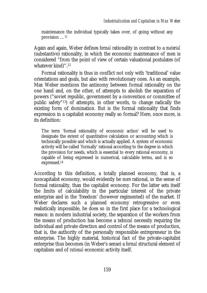maintenance the individual typically takes over, of going without any provision …11

Again and again, Weber defines *formal* rationality in contrast to a *material*  (substantive) rationality, in which the economic maintenance of men is considered "from the point of view of certain valuational postulates (of whatever kind)".<sup>12</sup>

Formal rationality is thus in conflict not only with 'traditional' value orientations and goals, but also with revolutionary ones. As an example, Max Weber mentions the antinomy between formal rationality on the one hand and, on the other, of attempts to abolish the separation of powers ("soviet republic, government by a convention or committee of public safety"13) of attempts, in other words, to change radically the existing form of domination. But is the formal rationality that finds expression in a capitalist economy really so formal? Here, once more, is its definition:

The term 'formal rationality of economic action' will be used to designate the extent of quantitative calculation or accounting which is technically possible and which is actually applied. A system of economic activity will be called 'formally' rational according to the degree in which the provision for needs, which is essential to every rational economy, is capable of being expressed in numerical, calculable terms, and is so expressed.14

According to this definition, a totally planned economy, that is, a noncapitalist economy, would evidently be *more* rational, in the sense of formal rationality, than the capitalist economy. For the latter sets itself the limits of calculability in the particular interest of the private enterprise and in the 'freedom' (however regimented) of the market. If Weber declares such a planned economy retrogressive or even realistically impossible, he does so in the first place for a technological reason: in modern industrial society, the separation of the workers from the means of production has become a *technical* necessity requiring the individual and private direction and control of the means of production, that is, the authority of the personally responsible entrepreneur in the enterprise. The highly material, historical fact of the private-capitalist enterprise thus becomes (in Weber's sense) a *formal* structural element of capitalism and of *rational* economic activity itself.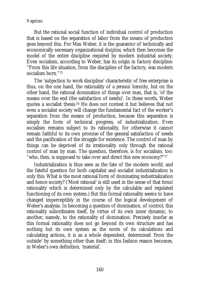But the rational social function of individual control of production that is based on the separation of labor from the means of production goes beyond this. For Max Weber, it is the guarantor of technically and economically necessary organizational *discipline*, which then becomes the model of the entire discipline required by modern industrial society. Even socialism, according to Weber, has its origin in factory discipline: "From this life situation, from the discipline of the factory, was modern socialism born."15

The 'subjection to work discipline' characteristic of free enterprise is thus, on the one hand, the rationality of a *personal hierarchy*, but on the other hand, the rational domination of things over man, that is, 'of the means over the end (the satisfaction of needs)'. In these words, Weber quotes a socialist thesis.16 He does not contest it but believes that not even a socialist society will change the fundamental fact of the worker's separation from the means of production, because this separation is simply the form of technical progress, of industrialization. Even socialism remains subject to its rationality, for otherwise it cannot remain faithful to its own promise of the general satisfaction of needs and the pacification of the struggle for existence. The control of man by things can be deprived of its irrationality only through the rational control of man by man. The question, therefore, is for socialism, too: "who, then, is supposed to take over and direct this new economy?"17

Industrialization is thus seen as the fate of the modern world, and the fateful question for both capitalist and socialist industrialization is only this: What is the most rational form of dominating industrialization and hence society? ('Most rational' is still used in the sense of that *formal* rationality which is determined only by the calculable and regulated functioning of its own system.) But this formal rationality seems to have changed imperceptibly in the course of the logical development of Weber's analysis. In becoming a question of domination, of control, this rationality subordinates itself, by virtue of its own inner dynamic, to another, namely, to the rationality of domination. Precisely insofar as this formal rationality does not go beyond its own structure and has nothing but its own system as the norm of its calculations and calculating actions, it is as a whole dependent, determined 'from the outside' by something other than itself; in this fashion reason becomes, in Weber's own definition, 'material'.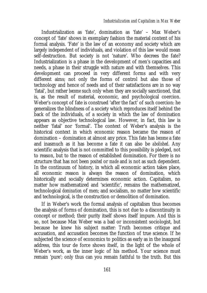Industrialization as 'fate', domination as 'fate' – Max Weber's concept of 'fate' shows in exemplary fashion the material content of his formal analysis. 'Fate' is the law of an economy and society which are largely independent of individuals, and violation of this law would mean self-destruction. But society is not 'nature'. Who decrees the fate? Industrialization is a phase in the development of men's capacities and needs, a phase in their struggle with nature and with themselves. This development can proceed in very different forms and with very different aims; not only the forms of control but also those of technology and hence of needs and of their satisfactions are in no way 'fatal', but rather *become* such only when they are socially sanctioned, that is, as the result of material, economic, and psychological coercion. Weber's concept of fate is construed 'after the fact' of such coercion: he generalizes the blindness of a society which reproduces itself behind the back of the individuals, of a society in which the law of domination appears as objective technological law. However, in fact, this law is neither 'fatal' nor 'formal'. The context of Weber's analysis is the historical context in which economic reason became the reason of domination – domination at almost any price. This fate has *become* a fate and inasmuch as it has become a fate it can also be *abolished*. Any scientific analysis that is not committed to this possibility is pledged, not to reason, but to the reason of established domination. For there is no structure that has not been *posited* or *made* and is not as such dependent. In the continuum of history, in which all economic action takes place, all economic reason is always the reason of domination, which historically and socially determines economic action. Capitalism, no matter how mathematized and 'scientific', remains the mathematized, technological *domination* of men; and socialism, no matter how scientific and technological, is the construction or demolition of domination.

If in Weber's work the formal analysis of capitalism thus becomes the analysis of forms of domination, this is not due to a discontinuity in concept or method; their purity itself shows itself impure. And this is so, not because Max Weber was a bad or inconsistent sociologist, but because he knew his subject matter: Truth becomes critique and accusation, and accusation becomes the function of true science. If he subjected the science of economics to politics as early as in the inaugural address, this tour de force shows itself, in the light of the whole of Weber's work, as the inner logic of his method. Your science must remain 'pure'; only thus can you remain faithful to the truth. But this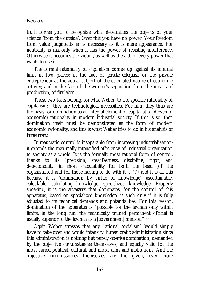truth forces you to recognize what determines the objects of your science 'from the outside'. Over this you have no power. Your freedom from value judgments is as necessary as it is mere appearance. For neutrality is *real* only when it has the power of resisting interference. Otherwise it becomes the victim, as well as the aid, of every power that wants to use it.

The formal rationality of capitalism comes up against its internal limit in two places: in the fact of *private enterprise*, or the private entrepreneur as the actual subject of the calculated nature of economic activity; and in the fact of the worker's separation from the means of production, of *free labor*.

These two facts belong, for Max Weber, to the specific rationality of capitalism;18 they are technological necessities. For him, they thus are the basis for domination as an integral element of capitalist (and even of economic) rationality in modern industrial society. If this is so, then domination itself must be demonstrated as the form of modern economic rationality; and this is what Weber tries to do in his analysis of *bureaucracy*.

Bureaucratic control is inseparable from increasing industrialization; it extends the maximally intensified efficiency of industrial organization to society as a whole. It is the formally most rational form of control, thanks to its "precision, steadfastness, discipline, rigor, and dependability, in short calculability for both the bead [of the organization] and for those having to do with it …";19 and it is all this because it is 'domination by virtue of knowledge', ascertainable, calculable, calculating knowledge, specialized knowledge. Properly speaking, it is the *apparatus* that dominates, for the control of this apparatus, based on specialized knowledge, is such only if it is fully adjusted to its technical demands and potentialities. For this reason, domination of the apparatus is "possible for the layman only within limits: in the long run, the technically trained permanent official is usually superior to the layman as a [government] minister".20

Again Weber stresses that any 'rational socialism' 'would simply have to take over and would intensify' bureaucratic administration since this administration is nothing but purely *objective* domination, demanded by the objective circumstances themselves, and equally valid for the most varied political, cultural, and moral aims and institutions. And the objective circumstances themselves are the given, ever more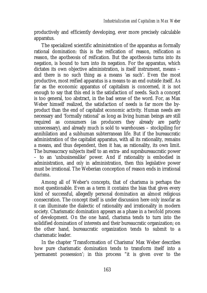productively and efficiently developing, ever more precisely calculable apparatus.

The specialized scientific administration of the apparatus as formally rational domination: this is the reification of reason, reification *as* reason, the apotheosis of reification. But the apotheosis turns into its negation, is bound to turn into its negation. For the apparatus, which dictates its own objective administration, is itself instrument, means – and there is no such thing as a means 'as such'. Even the most productive, most reified apparatus is a means to an end outside itself. As far as the economic apparatus of capitalism is concerned, it is not enough to say that this end is the satisfaction of needs. Such a concept is too general, too abstract, in the bad sense of the word. For, as Max Weber himself realized, the satisfaction of needs is far more the byproduct than the end of capitalist economic activity. Human needs are necessary and 'formally rational' as long as living human beings are still required as consumers (as producers they already are partly unnecessary), and already much is sold to warehouses – stockpiling for annihilation and a subhuman subterranean life. But if the bureaucratic administration of the capitalist apparatus, with all its rationality, remains a means, and thus dependent, then it has, as rationality, its own limit. The bureaucracy subjects itself to an extra- and suprabureaucratic power – to an 'unbusinesslike' power. And if rationality is embodied in administration, and *only* in administration, then this legislative power must be irrational. The Weberian conception of reason ends in irrational *charisma*.

Among all of Weber's concepts, that of charisma is perhaps the most questionable. Even as a term it contains the bias that gives every kind of successful, allegedly personal domination an almost religious consecration. The concept itself is under discussion here only insofar as it can illuminate the dialectic of rationality and irrationality in modern society. Charismatic domination appears as a phase in a twofold process of development. On the one hand, charisma tends to turn into the solidified domination of interests and their bureaucratic organization; on the other hand, bureaucratic organization tends to submit to a charismatic leader.

In the chapter 'Transformation of Charisma' Max Weber describes how pure charismatic domination tends to transform itself into a 'permanent possession'; in this process "it is given over to the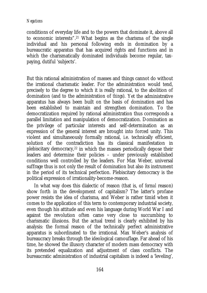conditions of everyday life and to the powers that dominate it, above all to economic interests".21 What begins as the charisma of the single individual and his personal following ends in domination by a bureaucratic apparatus that has acquired rights and functions and in which the charismatically dominated individuals become regular, taxpaying, dutiful 'subjects'.

But this rational administration of masses and things cannot do without the irrational charismatic leader. For the administration would tend, precisely to the degree to which it is really rational, to the abolition of domination (and to the administration of *things*).Yet the administrative apparatus has always been built on the basis of domination and has been established to maintain and strengthen domination. To the democratization required by rational administration thus corresponds a parallel limitation and manipulation of democratization. Domination as the privilege of particular interests and self-determination as an expression of the general interest are brought into forced unity. This violent and simultaneously formally rational, i.e. technically efficient, solution of the contradiction has its classical manifestation in plebiscitary democracy,22 in which the masses periodically depose their leaders and determine their policies – under previously established conditions well controlled by the leaders. For Max Weber, universal suffrage thus is not only the result of domination but also its instrument in the period of its technical perfection. Plebiscitary democracy is the political expression of irrationality-become-reason.

In what way does this dialectic of reason (that is, of *formal* reason) show forth in the development of capitalism? The latter's profane power resists the idea of charisma, and Weber is rather timid when it comes to the application of this term to contemporary industrial society, even though his attitude and even his language during World War I and against the revolution often came very close to succumbing to charismatic illusions. But the actual trend is clearly exhibited by his analysis: the formal reason of the technically perfect administrative apparatus is subordinated to the irrational. Max Weber's analysis of bureaucracy breaks through the ideological camouflage. Far ahead of his time, he showed the illusory character of modern mass democracy with its pretended equalization and adjustment of class conflicts. The bureaucratic administration of industrial capitalism is indeed a 'leveling',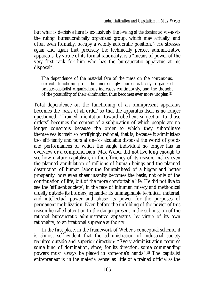but what is decisive here is exclusively the *leveling of the dominated* vis-à-vis the ruling, bureaucratically organized group, which may actually, and often even formally, occupy a wholly autocratic position.23 He stresses again and again that precisely the technically perfect administrative apparatus, by virtue of its formal rationality, is a "means of power of the very first rank for him who has the bureaucratic apparatus at his disposal".

The dependence of the material fate of the mass on the continuous, correct functioning of the increasingly bureaucratically organized private-capitalist organizations increases continuously, and the thought of the possibility of their elimination thus becomes ever more utopian.24

Total dependence on the functioning of an omnipresent apparatus becomes the 'basis of all order' so that the apparatus itself is no longer questioned. "Trained orientation toward obedient subjection to those orders" becomes the cement of a subjugation of which people are no longer conscious because the order to which they subordinate themselves is itself so terrifyingly rational; that is, because it administers too efficiently and puts at one's calculable disposal the world of goods and performances of which the single individual no longer has an overview or a comprehension. Max Weber did not live long enough to see how mature capitalism, in the efficiency of its reason, makes even the planned annihilation of millions of human beings and the planned destruction of human labor the fountainhead of a bigger and better prosperity, how even sheer insanity becomes the basis, not only of the continuation of life, but of the more comfortable life. He did not live to see the 'affluent society', in the face of inhuman misery and methodical cruelty outside its borders, squander its unimaginable technical, material, and intellectual power and abuse its power for the purposes of permanent mobilization. Even before the unfolding of the power of this reason he called attention to the danger present in the submission of the rational bureaucratic administrative apparatus, by virtue of its own rationality, to an irrational supreme authority.

In the first place, in the framework of Weber's conceptual scheme, it is almost self-evident that the administration of industrial society requires outside and superior direction: "Every administration requires some kind of domination, since, for its direction, some commanding powers must always be placed in someone's hands".25 The capitalist entrepreneur is 'in the material sense' as little of a trained official as the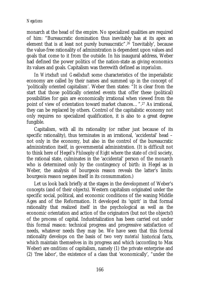monarch at the head of the empire. No specialized qualities are required of him: "Bureaucratic domination thus inevitably has at its apex an element that is at least not purely bureaucratic".26 'Inevitably', because the value-free rationality of administration is dependent upon values and goals that come to it from the outside. In his inaugural address, Weber had defined the power politics of the nation-state as giving economics its values and goals. Capitalism was therewith defined as *imperialism*.

In *Wirtschaft und Gesellschaft* some characteristics of the imperialistic economy are called by their names and summed up in the concept of 'politically oriented capitalism'. Weber then states: "It is clear from the start that those politically oriented events that offer these (political) possibilities for gain are economically irrational when viewed from the point of view of orientation toward market chances…".27 As irrational, they can be replaced by others. Control of the capitalistic economy not only requires no specialized qualification, it is also to a great degree fungible.

Capitalism, with all its rationality (or rather just because of its specific rationality), thus terminates in an irrational, 'accidental' head – not only in the economy, but also in the control of the bureaucratic administration itself, in governmental administration. (It is difficult not to think here of Hegel's *Philosophy of Right* where the state of civil society, the rational state, culminates in the 'accidental' person of the monarch who is determined only by the contingency of birth: in Hegel as in Weber, the analysis of bourgeois reason reveals the latter's limits: bourgeois reason negates itself in its consummation.)

Let us look back briefly at the stages in the development of Weber's concepts (and of their objects). Western capitalism originated under the specific social, political, and economic conditions of the waning Middle Ages and of the Reformation. It developed its 'spirit' in that formal rationality that realized itself in the psychological as well as the economic orientation and action of the originators (but not the objects!) of the process of capital. Industrialization has been carried out under this formal reason: technical progress and progressive satisfaction of needs, whatever needs they may be. We have seen that this formal rationality develops on the basis of two very *material* historical facts, which maintain themselves in its progress and which (according to Max Weber) are *conditions*of capitalism, namely (1) the private enterprise and (2) 'free labor', the existence of a class that 'economically', "under the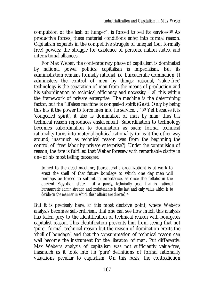compulsion of the lash of hunger", is forced to sell its services.28 As productive forces, these material conditions enter into formal reason. Capitalism expands in the competitive struggle of unequal (but formally free) powers: the struggle for existence of persons, nation-states, and international alliances.

For Max Weber, the contemporary phase of capitalism is dominated by national power politics: capitalism is imperialism. But its administration remains formally rational, i.e. bureaucratic domination. It administers the control of men by things; rational, 'value-free' technology is the separation of man from the means of production and his subordination to technical efficiency and necessity – all this within the framework of private enterprise. The machine is the determining factor, but the "lifeless machine is congealed spirit (*Geist*). Only by being this has it the power to force men into its service…".29 Yet because it is 'congealed spirit', it also is domination of man by man; thus *this* technical reason reproduces enslavement. Subordination to technology becomes subordination to domination as such; formal technical rationality turns into material political rationality (or is it the other way around, inasmuch as technical reason was from the beginning the control of 'free' labor by private enterprise?). Under the compulsion of reason, the fate is fulfilled that Weber foresaw with remarkable clarity in one of his most telling passages:

Joined to the dead machine, [bureaucratic organization] is at work to erect the shell of that future bondage to which one day men will perhaps be forced to submit in impotence, as once the fellahs in the ancient Egyptian state – if *a purely, technically good, that is, rational bureaucratic administration and maintenance is the last and only value which is to decide on the manner in which their affairs are directed*.30

But it is precisely here, at this most decisive point, where Weber's analysis becomes self-criticism, that one can see how much this analysis has fallen prey to the identification of technical reason with bourgeois capitalist reason. This identification prevents him from seeing that not 'pure', formal, technical reason but the reason of domination erects the 'shell of bondage', and that the consummation of technical reason can well become the instrument for the *liberation* of man. Put differently: Max Weber's analysis of capitalism was not sufficiently value-free, inasmuch as it took into its 'pure' definitions of formal rationality valuations peculiar to capitalism. On this basis, the contradiction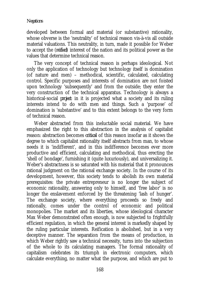developed between formal and material (or substantive) rationality, whose obverse is the 'neutrality' of technical reason vis-à-vis all outside material valuations. This neutrality, in turn, made it possible for Weber to accept the (*reified*)interest of the nation and its political power as the values that determine technical reason.

The very concept of technical reason is perhaps ideological. Not only the application of technology but technology itself is domination (of nature and men) – methodical, scientific, calculated, calculating control. Specific purposes and interests of domination are not foisted upon technology 'subsequently' and from the outside; they enter the very construction of the technical apparatus. Technology is always a historical-social *project*: in it is projected what a society and its ruling interests intend to do with men and things. Such a 'purpose' of domination is 'substantive' and to this extent belongs to the very form of technical reason.

Weber abstracted from this ineluctable social material. We have emphasized the right to this abstraction in the analysis of capitalist reason: abstraction becomes *critical*of this reason insofar as it shows the degree to which capitalist rationality itself abstracts from man, to whose needs it is 'indifferent', and in this indifference becomes ever more productive and efficient, calculating and methodical, thus erecting the 'shell of bondage', furnishing it (quite luxuriously), and universalizing it. Weber's abstractness is so saturated with his material that it pronounces rational judgment on the rational exchange society. In the course of its development, however, this society tends to abolish its own material prerequisites: the private entrepreneur is no longer the subject of economic rationality, answering only to himself, and 'free labor' is no longer the enslavement enforced by the threatening 'lash of hunger'. The exchange society, where everything proceeds so freely and rationally, comes under the control of economic and political monopolies. The market and its liberties, whose ideological character Max Weber demonstrated often enough, is now subjected to frightfully efficient regulation, in which the general interest is markedly shaped by the ruling particular interests. Reification is abolished, but in a very deceptive manner. The separation from the means of production, in which Weber rightly saw a technical necessity, turns into the subjection of the whole to its calculating managers. The formal rationality of capitalism celebrates its triumph in electronic computers, which calculate everything, no matter what the purpose, and which are put to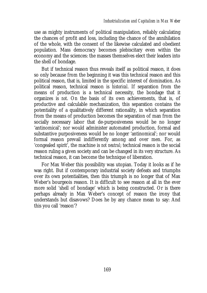use as mighty instruments of political manipulation, reliably calculating the chances of profit and loss, including the chance of the annihilation of the whole, with the consent of the likewise calculated and obedient population. Mass democracy becomes plebiscitary even within the economy and the sciences: the masses themselves elect their leaders into the shell of bondage.

But if technical reason thus reveals itself as political reason, it does so only because from the beginning it was this technical reason and this political reason, that is, limited in the specific interest of domination. As political reason, technical reason is *historical*. If separation from the means of production is a technical necessity, the bondage that it organizes is *not*. On the basis of its own achievements, that is, of productive and calculable mechanization, this separation contains the potentiality of a qualitatively different rationality, in which separation from the means of production becomes the separation of man from the socially necessary labor that de-purposiveness would be no longer 'antinomical'; nor would administer automated production, formal and substantive purposiveness would be no longer 'antinomical'; nor would formal reason prevail indifferently among and over men. For, as 'congealed spirit', the machine is *not neutral*; technical reason is the social reason ruling a given society and can be changed in its very structure. As technical reason, it can become the technique of liberation.

For Max Weber this possibility was utopian. Today it looks as if he was right. But if contemporary industrial society defeats and triumphs over its own potentialities, then this triumph is no longer that of Max Weber's bourgeois reason. It is difficult to see reason at all in the ever more solid 'shell of bondage' which is being constructed. Or is there perhaps already in Max Weber's concept of reason the irony that understands but disavows? Does he by any chance mean to say: And this you call 'reason'?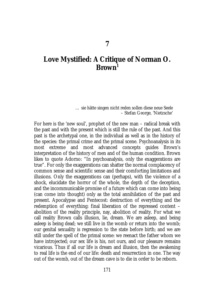## **Love Mystified: A Critique of Norman O. Brown1**

… sie hätte singen nicht reden sollen diese neue Seele – Stefan George, 'Nietzsche'

For here is the 'new soul', prophet of the new man – radical break with the past and with the present which is still the rule of the past. And this past is the archetypal one, in the individual as well as in the history of the species: the primal crime and the primal scene. Psychoanalysis in its most extreme and most advanced concepts guides Brown's interpretation of the history of men and of the human condition. Brown likes to quote Adorno: "In psychoanalysis, only the exaggerations are true". For only the exaggerations can shatter the normal complacency of common sense and scientific sense and their comforting limitations and illusions. Only the exaggerations can (perhaps), with the violence of a shock, elucidate the horror of the whole, the depth of the deception, and the incommunicable promise of a future which can come into being (can come into thought) only as the total annihilation of the past and present. Apocalypse and Pentecost: destruction of everything and the redemption of everything: final liberation of the repressed content – abolition of the reality principle, nay, abolition of reality. For what we call reality Brown calls illusion, lie, dream. We are asleep, and being asleep is being dead; we still live in the womb or return into the womb; our genital sexuality is regression to the state before birth; and we are still under the spell of the primal scene: we reenact the father whom we have introjected; our sex life is his, not ours, and our pleasure remains vicarious. Thus if all our life is dream and illusion, then the awakening to real life is the end of our life: death and resurrection in one. The way out of the womb, out of the dream cave is to die in order to be reborn.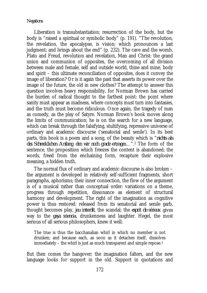Liberation is transubstantiation; resurrection of the body, but the body is "raised a spiritual or symbolic body" (p. 191). "The revolution, the revelation, the apocalypse, is vision; which pronounces a last judgment; and brings about the end" (p. 232). The cave and the womb, Plato and Freud, revolution and revelation, Man and Christ: the grand union and communion of opposites, the overcoming of all division between male and female, self and outside world, thine and mine, body and spirit – this ultimate reconciliation of opposites, does it convey the image of liberation? Or is it again the past that asserts its power over the image of the future, the old in new clothes? The attempt to answer this question involves heavy responsibility, for Norman Brown has carried the burden of radical thought to the farthest point: the point where sanity must appear as madness, where concepts must turn into fantasies, and the truth must become ridiculous. Once again, the tragedy of man as comedy, as the play of Satyre. Norman Brown's book moves along the limits of communication; he is on the search for a new language, which can break through the falsifying, stultifying, repressive universe of ordinary and academic discourse ('senatorial and senile'). In its best parts, this book is a poem and a song, of the beauty which is "*nichts als des Schrecklichen Anfang, den wir noch grade ertragen*…".2 The form of the sentence, the proposition which freezes the content is abandoned; the words, freed from the enchaining form, recapture their explosive meaning, a hidden truth.

The normal flux of ordinary and academic discourse is also broken – the argument is developed in relatively self-sufficient fragments, short paragraphs, aphorisms; their inner connection, the flow of the argument is of a musical rather than conceptual order: variations on a theme, progress through repetition, dissonance as element of structural harmony and development. The right of the imagination as cognitive power is thus restored: released from its senatorial and senile garb, thought becomes play, *jeu interdit*, the scandal; the *esprit de sérieux* gives way to the *gaya sciencia*,drunkenness and laughter. Hegel, the most serious of all serious philosophers, knew it well:

The true is thus the bacchanalian whirl in which no member is not drunken; and because each, as soon as it detaches itself, dissolves immediately – the whirl is just as much transparent and simple repose.3

But then comes the hangover; the imagination falters, and the new language looks for support in the old. Support in quotations and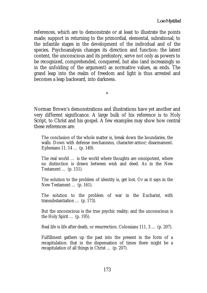references, which are to demonstrate or at least to illustrate the points made; support in returning to the primordial, elemental, subrational; to the infantile stages in the development of the individual and of the species. Psychoanalysis changes its direction and function: the latent content, the unconscious and its prehistory, serve not only as powers to be recognized, comprehended, conquered, but also (and increasingly so in the unfolding of the argument) as normative values, as ends. The grand leap into the realm of freedom and light is thus arrested and becomes a leap backward, into darkness.

Norman Brown's demonstrations and illustrations have yet another and very different significance. A large bulk of his reference is to Holy Script, to Christ and his gospel. A few examples may show how central these references are:

\*

The conclusion of the whole matter is, break down the boundaries, the walls. Down with defense mechanisms, character-armor; disarmament. Ephesians 11, 14 … (p. 149).

The real world … is the world where thoughts are omnipotent, where no distinction is drawn between wish and deed. As in the New Testament … (p. 151).

The solution to the problem of identity is, get lost. Or as it says in the New Testament … (p. 161).

The solution to the problem of war in the Eucharist, with transubstantiation … (p. 173).

But the unconscious is the true psychic reality; and the unconscious is the Holy Spirit … (p. 195).

Real life is life after death, or resurrection. Colossians 111, 3 … (p. 207).

Fulfillment gathers up the past into the present in the form of a recapitulation: that in the dispensation of times there might be a recapitulation of all things in Christ … (p. 207).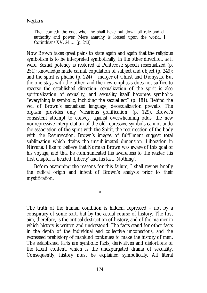Then cometh the end, when he shall have put down all rule and all authority and power. Mere anarchy is loosed upon the world. I Corinthians XV, 24 … (p. 243).

Now Brown takes great pains to state again and again that the religious symbolism is to be interpreted symbolically, in the other direction, as it were. Sexual potency is restored at Pentecost; speech resexualized (p. 251); knowledge made carnal, copulation of subject and object (p. 249); and the spirit is phallic (p. 224) – merger of Christ and Dionysus. But the one stays with the other, and the new emphasis does not suffice to reverse the established direction: sexualization of the spirit is also spiritualization of sexuality, and sexuality itself becomes symbolic: "everything is symbolic, including the sexual act" (p. 181). Behind the veil of Brown's sexualized language, desexualization prevails. The orgasm provides only 'vicarious gratification' (p. 129). Brown's consistent attempt to convey, against overwhelming odds, the new nonrepressive interpretation of the old repressive symbols cannot undo the association of the spirit with the Spirit, the resurrection of the body with the Resurrection. Brown's images of fulfillment suggest total sublimation which drains the unsublimated dimension. Liberation in Nirvana: I like to believe that Norman Brown was aware of this goal of his voyage, and that he communicated his awareness to the reader: his first chapter is headed 'Liberty' and his last, 'Nothing'.

Before examining the reasons for this failure, I shall review briefly the radical origin and intent of Brown's analysis prior to their mystification.

\*

The truth of the human condition is hidden, repressed – not by a conspiracy of some sort, but by the actual course of history. The first aim, therefore, is the critical destruction of history, and of the manner in which history is written and understood. The facts stand for other facts in the depth of the individual and collective unconscious, and the repressed prehistory of mankind continues to make the history of man. The established facts are symbolic facts, derivatives and distortions of the latent content, which is the unexpurgated drama of sexuality. Consequently, history must be explained symbolically. All literal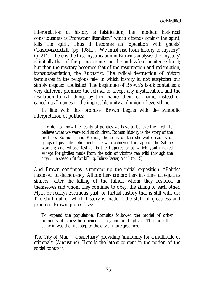interpretation of history is falsification; the "modern historical consciousness is Protestant literalism" which offends against the spirit, kills the spirit. Thus it becomes an 'operation with ghosts' (*Geisteswissenschaft*) (pp. 198ff.). "We must rise from history to mystery" (p. 214) – here is the first mystification in Brown's analysis: the 'mystery' is initially that of the primal crime and the ambivalent penitence for it; but then the mystery becomes that of the resurrection and redemption, transubstantiation, the Eucharist. The radical destruction of history terminates in the religious tale, in which history is, not *aufgehoben*, but simply negated, abolished. The beginning of Brown's book contained a very different promise: the refusal to accept any mystification, and the resolution to call things by their name, their real name, instead of canceling all names in the impossible unity and union of everything.

In line with this promise, Brown begins with the symbolic interpretation of politics:

In order to know the reality of politics we have to believe the myth, to believe what we were told as children. Roman history is the story of the brothers Romulus and Remus, the sons of the she-wolf; leaders of gangs of juvenile delinquents …; who achieved the rape of the Sabine women; and whose festival is the Lupercalia; at which youth naked except for girdles made from the skin of victims ran wild through the city; … a season fit for killing. *Julius Caesar*, Act I (p. 15).

And Brown continues, summing up the initial exposition: "Politics made out of delinquency. All brothers are brothers in crime; all equal as sinners" after the killing of the father, whom they restored in themselves and whom they continue to obey, the killing of each other. Myth or reality? Fictitious past, or factual history that is still with us? The stuff out of which history is made – the stuff of greatness and progress: Brown quotes Livy:

To expand the population, Romulus followed the model of other founders of cities: he opened an asylum for fugitives. The mob that came in was the first step to the city's future greatness.

The City of Man – 'a sanctuary' providing 'immunity for a multitude of criminals' (Augustine). Here is the latent content in the notion of the social contract: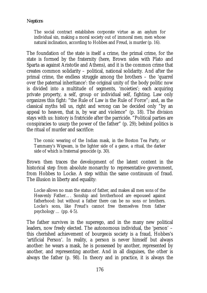The social contract establishes corporate virtue as an asylum for individual sin, making a moral society out of immoral men; men whose natural inclination, according to Hobbes and Freud, is murder (p. 16).

The foundation of the state is itself a crime, the primal crime, for the state is formed by the fraternity (here, Brown sides with Plato and Sparta as against Aristotle and Athens), and it is the common crime that creates common solidarity – political, national solidarity. And after the primal crime, the endless struggle among the brothers – the 'quarrel over the paternal inheritance': the original unity of the body politic now is divided into a multitude of segments, 'moieties'; each acquiring private property, a self, group or individual self, fighting. Law only organizes this fight: "the Rule of Law is the Rule of Force"; and, as the classical myths tell us, right and wrong can be decided only "by an appeal to heaven, that is, by war and violence" (p. 18). The division stays with us: history is fratricide after the parricide. "Political parties are conspiracies to usurp the power of the father" (p. 29); behind politics is the ritual of murder and sacrifice:

The comic wearing of the Indian mask, in the Boston Tea Party, or Tammany's Wigwam, is the lighter side of a game, a ritual, the darker side of which is fraternal genocide (p. 30).

Brown then traces the development of the latent content in the historical step from absolute monarchy to representative government, from Hobbes to Locke. A step within the same continuum of fraud. The illusion in liberty and equality:

Locke allows no man the status of father, and makes all men sons of the Heavenly Father…. Sonship and brotherhood are espoused against fatherhood: but without a father there can be no sons or brothers. Locke's sons, like Freud's cannot free themselves from father psychology … (pp. 4-5).

The father survives in the superego, and in the many new political leaders, now freely elected. The autonomous individual, the 'person' – this cherished achievement of bourgeois society is a fraud, Hobbes's 'artificial Person'. In reality, a person is never himself but always another: he wears a mask, he is possessed by another, represented by another, and representing another. And in all disguises, the other is always the father (p. 98). In theory and in practice, it is always the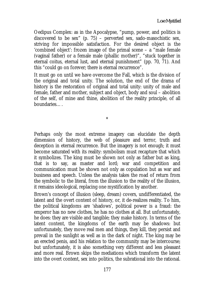Oedipus Complex: as in the Apocalypse, "pump, power, and politics is discovered to be sex" (p. 75) – perverted sex, sado-masochistic sex, striving for impossible satisfaction. For the desired object is the 'combined object': frozen image of the primal scene – a "male female (vaginal father) or a female male (phallic mother)", "stuck together in eternal coitus, eternal lust, and eternal punishment" (pp. 70, 71). And this "could go on forever; there is eternal recurrence".

It must go on until we have overcome the Fall, which is the division of the original and total unity. The solution, the end of the drama of history is the restoration of original and total unity: unity of male and female, father and mother, subject and object, body and soul – abolition of the self, of mine and thine, abolition of the reality principle, of all boundaries….

\*

Perhaps only the most extreme imagery can elucidate the depth dimension of history, the web of pleasure and terror, truth and deception in eternal recurrence. But the imagery is not enough; it must become saturated with its reality: symbolism must recapture that which it symbolizes. The king must be shown not only as father but as king, that is to say, as master and lord; war and competition and communication must be shown not only as copulation but as war and business and speech. Unless the analysis takes the road of return from the symbolic to the literal, from the illusion to the reality of the illusion, it remains ideological, replacing one mystification by another.

Brown's concept of illusion (sleep, dream) covers, undifferentiated, the latent and the overt content of history, or, it de-realizes reality. To him, the political kingdoms are 'shadows', political power is a fraud: the emperor has no new clothes, he has no clothes at all. But unfortunately, he does: they are visible and tangible; they make history. In terms of the latent content, the kingdoms of the earth may be shadows: but unfortunately, they move real men and things, they kill, they persist and prevail in the sunlight as well as in the dark of night. The king may be an erected penis, and his relation to the community may be intercourse; but unfortunately, it is also something very different and less pleasant and more real. Brown skips the mediations which transform the latent into the overt content, sex into politics, the subrational into the rational.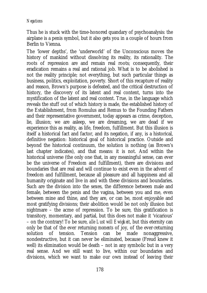Thus he is stuck with the time-honored quandary of psychoanalysis: the airplane is a penis symbol, but it also gets you in a couple of hours from Berlin to Vienna.

The 'lower depths', the 'underworld' of the Unconscious moves the history of mankind without dissolving its reality, its rationality. The roots of repression are and remain real roots; consequently, their eradication remains a real and rational job. What is to be abolished is not the reality principle; not everything, but such particular things as business, politics, exploitation, poverty. Short of this recapture of reality and reason, Brown's purpose is defeated, and the critical destruction of history, the discovery of its latent and real content, turns into the mystification of the latent and real content. True, in the language which reveals the stuff out of which history is made, the established history of the Establishment, from Romulus and Remus to the Founding Fathers and their representative government, today appears as crime, deception, lie, illusion; we are asleep, we are dreaming, we are dead if we experience this as reality, as life, freedom, fulfillment. But this illusion is itself a historical fact and factor, and its negation, if any, is a historical, definitive negation: historical goal of historical practice. Outside and beyond the historical continuum, the solution is nothing (as Brown's last chapter indicates), and that means: it is not. And within the historical universe (the only one that, in any meaningful sense, can ever be the universe of Freedom and fulfillment), there are divisions and boundaries that are real and will continue to exist even in the advent of freedom and fulfillment, because all pleasure and all happiness and all humanity originate and live in and with these divisions and boundaries. Such are the division into the sexes, the difference between male and female, between the penis and the vagina, between you and me, even between mine and thine, and they are, or can be, most enjoyable and most gratifying divisions; their abolition would be not only illusion but nightmare – the acme of repression. To be sure, this gratification is transitory, momentary, and partial, but this does not make it 'vicarious' – on the contrary! To be sure, *alle Lust will Ewigkeit*, but this eternity can only be that of the ever returning *moments* of joy, of the ever-returning solution of tension. Tension can be made nonaggressive, nondestructive, but it can never be eliminated, because (Freud knew it well) its elimination would be death – not in any symbolic but in a very real sense. And we still want to live, within our boundaries and divisions, which we want to make our own instead of leaving their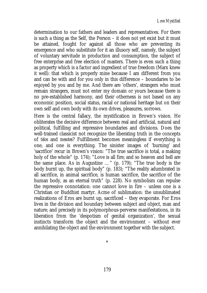determination to our fathers and leaders and representatives. For there is such a thing as the Self, the Person – it does not yet exist but it must be attained, fought for against all those who are preventing its emergence and who substitute for it an illusory self, namely, the subject of voluntary servitude in production and consumption, the subject of free enterprise and free election of masters. There is even such a thing as property which is a factor and ingredient of true freedom (Marx knew it well): that which is properly mine because I am different from you and can be with and for you only in this difference – boundaries to be enjoyed by you and by me. And there are 'others', strangers who must remain strangers, must not enter my domain or yours because there is no pre-established harmony, and their otherness is not based on any economic position, social status, racial or national heritage but on their own self and own body with its own drives, pleasures, sorrows.

Here is the central fallacy, the mystification in Brown's vision. He obliterates the decisive difference between real and artificial, natural and political, fulfilling and repressive boundaries and divisions. Does the well-trained classicist not recognize the liberating truth in the concepts of *telos* and *mesotes*?Fulfillment becomes meaningless if everything is one, and one is everything. The sinister images of 'burning' and 'sacrifice' recur in Brown's vision: "The true sacrifice is total, a making holy of the whole" (p. 174); "Love is all fire; and so heaven and hell are the same place. As in Augustine …" (p. 179); "The true body is the body burnt up, the spiritual body" (p. 183); "The reality adumbrated in all sacrifice, in animal sacrifice, is human sacrifice, the sacrifice of the human body, as an eternal truth" (p. 228). No symbolism can repulse the repressive connotation: one cannot love in fire – unless one is a Christian or Buddhist martyr. Acme of sublimation: the unsublimated realizations of Eros are burnt up, sacrificed – they evaporate. For Eros lives in the division and boundary between subject and object, man and nature; and precisely in its polymorphous-perverse manifestations, in its liberation from the 'despotism of genital organization', the sexual instincts transform the object and the environment – without ever annihilating the object and the environment together with the subject.

\*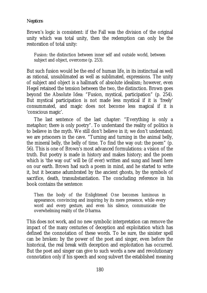Brown's logic is consistent: if the Fall was the division of the original unity which was total unity, then the redemption can only be the restoration of total unity:

Fusion: the distinction between inner self and outside world, between subject and object, overcome (p. 253).

But such fusion would be the end of human life, in its instinctual as well as rational, unsublimated as well as sublimated, expressions. The unity of subject and object is a hallmark of absolute idealism; however, even Hegel retained the tension between the two, the distinction. Brown goes beyond the Absolute Idea: "Fusion, mystical, participation" (p. 254). But mystical participation is not made less mystical if it is 'freely' consummated, and magic does not become less magical if it is 'conscious magic'.

The last sentence of the last chapter: "Everything is only a metaphor; there is only poetry". To understand the reality of politics is to believe in the myth. We still don't believe in it; we don't understand; we are prisoners in the cave. "Turning and turning in the animal belly, the mineral belly, the belly of time. To find the way out: the poem" (p. 56). This is one of Brown's most advanced formulations: a vision of the truth. But poetry is made in history and makes history; and the poem which is 'the way out' will be (if ever) written and sung and heard here on our earth. Brown had such a poem in mind, and he started to write it, but it became adumbrated by the ancient ghosts, by the symbols of sacrifice, death, transubstantiation. The concluding reference in his book contains the sentence:

Then the body of the Enlightened One becomes luminous in appearance, convincing and inspiring by its mere presence, while every word and every gesture, and even his silence, communicate the overwhelming reality of the Dharma.

This does not work, and no new symbolic interpretation can remove the impact of the many centuries of deception and exploitation which has defined the connotation of these words. To be sure, the sinister spell can be broken: by the power of the poet and singer, even before the historical, the real break with deception and exploitation has occurred. But the poet and singer can give to such words a new and revolutionary connotation only if his speech and song subvert the established meaning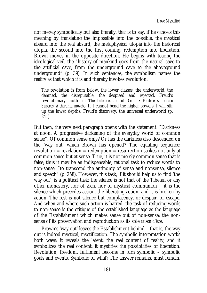not merely symbolically but also literally, that is to say, if he cancels this meaning by translating the impossible into the possible, the mystical absurd into the real absurd, the metaphysical utopia into the historical utopia, the second into the first coming, redemption into liberation. Brown moves in the opposite direction. He begins with tearing the ideological veil; the "history of mankind goes from the natural cave to the artificial cave, from the underground cave to the aboveground underground" (p. 39). In such sentences, the symbolism names the reality as that which it is and thereby invokes revolution:

The revolution is from below, the lower classes, the underworld, the damned, the disreputable, the despised and rejected. Freud's revolutionary motto in *The Interpretation of Dreams: Flectere si nequeo Superos, Acherunta movebo*. If I cannot bend the higher powers, I will stir up the lower depths. Freud's discovery: the universal underworld (p. 241).

But then, the very next paragraph opens with the statement: "Darkness at noon. A progressive darkening of the everyday world of common sense". Of common sense only? Or has the darkness also descended on the 'way out' which Brown has opened? The equating sequence:  $revolution = revrelation = redemption = resurrection strikes not only at$ common sense but at sense. True, it is not merely common sense that is false; thus it may be an indispensable, rational task to reduce words to non-sense, "to transcend the antinomy of sense and nonsense, silence and speech" (p. 258). However, this task, if it should help us to find 'the way out', is a political task: the silence is not that of the Tibetan or any other monastery, nor of Zen, nor of mystical communion – it is the silence which precedes action, the liberating action, and it is broken by action. The rest is not silence but complacency, or despair, or escape. And when and where such action is barred, the task of reducing words to non-sense is the critique of the established language as the language of the Establishment which makes sense out of non-sense: the nonsense of its preservation and reproduction as its sole *raison d'être*.

Brown's 'way out' leaves the Establishment behind – that is, the way out is indeed mystical, mystification. The symbolic interpretation works both ways: it reveals the latent, the real content of reality, and it symbolizes the real content: it mystifies the possibilities of liberation. Revolution, freedom, fulfilment become in turn symbolic – symbolic goals and events. Symbolic of what? The answer remains, must remain,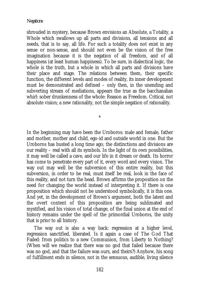shrouded in mystery, because Brown envisions an Absolute, a Totality, a Whole which swallows up all parts and divisions, all tensions and all needs, that is to say, all life. For such a totality does not exist in any sense or non-sense, and should not even be the vision of the free imagination because it is the negation of all freedom, and of all happiness (at least human happiness). To be sure, in dialectical logic, the whole is the truth, but a whole in which all parts and divisions have their place and stage. The relations between them, their specific function, the different levels and modes of reality, its inner development must be demonstrated and defined – only then, in the unending and subverting stream of mediations, appears the true as the bacchanalian whirl: sober drunkenness of the whole: Reason as Freedom. Critical, not absolute vision; a new rationality, not the simple negation of rationality.

\*

In the beginning may have been the Uroboros: male and female, father and mother, mother and child, ego-id and outside world in one. But the Uroboros has busted a long time ago; the distinctions and divisions are our reality – real with all its symbols. In the light of its own possibilities, it may well be called a cave, and our life in it dream or death. Its horror has come to penetrate every part of it, every word and every vision. The way out may well be the subversion of this entire reality, but this subversion, in order to be real, must itself be real, look in the face of this reality, and not turn the head. Brown affirms the proposition on the need for changing the world instead of interpreting it. If there is one proposition which should not be understood symbolically, it is this one. And yet, in the development of Brown's argument, both the latent and the overt content of this proposition are being sublimated and mystified, and his vision of total change, of the final union at the end of history remains under the spell of the primordial Uroboros, the unity that is prior to all history.

The way out is also a way back: regression at a higher level, regression sanctified, liberated. Is it again a case of The God That Failed: from politics to a new Communion, from Liberty to Nothing? (When will we realize that there was no god that failed because there was no god, and that the failure was ours, and theirs?) Anyhow, his song of fulfillment ends in silence, not in the sensuous, audible, living silence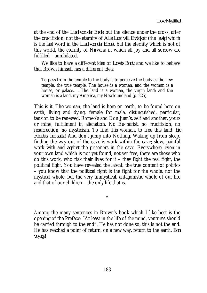at the end of the *Lied von der Erde*, but the silence under the cross, after the crucifixion; not the eternity of *Alle Lust will Ewigkeit* (the '*ewig*' which is the last word in the *Lied von der Erde*), but the eternity which is not of this world, the eternity of Nirvana in which all joy and all sorrow are fulfilled – annihilated.

We like to have a different idea of *Love's Body*, and we like to believe that Brown himself has a different idea:

To pass from the temple to the body is to perceive the body as the new temple, the true temple. The house is a woman, and the woman is a house, or palace…. The land is a woman, the virgin land; and the woman is a land, my America, my Newfoundland (p. 225).

This is it. The woman, the land is here on earth, to be found here on earth, living and dying, female for male, distinguished, particular, tension to be renewed, Romeo's and Don Juan's, self and another, yours or mine, fulfillment in alienation. No Eucharist, no crucifixion, no resurrection, no mysticism. To find this woman, to free this land: *hic Rhodus, hic salta*! And don't jump into Nothing. Waking up from sleep, finding the way out of the cave is work within the cave; slow, painful work with and *against* the prisoners in the cave. Everywhere, even in your own land which is not yet found, not yet free, there are those who do this work, who risk their lives for it – they fight the real fight, the political fight. You have revealed the latent, the true content of politics – you know that the political fight is the fight for the whole: not the mystical whole, but the very unmystical, antagonistic whole of our life and that of our children – the only life that is.

Among the many sentences in Brown's book which I like best is the opening of the Preface: "At least in the life of the mind, ventures should be carried through to the end". He has not done so; this is not the end. He has reached a point of return; on a new way, return to the earth. *Bon voyage*!

\*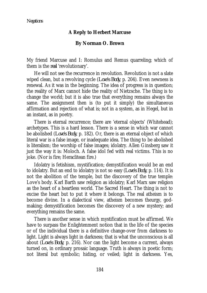## **A Reply to Herbert Marcuse**

### **By Norman O. Brown**

My friend Marcuse and I: Romulus and Remus quarreling; which of them is the *real* 'revolutionary'.

He will not see the recurrence in revolution. Revolution is not a slate wiped clean, but a revolving cycle (*Love's Body*, p. 204). Even newness is renewal. As it was in the beginning. The idea of progress is in question; the reality of Marx cannot hide the reality of Nietzsche. The thing is to change the world; but it is also true that everything remains always the same. The assignment then is (to put it simply) the simultaneous affirmation and rejection of what is; not in a system, as in Hegel, but in an instant, as in poetry.

There is eternal recurrence; there are 'eternal objects' (Whitehead); archetypes. This is a hard lesson. There is a sense in which war cannot be abolished (*Love's Body*, p. 182). Or, there is an eternal object of which literal war is a false image, or inadequate idea. The thing to be abolished is literalism; the worship of false images; idolatry. Allen Ginsberg saw it just the way it is: Moloch. A false idol fed with real victims. This is no joke. (Nor is fire; Heraclitean fire.)

Idolatry is fetishism, mystification; demystification would be an end to idolatry. But an end to idolatry is not so easy (*Love's Body*, p. 114). It is not the abolition of the temple, but the discovery of the true temple: Love's body. Karl Barth saw religion as idolatry; Karl Marx saw religion as the heart of a heartless world. The Sacred Heart. The thing is not to excise the heart but to put it where it belongs. The real atheism is to become divine. In a dialectical view, atheism becomes theurgy, godmaking; demystification becomes the discovery of a new mystery; and everything remains the same.

There is another sense in which mystification must be affirmed. We have to surpass the Enlightenment notion that in the life of the species or of the individual there is a definitive change-over from darkness to light. Light is always light in darkness; that is what the unconscious is all about (*Love's Body*, p. 216). Nor can the light become a current, always turned on, in ordinary prosaic language. Truth is always in poetic form; not literal but symbolic; hiding, or veiled; light in darkness. Yes,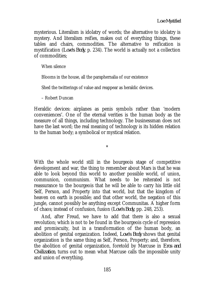mysterious. Literalism is idolatry of words; the alternative to idolatry is mystery. And literalism reifies, makes out of everything things, these tables and chairs, commodities. The alternative to reification is mystification (*Love's Body*, p. 234). The world is actually not a collection of commodities;

When silence

Blooms in the house, all the paraphernalia of our existence

Shed the twitterings of value and reappear as heraldic devices.

– Robert Duncan

Heraldic devices: airplanes as penis symbols rather than 'modern conveniences'. One of the eternal verities is the human body as the measure of all things, including technology. The businessman does not have the last word; the real meaning of technology is its hidden relation to the human body; a symbolical or mystical relation.

\*

With the whole world still in the bourgeois stage of competitive development and war, the thing to remember about Mars is that he was able to look beyond this world to another possible world, of union, communion, communism. What needs to be reiterated is not reassurance to the bourgeois that he will be able to carry his little old Self, Person, and Property into that world, but that the kingdom of heaven on earth is possible; and that other world, the negation of this jungle, cannot possibly be anything except Communitas. A higher form of chaos; instead of confusion, fusion (*Love's Body*, pp. 248, 253).

And, after Freud, we have to add that there is also a sexual revolution; which is not to be found in the bourgeois cycle of repression and promiscuity, but in a transformation of the human body, an abolition of genital organization. Indeed, *Love's Body* shows that genital organization is the same thing as Self, Person, Property; and, therefore, the abolition of genital organization, foretold by Marcuse in *Eros and Civilization*, turns out to mean what Marcuse calls the impossible unity and union of everything.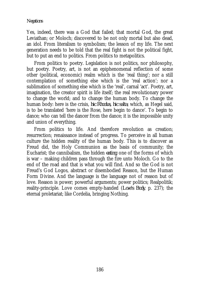Yes, indeed, there was a God that failed; that mortal God, the great Leviathan; or Moloch; discovered to be not only mortal but also dead, an idol. From literalism to symbolism; the lesson of my life. The next generation needs to be told that the real fight is not the political fight, but to put an end to politics. From politics to metapolitics.

From politics to poetry. Legislation is not politics, nor philosophy, but poetry. Poetry, art, is not an epiphenomenal reflection of some other (political, economic) realm which is the 'real thing'; nor a still contemplation of something else which is the 'real action'; nor a sublimation of something else which is the 'real', carnal 'act'. Poetry, art, imagination, the creator spirit is life itself; the real revolutionary power to change the world; and to change the human body. To change the human body: here is the crisis, *hic Rhodus, hic salta*; which, as Hegel said, is to be translated 'here is the Rose, here begin to dance'. To begin to dance; who can tell the dancer from the dance; it is the impossible unity and union of everything.

From politics to life. And therefore revolution as creation; resurrection; renaissance instead of progress. To perceive in all human culture the hidden reality of the human body. This is to discover as Freud did, the Holy Communion as the basis of community; the Eucharist; the cannibalism, the hidden *eating*; one of the forms of which is war – making children pass through the fire unto Moloch. Go to the end of the road and that is what you will find. And so the God is not Freud's God Logos, abstract or disembodied Reason, but the Human Form Divine. And the language is the language not of reason but of love. Reason is power; powerful arguments; power politics; Realpolitik; reality-principle. Love comes empty-handed (*Love's Body*, p. 237); the eternal proletariat; like Cordelia, bringing Nothing.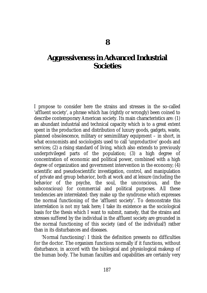# **Aggressiveness in Advanced Industrial Societies**

I propose to consider here the strains and stresses in the so-called 'affluent society', a phrase which has (rightly or wrongly) been coined to describe contemporary American society. Its main characteristics are: (1) an abundant industrial and technical capacity which is to a great extent spent in the production and distribution of luxury goods, gadgets, waste, planned obsolescence, military or semimilitary equipment – in short, in what economists and sociologists used to call 'unproductive' goods and services; (2) a rising standard of living, which also extends to previously underprivileged parts of the population; (3) a high degree of concentration of economic and political power, combined with a high degree of organization and government intervention in the economy; (4) scientific and pseudoscientific investigation, control, and manipulation of private and group behavior, both at work and at leisure (including the behavior of the psyche, the soul, the unconscious, and the subconscious) for commercial and political purposes. All these tendencies are interrelated: they make up the syndrome which expresses the normal functioning of the 'affluent society'. To demonstrate this interrelation is not my task here; I take its existence as the sociological basis for the thesis which I want to submit, namely, that the strains and stresses suffered by the individual in the affluent society are grounded in the normal functioning of this society (and of the individual!) rather than in its disturbances and diseases.

'Normal functioning': I think the definition presents no difficulties for the doctor. The organism functions normally if it functions, without disturbance, in accord with the biological and physiological makeup of the human body. The human faculties and capabilities are certainly very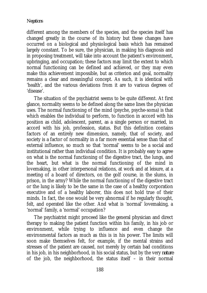different among the members of the species, and the species itself has changed greatly in the course of its history but these changes have occurred on a biological and physiological basis which has remained largely constant. To be sure, the physician, in making his diagnosis and in proposing treatment, will take into account the patient's environment, upbringing, and occupation; these factors may limit the extent to which normal functioning can be defined and achieved, or they may even make this achievement impossible, but as criterion and goal, normality remains a clear and meaningful concept. As such, it is identical with 'health', and the various deviations from it are to various degrees of 'disease'.

The situation of the psychiatrist seems to be quite different. At first glance, normality seems to be defined along the same lines the physician uses. The normal functioning of the mind (psyche, psyche-soma) is that which enables the individual to perform, to function in accord with his position as child, adolescent, parent, as a single person or married, in accord with his job, profession, status. But this definition contains factors of an entirely new dimension, namely, that of society, and society is a factor of normality in a far more essential sense than that of external influence, so much so that 'normal' seems to be a social and institutional rather than individual condition. It is probably easy to agree on what is the normal functioning of the digestive tract, the lungs, and the heart, but what is the normal functioning of the mind in lovemaking, in other interpersonal relations, at work and at leisure, at a meeting of a board of directors, on the golf course, in the slums, in prison, in the army? While the normal functioning of the digestive tract or the lung is likely to be the same in the case of a healthy corporation executive and of a healthy laborer, this does not hold true of their minds. In fact, the one would be very abnormal if he regularly thought, felt, and operated like the other. And what is 'normal' lovemaking, a 'normal' family, a 'normal' occupation?

The psychiatrist might proceed like the general physician and direct therapy to making the patient function within his family, in his job or environment, while trying to influence and even change the environmental factors as much as this is in his power. The limits will soon make themselves felt, for example, if the mental strains and stresses of the patient are caused, not merely by certain bad conditions in his job, in his neighborhood, in his social status, but by the very *nature* of the job, the neighborhood, the status itself – in their normal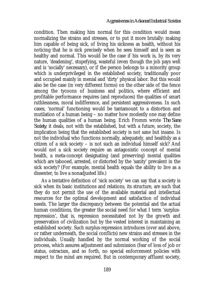condition. Then making him normal for this condition would mean normalizing the strains and stresses, or to put it more brutally: making him capable of being sick, of living his sickness as health, without his noticing that he is sick precisely when he sees himself and is seen as healthy and normal. This would be the case if his work is, by its very nature, 'deadening', stupefying, wasteful (even though the job pays well and is 'socially' necessary), or if the person belongs to a minority group which is underprivileged in the established society, traditionally poor and occupied mainly in menial and 'dirty' physical labor. But this would also be the case (in very different forms) on the other side of the fence among the tycoons of business and politics, where efficient and profitable performance requires (and reproduces) the qualities of smart ruthlessness, moral indifference, and persistent aggressiveness. In such cases, 'normal' functioning would be tantamount to a distortion and mutilation of a human being – no matter how modestly one may define the human qualities of a human being. Erich Fromm wrote *The Sane Society*; it deals, not with the established, but with a future, society, the implication being that the established society is not sane but insane. Is not the individual who functions normally, adequately, and healthily as a citizen of a sick society – is not such an individual himself sick? And would not a sick society require an antagonistic concept of mental health, a meta-concept designating (and preserving) mental qualities which are tabooed, arrested, or distorted by the 'sanity' prevalent in the sick society? (For example, mental health equals the ability to live as a dissenter, to live a nonadjusted life.)

As a tentative definition of 'sick society' we can say that a society is sick when its basic institutions and relations, its structure, are such that they do not permit the use of the available material and intellectual resources for the optimal development and satisfaction of individual needs. The larger the discrepancy between the potential and the actual human conditions, the greater the social need for what I term 'surplusrepression', that is, repression necessitated not by the growth and preservation of civilization but by the vested interest in maintaining an established society. Such surplus-repression introduces (over and above, or rather underneath, the social conflicts) new strains and stresses in the individuals. Usually handled by the normal working of the social process, which assures adjustment and submission (fear of loss of job or status, ostracism, and so forth, no special enforcement policies with respect to the mind are required. But in contemporary affluent society,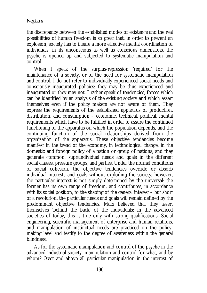the discrepancy between the established modes of existence and the real possibilities of human freedom is so great that, in order to prevent an explosion, society has to insure a more effective mental coordination of individuals: in its unconscious as well as conscious dimensions, the psyche is opened up and subjected to systematic manipulation and control.

When I speak of the surplus-repression 'required' for the maintenance of a society, or of the need for systematic manipulation and control, I do not refer to individually experienced social needs and consciously inaugurated policies: they may be thus experienced and inaugurated or they may not. I rather speak of tendencies, forces which can be identified by an analysis of the existing society and which assert themselves even if the policy makers are not aware of them. They express the requirements of the established apparatus of production, distribution, and consumption – economic, technical, political, mental requirements which have to be fulfilled in order to assure the continued functioning of the apparatus on which the population depends, and the continuing function of the social relationships derived from the organization of the apparatus. These objective tendencies become manifest in the trend of the economy, in technological change, in the domestic and foreign policy of a nation or group of nations, and they generate common, supraindividual needs and goals in the different social classes, pressure groups, and parties. Under the normal conditions of social cohesion, the objective tendencies override or absorb individual interests and goals without exploding the society; however, the particular interest is not simply determined by the universal: the former has its own range of freedom, and contributes, in accordance with its social position, to the shaping of the general interest – but short of a revolution, the particular needs and goals will remain defined by the predominant objective tendencies. Marx believed that they assert themselves 'behind the back' of the individuals; in the advanced societies of today, this is true only with strong qualifications. Social engineering, scientific management of enterprise and human relations, and manipulation of instinctual needs are practiced on the policymaking level and testify to the degree of awareness within the general blindness.

As for the systematic manipulation and control of the psyche in the advanced industrial society, manipulation and control for what, and by whom? Over and above all particular manipulation in the interest of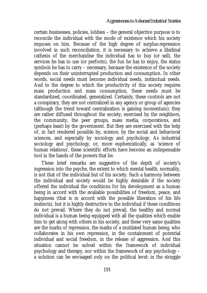certain businesses, policies, lobbies – the general objective purpose is to reconcile the individual with the mode of existence which his society imposes on him. Because of the high degree of surplus-repression involved in such reconciliation, it is necessary to achieve a libidinal cathexis of the merchandise the individual has to buy (or sell), the services he has to use (or perform), the fun he has to enjoy, the status symbols he has to carry – necessary, because the existence of the society depends on their uninterrupted production and consumption. In other words, social needs must become individual needs, instinctual needs. And to the degree to which the productivity of this society requires mass production and mass consumption, these needs must be standardized, coordinated, generalized. Certainly, these controls are not a conspiracy, they are not centralized in any agency or group of agencies (although the trend toward centralization is gaining momentum); they are rather diffused throughout the society, exercised by the neighbors, the community, the peer groups, mass media, corporations, and (perhaps least) by the government. But they are exercised with the help of, in fact rendered possible by, science, by the social and behavioral sciences, and especially by sociology and psychology. As industrial sociology and psychology, or, more euphemistically, as 'science of human relations', these scientific efforts have become an indispensable tool in the hands of the powers that be.

These brief remarks are suggestive of the depth of society's ingression into the psyche, the extent to which mental health, normality, is not that of the individual but of his society. Such a harmony between the individual and society would be highly desirable if the society offered the individual the conditions for his development as a human being in accord with the available possibilities of freedom, peace, and happiness (that is in accord with the possible liberation of his life instincts), but it is highly destructive to the individual if these conditions do not prevail. Where they do not prevail, the healthy and normal individual is a human being equipped with all the qualities which enable him to get along with others in his society, and these very same qualities are the marks of repression, the marks of a mutilated human being, who collaborates in his own repression, in the containment of potential individual and social freedom, in the release of aggression. And this situation cannot be solved within the framework of individual psychology and therapy, nor within the framework of any psychology – a solution can be envisaged only on the political level: in the struggle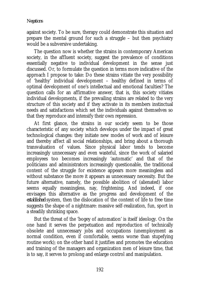against society. To be sure, therapy could demonstrate this situation and prepare the mental ground for such a struggle – but then psychiatry would be a subversive undertaking.

The question now is whether the strains in contemporary American society, in the affluent society, suggest the prevalence of conditions essentially negative to individual development in the sense just discussed. Or, to formulate the question in terms more indicative of the approach I propose to take: Do these strains vitiate the very possibility of 'healthy' individual development – healthy defined in terms of optimal development of one's intellectual and emotional faculties? The question calls for an affirmative answer, that is, this society vitiates individual developments, if the prevailing strains are related to the very structure of this society and if they activate in its members instinctual needs and satisfactions which set the individuals against themselves so that they reproduce and intensify their own repression.

At first glance, the strains in our society seem to be those characteristic of any society which develops under the impact of great technological changes: they initiate new modes of work and of leisure and thereby affect all social relationships, and bring about a thorough transvaluation of values. Since physical labor tends to become increasingly unnecessary and even wasteful, since the work of salaried employees too becomes increasingly 'automatic' and that of the politicians and administrators increasingly questionable, the traditional content of the struggle for existence appears more meaningless and without substance the more it appears as unnecessary necessity. But the future alternative, namely, the possible abolition of (alienated) labor seems equally meaningless, nay, frightening. And indeed, if one envisages this alternative as the progress and development of the *established* system, then the dislocation of the content of life to free time suggests the shape of a nightmare: massive self-realization, fun, sport in a steadily shrinking space.

But the threat of the 'bogey of automation' is itself ideology. On the one hand it serves the perpetuation and reproduction of technically obsolete and unnecessary jobs and occupations (unemployment as normal condition, even if comfortable, seems worse than stupefying routine work); on the other hand it justifies and promotes the education and training of the managers and organization men of leisure time, that is to say, it serves to prolong and enlarge control and manipulation.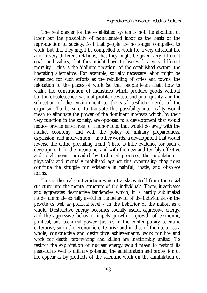The real danger for the established system is not the abolition of labor but the possibility of nonalienated labor as the basis of the reproduction of society. Not that people are no longer compelled to work, but that they might be compelled to work for a very different life and in very different relations, that they might be given very different goals and values, that they might have to live with a very different morality – this is the 'definite negation' of the established system, the liberating alternative. For example, socially necessary labor might be organized for such efforts as the rebuilding of cities and towns, the relocation of the places of work (so that people learn again how to walk), the construction of industries which produce goods without built-in obsolescence, without profitable waste and poor quality, and the subjection of the environment to the vital aesthetic needs of the organism. To be sure, to translate this possibility into reality would mean to eliminate the power of the dominant interests which, by their very function in the society, are opposed to a development that would reduce private enterprise to a minor role, that would do away with the market economy, and with the policy of military preparedness, expansion, and intervention – in other words: a development that would reverse the entire prevailing trend. There is little evidence for such a development. In the meantime, and with the new and terribly effective and total means provided by technical progress, the population is physically and mentally mobilized against this eventuality: they must continue the struggle for existence in painful, costly, and obsolete forms.

This is the real contradiction which translates itself from the social structure into the mental structure of the individuals. There, it activates and aggravates destructive tendencies which, in a hardly sublimated mode, are made socially useful in the behavior of the individuals, on the private as well as political level – in the behavior of the nation as a whole. Destructive energy becomes socially useful aggressive energy, and the aggressive behavior impels growth  $-$  growth of economic, political, and technical power. Just as in the contemporary scientific enterprise, so in the economic enterprise and in that of the nation as a whole, constructive and destructive achievements, work for life and work for death, procreating and killing are inextricably united. To restrict the exploitation of nuclear energy would mean to restrict its peaceful as well as military potential; the amelioration and protection of life appear as by-products of the scientific work on the annihilation of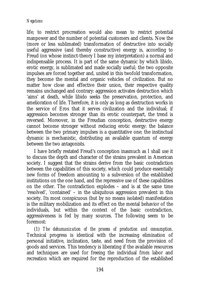life; to restrict procreation would also mean to restrict potential manpower and the number of potential customers and clients. Now the (more or less sublimated) transformation of destructive into socially useful aggressive (and thereby constructive) energy is, according to Freud (on whose instinct-theory I base my interpretation) a normal and indispensable process. It is part of the same dynamic by which libido, erotic energy, is sublimated and made socially useful; the two opposite impulses are forced together and, united in this twofold transformation, they become the mental and organic vehicles of civilization. But no matter how close and effective their union, their respective quality remains unchanged and contrary: aggression activates destruction which 'aims' at death, while libido seeks the preservation, protection, and amelioration of life. Therefore, it is only as long as destruction works in the service of Eros that it serves civilization and the individual; if aggression becomes stronger than its erotic counterpart, the trend is reversed. Moreover, in the Freudian conception, destructive energy cannot become stronger without reducing erotic energy: the balance between the two primary impulses is a quantitative one; the instinctual dynamic is mechanistic, distributing an available quantum of energy between the two antagonists.

I have briefly restated Freud's conception inasmuch as I shall use it to discuss the depth and character of the strains prevalent in American society. I suggest that the strains derive from the basic contradiction between the capabilities of this society, which could produce essentially new forms of freedom amounting to a subversion of the established institutions on the one hand, and the repressive use of these capabilities on the other. The contradiction explodes – and is at the same time 'resolved', 'contained' – in the ubiquitous aggression prevalent in this society. Its most conspicuous (but by no means isolated) manifestation is the military mobilization and its effect on the mental behavior of the individuals, but within the context of the basic contradiction, aggressiveness is fed by many sources. The following seem to be foremost:

(1) *The dehumanization of the process of production and consumption*. Technical progress is identical with the increasing elimination of personal initiative, inclination, taste, and need from the provision of goods and services. This tendency is liberating if the available resources and techniques are used for freeing the individual from labor and recreation which are required for the reproduction of the established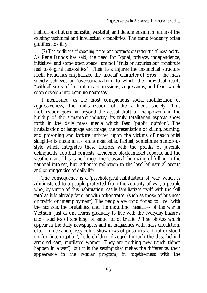institutions but are parasitic, wasteful, and dehumanizing in terms of the existing technical and intellectual capabilities. The same tendency often gratifies hostility.

(2) *The conditions of crowding, noise, and overtness characteristic of mass society*. As René Dubos has said, the need for "quiet, privacy, independence, initiative, and some open space" are not "frills or luxuries but constitute real biological necessities". Their lack injures the instinctual structure itself. Freud has emphasized the 'asocial' character of Eros – the mass society achieves an 'oversocialization' to which the individual reacts "with all sorts of frustrations, repressions, aggressions, and fears which soon develop into genuine neuroses".

I mentioned, as the most conspicuous social mobilization of aggressiveness, the militarization of the affluent society. This mobilization goes far beyond the actual draft of manpower and the buildup of the armament industry: its truly totalitarian aspects show forth in the daily mass media which feed 'public opinion'. The brutalization of language and image, the presentation of killing, burning, and poisoning and torture inflicted upon the victims of neocolonial slaughter is made in a common-sensible, factual, sometimes humorous style which integrates these horrors with the pranks of juvenile delinquents, football contests, accidents, stock market reports, and the weatherman. This is no longer the 'classical' heroizing of killing in the national interest, but rather its reduction to the level of natural events and contingencies of daily life.

The consequence is a 'psychological habituation of war' which is administered to a people protected from the actuality of war, a people who, by virtue of this habituation, easily familiarizes itself with the 'kill rate' as it is already familiar with other 'rates' (such as those of business or traffic or unemployment). The people are conditioned to live "with the hazards, the brutalities, and the mounting casualties of the war in Vietnam, just as one learns gradually to live with the everyday hazards and casualties of smoking, of smog, or of traffic".1 The photos which appear in the daily newspapers and in magazines with mass circulation, often in nice and glossy color, show rows of prisoners laid out or stood up for 'interrogation', little children dragged through the dust behind armored cars, mutilated women. They are nothing new ('such things happen in a war'), but it is the setting that makes the difference: their appearance in the regular program, in togetherness with the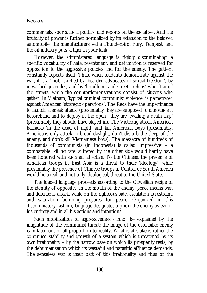commercials, sports, local politics, and reports on the social set. And the brutality of power is further normalized by its extension to the beloved automobile: the manufacturers sell a Thunderbird, Fury, Tempest, and the oil industry puts 'a tiger in your tank'.

However, the administered language is rigidly discriminating: a specific vocabulary of hate, resentment, and defamation is reserved for opposition to the aggressive policies and for the enemy. The pattern constantly repeats itself. Thus, when students demonstrate against the war, it is a 'mob' swelled by 'bearded advocates of sexual freedom', by unwashed juveniles, and by 'hoodlums and street urchins' who 'tramp' the streets, while the counterdemonstrations consist of citizens who gather. In Vietnam, 'typical criminal communist violence' is perpetrated against American 'strategic operations'. The Reds have the impertinence to launch 'a sneak attack' (presumably they are supposed to announce it beforehand and to deploy in the open); they are 'evading a death trap' (presumably they should have stayed in). The Vietcong attack American barracks 'in the dead of night' and kill American boys (presumably, Americans only attack in broad daylight, don't disturb the sleep of the enemy, and don't kill Vietnamese boys). The massacre of hundreds of thousands of communists (in Indonesia) is called 'impressive' – a comparable 'killing rate' suffered by the other side would hardly have been honored with such an adjective. To the Chinese, the presence of American troops in East Asia is a threat to their 'ideology', while presumably the presence of Chinese troops in Central or South America would be a real, and not only ideological, threat to the United States.

The loaded language proceeds according to the Orwellian recipe of the identity of opposites: in the mouth of the enemy, peace means war, and defense is attack, while on the righteous side, escalation is restraint, and saturation bombing prepares for peace. Organized in this discriminatory fashion, language designates a priori the enemy as evil in his entirety and in all his actions and intentions.

Such mobilization of aggressiveness cannot be explained by the magnitude of the communist threat: the image of the ostensible enemy is inflated out of all proportion to reality. What is at stake is rather the continued stability and growth of a system which is threatened by its own irrationality – by the narrow base on which its prosperity rests, by the dehumanization which its wasteful and parasitic affluence demands. The senseless war is itself part of this irrationality and thus of the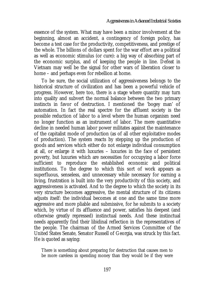essence of the system. What may have been a minor involvement at the beginning, almost an accident, a contingency of foreign policy, has become a test case for the productivity, competitiveness, and prestige of the whole. The billions of dollars spent for the war effort are a political as well as economic stimulus (or cure): a big way of absorbing part of the economic surplus, and of keeping the people in line. Defeat in Vietnam may well be the signal for other wars of liberation closer to home – and perhaps even for rebellion at home.

To be sure, the social utilization of aggressiveness belongs to the historical structure of civilization and has been a powerful vehicle of progress. However, here too, there is a stage where quantity may turn into quality and subvert the normal balance between the two primary instincts in favor of destruction. I mentioned the 'bogey man' of automation. In fact the real spectre for the affluent society is the possible reduction of labor to a level where the human organism need no longer function as an instrument of labor. The mere quantitative decline in needed human labor power militates against the maintenance of the capitalist mode of production (as of all other exploitative modes of production). The system reacts by stepping up the production of goods and services which either do not enlarge individual consumption at all, or enlarge it with luxuries – luxuries in the face of persistent poverty, but luxuries which are necessities for occupying a labor force sufficient to reproduce the established economic and political institutions. To the degree to which this sort of work appears as superfluous, senseless, and unnecessary while necessary for earning a living, frustration is built into the very productivity of this society, and aggressiveness is activated. And to the degree to which the society in its very structure becomes aggressive, the mental structure of its citizens adjusts itself: the individual becomes at one and the same time more aggressive and more pliable and submissive, for he submits to a society which, by virtue of its affluence and power, satisfies his deepest (and otherwise greatly repressed) instinctual needs. And these instinctual needs apparently find their libidinal reflection in the representatives of the people. The chairman of the Armed Services Committee of the United States Senate, Senator Russell of Georgia, was struck by this fact. He is quoted as saying:

There is something about preparing for destruction that causes men to be more careless in spending money than they would be if they were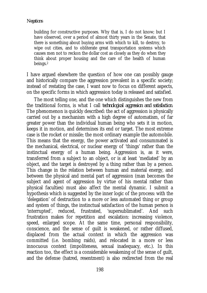building for constructive purposes. Why that is, I do not know; but I have observed, over a period of almost thirty years in the Senate, that there is something about buying arms with which to kill, to destroy, to wipe out cities, and to obliterate great transportation systems which causes men not to reckon the dollar cost as closely as they do when they think about proper housing and the care of the health of human beings.2

I have argued elsewhere the question of how one can possibly gauge and historically compare the aggression prevalent in a specific society; instead of restating the case, I want now to focus on different aspects, on the specific forms in which aggression today is released and satisfied.

The most telling one, and the one which distinguishes the new from the traditional forms, is what I call *technological aggression and satisfaction*. The phenomenon is quickly described: the act of aggression is physically carried out by a mechanism with a high degree of automatism, of far greater power than the individual human being who sets it in motion, keeps it in motion, and determines its end or target. The most extreme case is the rocket or missile; the most ordinary example the automobile. This means that the energy, the power activated and consummated is the mechanical, electrical, or nuclear energy of 'things' rather than the instinctual energy of a human being. Aggression is, as it were, transferred from a subject to an object, or is at least 'mediated' by an object, and the target is destroyed by a thing rather than by a person. This change in the relation between human and material energy, and between the physical and mental part of aggression (man becomes the subject and agent of aggression by virtue of his mental rather than physical faculties) must also affect the mental dynamic. I submit a hypothesis which is suggested by the inner logic of the process: with the 'delegation' of destruction to a more or less automated thing or group and system of things, the instinctual satisfaction of the human person is 'interrupted', reduced, frustrated, 'supersublimated'. And such frustration makes for repetition and escalation: increasing violence, speed, enlarged scope. At the same time, personal responsibility, conscience, and the sense of guilt is weakened, or rather diffused, displaced from the actual context in which the aggression was committed (i.e. bombing raids), and relocated in a more or less innocuous context (impoliteness, sexual inadequacy, etc.). In this reaction too, the effect is a considerable weakening of the sense of guilt, and the defense (hatred, resentment) is also redirected from the real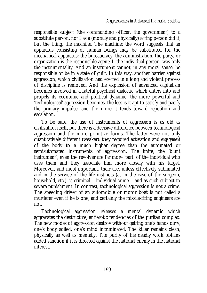responsible subject (the commanding officer, the government) to a substitute person: not I as a (morally and physically) acting person did it, but the thing, the machine. The machine: the word suggests that an apparatus consisting of human beings may be substituted for the mechanical apparatus: the bureaucracy, the administration, the party, or organization is the responsible agent: I, the individual person, was only the instrumentality. And an instrument cannot, in any moral sense, be responsible or be in a state of guilt. In this way, another barrier against aggression, which civilization had erected in a long and violent process of discipline is removed. And the expansion of advanced capitalism becomes involved in a fateful psychical dialectic which enters into and propels its economic and political dynamic: the more powerful and 'technological' aggression becomes, the less is it apt to satisfy and pacify the primary impulse, and the more it tends toward repetition and escalation.

To be sure, the use of instruments of aggression is as old as civilization itself, but there is a decisive difference between technological aggression and the more primitive forms. The latter were not only quantitatively different (weaker): they required activation and *engagement*  of the body to a much higher degree than the automated or semiautomated instruments of aggression. The knife, the 'blunt instrument', even the revolver are far more 'part' of the individual who uses them and they associate him more closely with his target. Moreover, and most important, their use, unless effectively sublimated and in the service of the life instincts (as in the case of the surgeon, household, etc.), is criminal – individual crime – and as such subject to severe punishment. In contrast, technological aggression is not a crime. The speeding driver of an automobile or motor boat is not called a murderer even if he is one; and certainly the missile-firing engineers are not.

Technological aggression releases a mental dynamic which aggravates the destructive, antierotic tendencies of the puritan complex. The new modes of aggression destroy without getting one's hands dirty, one's body soiled, one's mind incriminated. The killer remains clean, physically as well as mentally. The purity of his deadly work obtains added sanction if it is directed against the national enemy in the national interest.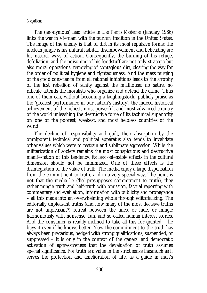The (anonymous) lead article in *Les Temps Modernes*(January 1966) links the war in Vietnam with the puritantradition in the United States. The image of the enemy is thatof dirt in its most repulsive forms; the unclean jungle is hisnatural habitat, disembowelment and beheading are his naturalways of action. Consequently, the burning of his refuge, defoliation, and the poisoning of his foodstuff are not onlystrategic but also moral operations: removing of contagiousdirt, clearing the way for the order of political hygiene andrighteousness. And the mass purging of the good consciencefrom all rational inhibitions leads to the atrophy of the lastrebellion of sanity against the madhouse: no satire, no ridiculeattends the moralists who organize and defend the crime.Thus one of them can, without becoming a laughingstock,publicly praise as the 'greatest performance in our nation'shistory', the indeed historical achievement of the richest,most powerful, and most advanced country of the world unleashingthe destructive force of its technical superiority onone of the poorest, weakest, and most helpless countries of the world.

The decline of responsibility and guilt, their absorption by the omnipotent technical and political apparatus also tends to invalidate other values which were to restrain and sublimate aggression. While the militarization of society remains the most conspicuous and destructive manifestation of this tendency, its less ostensible effects in the cultural dimension should not be minimized. One of these effects is the disintegration of the value of *truth*. The media enjoy a large dispensation from the commitment to truth, and in a very special way. The point is not that the media lie ('lie' presupposes commitment to truth), they rather mingle truth and half-truth with omission, factual reporting with commentary and evaluation, information with publicity and propaganda – all this made into an overwhelming whole through editorializing. The editorially unpleasant truths (and how many of the most decisive truths are not unpleasant?) retreat between the lines, or hide, or mingle harmoniously with nonsense, fun, and so-called human interest stories. And the consumer is readily inclined to take all this for granted – he buys it even if he knows better. Now the commitment to the truth has always been precarious, hedged with strong qualifications, suspended, or suppressed – it is only in the context of the general and democratic activation of aggressiveness that the devaluation of truth assumes special significance. For truth is a value in the strict sense inasmuch as it serves the protection and amelioration of life, as a guide in man's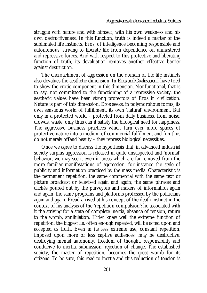struggle with nature and with himself, with his own weakness and his own destructiveness. In this function, truth is indeed a matter of the sublimated life instincts, Eros, of intelligence becoming responsible and autonomous, striving to liberate life from dependence on unmastered and repressive forces. And with respect to this protective and liberating function of truth, its devaluation removes another effective barrier against destruction.

The encroachment of aggression on the domain of the life instincts also devalues the aesthetic dimension. In *Eros and Civilization* I have tried to show the erotic component in this dimension. Nonfunctional, that is to say, not committed to the functioning of a repressive society, the aesthetic values have been strong protectors of Eros in civilization. Nature is part of this dimension. Eros seeks, in polymorphous forms, its own sensuous world of fulfillment, its own 'natural' environment. But only in a protected world – protected from daily business, from noise, crowds, waste, only thus can it satisfy the biological need for happiness. The aggressive business practices which turn ever more spaces of protective nature into a medium of commercial fulfillment and fun thus do not merely offend beauty – they repress biological necessities.

Once we agree to discuss the hypothesis that, in advanced industrial society surplus-aggression is released in quite unsuspected and 'normal' behavior, we may see it even in areas which are far removed from the more familiar manifestations of aggression, for instance the style of publicity and information practiced by the mass media. Characteristic is the permanent repetition: the same commercial with the same text or picture broadcast or televised again and again; the same phrases and clichés poured out by the purveyors and makers of information again and again; the same programs and platforms professed by the politicians again and again. Freud arrived at his concept of the death instinct in the context of his analysis of the 'repetition compulsion': he associated with it the striving for a state of complete inertia, absence of tension, return to the womb, annihilation. Hitler knew well the extreme function of repetition: the biggest lie, often enough repeated, will be acted upon and accepted as truth. Even in its less extreme use, constant repetition, imposed upon more or less captive audiences, may be destructive: destroying mental autonomy, freedom of thought, responsibility and conducive to inertia, submission, rejection of change. The established society, the master of repetition, becomes the great womb for its citizens. To be sure, this road to inertia and this reduction of tension is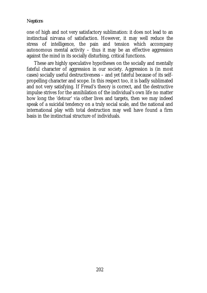one of high and not very satisfactory sublimation: it does not lead to an instinctual nirvana of satisfaction. However, it may well reduce the stress of intelligence, the pain and tension which accompany autonomous mental activity – thus it may be an effective aggression against the mind in its socially disturbing, critical functions.

These are highly speculative hypotheses on the socially and mentally fateful character of aggression in our society. Aggression is (in most cases) socially useful destructiveness – and yet fateful because of its selfpropelling character and scope. In this respect too, it is badly sublimated and not very satisfying. If Freud's theory is correct, and the destructive impulse strives for the annihilation of the individual's own life no matter how long the 'detour' via other lives and targets, then we may indeed speak of a suicidal tendency on a truly social scale, and the national and international play with total destruction may well have found a firm basis in the instinctual structure of individuals.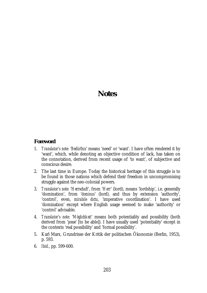# **Notes**

# **Foreword**

- 1. *Translator's note:* '*Bedürfnis*' means 'need' or 'want'. I have often rendered it by 'want', which, while denoting an objective condition of lack, has taken on the connotation, derived from recent usage of 'to want', of subjective and conscious desire.
- 2. The last time in Europe. Today the historical heritage of this struggle is to be found in those nations which defend their freedom in uncompromising struggle against the neo-colonial powers.
- 3. *Translator's note:* '*Herrschaft*', from '*Herr*' (lord), means 'lordship', i.e. generally 'domination', from '*dominus*' (lord), and thus by extension 'authority', 'control', even, *mirabile dictu*, 'imperative coordination'. I have used 'domination' except where English usage seemed to make 'authority' or 'control' advisable.
- 4. *Translator's note:* '*Möglichkeit*' means both potentiality and possibility (both derived from '*posse*' [to be able]). I have usually used 'potentiality' except in the contexts 'real possibility' and 'formal possibility'.
- 5. Karl Marx, Grundrisse der Kritik der politischen Ökonomie (Berlin, 1953), p. 593.
- 6. *Ibid.*, pp. 599-600.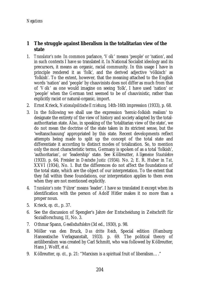## **1 The struggle against liberalism in the totalitarian view of the state**

- 1. *Translator's note:*In common parlance, '*Volk*'means 'people' or 'nation', and in such contexts I have so translated it. In National Socialist ideology and its precursors, it means an organic, racial community. In this usage I have in principle rendered it as 'folk', and the derived adjective 'völkisch' as 'folkish'. To the extent, however, that the meaning attached to the English words 'nation' and 'people' by chauvinists does not differ as much from that of '*Volk*'as one would imagine on seeing 'folk', I have used 'nation' or 'people' when the German text seemed to be of chauvinistic, rather than explicitly racist or natural-organic, import.
- 2. Ernst Krieck, *Nationalpolitische Erziehung,* 14th-16th impression (1933), p. 68.
- 3. In the following we shall use the expression 'heroic-folkish realism' to designate the entirety of the view of history and society adapted by the totalauthoritarian state. Also, in speaking of the 'totalitarian view of the state', we do not mean the doctrine of the state taken in its strictest sense, but the 'weltanschauung' appropriated by this state. Recent developments reflect attempts being made to split up the concept of the total state and differentiate it according to distinct modes of totalization. So, to mention only the most characteristic terms, Germany is spoken of as a total 'folkish', 'authoritarian', or 'leadership' state. See Köllreutter, *Allgemeine Staatslehre*  (1933). p. 64; Freisler in *Deutsche Justiz* (1934). No. 2; E. R. Huber in *Tat,*  XXVI (1934), No. 1. But the differences do not affect the foundations of the total state, which are the object of our interpretation. To the extent that they fall within these foundations, our interpretation applies to them even when they are not mentioned explicitly.
- 4. *Translator's note:* '*Führer*' means 'leader'. I have so translated it except when its identification with the person of Adolf Hitler makes it no more than a proper noun.
- 5. Krieck, *op. cit.,* p. 37.
- 6. See the discussion of Spengler's Jahre der Entscheidung in Zeitschrift für Sozialforschung, II, No. 3.
- 7. Othmar Spann, *Gesellschaftslehre* (3d ed., 1930), p. 98.
- 8. Möller van den Bruck, *Das dritte Reich*, Special edition (Hamburg: Hanseatische Verlagsanstalt, 1933). p. 69. The political theory of antiliberalism was created by Carl Schmitt, who was followed by Köllreutter, Hans J. Wolff, *et al.*
- 9. Köllreutter, *op. cit.,* p. 21: "Marxism is a spiritual fruit of liberalism…."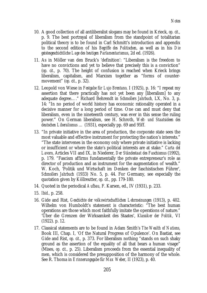- 10. A good collection of all antiliberalist slogans may be found in Krieck, *op. cit.,*  p. 9. The best portrayal of liberalism from the standpoint of totalitarian political theory is to be found in Carl Schmitt's introduction and appendix to the second edition of his *Begriffe des Politischen*, as well as in his *Die geistesgeschichtliche Lage des heutigen Parlamentarismus*, 2d ed. (1926).
- 11. As in Möller van den Bruck's 'definition': "Liberalism is the freedom to have no convictions and yet to believe that precisely this is a conviction" (*op. cit.,* p. 70). The height of confusion is reached when Krieck brings liberalism, capitalism, and Marxism together as "forms of countermovement" (*op. cit.,* p. 32).
- 12. Leopold von Wiese in *Festgabe für Lujo Brentano,* I (1925), p. 16: "I repeat my assertion that there practically has not yet been any [liberalism] to any adequate degree…." Richard Behrendt in *Schmollers Jahrbuch,* LX, No. 3, p. 14: "In no period of world history has economic rationality operated in a decisive manner for a long period of time. One can and must deny that liberalism, even in the nineteenth century, was ever in this sense the ruling power." On German liberalism, see H. Schroth, *Welt- und Staatsideen des deutschen Liberalismus* … (1931), especially pp. 69 and 95ff.
- 13. "In private initiative in the area of production, the corporate state sees the most valuable and effective instrument for protecting the nation's interests." "The state intervenes in the economy only where private initiative is lacking or insufficient or where the state's political interests are at stake." *Carta del Lavoro*, Articles VII and IX, in Niederer, *Der Ständestaat des Faschismus* (1992), p. 179. "Fascism affirms fundamentally the private entrepreneur's role as director of production and as instrument for the augmentation of wealth." W. Koch, 'Politik und Wirtschaft im Denken der faschistischen Führer', *Schmollers Jahrbuch*(1933) No. 5, p. 44. For Germany, see especially the quotation given by Köllreutter, *op. cit.,* pp. 179-180.
- 14. Quoted in the periodical *Aufbau,* F. Karsen, ed., IV (1931), p. 233.
- 15. *Ibid.,* p. 258.
- 16. Gide and Rist, *Geschichte der volkswirtschaftlichen Lehrmeinungen* (1913), p. 402. Wilhelm von Humboldt's statement is characteristic: "The best human operations are those which most faithfully imitate the operations of nature." 'Über die Grenzen der Wirksamkeit des Staates', *Klassiker der Politik,* VI (1922). p. 12.
- 17. Classical statements are to be found in Adam Smith's *The Wealth of Nations,*  Book III, Chap. I, 'Of the Natural Progress of Opulence'. On Bastiat, see Gide and Rist, *op. cit.,* p. 373. For liberalism nothing "stands on such shaky ground as the assertion of the equality of all that bears a human visage" (Mises, *op. cit.,* p. 25). Liberalism proceeds from the essential inequality of men, which is considered the presupposition of the harmony of the whole. See R. Thoma in *Erinnerungsgabe für Max Weber*, II (1923), p. 40.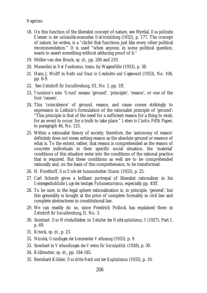- 18. On this function of the liberalist concept of nature, see Myrdal, *Das politische Element in der nationalökonomischen Doktrinbildung* (1932), p. 177. The concept of nature, he writes, is a "cliché that functions just like every other political recommendation." It is used "when anyone, in some political question, wants to assert something without adducing proof of it."
- 19. Möller van den Bruck, *op. cit.,* pp. 200 and 210.
- 20. Mussolini in *Der Faschismus*, trans. by Wagenführ (1933), p. 38.
- 21. Hans J. Wolff in *Recht und Staat in Geschichte und Gegenward* (1933), No. 104, pp. 8-9.
- 22. See *Zeitschrift für Sozialforschung*, III, No. 1, pp. 1ff.
- 23. *Translator's note*: '*Grund*' means 'ground', 'principle', 'reason', or one of the four 'causes'.
- 24. This 'coincidence' of ground, reason, and cause comes strikingly to expression in Leibniz's formulation of the rationalist principle of 'ground': "This principle is that of the need for a sufficient reason for a thing to exist, for an event to occur, for a truth to take place." *Letters to Clarke,* Fifth Paper, to paragraph 46, No. 125.
- 25. Within a rationalist theory of society, therefore, the 'autonomy of reason' definitely does not mean setting reason as the absolute ground or essence of what is. To the extent, rather, that reason is comprehended as the reason of concrete individuals in their specific social situation, the 'material' conditions of this situation enter into the conditions of the rational practice that is required. But these conditions as well are to be comprehended rationally and, on the basis of this comprehension, to be transformed.
- 26. H. Forsthoff, *Das Ende der humanistischen Illusion*(1933), p. 25.
- 27. Carl Schmitt gives a brilliant portrayal of liberalist rationalism in his *Geistesgeschichtliche Lage des heutigen Parlamentarismus*, especially pp. 45ff.
- 28. To be sure, in the legal sphere rationalization is, in principle, 'general'; but this generality is bought at the price of complete formality in civil law and complete abstractness in constitutional law.
- 29. We can readily doso, since Friedrich Pollock has explained them in *Zeitschrift für Sozialforschung*, II, No. 3.
- 30. Sombart. *Das Wirtschaftsleben im Zeitalter des Hochkapitalismus*, I (1927), Part I, p. 69.
- 31. Krieck, *op. cit.*, p. 23.
- 32. Nicolai, *Grundlagen der kommenden Verfassung* (1933), p. 9.
- 33. Sombart in *Verhandlungen des Vereins für Sozialpolitik* (1928), p. 30.
- 34. Köllreutter, *op. cit.*, pp. 184-185.
- 35. Bernhard Köhler, *Das dritte Reich und der Kapitalismus* (1933), p. 10.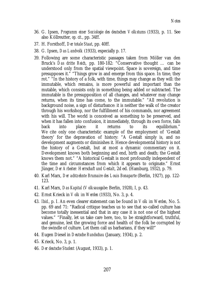- 36. G. Ipsen, *Programm einer Soziologie des deutschen Volkstums* (1933), p. 11. See also Köllreutter, *op. cit.*, pp. 34ff.
- 37. H. Forsthoff, *Der totale Staat*, pp. 40ff.
- 38. G. Ipsen, *Das Landvolk* (1933), especially p. 17.
- 39. Following are some characteristic passages taken from Möller van den Bruck's *Das dritte Reich*,pp. 180-182: "Conservative thought … can be understood only from the spatial viewpoint. Space is sovereign, and time presupposes it." "Things grow in and emerge from this space. In time, they rot." "In the history of a folk, with time, things may change as they will: the immutable, which remains, is more powerful and important than the mutable, which consists only in something being added or subtracted. The immutable is the presupposition of all changes, and whatever may change returns, when its time has come, to the immutable." "All revolution is background noise, a sign of disturbance: it is neither the walk of the creator through his workshop, nor the fulfillment of his commands, nor agreement with his will. The world is conceived as something to be preserved, and when it has fallen into confusion, it immediately, through its own force, falls back into place: it returns to its equilibrium." We cite only one characteristic example of the employment of 'Gestalt theory' for the depravation of history: "A Gestalt simply is, and no development augments or diminishes it. Hence developmental history is not the history of a Gestalt, but at most a dynamic commentary on it. Development knows both beginning and end, birth and death; the Gestalt knows them not." "A historical Gestalt is most profoundly independent of the time and circumstances from which it appears to originate." Ernst Jünger, *Der Arbeiter: Herrschaft und Gestalt*, 2d ed. (Hamburg, 1932), p. 79.
- 40. Karl Marx, *Der achtzehnte Brumaire des Louis Bonaparte* (Berlin, 1927), pp. 122- 123.
- 41. Karl Marx, *Das Kapital* (*Volksausgabe*: Berlin, 1928), I, p. 43.
- 42. Ernst Krieck in *Volk im Werden* (1933), No. 3, p. 4.
- 43. *Ibid.,* p. I. An even clearer statement can be found in *Volk im Werden,* No. 5. pp. 69 and 71: "Radical critique teaches us to see that so-called culture has become totally inessential and that in any case it is not one of the highest values." "Finally, let us take care here, too, to be straightforward, truthful, and genuine, lest the growing force and health of the folk be corrupted by the swindle of culture. Let them call us barbarians, if they will!"
- 44. Eugen Diesel in *Deutsche Rundschau* (January, 1934), p. 2.
- 45. Krieck, No. 3, p. 1.
- 46. *Der deutsche Student*(August, 1933), p. 1.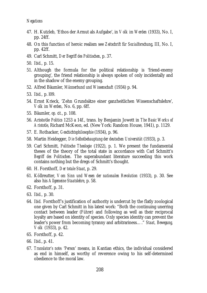- 47. H. Kutzleb, 'Ethos der Armut als Aufgabe', in *Volk im Werden*(1933), No. I, pp. 24ff.
- 48. On this function of heroic realism see *Zeitschrift für Sozialforschung*, III, No. I, pp. 42ff.
- 49. Carl Schmitt, *Der Begriff des Politischen*, p. 37.
- 50. *Ibid.*,p. 15.
- 51. Although the formula for the political relationship is 'friend-enemy grouping', the friend relationship is always spoken of only incidentally and in the shadow of the enemy grouping.
- 52. Alfred Bäumler, *Männerbund und Wissenschaft*(1934) p. 94.
- 53. *Ibid.*,p. l09.
- 54. Ernst Krieck, 'Zehn Grundsätze einer ganzheitlichen Wissenschaftslehre', *Volk im Werden*,No. 6, pp. 6ff.
- 55. Bäumler, *op. cit.*, p. 108.
- 56. Aristotle *Politics* 1253 a 14f., trans. by Benjamin Jowett in *The Basic Works of Aristotle*, Richard McKeon, ed. (New York: Random House, 1941), p. 1129.
- 57. E. Rothacker, *Geschichtsphilosophie* (1934), p. 96.
- 58. Martin Heidegger, *Die Selbstbehauptung der deutschen Universität* (1933), p. 3.
- 59. Carl Schmitt, *Politische Theologie*(1922), p. 1. We present the fundamental theses of the theory of the total state in accordance with Carl Schmitt's *Begriff des Politischen*.The superabundant literature succeeding this work contains nothing but the dregs of Schmitt's thought.
- 60. H. Forsthoff, *Der totale Staat*, p. 29.
- 61. Köllreutter, *Vom Sinn und Wesen der nationalen Revolution*(1933), p. 30. See also his *Allgemeine Staatslehre*, p. 58.
- 62. Forsthoff, p. 31.
- 63. *Ibid.*,p. 30.
- 64. *Ibid.*Forsthoff's justification of authority is undercut by the flatly zoological one given by Carl Schmitt in his latest work: "Both the continuing unerring contact between leader (*Führer*)and following as well as their reciprocal loyalty are based on identity of species. Only species identity can prevent the leader's power from becoming tyranny and arbitrariness…." *Staat, Bewegung, Volk*(1933), p. 42.
- 65. Forsthoff, p. 42.
- 66. *Ibid.*, p. 41.
- 67. *Translator's note*: '*Person*' means, in Kantian ethics, the individual considered as end in himself, as worthy of reverence owing to his self-determined obedience to the moral law.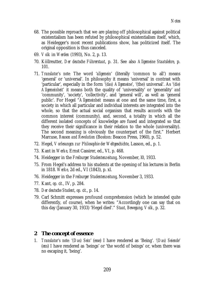- 68. The possible reproach that weare playing off philosophical against political existentialism has been refuted by philosophical existentialism itself, which, as Heidegger's most recent publications show, has politicized itself. The original opposition is thus canceled.
- 69. *Volk im Werden*(1993), No. 2, p. 13.
- 70. Köllreutter, *Der deutsche Führerstaat*, p. 31. Seealso *Allgemeine Staatslehre*, p. 101.
- 71. *Translator's note*: The word '*allgemein*'(literally 'common to all') means 'general' or 'universal'. In philosophy it means 'universal' in contrast with 'particular', especially in the form '*(das) Allgemeine*', '(the) universal'. As '*(die) Allgemeinheit*'it means both the quality of 'universality' or 'generality' *and* 'community', 'society', 'collectivity', and 'general will', as well as 'general public'. For Hegel "*Allgemeinheit* means at one and the same time, first, a society in which all particular and individual interests are integrated into the whole, so that the actual social organism that results accords with the common interest (community), and, second, a totality in which all the different isolated concepts of knowledge are fused and integrated so that they receive their significance in their relation to the whole (universality). The second meaning is obviously the counterpart of the first." Herbert Marcuse, *Reason and Revolution* (Boston: Beacon Press, 1960), p. 52.
- 72. Hegel, *Vorlesungcn zur Philosophie der Weltgeschichte*, Lasson, ed., p. 1.
- 73. Kant in *Werke*, Ernst Cassirer, ed., VI, p. 468.
- 74. Heidegger in the *Freiburger Studentenzeitung*, November, l0, 1933.
- 75. From Hegel's address to his students at the opening of his lectures in Berlin in 1818. *Werke*, 2d ed., VI (1843), p. xl.
- 76. Heidegger in the *Freiburger Studentenzeitung*, November 3, 1933.
- 77. Kant, *op. cit.*, IV, p. 284.
- 78. *Der deutsche Student*, *op. cit.*, p. 14.
- 79. Carl Schmitt expresses profound comprehension (which he intended quite differently, of course), when he writes: "Accordingly one can say that on this day (January 30, 1933) 'Hegel died'." *Staat, Bewegung, Volk*, p. 32.

## **2 The concept of essence**

1. *Translator's note*: '*(Das) Sein*' (*esse*) I have rendered as 'Being'. '*(Das) Seiende*' (*ens*) I have rendered as 'beings' or 'the world of beings' or, when there was no escaping it, 'being'.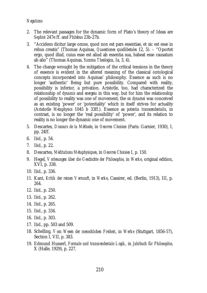#### *Negations*

- 2. The relevant passages for the dynamic form of Plato's theory of Ideas are *Sophist* 247e ff. and *Philebus* 23b-27b.
- 3. "Accidens dicitur large omne, quod non est pars essentiae, et sic est esse in rebus creatis" (Thomas Aquinas, *Quaestiones quodlibetales* 12, 5). – "Oportet ergo, quod illud, cuius esse est aliud ab essentia sua, habeat esse causatum ab alio" (Thomas Aquinas, *Summa Theologica*, Ia, 3, 4).
- 4. The change wrought by the mitigation of the critical tensions in the theory of essence is evident in the altered meaning of the classical ontological concepts incorporated into Aquinas' philosophy. Essence as such is no longer 'authentic' Being but pure possibility. Compared with reality, possibility is inferior, a privation. Aristotle, too, had characterized the relationship of *dynamis* and *energeia* in this way, but for him the relationship of possibility to reality was one of movement; the *on dynamei* was conceived as an existing 'power' or 'potentiality' which in itself strives for actuality (Aristotle *Metaphysics* 1045 b 33ff.). Essence as *potentia transcendentalis*, in contrast, is no longer the 'real possibility' of 'power', and its relation to reality is no longer the dynamic one of movement.
- 5. Descartes, *Discours de la Méthode*, in *Oeuvres Choisies* (Paris: Garnier, 1930), I, pp. 24ff.
- 6. *Ibid.*, p. 54.
- 7. *Ibid.*, p. 22.
- 8. Descartes, *Méditations Métaphysiques*, in *Oeuvres Choisies* I, p. 150.
- 9. Hegel, *Vorlesungen über die Geschichte der Philosophie*, in *Werke*, original edition, XVI, p. 338.
- 10. *Ibid.*, p. 336.
- 11. Kant, *Kritik der reinen Vernunft*, in *Werke*, Cassirer, ed. (Berlin, 1913), III, p. 264.
- 12. *Ibid.*, p. 250.
- 13. *Ibid.*, p. 262.
- 14. *Ibid.*, p. 265.
- 15. *Ibid.*, p. 334.
- 16. *Ibid.*, p. 303.
- 17. *Ibid.*, pp. 503 and 509.
- 18. Schelling, *Vom Wesen der menschlichen Freiheit*, in *Werke* (Stuttgart, 1856-57), Section I, VII, p. 383.
- 19. Edmund Husserl, *Formale und transzendentale Logik*, in *Jahrbuch für Philosophie*, X (Halle, 1929), p. 227.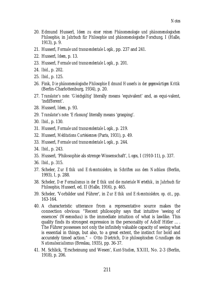- 20. Edmund Husserl, *Ideen zu einer reinen Phänomenologie und phänomenologischen Philosophie*, in *Jahrbuch für Philosophie und phänomenologische Forschung*, I (Halle, 1913), p. 9.
- 21. Husserl, *Formale und transzendentale Logik*, pp. 237 and 241.
- 22. Husserl, *Ideen*, p. 13.
- 23. Husserl, *Formale und transzendentale Logik*, p. 201.
- 24. *Ibid.*, p. 202.
- 25. *Ibid.*, p. 125.
- 26. Fink, *Die phänomenologische Philosophie Edmund Husserls in der gegenwärtigen Kritik*  (Berlin-Charlottenburg, 1934), p. 20.
- 27. *Translator's note*: '*Gleichgültig*' literally means 'equivalent' and, as equi-valent, 'indifferent'.
- 28. Husserl, *Ideen*, p. 93.
- 29. *Translator's note*: '*Erfassung*' literally means 'grasping'.
- 30. *Ibid.*, p. 130.
- 31. Husserl, *Formale und transzendentale Logik*, p. 219.
- 32. Husserl, *Méditations Cartésiennes* (Paris, 1931), p. 49.
- 33. Husserl, *Formale und transzendentale Logik*, p. 244.
- 34. *Ibid.*, p. 243.
- 35. Husserl, 'Philosophie als strenge Wissenschaft', *Logos*, I (1910-11), p. 337.
- 36. *Ibid.*, p. 315.
- 37. Scheler, *Zur Ethik und Erkenntnislehre*, in *Schriften aus dem Nachlass* (Berlin, 1993), I, p. 288.
- 38. Scheler, *Der Formalismus in der Ethik und die materiale Wertethik*, in *Jahrbuch für Philosophie*, Husserl, ed. II (Halle, 1916), p. 465.
- 39. Scheler, 'Vorbilder und Führer', in *Zur Ethik und Erkenntnislehre, op. cit.*, pp. 163-164.
- 40. A characteristic utterance from a representative source makes the connection obvious: "Recent philosophy says that intuitive 'seeing of essences' (*Wesensschau*) is the immediate intuition of what is lawlike. This quality finds its strongest expression in the personality of Adolf Hitler …. The Führer possesses not only the infinitely valuable capacity of seeing what is essential in things, but also, to a great extent, the instinct for bold and accurately timed action." – Otto Dietrich, *Die philosophischen Grundlagen des Nationalsozialismus* (Breslau, 1935), pp. 36-37.
- 41. M. Schlick, 'Erscheinung und Wesen', *Kant-Studien*, XXIII, No. 2-3 (Berlin, 1918), p. 206.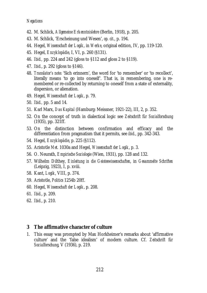- 42. M. Schlick, *Allgemeine Erkenntnislehre* (Berlin, 1918), p. 205.
- 43. M. Schlick, 'Erscheinung und Wesen', *op. cit.*, p. 194.
- 44. Hegel, *Wissenschaft der Logik*, in *Werke*, original edition, IV, pp. 119-120.
- 45. Hegel, *Enzyklopädie*, I, VI, p. 260 (§131).
- 46. *Ibid.,* pp. 224 and 242 (gloss to §112 and gloss 2 to §119).
- 47. *Ibid.*, p. 292 (gloss to §146).
- 48. *Translator's note*: 'Sich erinnern', the word for 'to remember' or 'to recollect', literally means 'to go into oneself'. That is, in remembering, one is remembered or re-collected by returning to oneself from a state of externality, dispersion, or alienation.
- 49. Hegel, *Wissenschaft der Logik*, p. 79.
- 50. *Ibid.,* pp. 5 and 14.
- 51. Karl Marx, *Das Kapital* (Hamburg: Meissner, 1921-22), III, 2, p. 352.
- 52. On the concept of truth in dialectical logic see *Zeitschrift für Sozialforschung*  (1935), pp. 321ff.
- 53. On the distinction between confirmation and efficacy and the differentiation from pragmatism that it permits, see *ibid.*, pp. 342-343.
- 54. Hegel, *Enzyklopädie*, p. 225 (§112).
- 55. Aristotle *Met.* 1030a and Hegel, *Wissenschaft der Logik*, p. 3.
- 56. O. Neurath, *Empirische Soziologie* (Wien, 1931), pp. 128 and 132.
- 57. Wilhelm Dilthey, *Einleitung in die Geisteswissenschaften*, in *Gesammelte Schriften*  (Leipzig, 1923), I, p. xviii.
- 58. Kant, *Logik*, VIII, p. 374.
- 59. Aristotle, *Politics* 1254b 20ff.
- 60. Hegel, *Wissenschaft der Logik*, p. 208.
- 61. *Ibid.*, p. 209.
- 62. *Ibid.*, p. 210.

#### **3 The affirmative character of culture**

1. This essay was prompted by Max Horkheimer's remarks about 'affirmative culture' and the 'false idealism' of modern culture. Cf. *Zeitschrift für Sozialforschung*, V (1936), p. 219.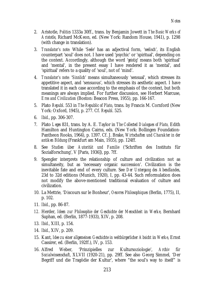- 2. Aristotle, *Politics* 1333a 30ff., trans. by Benjamin Jowett in *The Basic Works of Aristotle*, Richard McKeon, ed. (New York: Random House, 1941), p. 1298 (with change in translation).
- 3. *Translator's note*: While '*Seele*' has an adjectival form, '*seelisch*', its English counterpart 'soul' does not. I have used 'psychic' or 'spiritual', depending on the context. Accordingly, although the word '*geistig*' means both 'spiritual' and 'mental', in the present essay I have rendered it as 'mental', and 'spiritual' refers to a quality of 'soul', not of 'mind'.
- 4. *Translator's note*: '*Sinnlich*' means simultaneously 'sensual', which stresses its appetitive aspect, and 'sensuous', which stresses its aesthetic aspect. I have translated it in each case according to the emphasis of the context, but both meanings are always implied. For further discussion, see Herbert Marcuse, *Eros and Civilization* (Boston: Beacon Press, 1955), pp. 166-167.
- 5. Plato *Republ*. 553 in *The Republic of Plato*, trans. by Francis M. Cornford (New York: Oxford, 1945), p. 277. Cf. *Republ*. 525.
- 6. *Ibid.*, pp. 306-307.
- 7. Plato *Leges* 831, trans. by A. E. Taylor in *The Collected Dialogues of Plato,* Edith Hamilton and Huntington Cairns, eds. (New York: Bollingen Foundation-Pantheon Rooks, 1964), p. 1397. Cf. J. Brake, *Wirtschaften und Charakter in der antiken Bildung* (Frankfurt am Main, 1935), pp. 124ff.
- 8. See *Studien über Autorität und Familie* ('Schriften des Instituts für Sozialforschung', V [Paris, 1936]), pp. 7ff.
- 9. Spengler interprets the relationship of culture and civilization not as simultaneity, but as 'necessary organic succession'. Civilization is the inevitable fate and end of every culture. See *Der Untergang des Abendlandes*, 23d to 32d editions (Munich, 1920), I, pp. 43-44. Such reformulation does not modify the above-mentioned traditional evaluation of culture and civilization.
- 10. La Mettrie, 'Discours sur le Bonheur', *Oeuvres Philosophiques* (Berlin, 1775), II, p. 102.
- 11. *Ibid.*, pp. 86-87.
- *12.* Herder, *Ideen zur Philosophie der Geschichte der Menschheit* in *Werke*, Bernhard Suphan, ed. (Berlin, 1877-1933), XIV, p. 208.
- 13. *Ibid.*, XIII, p. 154.
- 14. *Ibid.*, XIV, p. 209.
- 15. Kant, *Idee zu einer allgemeinen Geschichte in weltbürgerlicher Absicht* in *Werke*, Ernst Cassirer, ed. (Berlin, 192ff.), IV, p. 153.
- 16. Alfred Weber, 'Prinzipielles zur Kultursoziologie', *Archiv für Sozialwissenschaft*, XLVII (1920-21), pp. 29ff. See also Georg Simmel, 'Der Begriff und die Tragödie der Kultur', where "the soul's way to itself" is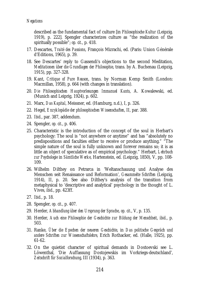described as the fundamental fact of culture [in *Philosophische Kultur* (Leipzig. 1919), p. 222]. Spengler characterizes culture as "the realization of the spiritually possible"; *op. cit.*, p. 418.

- 17. Descartes, *Traité des Passions*, François Mizrachi, ed. (Paris: Union Générale d'Editions, 1965), p. 39.
- 18. See Descartes' reply to Gassendi's objections to the second Meditation, *Meditationen über die Grundlagen der Philosophie*, trans. by A. Buchenau (Leipzig, 1915), pp. 327-328.
- 19. Kant, *Critique of Pure Reason*, trans. by Norman Kemp Smith (London: Macmillan, 1958), p. 664 (with changes in translation).
- 20. *Die Philosophischen Hauptvorlesungen Immanuel Kants*, A. Kowalewski, ed. (Munich and Leiprig, 1924), p. 602.
- 21. Marx, *Das Kapital*, Meissner, ed. (Hamburg, n.d.), I, p. 326.
- 22. Hegel, *Enzyklopädie der philosophischen Wissenschaften*, II, par. 388.
- 23. *Ibid.*, par. 387, addendum.
- 24. Spengler, *op. cit.*, p. 406.
- 25. Characteristic is the introduction of the concept of the soul in Herbart's psychology: The soul is "not anywhere or anytime" and has "absolutely no predispositions and faculties either to receive or produce anything." "The simple nature of the soul is fully unknown and forever remains so; it is as little an object of speculative as of empirical psychology." Herbart, *Lehrbuch zur Psychologie* in *Sämtliche Werke*, Hartenstein, ed. (Leipzig, 1850), V, pp. 108- 109.
- 26. Wilhelm Dilthey on Petrarca in 'Weltanschauung und Analyse des Menschen seit Renaissance und Reformation', *Gesammelte Schriften* (Leipzig, 1914), II, p. 20. See also Dilthey's analysis of the transition from metaphysical to 'descriptive and analytical' psychology in the thought of L. Vives, *ibid.*, pp. 423ff.
- 27. *Ibid.*, p. 18.
- 28. Spengler, *op. cit.*, p. 407.
- 29. Herder, *Abhandlung über den Ursprung der Sprache*, *op. cit.*, V, p. 135.
- 30. Herder, *Auch eine Philosophie der Geschichte zur Bildung der Menschheit*, *ibid.*, p. 503.
- 31. Ranke, *Über die Epochen der neueren Geschichte*, in *Das politische Gespräch und andere Schriften zur Wissenschaftslehre*, Erich Rothacker, ed. (Halle, 1925), pp. 61-62.
- 32. On the quietist character of spiritual demands in Dostoevski see L. Löwenthal, 'Die Auffassung Dostojewskis im Vorkriegs-deutschland', *Zeitschrift für Sozialforschung*, III (1934), p. 363.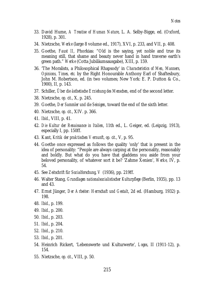- 33. David Hume, *A Treatise of Human Nature*, L. A. Selby-Bigge, ed. (Oxford, 1928), p. 301.
- 34. Nietzsche, *Werke* (large 8 volume ed., 1917), XVI, p. 233, and VII, p. 408.
- 35. Goethe, *Faust II*, Phorkias: "Old is the saying, yet noble and true its meaning still, that shame and beauty never hand in hand traverse earth's green path." *Werke* (Cotta Jubiläumsausgabe), XIII, p. 159.
- 36. 'The Moralists, a Philosophical Rhapsody' in *Characteristics of Men, Manners, Opinions, Times, etc.* by the Right Honourable Anthony Earl of Shaftesbury, John M. Robertson, ed. (in two volumes; New York: E. P. Dutton & Co., 1900), II, p. 143.
- 37. Schiller, *Über die ästhetische Erziehung des Menschen*, end of the second letter.
- 38. Nietzsche, *op. cit.*, X, p. 245.
- 39. Goethe, *Der Sammler und die Seinigen*, toward the end of the sixth letter.
- 40. Nietzsche, *op. cit.*, XIV. p. 366.
- 41. *Ibid.*, VIII, p. 41.
- 42. *Die Kultur der Renaissance in Italien*, 11th ed., L. Geiger, ed. (Leipzig, 1913), especially I, pp. 150ff.
- 43. Kant, *Kritik der praktischen Vernunft*, *op. cit.*, V, p. 95.
- 44. Goethe once expressed as follows the quality 'only' that is present in the idea of personality: "People are always carping at the personality, reasonably and boldly. But what do you have that gladdens you aside from your beloved personality, of whatever sort it be? 'Zahme Xenien', *Werke,* IV, p. 54.
- 45. See *Zeitschrift für Sozialforschung*, *V* (1936), pp. 219ff.
- 46. Walter Stang, *Grundlagen nationalsozialistischer Kulturpflege* (Berlin, 1935), pp. 13 and 43.
- 47. Ernst Jünger, *Der Arbeiter: Herrschaft und Gestalt*, 2d ed. (Hamburg, 1932) p. 198.
- 48. *Ibid.*, p. 199.
- 49. *Ibid.*, p. 200.
- 50. *Ibid.*, p. 203.
- 51. *Ibid.*, p. 204.
- 52. *Ibid.*, p. 210.
- 53. *Ibid.*, p. 201.
- 54. Heinrich Rickert, 'Lebenswerte und Kulturwerte', *Logos*, II (1911-12), p. 154.
- 55. Nietzsche, *op. cit.*, VIII, p. 50.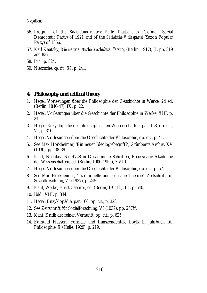- 56. Program of the *Sozialdemokratische Partei Deutschlands* (German Social Democratic Party) of 1921 and of the *Sächsische Volkspartei* (Saxon Popular Party) of 1866.
- 57. Karl Kautsky, *Die materialistische Geschichtsauffassung* (Berlin, 1917), II, pp. 819 and 837.
- 58. *Ibid.*, p. 824.
- 59. Nietzsche, *op. cit.*, XI, p. 241.

## **4 Philosophy and critical theory**

- 1. Hegel, Vorlesungen über die Philosophie der Geschichte in Werke, 2d ed. (Berlin, 1840-47), IX, p. 22.
- 2. Hegel, Vorlesungen über die Geschichte der Philosophie in Werke, XIII, p. 34.
- 3. Hegel, Enzyklopädie der philosophischen Wissenschaften, par. 158, op. cit., VI, p. 310.
- 4. Hegel, Vorlesungen über die Geschichte der Philosophie, op. cit., p. 41.
- 5. See Max Horkheimer, 'Ein neuer Ideologiebegriff?', Grünbergs Archiv, XV (1930), pp. 38-39.
- 6. Kant, Nachlass Nr. 4728 in Gesammelte Schriften, Preussische Akademie der Wissenschaften, ed. (Berlin, 1900-1955), XVIII.
- 7. Hegel, Vorlesungen über die Geschichte der Philosophie, op. cit., p. 67.
- 8. See Max Horkheimer, 'Traditionelle und kritische Theorie', Zeitschrift für Sozialforschung, VI (1937), p. 245.
- 9. Kant, Werke, Ernst Cassirer, ed. (Berlin, 1911ff.), III, p. 540.
- 10. Ibid., VIII, p. 344.
- 11. Hegel, Enzyklopädie, par. 166, op. cit., p. 328.
- 12. See Zeitschrift für Sozialforschung, VI (1937), pp. 257ff.
- 13. Kant, Kritik der reinen Vernunft, op. cit., p. 625.
- 14. Edmund Husserl, Formale und transzendentale Logik in Jahrbuch für Philosophie, X (Halle, 1929), p. 219.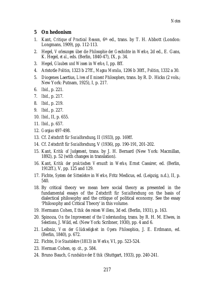## **5 On hedonism**

- 1. Kant, *Critique of Practical Reason*, 6th ed., trans. by T. H. Abbott (London: Longmans, 1909), pp. 112-113.
- 2. Hegel, *Vorlesungen über die Philosophie der Geschichte* in *Werke*, 2d ed., E. Gans, K. Hegel, *et al.*, eds. (Berlin, 1840-47), IX, p. 34.
- 3. Hegel, *Glauben und Wissen* in *Werke*, I, pp. 8ff.
- 4. Aristotle *Politics*, 1323 b 27ff., *Magna Moralia*, 1206 b 30ff., *Politics*, 1332 a 30.
- 5. Diogenes Laertius, *Lives of Eminent Philosophers*, trans. by R. D. Hicks (2 vols.; New York: Putnam, 1925), I, p. 217.
- 6. *Ibid.*, p. 221.
- 7. *Ibid.*, p. 217.
- 8. *Ibid.*, p. 219.
- 9. *Ibid.*, p. 227.
- 10. *Ibid.*, II, p. 655.
- 11. *Ibid.*, p. 657.
- 12. *Gorgias* 497-498.
- 13. Cf. *Zeitschrift für Sozialforschung*, II (1933), pp. 169ff.
- 14. Cf. *Zeitschrift für Sozialforschung*, V (1936), pp. 190-191, 201-202.
- 15. Kant, *Kritik of Judgement*, trans. by J. H. Bernard (New York: Macmillan, 1892), p. 52 (with changes in translation).
- 16. Kant, *Kritik der praktischen Vernunft* in *Werke*, Ernst Cassirer, ed. (Berlin, 1912ff.), V, pp. 125 and 129.
- 17. Fichte, *System der Sittenlehre* in *Werke*, Fritz Medicus, ed. (Leipzig, n.d.), II, p. 540.
- 18. By critical theory we mean here social theory as presented in the fundamental essays of the *Zeitschrift für Sozialforschung* on the basis of dialectical philosophy and the critique of political economy. See the essay 'Philosophy and Critical Theory' in this volume.
- 19. Hermann Cohen, *Ethik des reinen Willens*, 3d ed. (Berlin, 1931), p. 163.
- 20. Spinoza, *On the Improvement of the Understanding*, trans. by R. H. M. Elwes, in *Selections*, J. Wild, ed. (New York: Scribner, 1930), pp. 4 and 6.
- 21. Leibniz, *Von der Glückseligkeit* in *Opera Philosophica*, J. E. Erdmann, ed. (Berlin, 1840), p. 672.
- 22. Fichte, *Die Staatslehre* (1813) in *Werke*, VI, pp. 523-524.
- 23. Herman Cohen, *op. cit.*, p. 584.
- 24. Bruno Bauch, *Grundsätze der Ethik* (Stuttgart, 1933), pp. 240-241.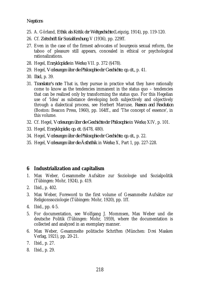*Negations* 

- 25. A. Görland, *Ethik als Kritik der Weltgeschichte* (Leipzig, 1914), pp. 119-120.
- 26. Cf. *Zeitschrift für Sozialforschung*, V (1936), pp. 229ff.
- 27. Even in the case of the firmest advocates of bourgeois sexual reform, the taboo of pleasure still appears, concealed in ethical or psychological rationalizations.
- 28. Hegel, *Enzyklopädie* in *Werke*, VII. p. 372 (§478).
- 29. Hegel, *Vorlesungen über die Philosophie der Geschichte*, *op. cit.,* p. 41.
- 30. *Ibid.*, p. 39.
- 31. *Translator's note*: That is, they pursue in practice what they have rationally come to know as the tendencies immanent in the status quo – tendencies that can be realized only by transforming the status quo. For this Hegelian use of 'Idea' as substance developing both subjectively and objectively through a dialectical process, see Herbert Marcuse, *Reason and Revolution*  (Boston: Beacon Press, 1960), pp. 164ff., and 'The concept of essence', in this volume.
- 32. Cf. Hegel, *Vorlesungen über die Geschichte der Philosophie* in *Werke*, XIV, p. 101.
- 33. Hegel, *Enzyklopädie, op. cit.* (§478, 480).
- 34. Hegel, *Vorlesungen über die Philosophie der Geschichte*, *op. cit.*, p. 22.
- 35. Hegel, *Vorlesungen über die Ästhethik* in *Werke*, X, Part 1, pp. 227-228.

## **6 Industrialization and capitalism**

- 1. Max Weber, Gesammelte Aufsätze zur Soziologie und Sozialpolitik (Tübingen: Mohr, 1924), p. 419.
- 2. Ibid., p. 402.
- 3. Max Weber, Foreword to the first volume of Gesammelte Aufsätze zur Religionssoziologie (Tübingen: Mohr, 1920), pp. 1ff.
- 4. Ibid., pp. 4-5.
- 5. For documentation, see Wolfgang J. Mommsen, Max Weber und die deutsche Politik (Tübingen: Mohr, 1959), where the documentation is collected and analyzed in an exemplary manner.
- 6. Max Weber, Gesammelte politische Schriften (München: Drei Masken Verlag, 1921), pp. 20-21.
- 7. Ibid., p. 27.
- 8. Ibid., p. 29.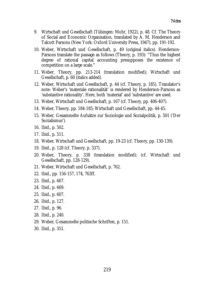- 9. Wirtschaft und Gesellschaft (Tübingen: Mohr, 1922), p. 48. Cf. The Theory of Social and Economic Organisation, translated by A. M. Henderson and Talcott Parsons (New York: Oxford University Press, 1947), pp. 191-192.
- 10. Weber, Wirtschaft und Gesellschaft, p. 49 (original italics). Henderson-Parsons translate the passage as follows (Theory, p. 193): "Thus the highest degree of rational capital accounting presupposes the existence of competition on a large scale."
- 11. Weber, Theory, pp. 213-214 (translation modified); Wirtschaft und Gesellschaft, p. 60 (italics added).
- 12. Weber, Wirtschaft und Gesellschaft, p. 44 (cf. Theory, p. 185). Translator's note: Weber's 'materiale rationalität' is rendered by Henderson-Parsons as 'substantive rationality'. Here, both 'material' and 'substantive' are used.
- 13. Weber, Wirtschaft und Gesellschaft, p. 167 (cf. Theory, pp. 406-407).
- 14. Weber, Theory, pp. 184-185; Wirtschaft und Gesellschaft, pp. 44-45.
- 15. Weber, Gesammelte Aufsätze zur Soziologie und Sozialpolitik, p. 501 ('Der Sozialismus').
- 16. Ibid., p. 502.
- 17. Ibid., p. 511.
- 18. Weber, Wirtschaft und Gesellschaft, pp. 19-23 (cf. Theory, pp. 130-139).
- 19. Ibid., p. 128 (cf. Theory, p. 337).
- 20. Weber, Theory, p. 338 (translation modified); (cf. Wirtschaft und Gesellschaft, pp. 128-129).
- 21. Weber, Wirtschaft und Gesellschaft, p. 762.
- 22. Ibid., pp. 156-157, 174, 763ff.
- 23. Ibid., p. 667.
- 24. Ibid., p. 669.
- 25. Ibid., p. 607.
- 26. Ibid., p. 127.
- 27. Ibid., p. 96.
- 28. Ibid., p. 240.
- 29. Weber, Gesammelte politische Schriften, p. 151.
- 30. Ibid., p. 351.